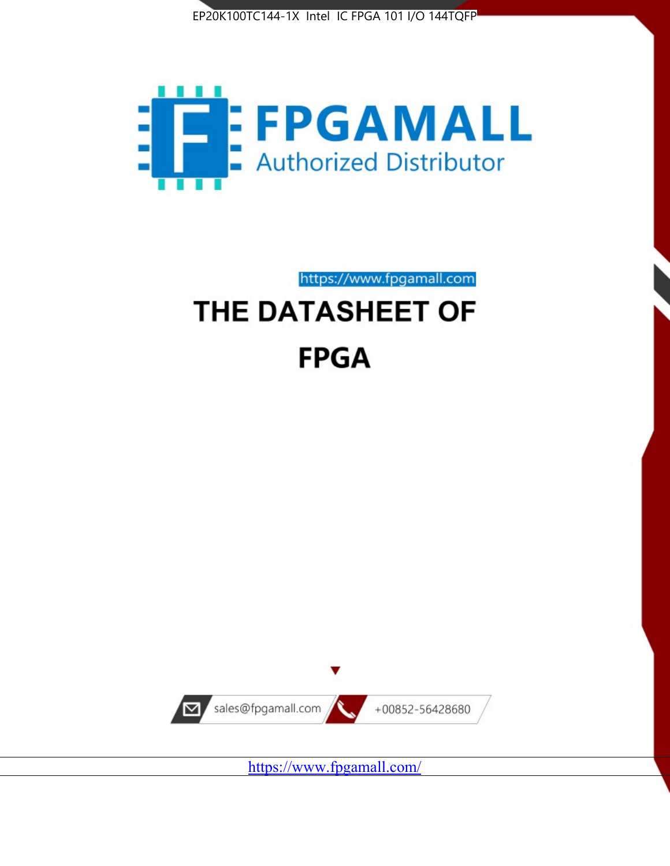



https://www.fpgamall.com

# THE DATASHEET OF **FPGA**



<https://www.fpgamall.com/>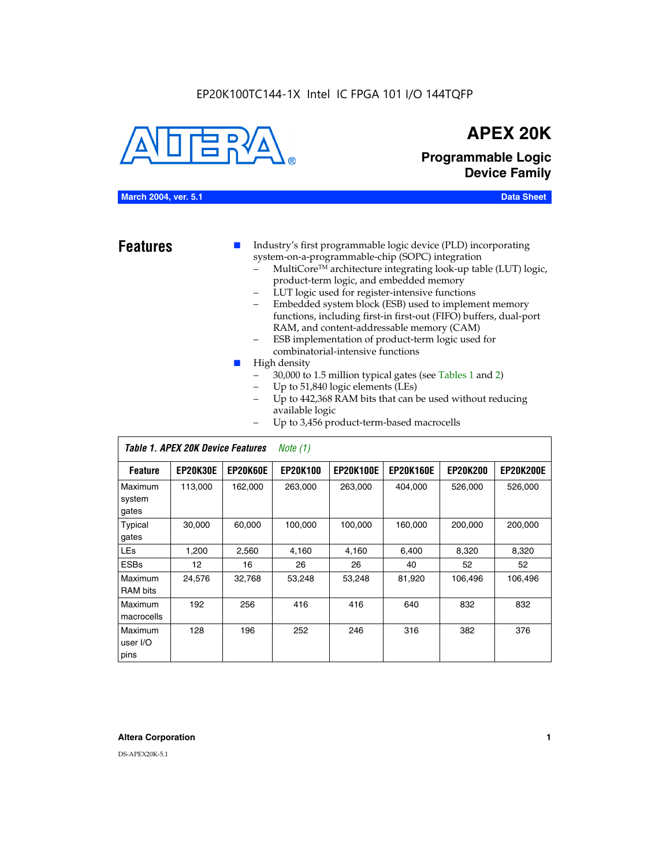#### EP20K100TC144-1X Intel IC FPGA 101 I/O 144TQFP



## **APEX 20K**

**Programmable Logic Device Family**

#### **March 2004, ver. 5.1 Data Sheet**

**Features ■** Industry's first programmable logic device (PLD) incorporating system-on-a-programmable-chip (SOPC) integration

- MultiCore<sup>™</sup> architecture integrating look-up table (LUT) logic, product-term logic, and embedded memory
- LUT logic used for register-intensive functions
- Embedded system block (ESB) used to implement memory functions, including first-in first-out (FIFO) buffers, dual-port RAM, and content-addressable memory (CAM)
- ESB implementation of product-term logic used for combinatorial-intensive functions
- High density
	- 30,000 to 1.5 million typical gates (see Tables 1 and 2)
	- Up to 51,840 logic elements (LEs)
	- Up to 442,368 RAM bits that can be used without reducing available logic
	- Up to 3,456 product-term-based macrocells

|                             | Table 1. APEX 20K Device Features<br>Note $(1)$ |                 |                 |                  |                  |                 |                  |  |  |
|-----------------------------|-------------------------------------------------|-----------------|-----------------|------------------|------------------|-----------------|------------------|--|--|
| <b>Feature</b>              | <b>EP20K30E</b>                                 | <b>EP20K60E</b> | <b>EP20K100</b> | <b>EP20K100E</b> | <b>EP20K160E</b> | <b>EP20K200</b> | <b>EP20K200E</b> |  |  |
| Maximum<br>system<br>gates  | 113,000                                         | 162,000         | 263,000         | 263,000          | 404,000          | 526,000         | 526,000          |  |  |
| Typical<br>gates            | 30,000                                          | 60,000          | 100,000         | 100.000          | 160,000          | 200,000         | 200,000          |  |  |
| <b>LEs</b>                  | 1,200                                           | 2,560           | 4,160           | 4,160            | 6,400            | 8,320           | 8,320            |  |  |
| <b>ESBs</b>                 | 12                                              | 16              | 26              | 26               | 40               | 52              | 52               |  |  |
| Maximum<br>RAM bits         | 24,576                                          | 32,768          | 53,248          | 53,248           | 81,920           | 106,496         | 106,496          |  |  |
| Maximum<br>macrocells       | 192                                             | 256             | 416             | 416              | 640              | 832             | 832              |  |  |
| Maximum<br>user I/O<br>pins | 128                                             | 196             | 252             | 246              | 316              | 382             | 376              |  |  |

#### **Altera Corporation 1**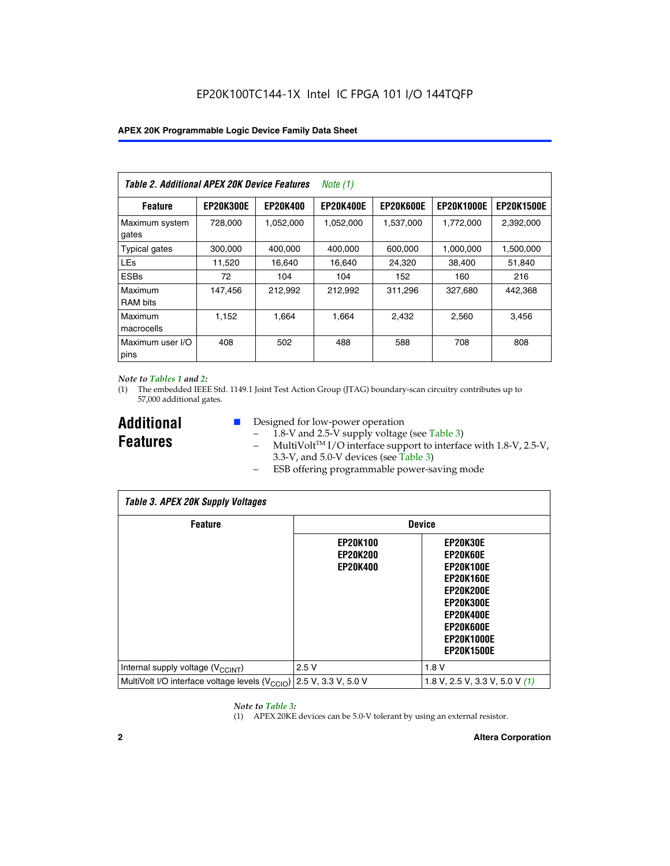| Table 2. Additional APEX 20K Device Features |                  |                 | Note (1)         |                  |                   |                   |
|----------------------------------------------|------------------|-----------------|------------------|------------------|-------------------|-------------------|
| <b>Feature</b>                               | <b>EP20K300E</b> | <b>EP20K400</b> | <b>EP20K400E</b> | <b>EP20K600E</b> | <b>EP20K1000E</b> | <b>EP20K1500E</b> |
| Maximum system<br>gates                      | 728.000          | 1,052,000       | 1,052,000        | 1,537,000        | 1,772,000         | 2,392,000         |
| <b>Typical gates</b>                         | 300,000          | 400,000         | 400,000          | 600,000          | 1,000,000         | 1,500,000         |
| <b>LEs</b>                                   | 11,520           | 16,640          | 16,640           | 24,320           | 38,400            | 51,840            |
| <b>ESBs</b>                                  | 72               | 104             | 104              | 152              | 160               | 216               |
| Maximum<br><b>RAM</b> bits                   | 147,456          | 212,992         | 212,992          | 311,296          | 327,680           | 442,368           |
| Maximum<br>macrocells                        | 1.152            | 1.664           | 1,664            | 2.432            | 2,560             | 3,456             |
| Maximum user I/O<br>pins                     | 408              | 502             | 488              | 588              | 708               | 808               |

#### *Note to Tables 1 and 2:*

(1) The embedded IEEE Std. 1149.1 Joint Test Action Group (JTAG) boundary-scan circuitry contributes up to 57,000 additional gates.

**Additional Features**

- Designed for low-power operation
	- 1.8-V and 2.5-V supply voltage (see Table 3)
	- $-$  MultiVolt<sup>TM</sup> I/O interface support to interface with 1.8-V, 2.5-V, 3.3-V, and 5.0-V devices (see Table 3)
	- ESB offering programmable power-saving mode

| <b>Table 3. APEX 20K Supply Voltages</b>                                       |                                                       |                                                                                                                                                                          |  |  |  |  |  |  |
|--------------------------------------------------------------------------------|-------------------------------------------------------|--------------------------------------------------------------------------------------------------------------------------------------------------------------------------|--|--|--|--|--|--|
| <b>Feature</b>                                                                 | <b>Device</b>                                         |                                                                                                                                                                          |  |  |  |  |  |  |
|                                                                                | <b>EP20K100</b><br><b>EP20K200</b><br><b>EP20K400</b> | EP20K30E<br>EP20K60E<br><b>EP20K100E</b><br><b>EP20K160E</b><br>EP20K200E<br><b>EP20K300E</b><br><b>EP20K400E</b><br>EP20K600E<br><b>EP20K1000E</b><br><b>EP20K1500E</b> |  |  |  |  |  |  |
| Internal supply voltage (V <sub>CCINT</sub> )                                  | 2.5V                                                  | 1.8V                                                                                                                                                                     |  |  |  |  |  |  |
| MultiVolt I/O interface voltage levels $(V_{\text{CCIO}})$ 2.5 V, 3.3 V, 5.0 V |                                                       | 1.8 V, 2.5 V, 3.3 V, 5.0 V $(1)$                                                                                                                                         |  |  |  |  |  |  |

#### *Note to Table 3:*

(1) APEX 20KE devices can be 5.0-V tolerant by using an external resistor.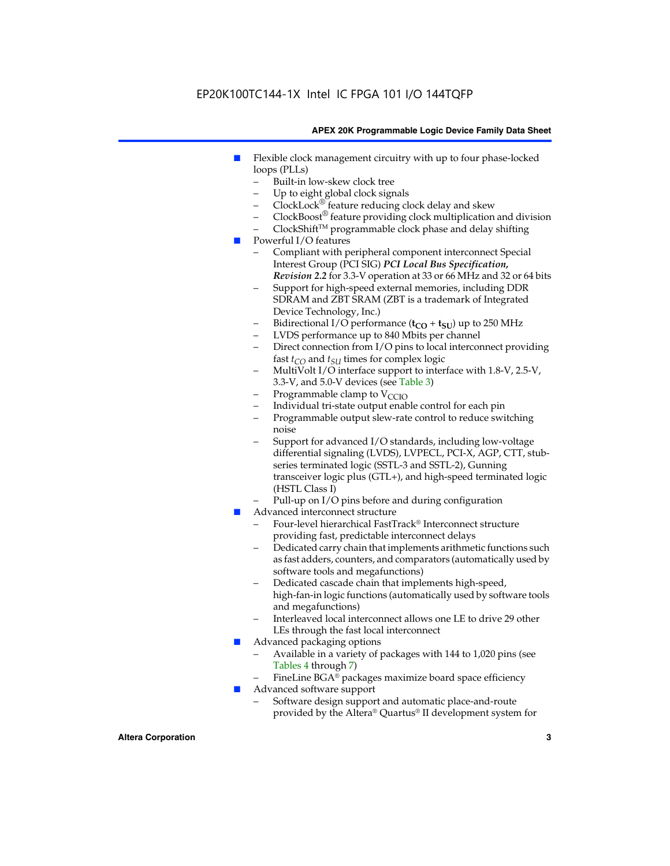### EP20K100TC144-1X Intel IC FPGA 101 I/O 144TQFP

#### **APEX 20K Programmable Logic Device Family Data Sheet**

- Flexible clock management circuitry with up to four phase-locked loops (PLLs)
	- Built-in low-skew clock tree
	- Up to eight global clock signals
	- $ClockLock^{\circledR}$  feature reducing clock delay and skew
	- $ClockBoost^{\circledR}$  feature providing clock multiplication and division
	- ClockShiftTM programmable clock phase and delay shifting
- Powerful I/O features
	- Compliant with peripheral component interconnect Special Interest Group (PCI SIG) *PCI Local Bus Specification, Revision 2.2* for 3.3-V operation at 33 or 66 MHz and 32 or 64 bits
	- Support for high-speed external memories, including DDR SDRAM and ZBT SRAM (ZBT is a trademark of Integrated Device Technology, Inc.)
	- Bidirectional I/O performance  $(t_{CO} + t_{SU})$  up to 250 MHz
	- LVDS performance up to 840 Mbits per channel
	- Direct connection from I/O pins to local interconnect providing fast  $t_{CO}$  and  $t_{SU}$  times for complex logic
	- MultiVolt I/O interface support to interface with 1.8-V, 2.5-V, 3.3-V, and 5.0-V devices (see Table 3)
	- Programmable clamp to  $V_{\text{C}CD}$
	- Individual tri-state output enable control for each pin
	- Programmable output slew-rate control to reduce switching noise
	- Support for advanced I/O standards, including low-voltage differential signaling (LVDS), LVPECL, PCI-X, AGP, CTT, stubseries terminated logic (SSTL-3 and SSTL-2), Gunning transceiver logic plus (GTL+), and high-speed terminated logic (HSTL Class I)
	- Pull-up on I/O pins before and during configuration
- Advanced interconnect structure
	- Four-level hierarchical FastTrack® Interconnect structure providing fast, predictable interconnect delays
	- Dedicated carry chain that implements arithmetic functions such as fast adders, counters, and comparators (automatically used by software tools and megafunctions)
	- Dedicated cascade chain that implements high-speed, high-fan-in logic functions (automatically used by software tools and megafunctions)
	- Interleaved local interconnect allows one LE to drive 29 other LEs through the fast local interconnect
- Advanced packaging options
	- Available in a variety of packages with 144 to 1,020 pins (see Tables 4 through 7)
	- FineLine BGA® packages maximize board space efficiency
- Advanced software support
	- Software design support and automatic place-and-route provided by the Altera® Quartus® II development system for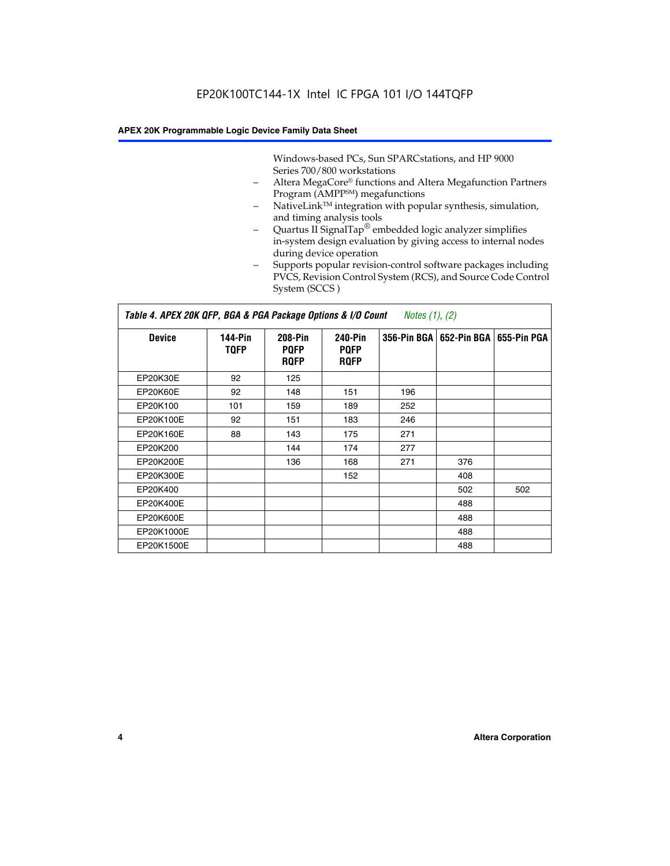Windows-based PCs, Sun SPARCstations, and HP 9000 Series 700/800 workstations

- Altera MegaCore® functions and Altera Megafunction Partners Program (AMPP<sup>SM</sup>) megafunctions
- NativeLink™ integration with popular synthesis, simulation, and timing analysis tools
- Quartus II SignalTap® embedded logic analyzer simplifies in-system design evaluation by giving access to internal nodes during device operation
- Supports popular revision-control software packages including PVCS, Revision Control System (RCS), and Source Code Control System (SCCS )

#### *Table 4. APEX 20K QFP, BGA & PGA Package Options & I/O Count Notes (1), (2)*

| <b>Device</b>   | 144-Pin<br><b>TQFP</b> | 208-Pin<br><b>PQFP</b><br><b>ROFP</b> | 240-Pin<br><b>PQFP</b><br><b>ROFP</b> |     | 356-Pin BGA   652-Pin BGA | 655-Pin PGA |
|-----------------|------------------------|---------------------------------------|---------------------------------------|-----|---------------------------|-------------|
| EP20K30E        | 92                     | 125                                   |                                       |     |                           |             |
| <b>EP20K60E</b> | 92                     | 148                                   | 151                                   | 196 |                           |             |
| EP20K100        | 101                    | 159                                   | 189                                   | 252 |                           |             |
| EP20K100E       | 92                     | 151                                   | 183                                   | 246 |                           |             |
| EP20K160E       | 88                     | 143                                   | 175                                   | 271 |                           |             |
| EP20K200        |                        | 144                                   | 174                                   | 277 |                           |             |
| EP20K200E       |                        | 136                                   | 168                                   | 271 | 376                       |             |
| EP20K300E       |                        |                                       | 152                                   |     | 408                       |             |
| EP20K400        |                        |                                       |                                       |     | 502                       | 502         |
| EP20K400E       |                        |                                       |                                       |     | 488                       |             |
| EP20K600E       |                        |                                       |                                       |     | 488                       |             |
| EP20K1000E      |                        |                                       |                                       |     | 488                       |             |
| EP20K1500E      |                        |                                       |                                       |     | 488                       |             |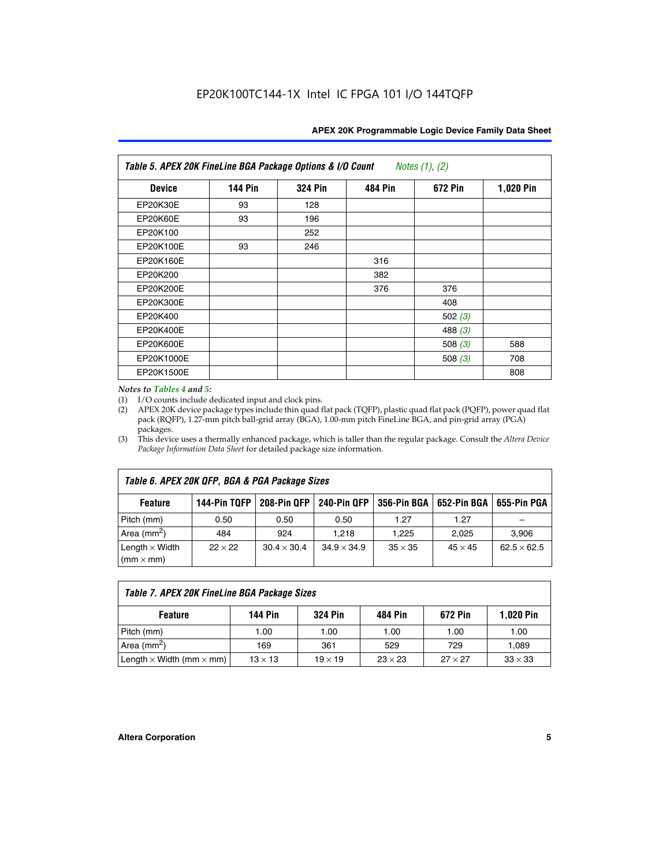| Table 5. APEX 20K FineLine BGA Package Options & I/O Count<br>Notes $(1)$ , $(2)$ |                |                |                |           |           |  |  |  |
|-----------------------------------------------------------------------------------|----------------|----------------|----------------|-----------|-----------|--|--|--|
| <b>Device</b>                                                                     | <b>144 Pin</b> | <b>324 Pin</b> | <b>484 Pin</b> | 672 Pin   | 1,020 Pin |  |  |  |
| EP20K30E                                                                          | 93             | 128            |                |           |           |  |  |  |
| <b>EP20K60E</b>                                                                   | 93             | 196            |                |           |           |  |  |  |
| EP20K100                                                                          |                | 252            |                |           |           |  |  |  |
| EP20K100E                                                                         | 93             | 246            |                |           |           |  |  |  |
| EP20K160E                                                                         |                |                | 316            |           |           |  |  |  |
| EP20K200                                                                          |                |                | 382            |           |           |  |  |  |
| EP20K200E                                                                         |                |                | 376            | 376       |           |  |  |  |
| EP20K300E                                                                         |                |                |                | 408       |           |  |  |  |
| EP20K400                                                                          |                |                |                | 502(3)    |           |  |  |  |
| EP20K400E                                                                         |                |                |                | 488 $(3)$ |           |  |  |  |
| EP20K600E                                                                         |                |                |                | 508 $(3)$ | 588       |  |  |  |
| EP20K1000E                                                                        |                |                |                | 508 $(3)$ | 708       |  |  |  |
| EP20K1500E                                                                        |                |                |                |           | 808       |  |  |  |

#### *Notes to Tables 4 and 5:*

 $\Gamma$ 

(1) I/O counts include dedicated input and clock pins.

(2) APEX 20K device package types include thin quad flat pack (TQFP), plastic quad flat pack (PQFP), power quad flat pack (RQFP), 1.27-mm pitch ball-grid array (BGA), 1.00-mm pitch FineLine BGA, and pin-grid array (PGA) packages.

(3) This device uses a thermally enhanced package, which is taller than the regular package. Consult the *Altera Device Package Information Data Sheet* for detailed package size information.

| Table 6. APEX 20K QFP, BGA & PGA Package Sizes                                                           |                |                    |                    |                |                |                    |  |  |  |
|----------------------------------------------------------------------------------------------------------|----------------|--------------------|--------------------|----------------|----------------|--------------------|--|--|--|
| 144-Pin TQFP<br>240-Pin QFP<br>356-Pin BGA   652-Pin BGA<br>208-Pin QFP<br>655-Pin PGA<br><b>Feature</b> |                |                    |                    |                |                |                    |  |  |  |
| Pitch (mm)                                                                                               | 0.50           | 0.50               | 0.50               | 1.27           | 1.27           |                    |  |  |  |
| Area $(mm^2)$                                                                                            | 484            | 924                | 1.218              | 1.225          | 2.025          | 3,906              |  |  |  |
| Length $\times$ Width<br>$(mm \times mm)$                                                                | $22 \times 22$ | $30.4 \times 30.4$ | $34.9 \times 34.9$ | $35 \times 35$ | $45 \times 45$ | $62.5 \times 62.5$ |  |  |  |

| Table 7. APEX 20K FineLine BGA Package Sizes                                          |                |                |      |      |       |  |  |  |
|---------------------------------------------------------------------------------------|----------------|----------------|------|------|-------|--|--|--|
| 1,020 Pin<br><b>144 Pin</b><br><b>324 Pin</b><br>672 Pin<br>484 Pin<br><b>Feature</b> |                |                |      |      |       |  |  |  |
| Pitch (mm)                                                                            | 1.00           | 1.00           | 1.00 | 1.00 | 1.00  |  |  |  |
| Area ( $mm2$ )                                                                        | 169            | 361            | 529  | 729  | 1,089 |  |  |  |
| Length $\times$ Width (mm $\times$ mm)                                                | $27 \times 27$ | $33 \times 33$ |      |      |       |  |  |  |

٦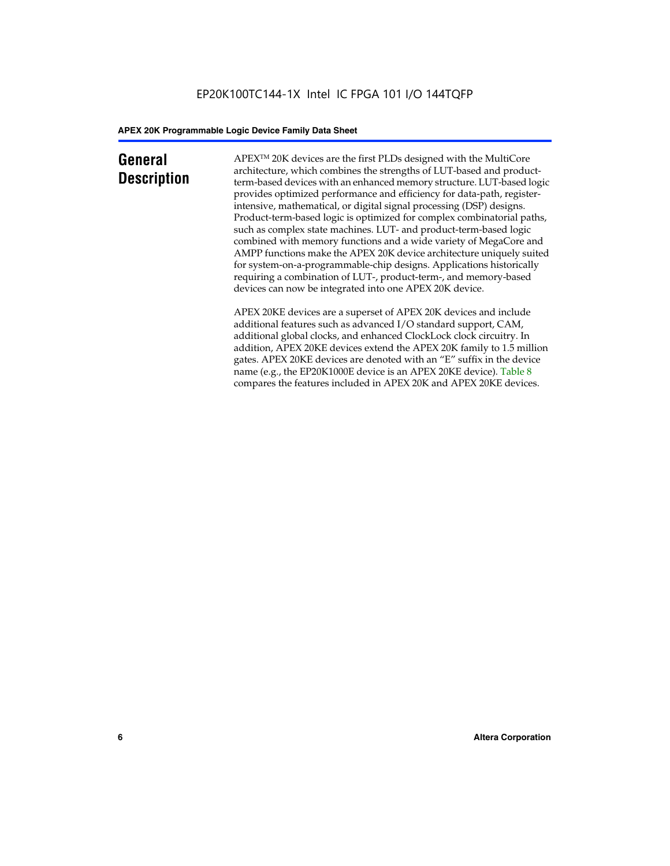### **General Description**

APEXTM 20K devices are the first PLDs designed with the MultiCore architecture, which combines the strengths of LUT-based and productterm-based devices with an enhanced memory structure. LUT-based logic provides optimized performance and efficiency for data-path, registerintensive, mathematical, or digital signal processing (DSP) designs. Product-term-based logic is optimized for complex combinatorial paths, such as complex state machines. LUT- and product-term-based logic combined with memory functions and a wide variety of MegaCore and AMPP functions make the APEX 20K device architecture uniquely suited for system-on-a-programmable-chip designs. Applications historically requiring a combination of LUT-, product-term-, and memory-based devices can now be integrated into one APEX 20K device.

APEX 20KE devices are a superset of APEX 20K devices and include additional features such as advanced I/O standard support, CAM, additional global clocks, and enhanced ClockLock clock circuitry. In addition, APEX 20KE devices extend the APEX 20K family to 1.5 million gates. APEX 20KE devices are denoted with an "E" suffix in the device name (e.g., the EP20K1000E device is an APEX 20KE device). Table 8 compares the features included in APEX 20K and APEX 20KE devices.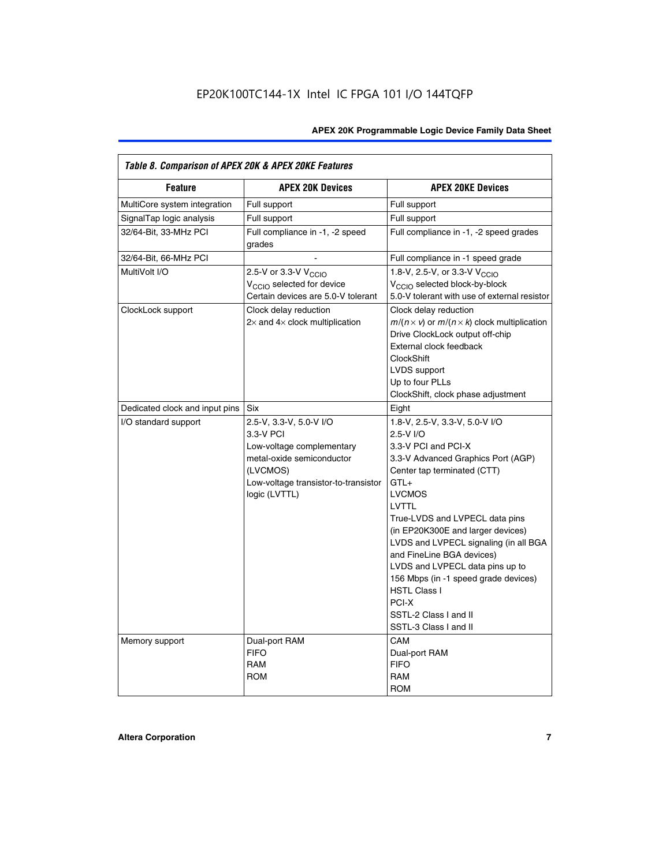| Table 8. Comparison of APEX 20K & APEX 20KE Features |                                                                                                                                                                     |                                                                                                                                                                                                                                                                                                                                                                                                                                                                                       |  |  |  |  |  |
|------------------------------------------------------|---------------------------------------------------------------------------------------------------------------------------------------------------------------------|---------------------------------------------------------------------------------------------------------------------------------------------------------------------------------------------------------------------------------------------------------------------------------------------------------------------------------------------------------------------------------------------------------------------------------------------------------------------------------------|--|--|--|--|--|
| <b>Feature</b>                                       | <b>APEX 20K Devices</b>                                                                                                                                             | <b>APEX 20KE Devices</b>                                                                                                                                                                                                                                                                                                                                                                                                                                                              |  |  |  |  |  |
| MultiCore system integration                         | Full support                                                                                                                                                        | Full support                                                                                                                                                                                                                                                                                                                                                                                                                                                                          |  |  |  |  |  |
| SignalTap logic analysis                             | Full support                                                                                                                                                        | Full support                                                                                                                                                                                                                                                                                                                                                                                                                                                                          |  |  |  |  |  |
| 32/64-Bit, 33-MHz PCI                                | Full compliance in -1, -2 speed<br>grades                                                                                                                           | Full compliance in -1, -2 speed grades                                                                                                                                                                                                                                                                                                                                                                                                                                                |  |  |  |  |  |
| 32/64-Bit, 66-MHz PCI                                |                                                                                                                                                                     | Full compliance in -1 speed grade                                                                                                                                                                                                                                                                                                                                                                                                                                                     |  |  |  |  |  |
| MultiVolt I/O                                        | 2.5-V or 3.3-V V <sub>CCIO</sub><br>V <sub>CCIO</sub> selected for device<br>Certain devices are 5.0-V tolerant                                                     | 1.8-V, 2.5-V, or 3.3-V V <sub>CCIO</sub><br>V <sub>CCIO</sub> selected block-by-block<br>5.0-V tolerant with use of external resistor                                                                                                                                                                                                                                                                                                                                                 |  |  |  |  |  |
| ClockLock support                                    | Clock delay reduction<br>$2\times$ and $4\times$ clock multiplication                                                                                               | Clock delay reduction<br>$m/(n \times v)$ or $m/(n \times k)$ clock multiplication<br>Drive ClockLock output off-chip<br>External clock feedback<br><b>ClockShift</b><br>LVDS support<br>Up to four PLLs<br>ClockShift, clock phase adjustment                                                                                                                                                                                                                                        |  |  |  |  |  |
| Dedicated clock and input pins                       | <b>Six</b>                                                                                                                                                          | Eight                                                                                                                                                                                                                                                                                                                                                                                                                                                                                 |  |  |  |  |  |
| I/O standard support                                 | 2.5-V, 3.3-V, 5.0-V I/O<br>3.3-V PCI<br>Low-voltage complementary<br>metal-oxide semiconductor<br>(LVCMOS)<br>Low-voltage transistor-to-transistor<br>logic (LVTTL) | 1.8-V, 2.5-V, 3.3-V, 5.0-V I/O<br>2.5-V I/O<br>3.3-V PCI and PCI-X<br>3.3-V Advanced Graphics Port (AGP)<br>Center tap terminated (CTT)<br>$GTL+$<br><b>LVCMOS</b><br>LVTTL<br>True-LVDS and LVPECL data pins<br>(in EP20K300E and larger devices)<br>LVDS and LVPECL signaling (in all BGA<br>and FineLine BGA devices)<br>LVDS and LVPECL data pins up to<br>156 Mbps (in -1 speed grade devices)<br><b>HSTL Class I</b><br>PCI-X<br>SSTL-2 Class I and II<br>SSTL-3 Class I and II |  |  |  |  |  |
| Memory support                                       | Dual-port RAM<br><b>FIFO</b><br><b>RAM</b><br><b>ROM</b>                                                                                                            | CAM<br>Dual-port RAM<br><b>FIFO</b><br>RAM<br><b>ROM</b>                                                                                                                                                                                                                                                                                                                                                                                                                              |  |  |  |  |  |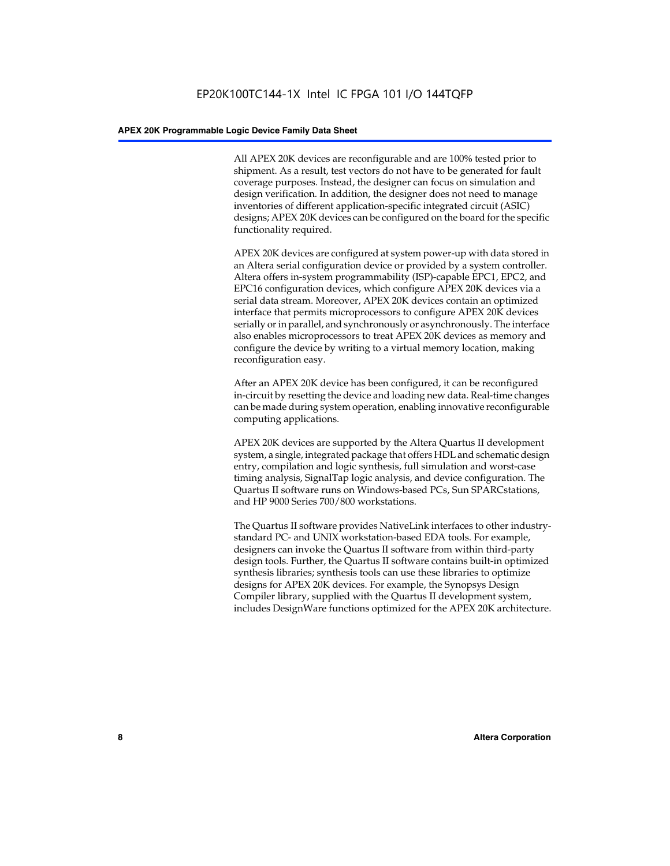All APEX 20K devices are reconfigurable and are 100% tested prior to shipment. As a result, test vectors do not have to be generated for fault coverage purposes. Instead, the designer can focus on simulation and design verification. In addition, the designer does not need to manage inventories of different application-specific integrated circuit (ASIC) designs; APEX 20K devices can be configured on the board for the specific functionality required.

APEX 20K devices are configured at system power-up with data stored in an Altera serial configuration device or provided by a system controller. Altera offers in-system programmability (ISP)-capable EPC1, EPC2, and EPC16 configuration devices, which configure APEX 20K devices via a serial data stream. Moreover, APEX 20K devices contain an optimized interface that permits microprocessors to configure APEX 20K devices serially or in parallel, and synchronously or asynchronously. The interface also enables microprocessors to treat APEX 20K devices as memory and configure the device by writing to a virtual memory location, making reconfiguration easy.

After an APEX 20K device has been configured, it can be reconfigured in-circuit by resetting the device and loading new data. Real-time changes can be made during system operation, enabling innovative reconfigurable computing applications.

APEX 20K devices are supported by the Altera Quartus II development system, a single, integrated package that offers HDL and schematic design entry, compilation and logic synthesis, full simulation and worst-case timing analysis, SignalTap logic analysis, and device configuration. The Quartus II software runs on Windows-based PCs, Sun SPARCstations, and HP 9000 Series 700/800 workstations.

The Quartus II software provides NativeLink interfaces to other industrystandard PC- and UNIX workstation-based EDA tools. For example, designers can invoke the Quartus II software from within third-party design tools. Further, the Quartus II software contains built-in optimized synthesis libraries; synthesis tools can use these libraries to optimize designs for APEX 20K devices. For example, the Synopsys Design Compiler library, supplied with the Quartus II development system, includes DesignWare functions optimized for the APEX 20K architecture.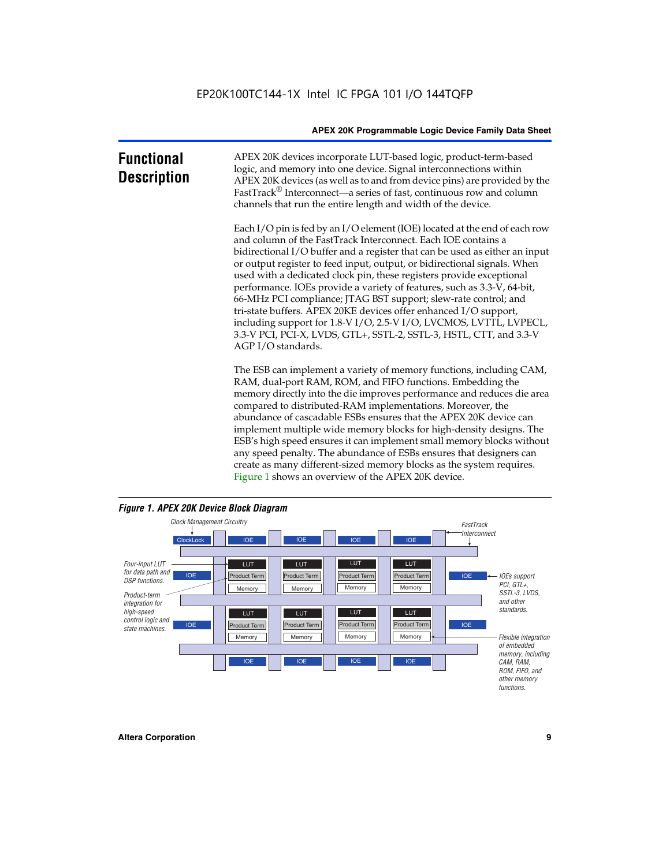| <b>Functional</b><br><b>Description</b> | APEX 20K devices incorporate LUT-based logic, product-term-based<br>logic, and memory into one device. Signal interconnections within<br>APEX 20K devices (as well as to and from device pins) are provided by the<br>FastTrack <sup>®</sup> Interconnect—a series of fast, continuous row and column<br>channels that run the entire length and width of the device.                                                                                                                                                                                                                                                                                                                                                                                              |
|-----------------------------------------|--------------------------------------------------------------------------------------------------------------------------------------------------------------------------------------------------------------------------------------------------------------------------------------------------------------------------------------------------------------------------------------------------------------------------------------------------------------------------------------------------------------------------------------------------------------------------------------------------------------------------------------------------------------------------------------------------------------------------------------------------------------------|
|                                         | Each I/O pin is fed by an I/O element (IOE) located at the end of each row<br>and column of the FastTrack Interconnect. Each IOE contains a<br>bidirectional I/O buffer and a register that can be used as either an input<br>or output register to feed input, output, or bidirectional signals. When<br>used with a dedicated clock pin, these registers provide exceptional<br>performance. IOEs provide a variety of features, such as 3.3-V, 64-bit,<br>66-MHz PCI compliance; JTAG BST support; slew-rate control; and<br>tri-state buffers. APEX 20KE devices offer enhanced I/O support,<br>including support for 1.8-V I/O, 2.5-V I/O, LVCMOS, LVTTL, LVPECL,<br>3.3-V PCI, PCI-X, LVDS, GTL+, SSTL-2, SSTL-3, HSTL, CTT, and 3.3-V<br>AGP I/O standards. |
|                                         | The ESB can implement a variety of memory functions, including CAM,<br>RAM, dual-port RAM, ROM, and FIFO functions. Embedding the<br>memory directly into the die improves performance and reduces die area<br>compared to distributed-RAM implementations. Moreover, the<br>abundance of cascadable ESBs ensures that the APEX 20K device can<br>implement multiple wide memory blocks for high-density designs. The<br>ESB's high speed ensures it can implement small memory blocks without<br>any speed penalty. The abundance of ESBs ensures that designers can<br>create as many different-sized memory blocks as the system requires.                                                                                                                      |



Figure 1 shows an overview of the APEX 20K device.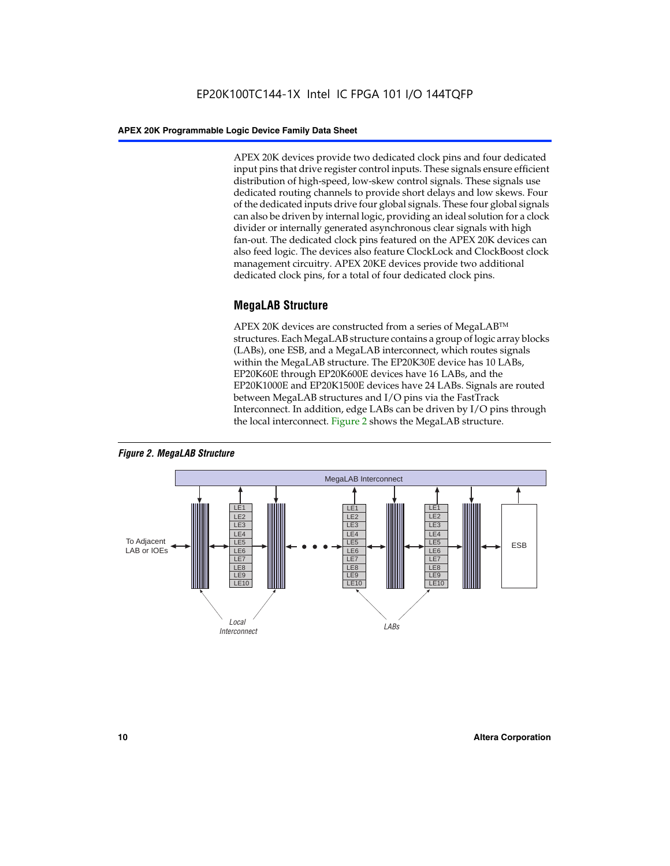APEX 20K devices provide two dedicated clock pins and four dedicated input pins that drive register control inputs. These signals ensure efficient distribution of high-speed, low-skew control signals. These signals use dedicated routing channels to provide short delays and low skews. Four of the dedicated inputs drive four global signals. These four global signals can also be driven by internal logic, providing an ideal solution for a clock divider or internally generated asynchronous clear signals with high fan-out. The dedicated clock pins featured on the APEX 20K devices can also feed logic. The devices also feature ClockLock and ClockBoost clock management circuitry. APEX 20KE devices provide two additional dedicated clock pins, for a total of four dedicated clock pins.

#### **MegaLAB Structure**

APEX 20K devices are constructed from a series of MegaLAB<sup>™</sup> structures. Each MegaLAB structure contains a group of logic array blocks (LABs), one ESB, and a MegaLAB interconnect, which routes signals within the MegaLAB structure. The EP20K30E device has 10 LABs, EP20K60E through EP20K600E devices have 16 LABs, and the EP20K1000E and EP20K1500E devices have 24 LABs. Signals are routed between MegaLAB structures and I/O pins via the FastTrack Interconnect. In addition, edge LABs can be driven by I/O pins through the local interconnect. Figure 2 shows the MegaLAB structure.



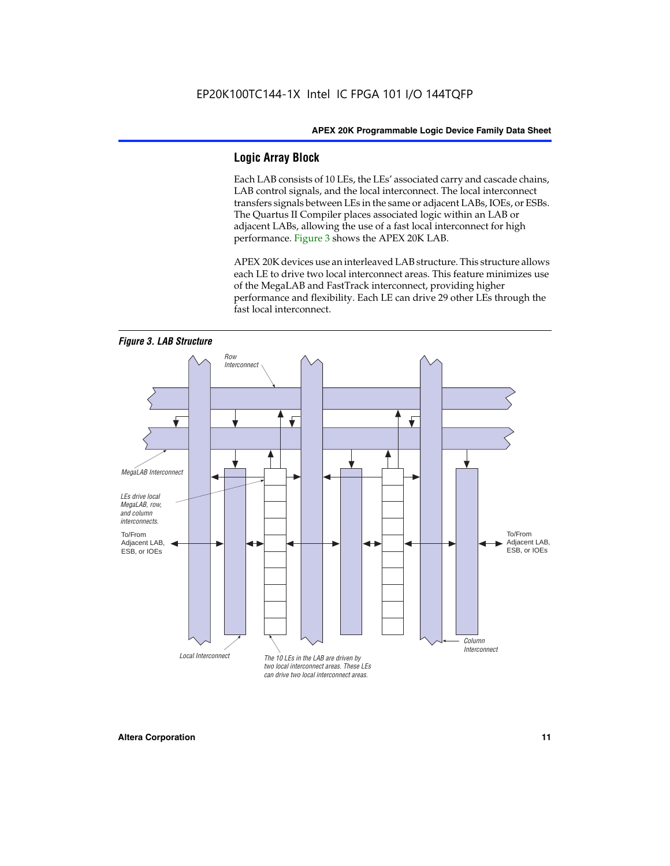#### **Logic Array Block**

Each LAB consists of 10 LEs, the LEs' associated carry and cascade chains, LAB control signals, and the local interconnect. The local interconnect transfers signals between LEs in the same or adjacent LABs, IOEs, or ESBs. The Quartus II Compiler places associated logic within an LAB or adjacent LABs, allowing the use of a fast local interconnect for high performance. Figure 3 shows the APEX 20K LAB.

APEX 20K devices use an interleaved LAB structure. This structure allows each LE to drive two local interconnect areas. This feature minimizes use of the MegaLAB and FastTrack interconnect, providing higher performance and flexibility. Each LE can drive 29 other LEs through the fast local interconnect.

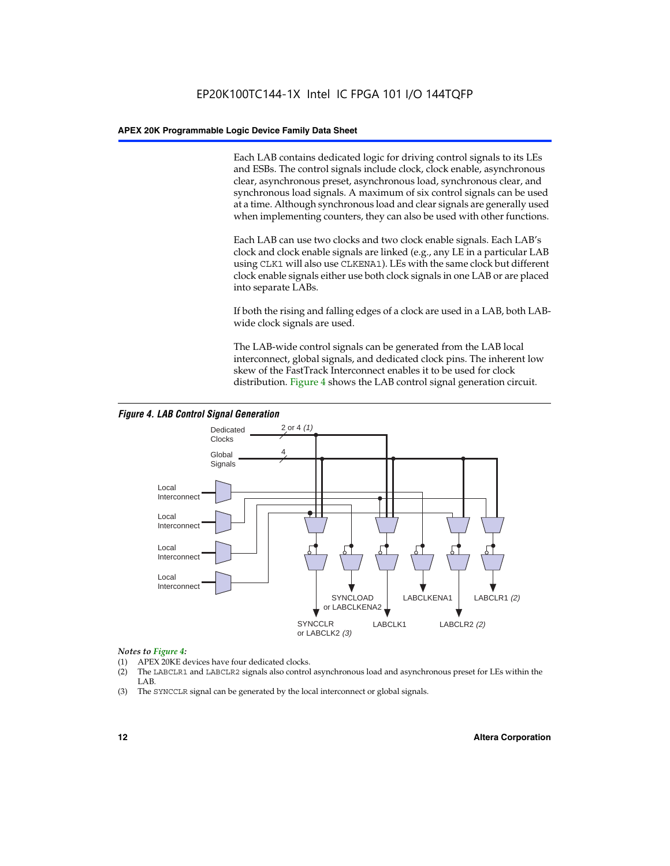Each LAB contains dedicated logic for driving control signals to its LEs and ESBs. The control signals include clock, clock enable, asynchronous clear, asynchronous preset, asynchronous load, synchronous clear, and synchronous load signals. A maximum of six control signals can be used at a time. Although synchronous load and clear signals are generally used when implementing counters, they can also be used with other functions.

Each LAB can use two clocks and two clock enable signals. Each LAB's clock and clock enable signals are linked (e.g., any LE in a particular LAB using CLK1 will also use CLKENA1). LEs with the same clock but different clock enable signals either use both clock signals in one LAB or are placed into separate LABs.

If both the rising and falling edges of a clock are used in a LAB, both LABwide clock signals are used.

The LAB-wide control signals can be generated from the LAB local interconnect, global signals, and dedicated clock pins. The inherent low skew of the FastTrack Interconnect enables it to be used for clock distribution. Figure 4 shows the LAB control signal generation circuit.



#### *Figure 4. LAB Control Signal Generation*

#### *Notes to Figure 4:*

- (1) APEX 20KE devices have four dedicated clocks.
- (2) The LABCLR1 and LABCLR2 signals also control asynchronous load and asynchronous preset for LEs within the LAB.
- (3) The SYNCCLR signal can be generated by the local interconnect or global signals.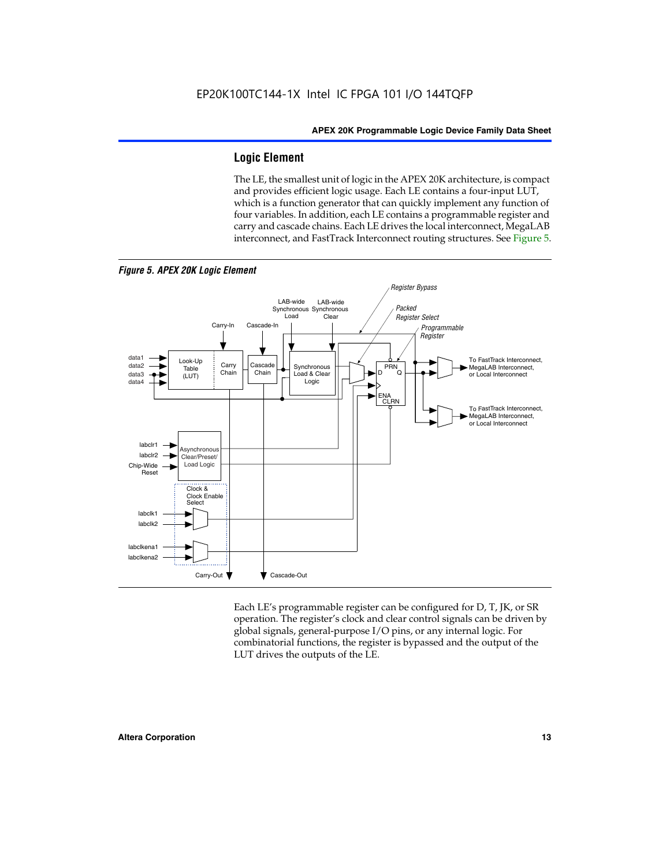#### **Logic Element**

The LE, the smallest unit of logic in the APEX 20K architecture, is compact and provides efficient logic usage. Each LE contains a four-input LUT, which is a function generator that can quickly implement any function of four variables. In addition, each LE contains a programmable register and carry and cascade chains. Each LE drives the local interconnect, MegaLAB interconnect, and FastTrack Interconnect routing structures. See Figure 5.



Each LE's programmable register can be configured for D, T, JK, or SR operation. The register's clock and clear control signals can be driven by global signals, general-purpose I/O pins, or any internal logic. For combinatorial functions, the register is bypassed and the output of the LUT drives the outputs of the LE.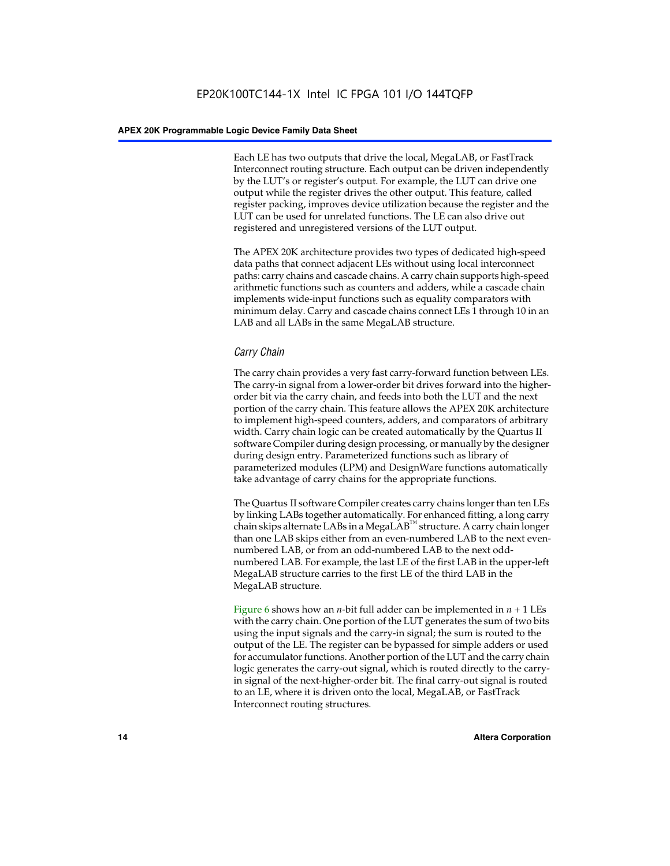Each LE has two outputs that drive the local, MegaLAB, or FastTrack Interconnect routing structure. Each output can be driven independently by the LUT's or register's output. For example, the LUT can drive one output while the register drives the other output. This feature, called register packing, improves device utilization because the register and the LUT can be used for unrelated functions. The LE can also drive out registered and unregistered versions of the LUT output.

The APEX 20K architecture provides two types of dedicated high-speed data paths that connect adjacent LEs without using local interconnect paths: carry chains and cascade chains. A carry chain supports high-speed arithmetic functions such as counters and adders, while a cascade chain implements wide-input functions such as equality comparators with minimum delay. Carry and cascade chains connect LEs 1 through 10 in an LAB and all LABs in the same MegaLAB structure.

#### *Carry Chain*

The carry chain provides a very fast carry-forward function between LEs. The carry-in signal from a lower-order bit drives forward into the higherorder bit via the carry chain, and feeds into both the LUT and the next portion of the carry chain. This feature allows the APEX 20K architecture to implement high-speed counters, adders, and comparators of arbitrary width. Carry chain logic can be created automatically by the Quartus II software Compiler during design processing, or manually by the designer during design entry. Parameterized functions such as library of parameterized modules (LPM) and DesignWare functions automatically take advantage of carry chains for the appropriate functions.

The Quartus II software Compiler creates carry chains longer than ten LEs by linking LABs together automatically. For enhanced fitting, a long carry chain skips alternate LABs in a MegaLAB<sup>™</sup> structure. A carry chain longer than one LAB skips either from an even-numbered LAB to the next evennumbered LAB, or from an odd-numbered LAB to the next oddnumbered LAB. For example, the last LE of the first LAB in the upper-left MegaLAB structure carries to the first LE of the third LAB in the MegaLAB structure.

Figure 6 shows how an *n*-bit full adder can be implemented in *n* + 1 LEs with the carry chain. One portion of the LUT generates the sum of two bits using the input signals and the carry-in signal; the sum is routed to the output of the LE. The register can be bypassed for simple adders or used for accumulator functions. Another portion of the LUT and the carry chain logic generates the carry-out signal, which is routed directly to the carryin signal of the next-higher-order bit. The final carry-out signal is routed to an LE, where it is driven onto the local, MegaLAB, or FastTrack Interconnect routing structures.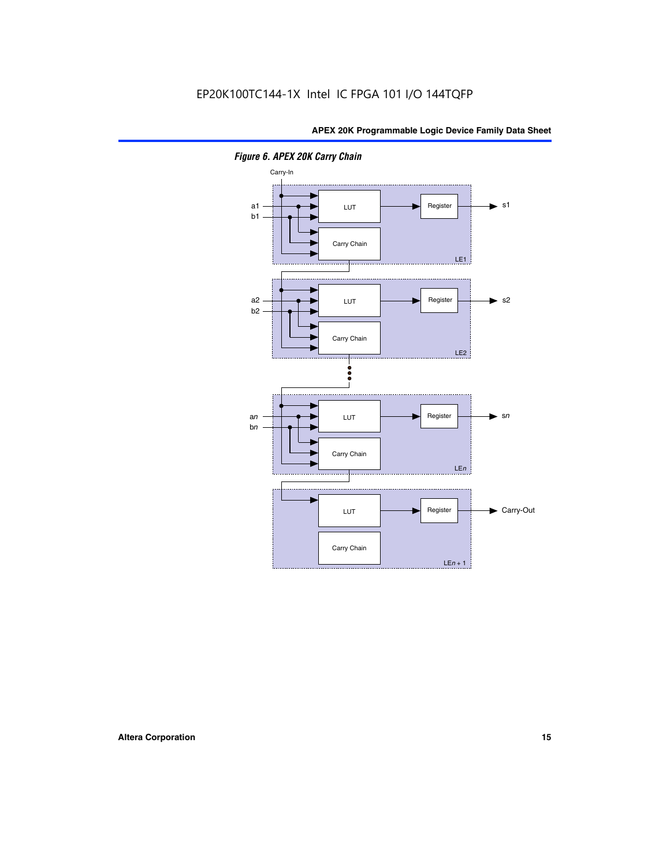

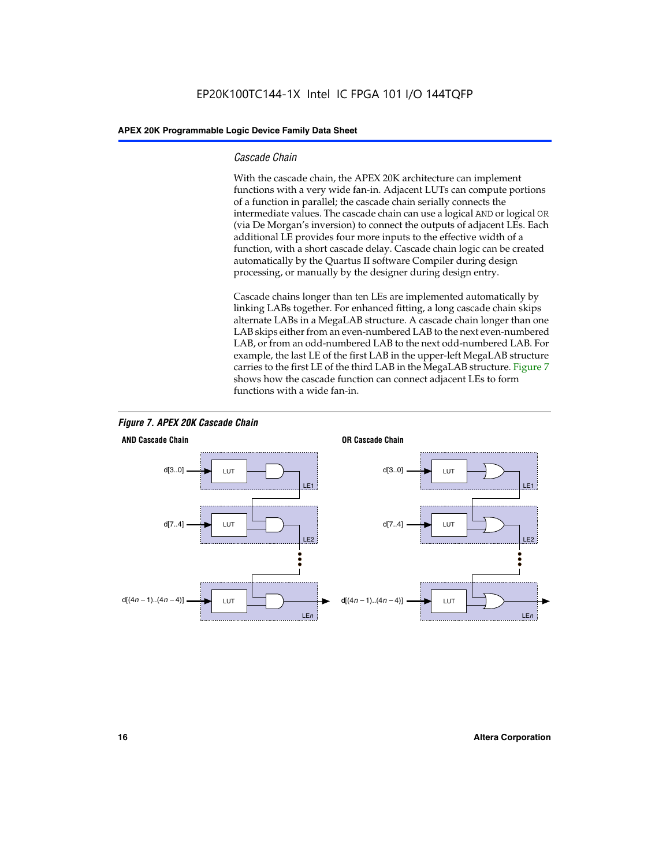#### *Cascade Chain*

With the cascade chain, the APEX 20K architecture can implement functions with a very wide fan-in. Adjacent LUTs can compute portions of a function in parallel; the cascade chain serially connects the intermediate values. The cascade chain can use a logical AND or logical OR (via De Morgan's inversion) to connect the outputs of adjacent LEs. Each additional LE provides four more inputs to the effective width of a function, with a short cascade delay. Cascade chain logic can be created automatically by the Quartus II software Compiler during design processing, or manually by the designer during design entry.

Cascade chains longer than ten LEs are implemented automatically by linking LABs together. For enhanced fitting, a long cascade chain skips alternate LABs in a MegaLAB structure. A cascade chain longer than one LAB skips either from an even-numbered LAB to the next even-numbered LAB, or from an odd-numbered LAB to the next odd-numbered LAB. For example, the last LE of the first LAB in the upper-left MegaLAB structure carries to the first LE of the third LAB in the MegaLAB structure. Figure 7 shows how the cascade function can connect adjacent LEs to form functions with a wide fan-in.



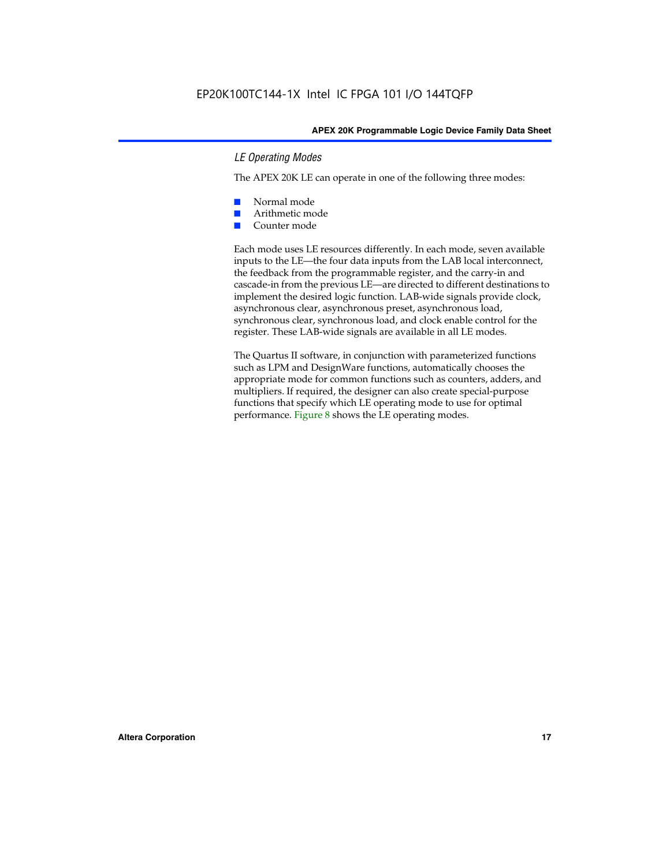#### *LE Operating Modes*

The APEX 20K LE can operate in one of the following three modes:

- Normal mode
- Arithmetic mode
- Counter mode

Each mode uses LE resources differently. In each mode, seven available inputs to the LE—the four data inputs from the LAB local interconnect, the feedback from the programmable register, and the carry-in and cascade-in from the previous LE—are directed to different destinations to implement the desired logic function. LAB-wide signals provide clock, asynchronous clear, asynchronous preset, asynchronous load, synchronous clear, synchronous load, and clock enable control for the register. These LAB-wide signals are available in all LE modes.

The Quartus II software, in conjunction with parameterized functions such as LPM and DesignWare functions, automatically chooses the appropriate mode for common functions such as counters, adders, and multipliers. If required, the designer can also create special-purpose functions that specify which LE operating mode to use for optimal performance. Figure 8 shows the LE operating modes.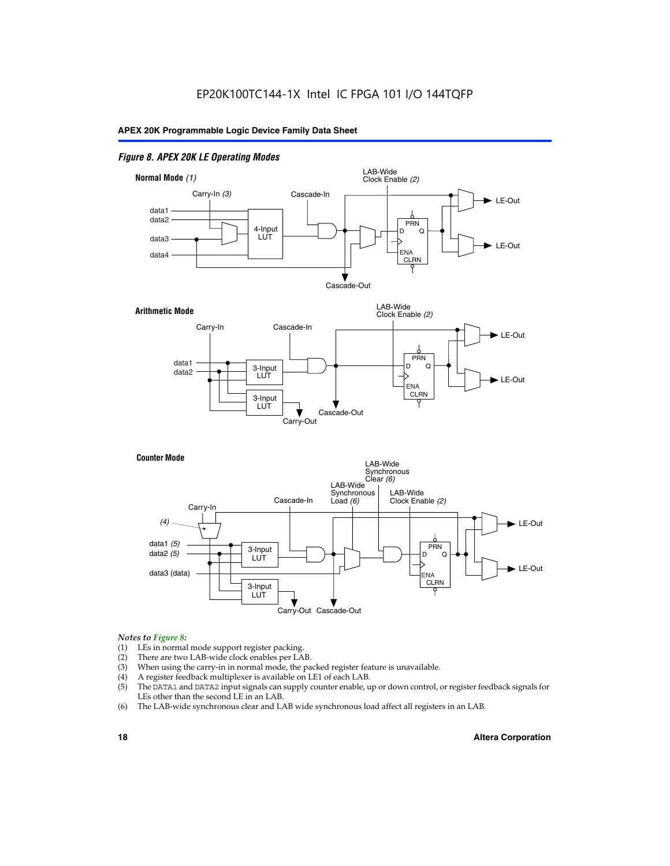#### *Figure 8. APEX 20K LE Operating Modes*



#### *Notes to Figure 8:*

- (1) LEs in normal mode support register packing.
- (2) There are two LAB-wide clock enables per LAB.
- (3) When using the carry-in in normal mode, the packed register feature is unavailable.
- (4) A register feedback multiplexer is available on LE1 of each LAB.
- (5) The DATA1 and DATA2 input signals can supply counter enable, up or down control, or register feedback signals for LEs other than the second LE in an LAB.
- (6) The LAB-wide synchronous clear and LAB wide synchronous load affect all registers in an LAB.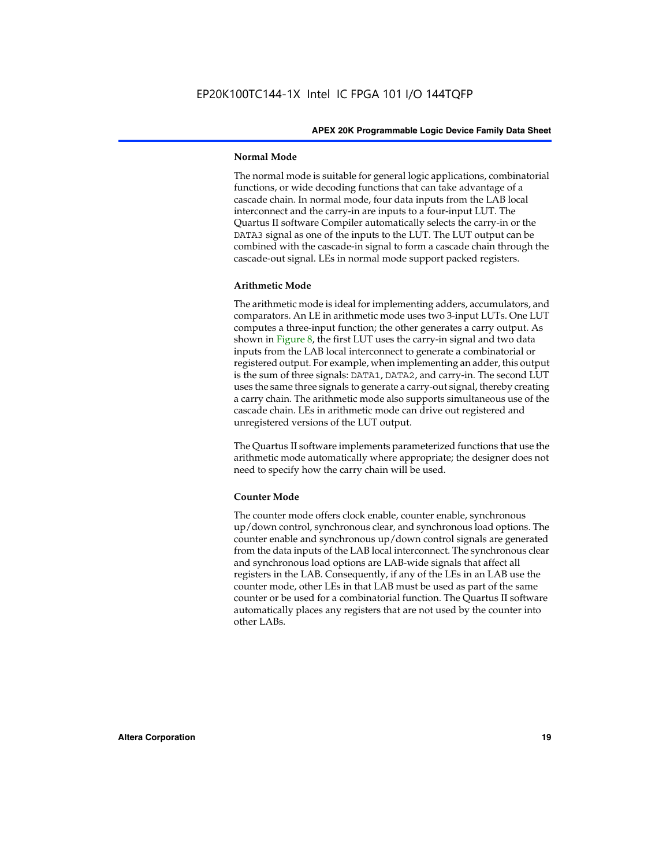#### **Normal Mode**

The normal mode is suitable for general logic applications, combinatorial functions, or wide decoding functions that can take advantage of a cascade chain. In normal mode, four data inputs from the LAB local interconnect and the carry-in are inputs to a four-input LUT. The Quartus II software Compiler automatically selects the carry-in or the DATA3 signal as one of the inputs to the LUT. The LUT output can be combined with the cascade-in signal to form a cascade chain through the cascade-out signal. LEs in normal mode support packed registers.

#### **Arithmetic Mode**

The arithmetic mode is ideal for implementing adders, accumulators, and comparators. An LE in arithmetic mode uses two 3-input LUTs. One LUT computes a three-input function; the other generates a carry output. As shown in Figure 8, the first LUT uses the carry-in signal and two data inputs from the LAB local interconnect to generate a combinatorial or registered output. For example, when implementing an adder, this output is the sum of three signals: DATA1, DATA2, and carry-in. The second LUT uses the same three signals to generate a carry-out signal, thereby creating a carry chain. The arithmetic mode also supports simultaneous use of the cascade chain. LEs in arithmetic mode can drive out registered and unregistered versions of the LUT output.

The Quartus II software implements parameterized functions that use the arithmetic mode automatically where appropriate; the designer does not need to specify how the carry chain will be used.

#### **Counter Mode**

The counter mode offers clock enable, counter enable, synchronous up/down control, synchronous clear, and synchronous load options. The counter enable and synchronous up/down control signals are generated from the data inputs of the LAB local interconnect. The synchronous clear and synchronous load options are LAB-wide signals that affect all registers in the LAB. Consequently, if any of the LEs in an LAB use the counter mode, other LEs in that LAB must be used as part of the same counter or be used for a combinatorial function. The Quartus II software automatically places any registers that are not used by the counter into other LABs.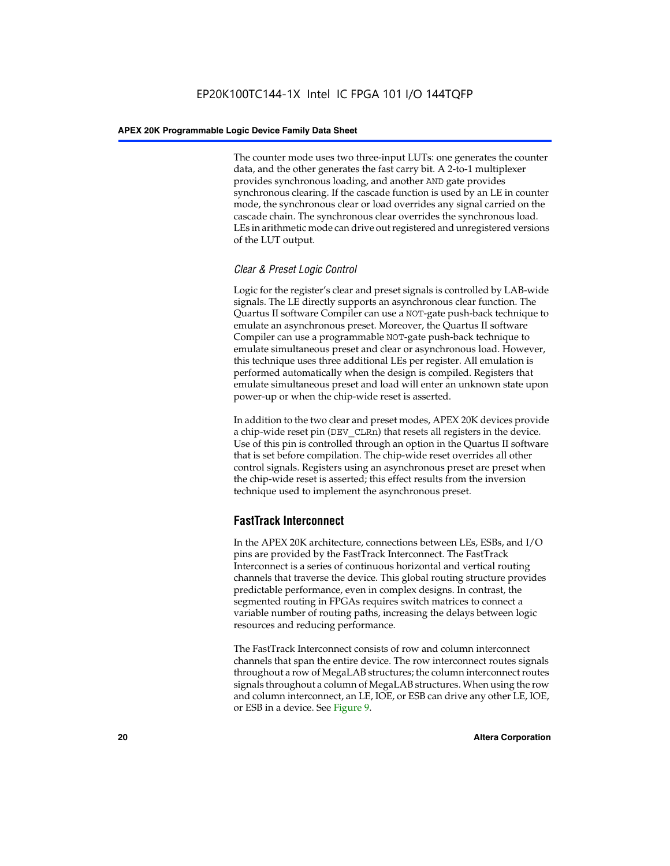The counter mode uses two three-input LUTs: one generates the counter data, and the other generates the fast carry bit. A 2-to-1 multiplexer provides synchronous loading, and another AND gate provides synchronous clearing. If the cascade function is used by an LE in counter mode, the synchronous clear or load overrides any signal carried on the cascade chain. The synchronous clear overrides the synchronous load. LEs in arithmetic mode can drive out registered and unregistered versions of the LUT output.

#### *Clear & Preset Logic Control*

Logic for the register's clear and preset signals is controlled by LAB-wide signals. The LE directly supports an asynchronous clear function. The Quartus II software Compiler can use a NOT-gate push-back technique to emulate an asynchronous preset. Moreover, the Quartus II software Compiler can use a programmable NOT-gate push-back technique to emulate simultaneous preset and clear or asynchronous load. However, this technique uses three additional LEs per register. All emulation is performed automatically when the design is compiled. Registers that emulate simultaneous preset and load will enter an unknown state upon power-up or when the chip-wide reset is asserted.

In addition to the two clear and preset modes, APEX 20K devices provide a chip-wide reset pin (DEV\_CLRn) that resets all registers in the device. Use of this pin is controlled through an option in the Quartus II software that is set before compilation. The chip-wide reset overrides all other control signals. Registers using an asynchronous preset are preset when the chip-wide reset is asserted; this effect results from the inversion technique used to implement the asynchronous preset.

#### **FastTrack Interconnect**

In the APEX 20K architecture, connections between LEs, ESBs, and I/O pins are provided by the FastTrack Interconnect. The FastTrack Interconnect is a series of continuous horizontal and vertical routing channels that traverse the device. This global routing structure provides predictable performance, even in complex designs. In contrast, the segmented routing in FPGAs requires switch matrices to connect a variable number of routing paths, increasing the delays between logic resources and reducing performance.

The FastTrack Interconnect consists of row and column interconnect channels that span the entire device. The row interconnect routes signals throughout a row of MegaLAB structures; the column interconnect routes signals throughout a column of MegaLAB structures. When using the row and column interconnect, an LE, IOE, or ESB can drive any other LE, IOE, or ESB in a device. See Figure 9.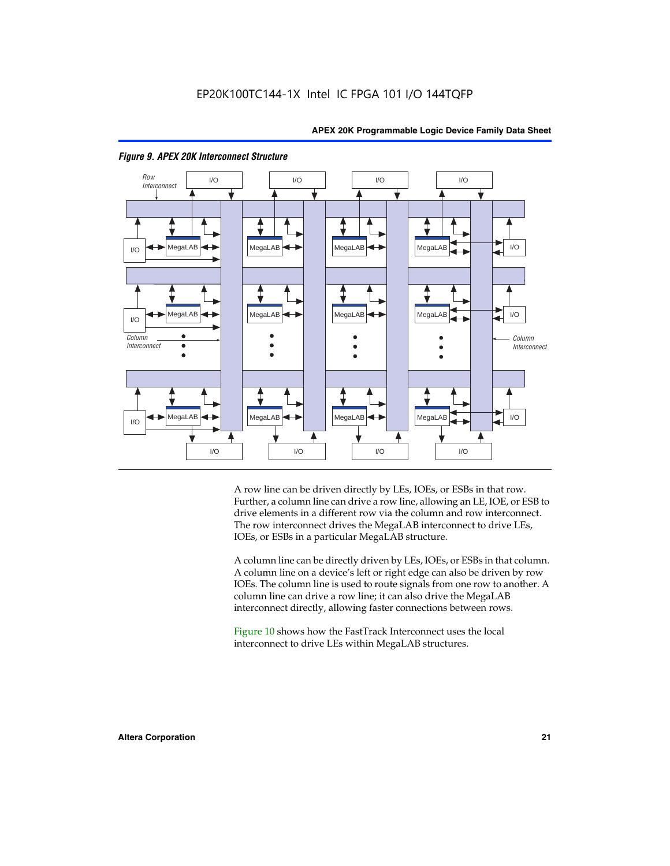

#### *Figure 9. APEX 20K Interconnect Structure*

A row line can be driven directly by LEs, IOEs, or ESBs in that row. Further, a column line can drive a row line, allowing an LE, IOE, or ESB to drive elements in a different row via the column and row interconnect. The row interconnect drives the MegaLAB interconnect to drive LEs, IOEs, or ESBs in a particular MegaLAB structure.

A column line can be directly driven by LEs, IOEs, or ESBs in that column. A column line on a device's left or right edge can also be driven by row IOEs. The column line is used to route signals from one row to another. A column line can drive a row line; it can also drive the MegaLAB interconnect directly, allowing faster connections between rows.

Figure 10 shows how the FastTrack Interconnect uses the local interconnect to drive LEs within MegaLAB structures.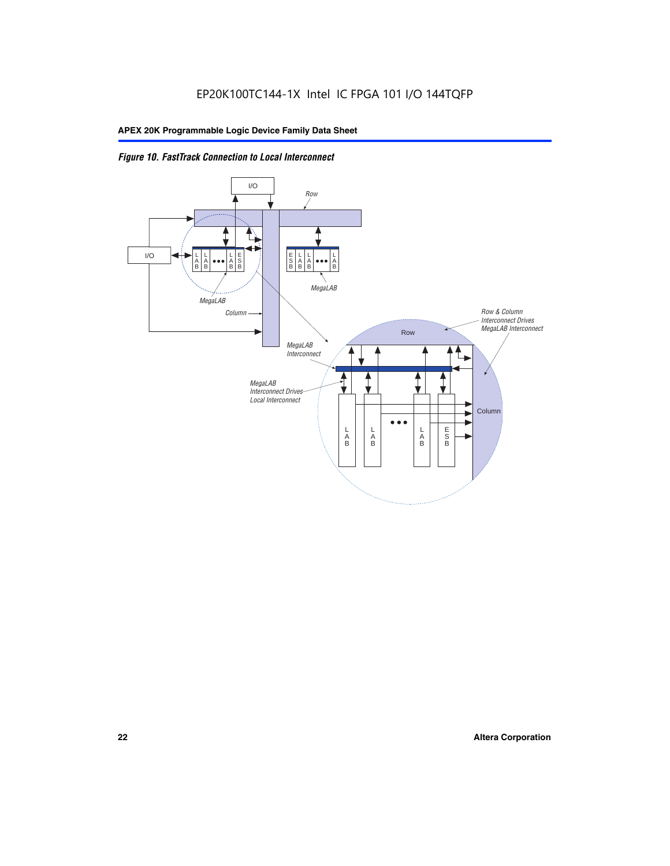

*Figure 10. FastTrack Connection to Local Interconnect*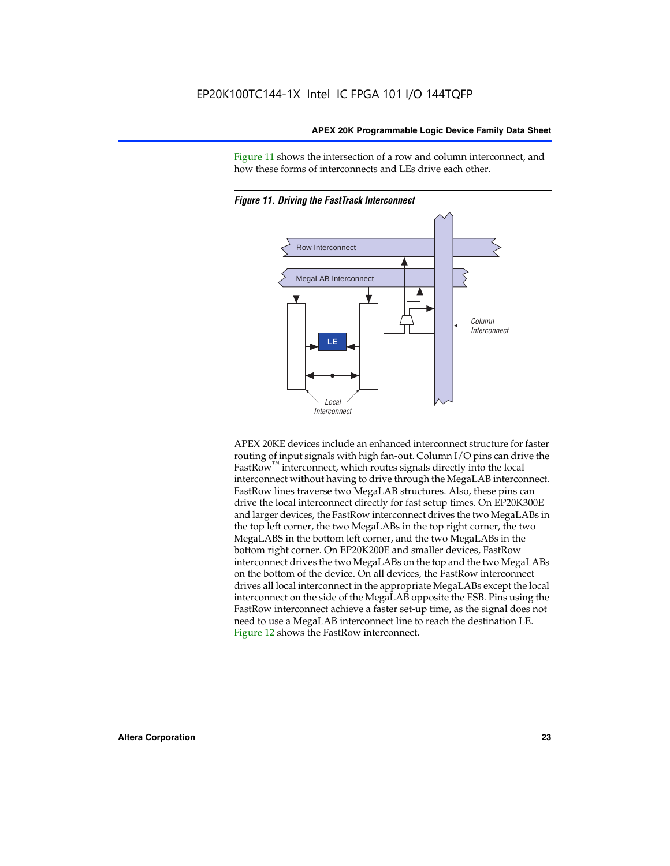Figure 11 shows the intersection of a row and column interconnect, and how these forms of interconnects and LEs drive each other.





APEX 20KE devices include an enhanced interconnect structure for faster routing of input signals with high fan-out. Column I/O pins can drive the FastRow<sup>™</sup> interconnect, which routes signals directly into the local interconnect without having to drive through the MegaLAB interconnect. FastRow lines traverse two MegaLAB structures. Also, these pins can drive the local interconnect directly for fast setup times. On EP20K300E and larger devices, the FastRow interconnect drives the two MegaLABs in the top left corner, the two MegaLABs in the top right corner, the two MegaLABS in the bottom left corner, and the two MegaLABs in the bottom right corner. On EP20K200E and smaller devices, FastRow interconnect drives the two MegaLABs on the top and the two MegaLABs on the bottom of the device. On all devices, the FastRow interconnect drives all local interconnect in the appropriate MegaLABs except the local interconnect on the side of the MegaLAB opposite the ESB. Pins using the FastRow interconnect achieve a faster set-up time, as the signal does not need to use a MegaLAB interconnect line to reach the destination LE. Figure 12 shows the FastRow interconnect.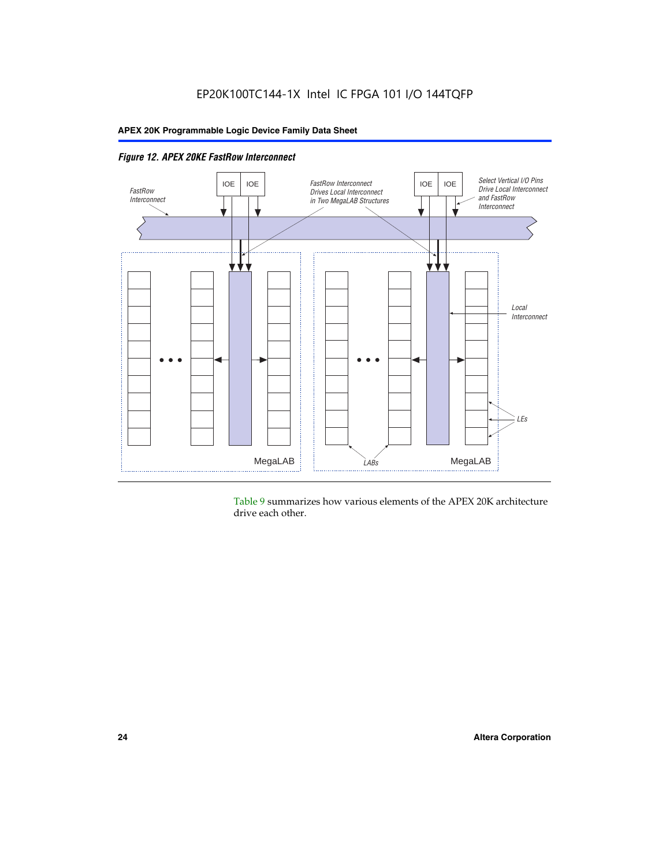

Table 9 summarizes how various elements of the APEX 20K architecture drive each other.

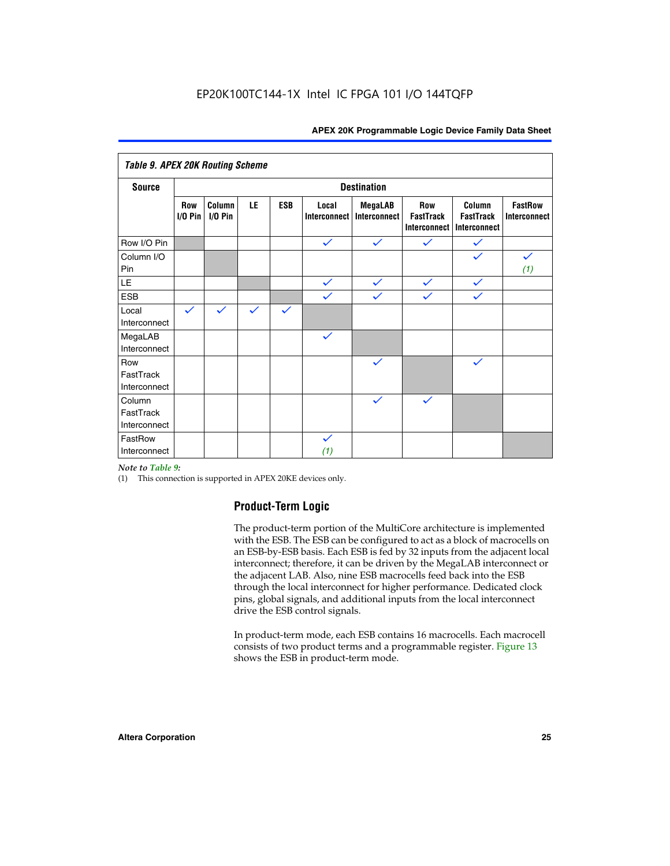| <b>Table 9. APEX 20K Routing Scheme</b> |                    |                      |              |              |                       |                                |                                                       |                                                   |                                |
|-----------------------------------------|--------------------|----------------------|--------------|--------------|-----------------------|--------------------------------|-------------------------------------------------------|---------------------------------------------------|--------------------------------|
| <b>Source</b>                           | <b>Destination</b> |                      |              |              |                       |                                |                                                       |                                                   |                                |
|                                         | Row<br>$I/O P$ in  | Column<br>$I/O P$ in | LE           | <b>ESB</b>   | Local<br>Interconnect | <b>MegaLAB</b><br>Interconnect | <b>Row</b><br><b>FastTrack</b><br><b>Interconnect</b> | Column<br><b>FastTrack</b><br><b>Interconnect</b> | <b>FastRow</b><br>Interconnect |
| Row I/O Pin                             |                    |                      |              |              | $\checkmark$          | $\checkmark$                   | $\checkmark$                                          | $\checkmark$                                      |                                |
| Column I/O<br>Pin                       |                    |                      |              |              |                       |                                |                                                       |                                                   | $\checkmark$<br>(1)            |
| LE                                      |                    |                      |              |              | $\checkmark$          | $\checkmark$                   | $\checkmark$                                          | $\checkmark$                                      |                                |
| <b>ESB</b>                              |                    |                      |              |              | $\checkmark$          | $\checkmark$                   | $\checkmark$                                          | $\checkmark$                                      |                                |
| Local<br>Interconnect                   | $\checkmark$       | $\checkmark$         | $\checkmark$ | $\checkmark$ |                       |                                |                                                       |                                                   |                                |
| MegaLAB<br>Interconnect                 |                    |                      |              |              | $\checkmark$          |                                |                                                       |                                                   |                                |
| Row<br>FastTrack<br>Interconnect        |                    |                      |              |              |                       | $\checkmark$                   |                                                       | $\checkmark$                                      |                                |
| Column<br>FastTrack<br>Interconnect     |                    |                      |              |              |                       | $\checkmark$                   | $\checkmark$                                          |                                                   |                                |
| FastRow<br>Interconnect                 |                    |                      |              |              | $\checkmark$<br>(1)   |                                |                                                       |                                                   |                                |

#### *Note to Table 9:*

(1) This connection is supported in APEX 20KE devices only.

#### **Product-Term Logic**

The product-term portion of the MultiCore architecture is implemented with the ESB. The ESB can be configured to act as a block of macrocells on an ESB-by-ESB basis. Each ESB is fed by 32 inputs from the adjacent local interconnect; therefore, it can be driven by the MegaLAB interconnect or the adjacent LAB. Also, nine ESB macrocells feed back into the ESB through the local interconnect for higher performance. Dedicated clock pins, global signals, and additional inputs from the local interconnect drive the ESB control signals.

In product-term mode, each ESB contains 16 macrocells. Each macrocell consists of two product terms and a programmable register. Figure 13 shows the ESB in product-term mode.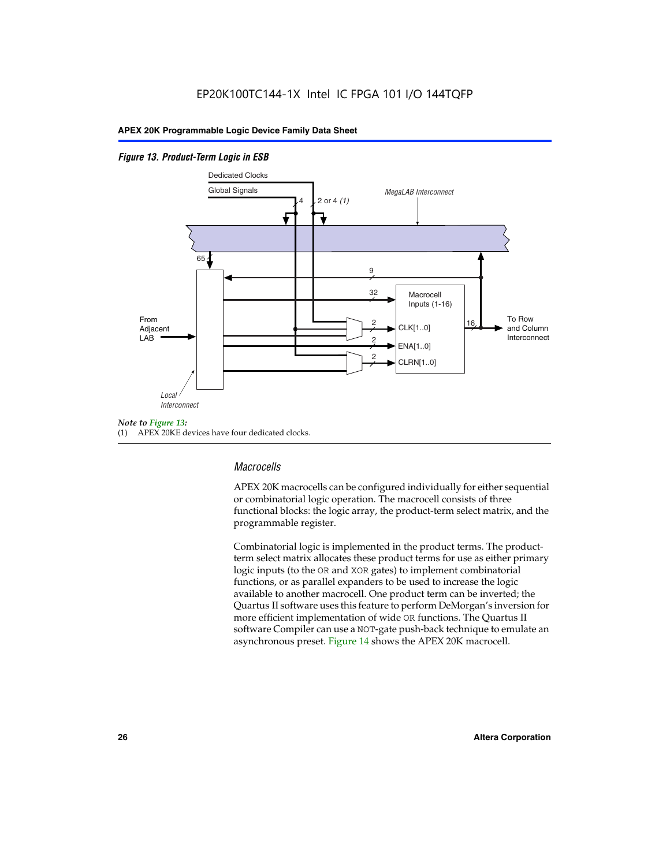#### *Figure 13. Product-Term Logic in ESB*



(1) APEX 20KE devices have four dedicated clocks.

#### *Macrocells*

APEX 20K macrocells can be configured individually for either sequential or combinatorial logic operation. The macrocell consists of three functional blocks: the logic array, the product-term select matrix, and the programmable register.

Combinatorial logic is implemented in the product terms. The productterm select matrix allocates these product terms for use as either primary logic inputs (to the OR and XOR gates) to implement combinatorial functions, or as parallel expanders to be used to increase the logic available to another macrocell. One product term can be inverted; the Quartus II software uses this feature to perform DeMorgan's inversion for more efficient implementation of wide OR functions. The Quartus II software Compiler can use a NOT-gate push-back technique to emulate an asynchronous preset. Figure 14 shows the APEX 20K macrocell.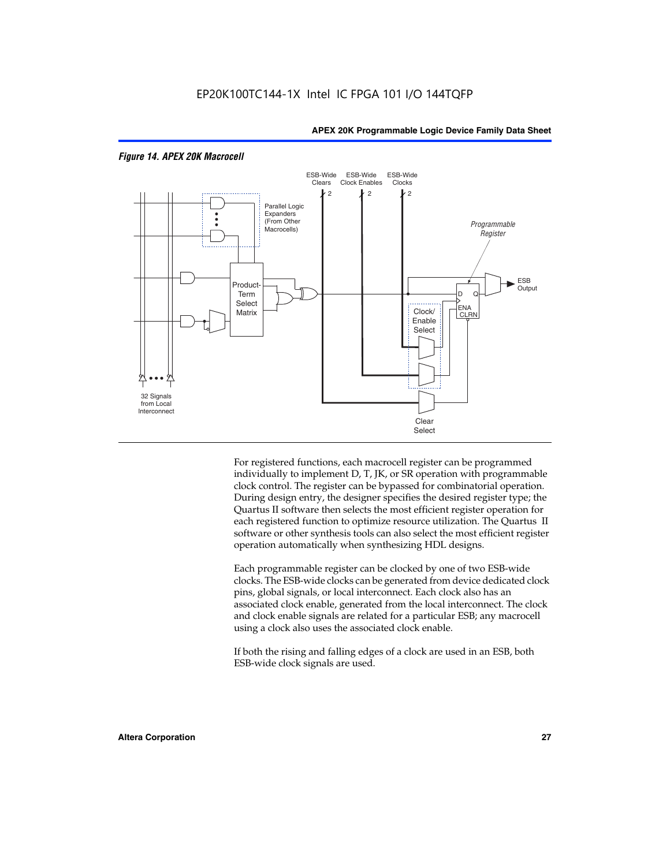

#### *Figure 14. APEX 20K Macrocell*

For registered functions, each macrocell register can be programmed individually to implement D, T, JK, or SR operation with programmable clock control. The register can be bypassed for combinatorial operation. During design entry, the designer specifies the desired register type; the Quartus II software then selects the most efficient register operation for each registered function to optimize resource utilization. The Quartus II software or other synthesis tools can also select the most efficient register operation automatically when synthesizing HDL designs.

Each programmable register can be clocked by one of two ESB-wide clocks. The ESB-wide clocks can be generated from device dedicated clock pins, global signals, or local interconnect. Each clock also has an associated clock enable, generated from the local interconnect. The clock and clock enable signals are related for a particular ESB; any macrocell using a clock also uses the associated clock enable.

If both the rising and falling edges of a clock are used in an ESB, both ESB-wide clock signals are used.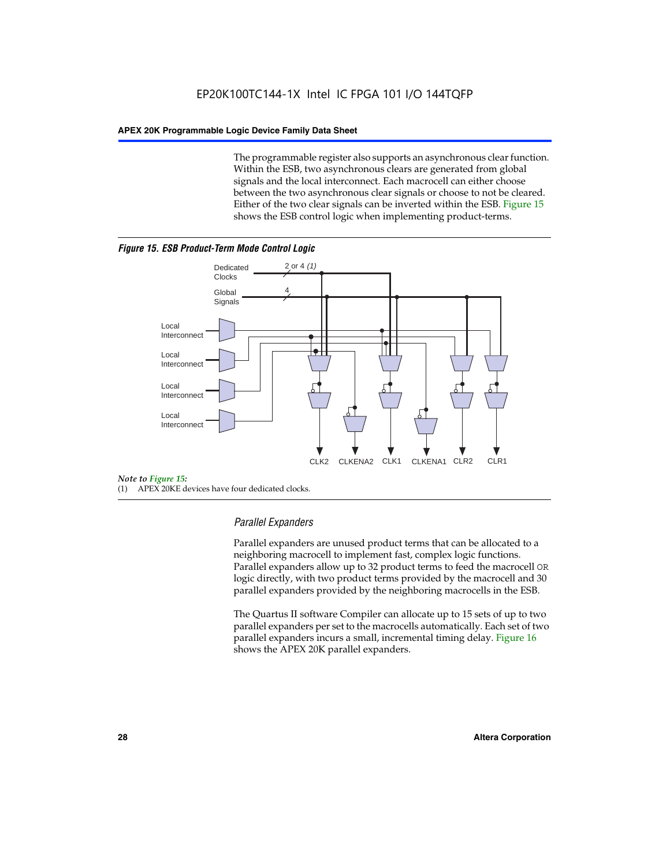The programmable register also supports an asynchronous clear function. Within the ESB, two asynchronous clears are generated from global signals and the local interconnect. Each macrocell can either choose between the two asynchronous clear signals or choose to not be cleared. Either of the two clear signals can be inverted within the ESB. Figure 15 shows the ESB control logic when implementing product-terms.





(1) APEX 20KE devices have four dedicated clocks.

#### *Parallel Expanders*

Parallel expanders are unused product terms that can be allocated to a neighboring macrocell to implement fast, complex logic functions. Parallel expanders allow up to 32 product terms to feed the macrocell OR logic directly, with two product terms provided by the macrocell and 30 parallel expanders provided by the neighboring macrocells in the ESB.

The Quartus II software Compiler can allocate up to 15 sets of up to two parallel expanders per set to the macrocells automatically. Each set of two parallel expanders incurs a small, incremental timing delay. Figure 16 shows the APEX 20K parallel expanders.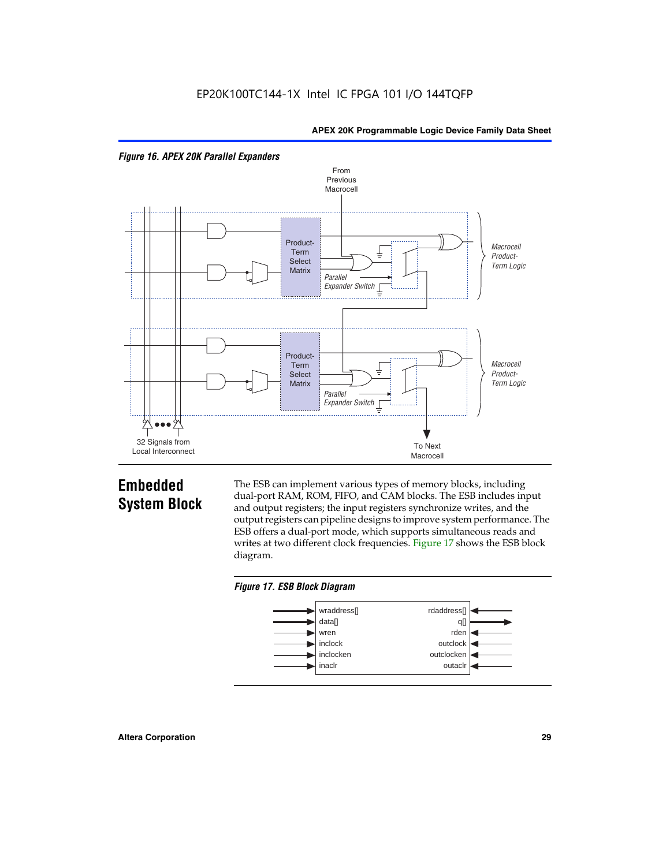



## **Embedded System Block**

The ESB can implement various types of memory blocks, including dual-port RAM, ROM, FIFO, and CAM blocks. The ESB includes input and output registers; the input registers synchronize writes, and the output registers can pipeline designs to improve system performance. The ESB offers a dual-port mode, which supports simultaneous reads and writes at two different clock frequencies. Figure 17 shows the ESB block diagram.



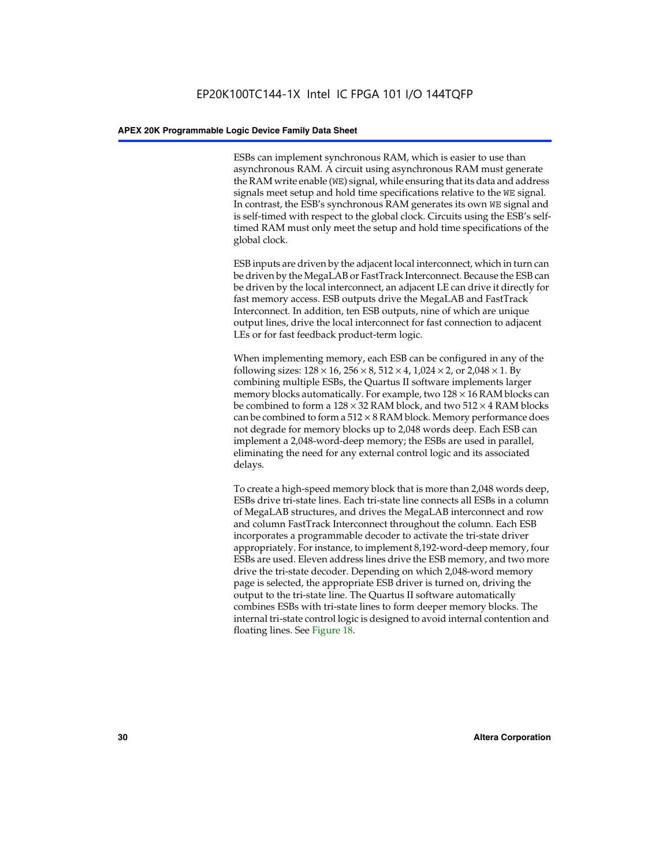ESBs can implement synchronous RAM, which is easier to use than asynchronous RAM. A circuit using asynchronous RAM must generate the RAM write enable (WE) signal, while ensuring that its data and address signals meet setup and hold time specifications relative to the WE signal. In contrast, the ESB's synchronous RAM generates its own WE signal and is self-timed with respect to the global clock. Circuits using the ESB's selftimed RAM must only meet the setup and hold time specifications of the global clock.

ESB inputs are driven by the adjacent local interconnect, which in turn can be driven by the MegaLAB or FastTrack Interconnect. Because the ESB can be driven by the local interconnect, an adjacent LE can drive it directly for fast memory access. ESB outputs drive the MegaLAB and FastTrack Interconnect. In addition, ten ESB outputs, nine of which are unique output lines, drive the local interconnect for fast connection to adjacent LEs or for fast feedback product-term logic.

When implementing memory, each ESB can be configured in any of the following sizes:  $128 \times 16$ ,  $256 \times 8$ ,  $512 \times 4$ ,  $1,024 \times 2$ , or  $2,048 \times 1$ . By combining multiple ESBs, the Quartus II software implements larger memory blocks automatically. For example, two  $128 \times 16$  RAM blocks can be combined to form a  $128 \times 32$  RAM block, and two  $512 \times 4$  RAM blocks can be combined to form a  $512 \times 8$  RAM block. Memory performance does not degrade for memory blocks up to 2,048 words deep. Each ESB can implement a 2,048-word-deep memory; the ESBs are used in parallel, eliminating the need for any external control logic and its associated delays.

To create a high-speed memory block that is more than 2,048 words deep, ESBs drive tri-state lines. Each tri-state line connects all ESBs in a column of MegaLAB structures, and drives the MegaLAB interconnect and row and column FastTrack Interconnect throughout the column. Each ESB incorporates a programmable decoder to activate the tri-state driver appropriately. For instance, to implement 8,192-word-deep memory, four ESBs are used. Eleven address lines drive the ESB memory, and two more drive the tri-state decoder. Depending on which 2,048-word memory page is selected, the appropriate ESB driver is turned on, driving the output to the tri-state line. The Quartus II software automatically combines ESBs with tri-state lines to form deeper memory blocks. The internal tri-state control logic is designed to avoid internal contention and floating lines. See Figure 18.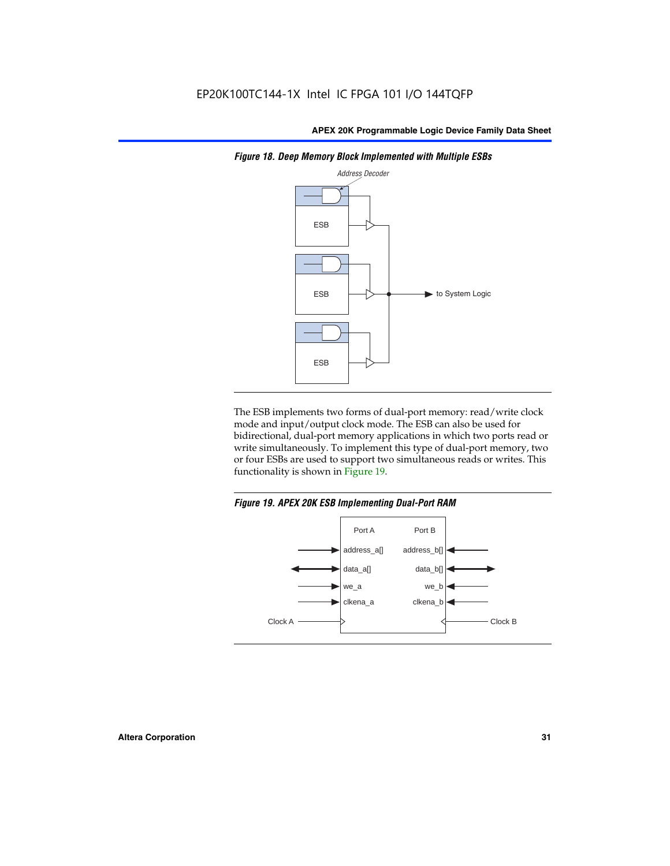

*Figure 18. Deep Memory Block Implemented with Multiple ESBs*

The ESB implements two forms of dual-port memory: read/write clock mode and input/output clock mode. The ESB can also be used for bidirectional, dual-port memory applications in which two ports read or write simultaneously. To implement this type of dual-port memory, two or four ESBs are used to support two simultaneous reads or writes. This functionality is shown in Figure 19.

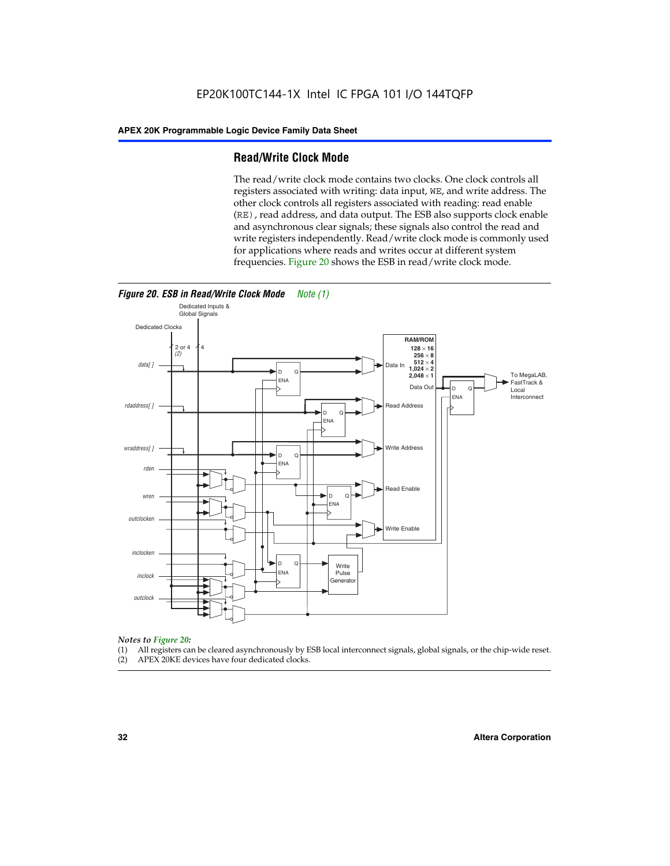#### **Read/Write Clock Mode**

The read/write clock mode contains two clocks. One clock controls all registers associated with writing: data input, WE, and write address. The other clock controls all registers associated with reading: read enable (RE), read address, and data output. The ESB also supports clock enable and asynchronous clear signals; these signals also control the read and write registers independently. Read/write clock mode is commonly used for applications where reads and writes occur at different system frequencies. Figure 20 shows the ESB in read/write clock mode.



## *Notes to Figure 20:*

- (1) All registers can be cleared asynchronously by ESB local interconnect signals, global signals, or the chip-wide reset.
- (2) APEX 20KE devices have four dedicated clocks.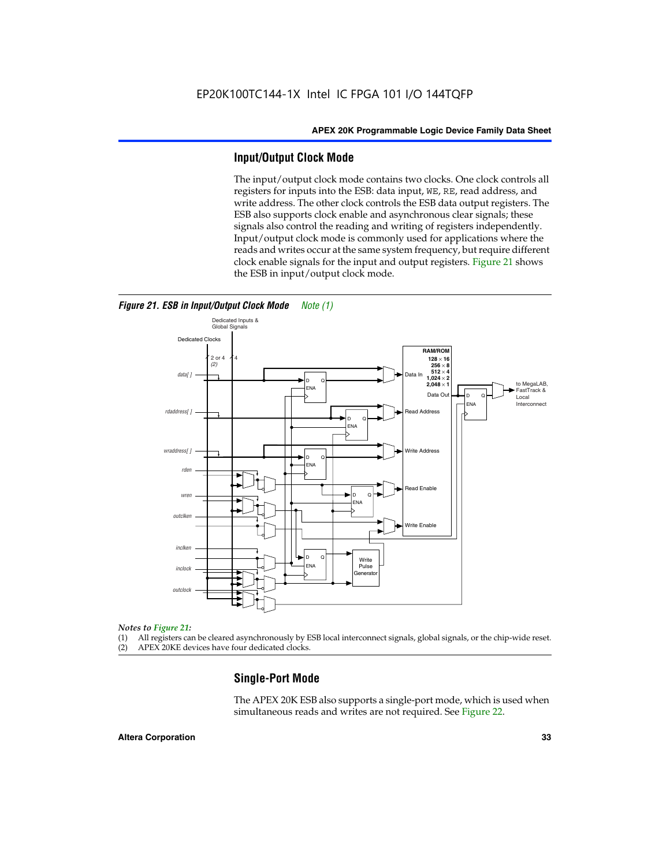#### **Input/Output Clock Mode**

The input/output clock mode contains two clocks. One clock controls all registers for inputs into the ESB: data input, WE, RE, read address, and write address. The other clock controls the ESB data output registers. The ESB also supports clock enable and asynchronous clear signals; these signals also control the reading and writing of registers independently. Input/output clock mode is commonly used for applications where the reads and writes occur at the same system frequency, but require different clock enable signals for the input and output registers. Figure 21 shows the ESB in input/output clock mode.



*Figure 21. ESB in Input/Output Clock Mode Note (1)*

#### *Notes to Figure 21:*

(1) All registers can be cleared asynchronously by ESB local interconnect signals, global signals, or the chip-wide reset.

(2) APEX 20KE devices have four dedicated clocks.

#### **Single-Port Mode**

The APEX 20K ESB also supports a single-port mode, which is used when simultaneous reads and writes are not required. See Figure 22.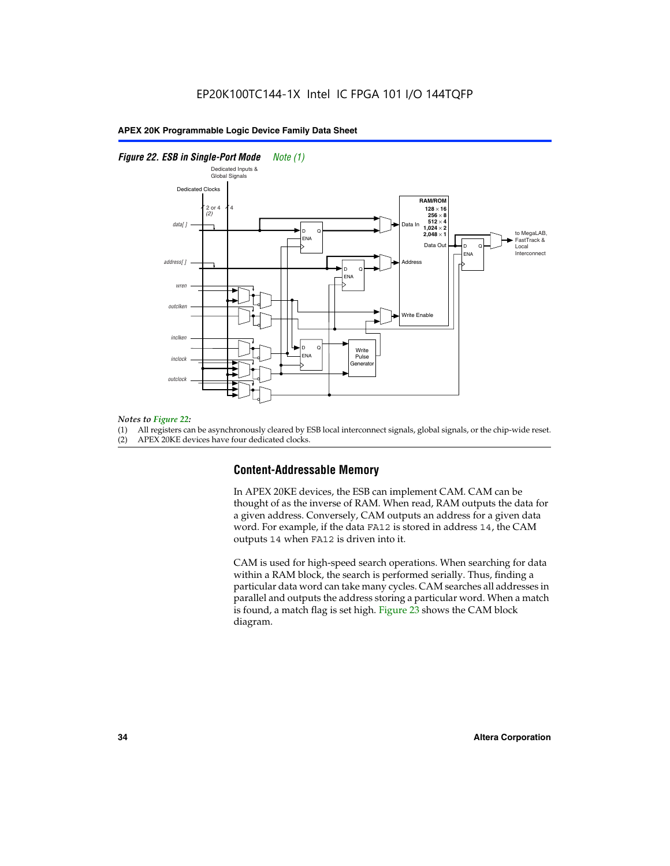#### *Figure 22. ESB in Single-Port Mode Note (1)*



#### *Notes to Figure 22:*

(1) All registers can be asynchronously cleared by ESB local interconnect signals, global signals, or the chip-wide reset.

#### (2) APEX 20KE devices have four dedicated clocks.

#### **Content-Addressable Memory**

In APEX 20KE devices, the ESB can implement CAM. CAM can be thought of as the inverse of RAM. When read, RAM outputs the data for a given address. Conversely, CAM outputs an address for a given data word. For example, if the data FA12 is stored in address 14, the CAM outputs 14 when FA12 is driven into it.

CAM is used for high-speed search operations. When searching for data within a RAM block, the search is performed serially. Thus, finding a particular data word can take many cycles. CAM searches all addresses in parallel and outputs the address storing a particular word. When a match is found, a match flag is set high. Figure 23 shows the CAM block diagram.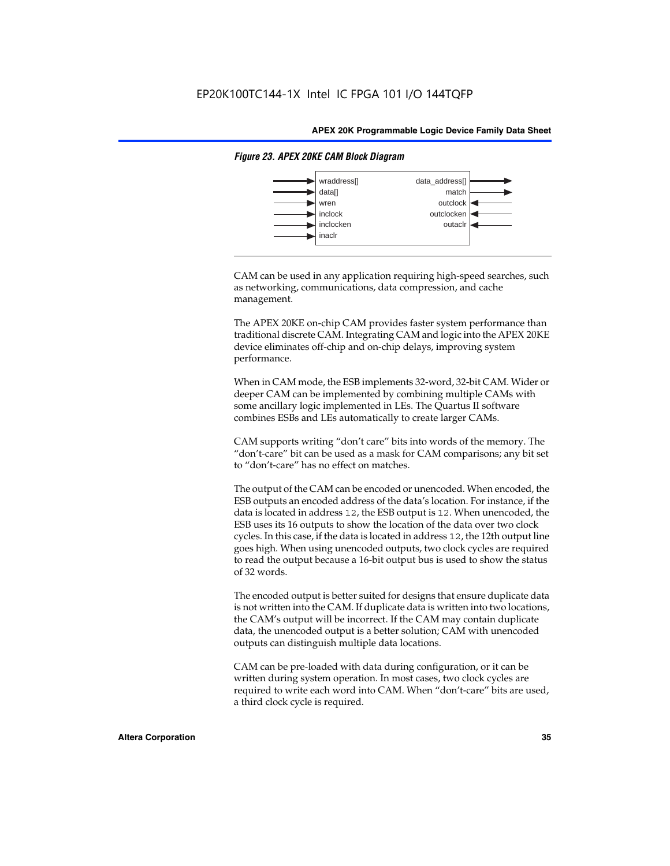

#### *Figure 23. APEX 20KE CAM Block Diagram*

CAM can be used in any application requiring high-speed searches, such as networking, communications, data compression, and cache management.

The APEX 20KE on-chip CAM provides faster system performance than traditional discrete CAM. Integrating CAM and logic into the APEX 20KE device eliminates off-chip and on-chip delays, improving system performance.

When in CAM mode, the ESB implements 32-word, 32-bit CAM. Wider or deeper CAM can be implemented by combining multiple CAMs with some ancillary logic implemented in LEs. The Quartus II software combines ESBs and LEs automatically to create larger CAMs.

CAM supports writing "don't care" bits into words of the memory. The "don't-care" bit can be used as a mask for CAM comparisons; any bit set to "don't-care" has no effect on matches.

The output of the CAM can be encoded or unencoded. When encoded, the ESB outputs an encoded address of the data's location. For instance, if the data is located in address 12, the ESB output is 12. When unencoded, the ESB uses its 16 outputs to show the location of the data over two clock cycles. In this case, if the data is located in address 12, the 12th output line goes high. When using unencoded outputs, two clock cycles are required to read the output because a 16-bit output bus is used to show the status of 32 words.

The encoded output is better suited for designs that ensure duplicate data is not written into the CAM. If duplicate data is written into two locations, the CAM's output will be incorrect. If the CAM may contain duplicate data, the unencoded output is a better solution; CAM with unencoded outputs can distinguish multiple data locations.

CAM can be pre-loaded with data during configuration, or it can be written during system operation. In most cases, two clock cycles are required to write each word into CAM. When "don't-care" bits are used, a third clock cycle is required.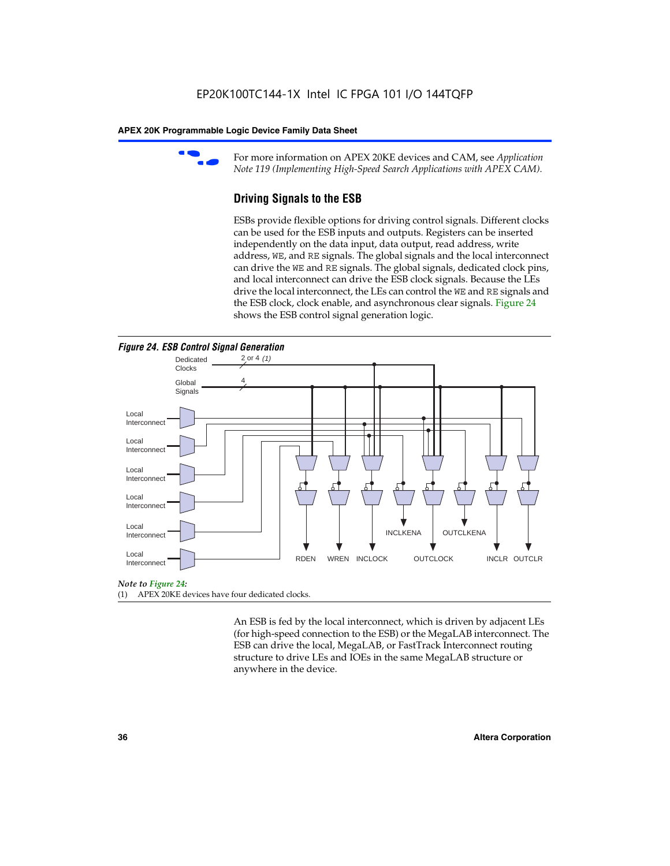

For more information on APEX 20KE devices and CAM, see *Application Note 119 (Implementing High-Speed Search Applications with APEX CAM).*

# **Driving Signals to the ESB**

ESBs provide flexible options for driving control signals. Different clocks can be used for the ESB inputs and outputs. Registers can be inserted independently on the data input, data output, read address, write address, WE, and RE signals. The global signals and the local interconnect can drive the WE and RE signals. The global signals, dedicated clock pins, and local interconnect can drive the ESB clock signals. Because the LEs drive the local interconnect, the LEs can control the WE and RE signals and the ESB clock, clock enable, and asynchronous clear signals. Figure 24 shows the ESB control signal generation logic.





#### *Note to Figure 24:*

(1) APEX 20KE devices have four dedicated clocks.

An ESB is fed by the local interconnect, which is driven by adjacent LEs (for high-speed connection to the ESB) or the MegaLAB interconnect. The ESB can drive the local, MegaLAB, or FastTrack Interconnect routing structure to drive LEs and IOEs in the same MegaLAB structure or anywhere in the device.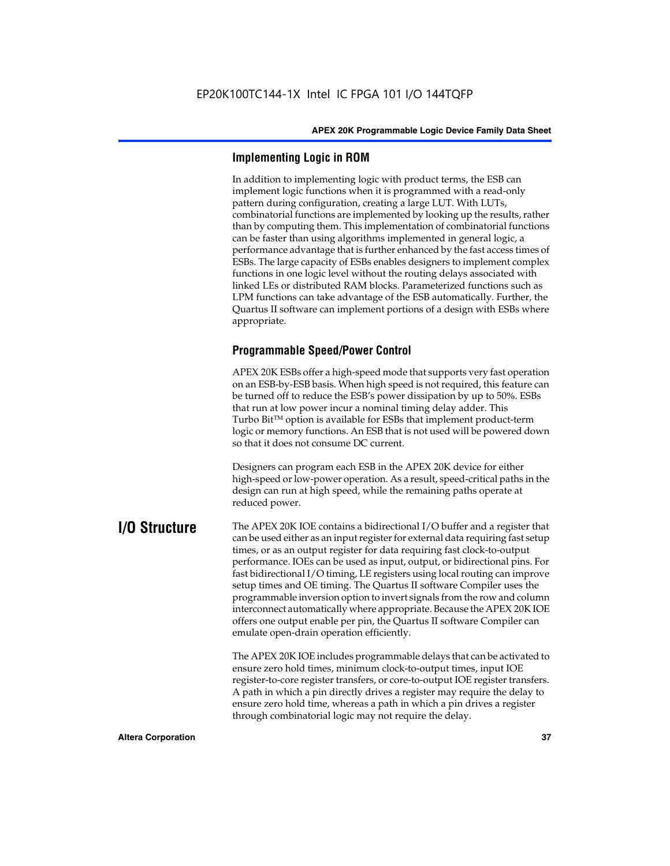# **Implementing Logic in ROM**

In addition to implementing logic with product terms, the ESB can implement logic functions when it is programmed with a read-only pattern during configuration, creating a large LUT. With LUTs, combinatorial functions are implemented by looking up the results, rather than by computing them. This implementation of combinatorial functions can be faster than using algorithms implemented in general logic, a performance advantage that is further enhanced by the fast access times of ESBs. The large capacity of ESBs enables designers to implement complex functions in one logic level without the routing delays associated with linked LEs or distributed RAM blocks. Parameterized functions such as LPM functions can take advantage of the ESB automatically. Further, the Quartus II software can implement portions of a design with ESBs where appropriate.

# **Programmable Speed/Power Control**

APEX 20K ESBs offer a high-speed mode that supports very fast operation on an ESB-by-ESB basis. When high speed is not required, this feature can be turned off to reduce the ESB's power dissipation by up to 50%. ESBs that run at low power incur a nominal timing delay adder. This Turbo  $Bit^{TM}$  option is available for ESBs that implement product-term logic or memory functions. An ESB that is not used will be powered down so that it does not consume DC current.

Designers can program each ESB in the APEX 20K device for either high-speed or low-power operation. As a result, speed-critical paths in the design can run at high speed, while the remaining paths operate at reduced power.

**I/O Structure** The APEX 20K IOE contains a bidirectional I/O buffer and a register that can be used either as an input register for external data requiring fast setup times, or as an output register for data requiring fast clock-to-output performance. IOEs can be used as input, output, or bidirectional pins. For fast bidirectional I/O timing, LE registers using local routing can improve setup times and OE timing. The Quartus II software Compiler uses the programmable inversion option to invert signals from the row and column interconnect automatically where appropriate. Because the APEX 20K IOE offers one output enable per pin, the Quartus II software Compiler can emulate open-drain operation efficiently.

> The APEX 20K IOE includes programmable delays that can be activated to ensure zero hold times, minimum clock-to-output times, input IOE register-to-core register transfers, or core-to-output IOE register transfers. A path in which a pin directly drives a register may require the delay to ensure zero hold time, whereas a path in which a pin drives a register through combinatorial logic may not require the delay.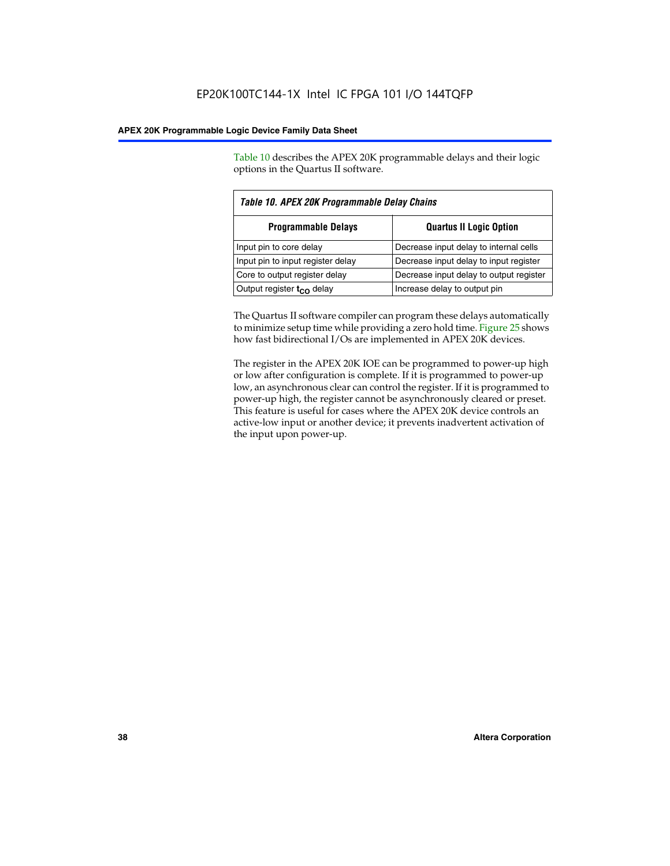Table 10 describes the APEX 20K programmable delays and their logic options in the Quartus II software.

| Table 10. APEX 20K Programmable Delay Chains                 |                                         |  |  |  |
|--------------------------------------------------------------|-----------------------------------------|--|--|--|
| <b>Programmable Delays</b><br><b>Quartus II Logic Option</b> |                                         |  |  |  |
| Input pin to core delay                                      | Decrease input delay to internal cells  |  |  |  |
| Input pin to input register delay                            | Decrease input delay to input register  |  |  |  |
| Core to output register delay                                | Decrease input delay to output register |  |  |  |
| Output register $t_{\rm CO}$ delay                           | Increase delay to output pin            |  |  |  |

The Quartus II software compiler can program these delays automatically to minimize setup time while providing a zero hold time. Figure 25 shows how fast bidirectional I/Os are implemented in APEX 20K devices.

The register in the APEX 20K IOE can be programmed to power-up high or low after configuration is complete. If it is programmed to power-up low, an asynchronous clear can control the register. If it is programmed to power-up high, the register cannot be asynchronously cleared or preset. This feature is useful for cases where the APEX 20K device controls an active-low input or another device; it prevents inadvertent activation of the input upon power-up.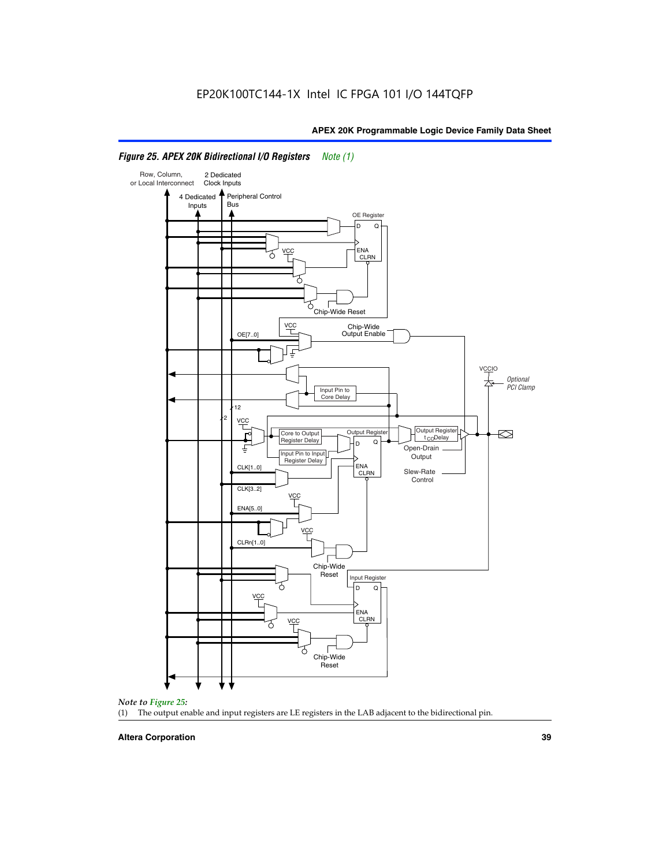

# *Figure 25. APEX 20K Bidirectional I/O Registers Note (1)*



#### **Altera Corporation 39**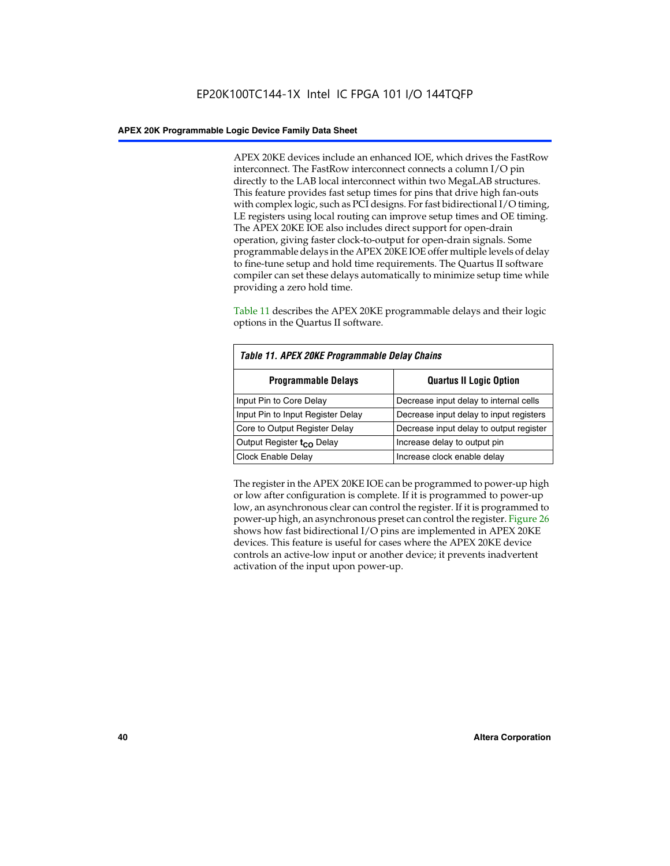APEX 20KE devices include an enhanced IOE, which drives the FastRow interconnect. The FastRow interconnect connects a column I/O pin directly to the LAB local interconnect within two MegaLAB structures. This feature provides fast setup times for pins that drive high fan-outs with complex logic, such as PCI designs. For fast bidirectional I/O timing, LE registers using local routing can improve setup times and OE timing. The APEX 20KE IOE also includes direct support for open-drain operation, giving faster clock-to-output for open-drain signals. Some programmable delays in the APEX 20KE IOE offer multiple levels of delay to fine-tune setup and hold time requirements. The Quartus II software compiler can set these delays automatically to minimize setup time while providing a zero hold time.

Table 11 describes the APEX 20KE programmable delays and their logic options in the Quartus II software.

| Table 11. APEX 20KE Programmable Delay Chains |                                         |  |  |  |
|-----------------------------------------------|-----------------------------------------|--|--|--|
| <b>Programmable Delays</b>                    | <b>Quartus II Logic Option</b>          |  |  |  |
| Input Pin to Core Delay                       | Decrease input delay to internal cells  |  |  |  |
| Input Pin to Input Register Delay             | Decrease input delay to input registers |  |  |  |
| Core to Output Register Delay                 | Decrease input delay to output register |  |  |  |
| Output Register t <sub>CO</sub> Delay         | Increase delay to output pin            |  |  |  |
| <b>Clock Enable Delay</b>                     | Increase clock enable delay             |  |  |  |

The register in the APEX 20KE IOE can be programmed to power-up high or low after configuration is complete. If it is programmed to power-up low, an asynchronous clear can control the register. If it is programmed to power-up high, an asynchronous preset can control the register. Figure 26 shows how fast bidirectional I/O pins are implemented in APEX 20KE devices. This feature is useful for cases where the APEX 20KE device controls an active-low input or another device; it prevents inadvertent activation of the input upon power-up.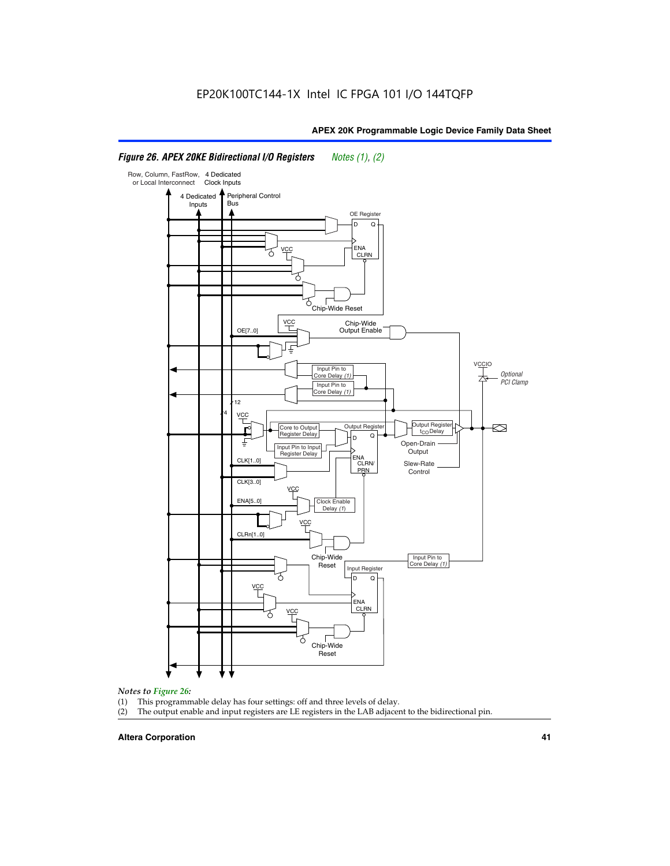#### Row, Column, FastRow, 4 Dedicated or Local Interconnect Clock Inputs Peripheral Control 4 Dedicated **Bus** Inputs OE Register D Q ENA VCC CLRN 7 Chip-Wide Reset vcc Chip-Wide Output Enable OE[7..0] VC Input Pin to **Optional** Core Delay (1) PCI Clamp Input Pin to Core Delay (1) 12 4 **VCC** Output Register **Output Registe**  $\approx$ Core to Output | Output Hegister | Durbut Tropieding | Contput Tropieding | Durbut Tropieding | Output Tropied<br>Register Delay | Durbut Tropieding | Contput Tropieding | Contput Tropieding | O t<sub>CO</sub>Delay  $D$  Q ŧ Open-Drain Input Pin to Input **Output** Register Delay ENA CLK[1..0] CLRN/ Slew-Rate PR<sub>N</sub> Control CLK[3..0] VCC ENA[5..0] Clock Enable Delay (1) VCC CLRn[1..0] Chip-Wide Input Pin to Core Delay (1) Reset Input Register D Q <u>vcc</u> .<br>ENA CLRN **VCC** Chip-Wide Reset

# *Figure 26. APEX 20KE Bidirectional I/O Registers Notes (1), (2)*

#### *Notes to Figure 26:*

- (1) This programmable delay has four settings: off and three levels of delay.<br>(2) The output enable and input registers are LE registers in the LAB adjacer
- The output enable and input registers are LE registers in the LAB adjacent to the bidirectional pin.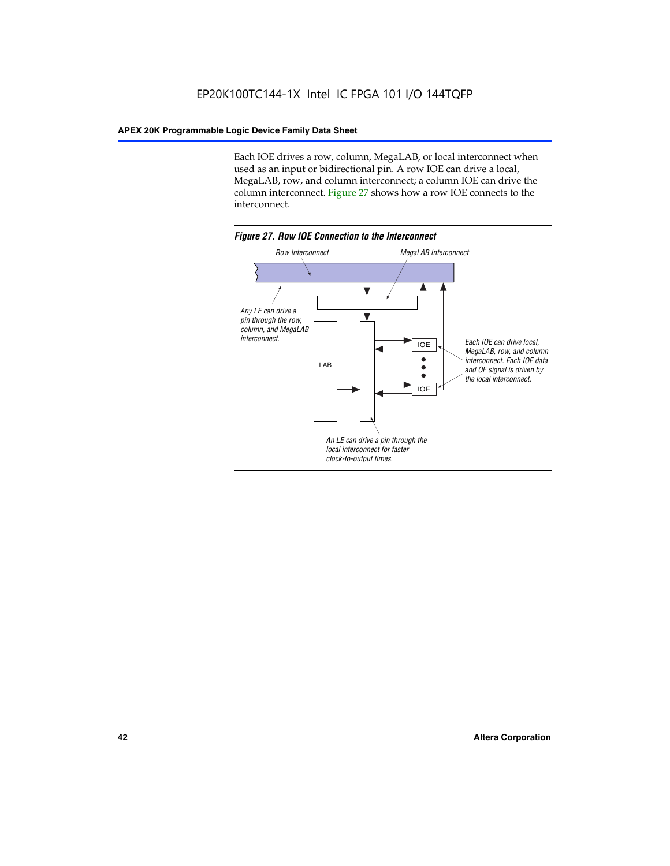Each IOE drives a row, column, MegaLAB, or local interconnect when used as an input or bidirectional pin. A row IOE can drive a local, MegaLAB, row, and column interconnect; a column IOE can drive the column interconnect. Figure 27 shows how a row IOE connects to the interconnect.

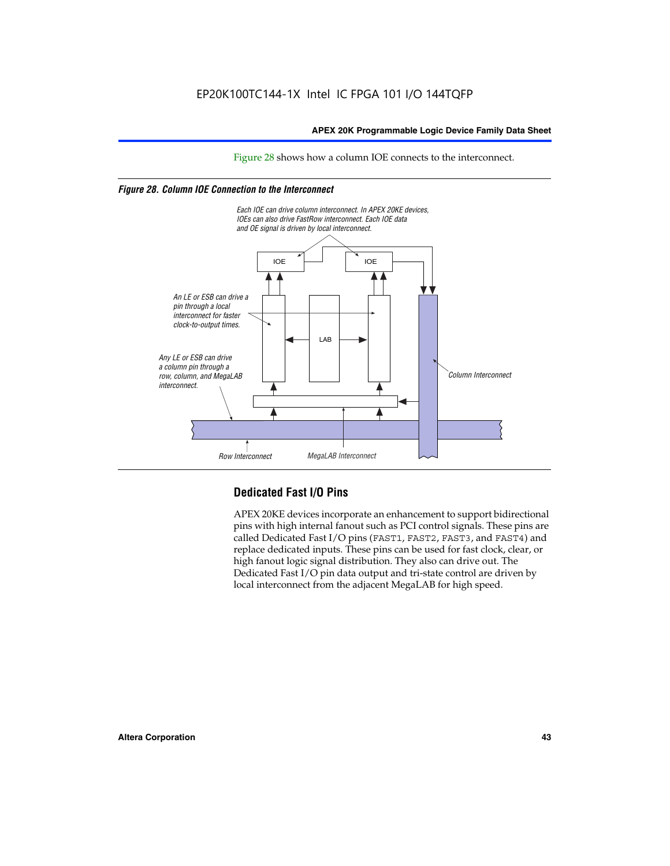Figure 28 shows how a column IOE connects to the interconnect.

# *Figure 28. Column IOE Connection to the Interconnect*



# **Dedicated Fast I/O Pins**

APEX 20KE devices incorporate an enhancement to support bidirectional pins with high internal fanout such as PCI control signals. These pins are called Dedicated Fast I/O pins (FAST1, FAST2, FAST3, and FAST4) and replace dedicated inputs. These pins can be used for fast clock, clear, or high fanout logic signal distribution. They also can drive out. The Dedicated Fast I/O pin data output and tri-state control are driven by local interconnect from the adjacent MegaLAB for high speed.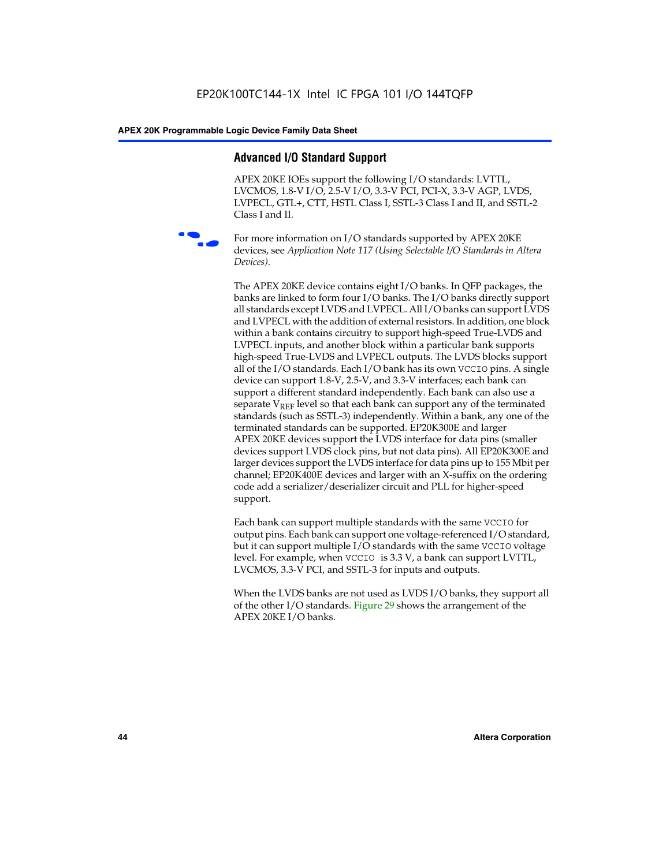# **Advanced I/O Standard Support**

APEX 20KE IOEs support the following I/O standards: LVTTL, LVCMOS, 1.8-V I/O, 2.5-V I/O, 3.3-V PCI, PCI-X, 3.3-V AGP, LVDS, LVPECL, GTL+, CTT, HSTL Class I, SSTL-3 Class I and II, and SSTL-2 Class I and II.



For more information on I/O standards supported by APEX 20KE devices, see *Application Note 117 (Using Selectable I/O Standards in Altera Devices)*.

The APEX 20KE device contains eight I/O banks. In QFP packages, the banks are linked to form four I/O banks. The I/O banks directly support all standards except LVDS and LVPECL. All I/O banks can support LVDS and LVPECL with the addition of external resistors. In addition, one block within a bank contains circuitry to support high-speed True-LVDS and LVPECL inputs, and another block within a particular bank supports high-speed True-LVDS and LVPECL outputs. The LVDS blocks support all of the I/O standards. Each I/O bank has its own VCCIO pins. A single device can support 1.8-V, 2.5-V, and 3.3-V interfaces; each bank can support a different standard independently. Each bank can also use a separate  $V_{\text{REF}}$  level so that each bank can support any of the terminated standards (such as SSTL-3) independently. Within a bank, any one of the terminated standards can be supported. EP20K300E and larger APEX 20KE devices support the LVDS interface for data pins (smaller devices support LVDS clock pins, but not data pins). All EP20K300E and larger devices support the LVDS interface for data pins up to 155 Mbit per channel; EP20K400E devices and larger with an X-suffix on the ordering code add a serializer/deserializer circuit and PLL for higher-speed support.

Each bank can support multiple standards with the same VCCIO for output pins. Each bank can support one voltage-referenced I/O standard, but it can support multiple I/O standards with the same VCCIO voltage level. For example, when VCCIO is 3.3 V, a bank can support LVTTL, LVCMOS, 3.3-V PCI, and SSTL-3 for inputs and outputs.

When the LVDS banks are not used as LVDS I/O banks, they support all of the other I/O standards. Figure 29 shows the arrangement of the APEX 20KE I/O banks.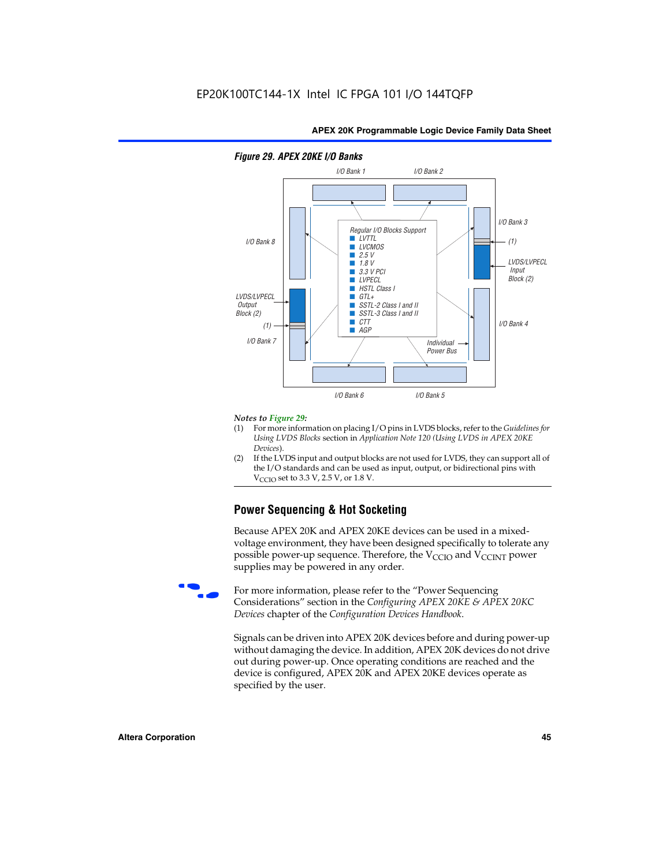

# *Figure 29. APEX 20KE I/O Banks*

#### *Notes to Figure 29:*

- (1) For more information on placing I/O pins in LVDS blocks, refer to the *Guidelines for Using LVDS Blocks* section in *Application Note 120 (Using LVDS in APEX 20KE Devices*).
- (2) If the LVDS input and output blocks are not used for LVDS, they can support all of the I/O standards and can be used as input, output, or bidirectional pins with  $V_{\text{C} \cap \text{O}}$  set to 3.3 V, 2.5 V, or 1.8 V.

# **Power Sequencing & Hot Socketing**

Because APEX 20K and APEX 20KE devices can be used in a mixedvoltage environment, they have been designed specifically to tolerate any possible power-up sequence. Therefore, the  $V_{\text{CCIO}}$  and  $V_{\text{CCINT}}$  power supplies may be powered in any order.

For more information, please refer to the "Power Sequencing Considerations" section in the *Configuring APEX 20KE & APEX 20KC Devices* chapter of the *Configuration Devices Handbook*.

Signals can be driven into APEX 20K devices before and during power-up without damaging the device. In addition, APEX 20K devices do not drive out during power-up. Once operating conditions are reached and the device is configured, APEX 20K and APEX 20KE devices operate as specified by the user.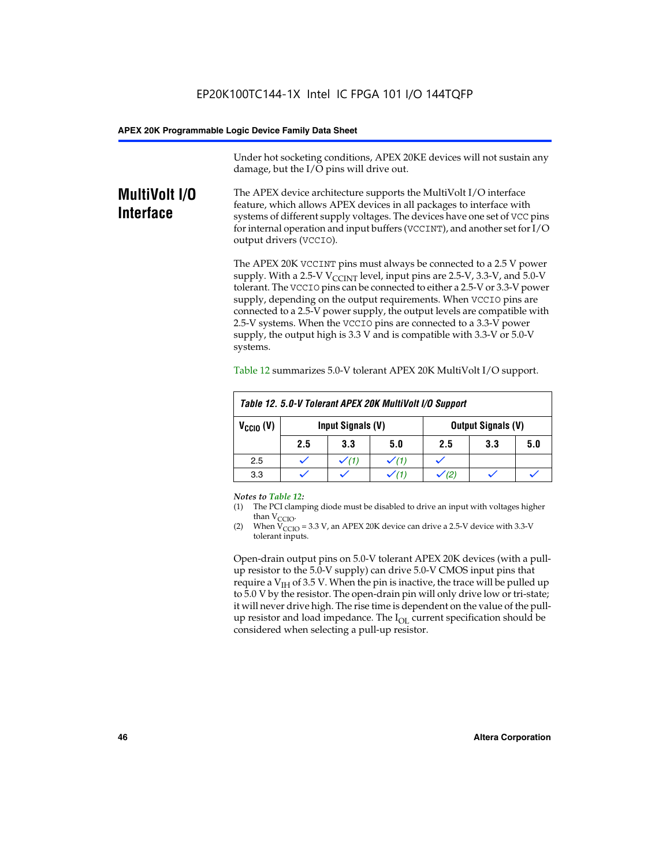Under hot socketing conditions, APEX 20KE devices will not sustain any damage, but the I/O pins will drive out.

# **MultiVolt I/O Interface**

The APEX device architecture supports the MultiVolt I/O interface feature, which allows APEX devices in all packages to interface with systems of different supply voltages. The devices have one set of VCC pins for internal operation and input buffers (VCCINT), and another set for I/O output drivers (VCCIO).

The APEX 20K VCCINT pins must always be connected to a 2.5 V power supply. With a 2.5-V  $V_{\text{CCMT}}$  level, input pins are 2.5-V, 3.3-V, and 5.0-V tolerant. The VCCIO pins can be connected to either a 2.5-V or 3.3-V power supply, depending on the output requirements. When VCCIO pins are connected to a 2.5-V power supply, the output levels are compatible with 2.5-V systems. When the VCCIO pins are connected to a 3.3-V power supply, the output high is 3.3 V and is compatible with 3.3-V or 5.0-V systems.

| Table 12. 5.0-V Tolerant APEX 20K MultiVolt I/O Support |     |                                                |     |     |     |     |
|---------------------------------------------------------|-----|------------------------------------------------|-----|-----|-----|-----|
| $V_{\text{CCIO}}(V)$                                    |     | Input Signals (V)<br><b>Output Signals (V)</b> |     |     |     |     |
|                                                         | 2.5 | 3.3                                            | 5.0 | 2.5 | 3.3 | 5.0 |
| 2.5                                                     |     | $\checkmark$ (1)                               |     |     |     |     |
| 3.3                                                     |     |                                                |     |     |     |     |

Table 12 summarizes 5.0-V tolerant APEX 20K MultiVolt I/O support.

#### *Notes to Table 12:*

- (1) The PCI clamping diode must be disabled to drive an input with voltages higher than  $V_{CCIO}$ .
- (2) When  $V_{CCIO} = 3.3 V$ , an APEX 20K device can drive a 2.5-V device with 3.3-V tolerant inputs.

Open-drain output pins on 5.0-V tolerant APEX 20K devices (with a pullup resistor to the 5.0-V supply) can drive 5.0-V CMOS input pins that require a  $V_{IH}$  of 3.5 V. When the pin is inactive, the trace will be pulled up to 5.0 V by the resistor. The open-drain pin will only drive low or tri-state; it will never drive high. The rise time is dependent on the value of the pullup resistor and load impedance. The  $I_{OI}$  current specification should be considered when selecting a pull-up resistor.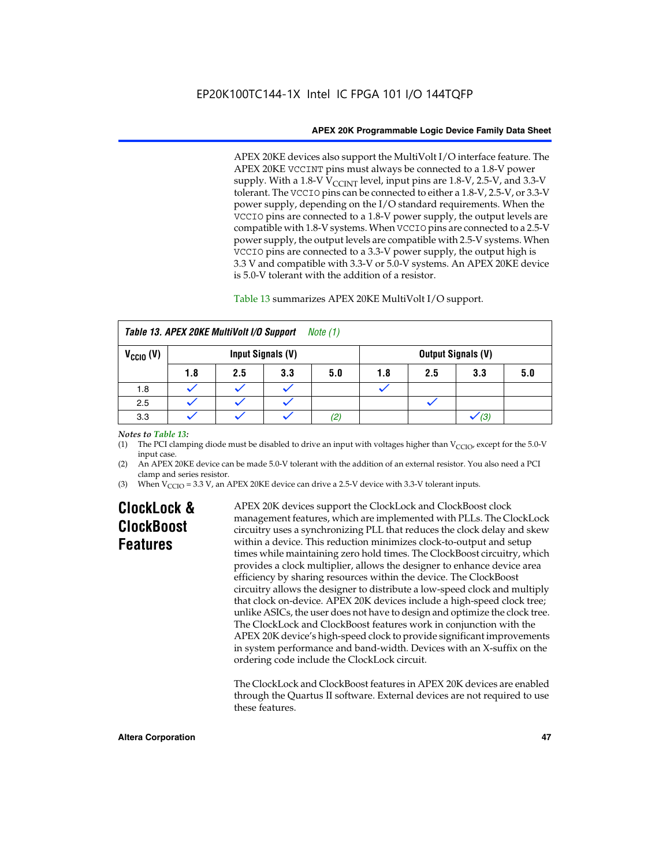APEX 20KE devices also support the MultiVolt I/O interface feature. The APEX 20KE VCCINT pins must always be connected to a 1.8-V power supply. With a 1.8-V  $V_{\text{CCINT}}$  level, input pins are 1.8-V, 2.5-V, and 3.3-V tolerant. The VCCIO pins can be connected to either a 1.8-V, 2.5-V, or 3.3-V power supply, depending on the I/O standard requirements. When the VCCIO pins are connected to a 1.8-V power supply, the output levels are compatible with 1.8-V systems. When VCCIO pins are connected to a 2.5-V power supply, the output levels are compatible with 2.5-V systems. When VCCIO pins are connected to a 3.3-V power supply, the output high is 3.3 V and compatible with 3.3-V or 5.0-V systems. An APEX 20KE device is 5.0-V tolerant with the addition of a resistor.

# Table 13 summarizes APEX 20KE MultiVolt I/O support.

| Table 13. APEX 20KE MultiVolt I/O Support<br>Note $(1)$                |     |     |     |          |     |     |     |     |
|------------------------------------------------------------------------|-----|-----|-----|----------|-----|-----|-----|-----|
| $V_{\text{CCIO}}(V)$<br>Input Signals (V)<br><b>Output Signals (V)</b> |     |     |     |          |     |     |     |     |
|                                                                        | 1.8 | 2.5 | 3.3 | 5.0      | 1.8 | 2.5 | 3.3 | 5.0 |
| 1.8                                                                    |     |     |     |          |     |     |     |     |
| 2.5                                                                    |     |     |     |          |     |     |     |     |
| 3.3                                                                    |     |     |     | $^{(2)}$ |     |     | (3) |     |

### *Notes to Table 13:*

(1) The PCI clamping diode must be disabled to drive an input with voltages higher than  $V_{CCIO}$ , except for the 5.0-V input case.

(2) An APEX 20KE device can be made 5.0-V tolerant with the addition of an external resistor. You also need a PCI clamp and series resistor.

(3) When  $V_{\text{CCIO}} = 3.3$  V, an APEX 20KE device can drive a 2.5-V device with 3.3-V tolerant inputs.

# **ClockLock & ClockBoost Features**

APEX 20K devices support the ClockLock and ClockBoost clock management features, which are implemented with PLLs. The ClockLock circuitry uses a synchronizing PLL that reduces the clock delay and skew within a device. This reduction minimizes clock-to-output and setup times while maintaining zero hold times. The ClockBoost circuitry, which provides a clock multiplier, allows the designer to enhance device area efficiency by sharing resources within the device. The ClockBoost circuitry allows the designer to distribute a low-speed clock and multiply that clock on-device. APEX 20K devices include a high-speed clock tree; unlike ASICs, the user does not have to design and optimize the clock tree. The ClockLock and ClockBoost features work in conjunction with the APEX 20K device's high-speed clock to provide significant improvements in system performance and band-width. Devices with an X-suffix on the ordering code include the ClockLock circuit.

The ClockLock and ClockBoost features in APEX 20K devices are enabled through the Quartus II software. External devices are not required to use these features.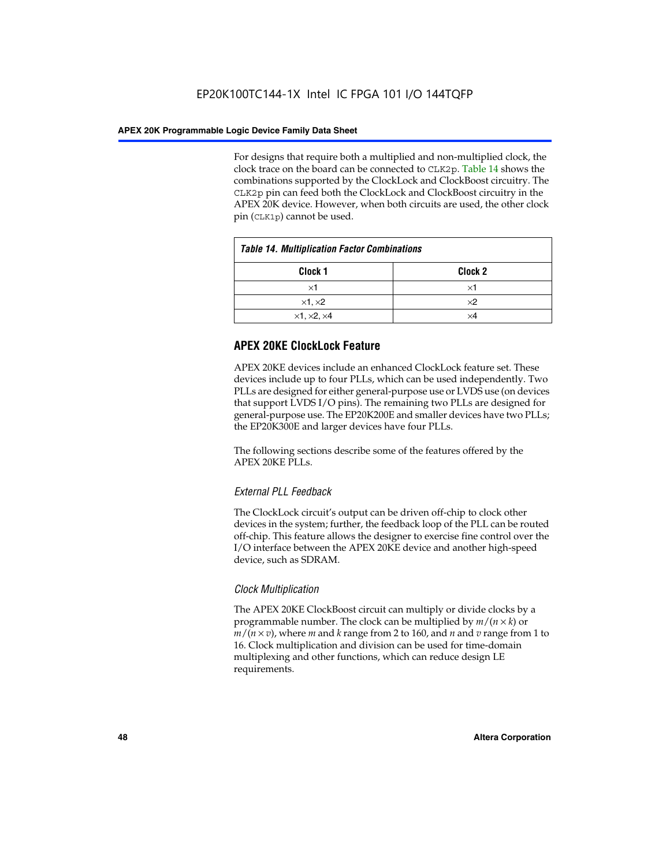For designs that require both a multiplied and non-multiplied clock, the clock trace on the board can be connected to CLK2p. Table 14 shows the combinations supported by the ClockLock and ClockBoost circuitry. The CLK2p pin can feed both the ClockLock and ClockBoost circuitry in the APEX 20K device. However, when both circuits are used, the other clock pin (CLK1p) cannot be used.

| <b>Table 14. Multiplication Factor Combinations</b> |                    |  |
|-----------------------------------------------------|--------------------|--|
| Clock <sub>1</sub>                                  | Clock <sub>2</sub> |  |
| $\times$ 1                                          | ×1                 |  |
| $\times$ 1, $\times$ 2                              | $\times 2$         |  |
| $\times$ 1, $\times$ 2, $\times$ 4                  | ×4                 |  |

# **APEX 20KE ClockLock Feature**

APEX 20KE devices include an enhanced ClockLock feature set. These devices include up to four PLLs, which can be used independently. Two PLLs are designed for either general-purpose use or LVDS use (on devices that support LVDS I/O pins). The remaining two PLLs are designed for general-purpose use. The EP20K200E and smaller devices have two PLLs; the EP20K300E and larger devices have four PLLs.

The following sections describe some of the features offered by the APEX 20KE PLLs.

# *External PLL Feedback*

The ClockLock circuit's output can be driven off-chip to clock other devices in the system; further, the feedback loop of the PLL can be routed off-chip. This feature allows the designer to exercise fine control over the I/O interface between the APEX 20KE device and another high-speed device, such as SDRAM.

# *Clock Multiplication*

The APEX 20KE ClockBoost circuit can multiply or divide clocks by a programmable number. The clock can be multiplied by *m*/(*n* × *k*) or  $m/(n \times v)$ , where *m* and *k* range from 2 to 160, and *n* and *v* range from 1 to 16. Clock multiplication and division can be used for time-domain multiplexing and other functions, which can reduce design LE requirements.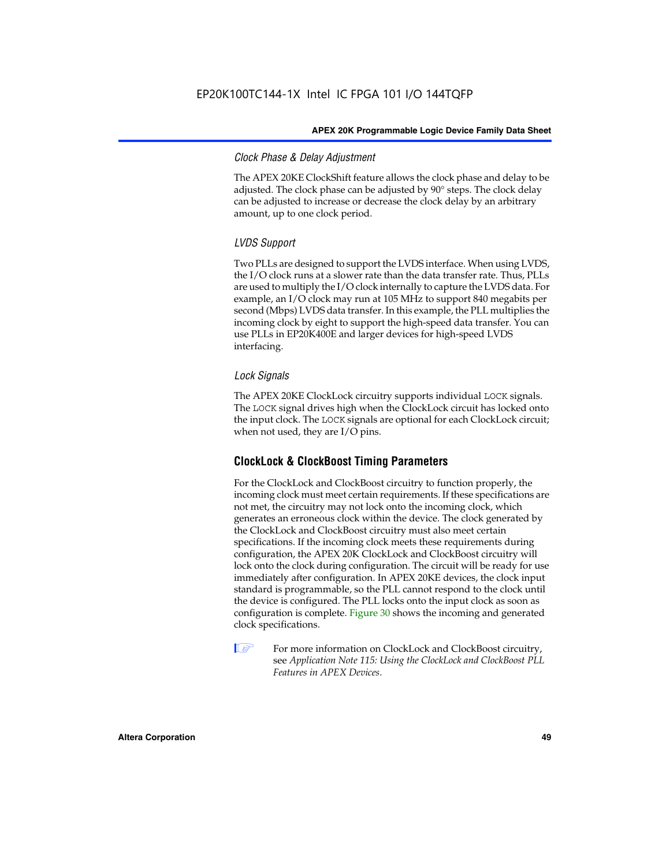# *Clock Phase & Delay Adjustment*

The APEX 20KE ClockShift feature allows the clock phase and delay to be adjusted. The clock phase can be adjusted by 90° steps. The clock delay can be adjusted to increase or decrease the clock delay by an arbitrary amount, up to one clock period.

# *LVDS Support*

Two PLLs are designed to support the LVDS interface. When using LVDS, the I/O clock runs at a slower rate than the data transfer rate. Thus, PLLs are used to multiply the I/O clock internally to capture the LVDS data. For example, an I/O clock may run at 105 MHz to support 840 megabits per second (Mbps) LVDS data transfer. In this example, the PLL multiplies the incoming clock by eight to support the high-speed data transfer. You can use PLLs in EP20K400E and larger devices for high-speed LVDS interfacing.

# *Lock Signals*

The APEX 20KE ClockLock circuitry supports individual LOCK signals. The LOCK signal drives high when the ClockLock circuit has locked onto the input clock. The LOCK signals are optional for each ClockLock circuit; when not used, they are I/O pins.

# **ClockLock & ClockBoost Timing Parameters**

For the ClockLock and ClockBoost circuitry to function properly, the incoming clock must meet certain requirements. If these specifications are not met, the circuitry may not lock onto the incoming clock, which generates an erroneous clock within the device. The clock generated by the ClockLock and ClockBoost circuitry must also meet certain specifications. If the incoming clock meets these requirements during configuration, the APEX 20K ClockLock and ClockBoost circuitry will lock onto the clock during configuration. The circuit will be ready for use immediately after configuration. In APEX 20KE devices, the clock input standard is programmable, so the PLL cannot respond to the clock until the device is configured. The PLL locks onto the input clock as soon as configuration is complete. Figure 30 shows the incoming and generated clock specifications.

 $\mathbb{I} \mathcal{F}$  For more information on ClockLock and ClockBoost circuitry, see *Application Note 115: Using the ClockLock and ClockBoost PLL Features in APEX Devices*.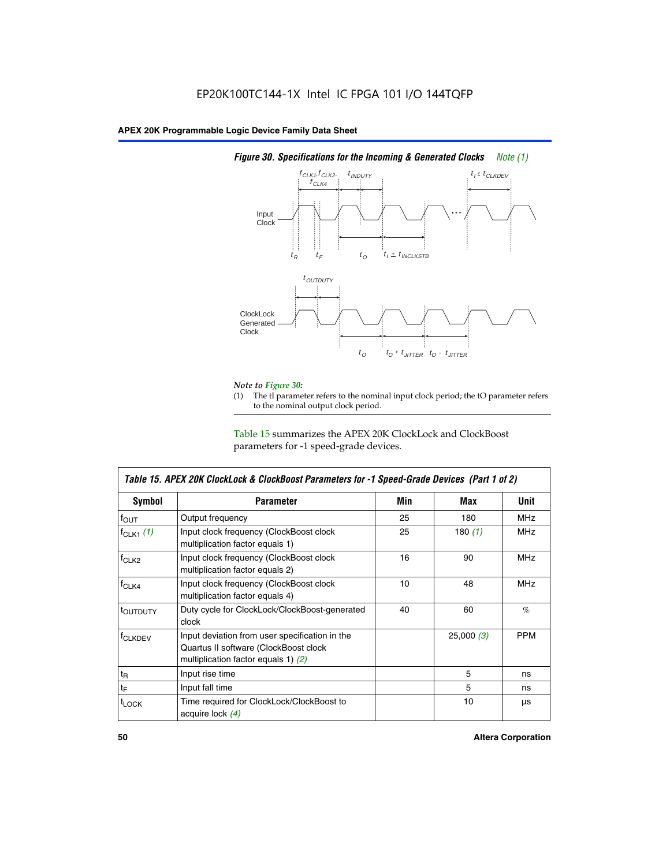

# *Figure 30. Specifications for the Incoming & Generated Clocks Note (1)*

# *Note to Figure 30:*

The tI parameter refers to the nominal input clock period; the tO parameter refers to the nominal output clock period.

Table 15 summarizes the APEX 20K ClockLock and ClockBoost parameters for -1 speed-grade devices.

| <b>Symbol</b>                                                                                                                                       | <b>Parameter</b>                                                           | Min | Max       | <b>Unit</b> |
|-----------------------------------------------------------------------------------------------------------------------------------------------------|----------------------------------------------------------------------------|-----|-----------|-------------|
| $f_{OUT}$                                                                                                                                           | Output frequency                                                           | 25  | 180       | MHz         |
| $f_{CLK1}$ $(1)$                                                                                                                                    | Input clock frequency (ClockBoost clock<br>multiplication factor equals 1) | 25  | 180 $(1)$ | <b>MHz</b>  |
| $f_{CLK2}$                                                                                                                                          | Input clock frequency (ClockBoost clock<br>multiplication factor equals 2) | 16  | 90        | <b>MHz</b>  |
| $f_{CLK4}$                                                                                                                                          | Input clock frequency (ClockBoost clock<br>multiplication factor equals 4) | 10  | 48        | <b>MHz</b>  |
| toutputy                                                                                                                                            | Duty cycle for ClockLock/ClockBoost-generated<br>clock                     | 40  | 60        | %           |
| Input deviation from user specification in the<br><b>f</b> CLKDEV<br>Quartus II software (ClockBoost clock<br>multiplication factor equals 1) $(2)$ |                                                                            |     | 25,000(3) | <b>PPM</b>  |
| $t_{\mathsf{R}}$                                                                                                                                    | Input rise time                                                            |     | 5         | ns          |
| $t_{\mathsf{F}}$                                                                                                                                    | Input fall time                                                            |     | 5         | ns          |
| <sup>t</sup> LOCK                                                                                                                                   | Time required for ClockLock/ClockBoost to<br>acquire lock (4)              |     | 10        | μs          |

 $\mathsf I$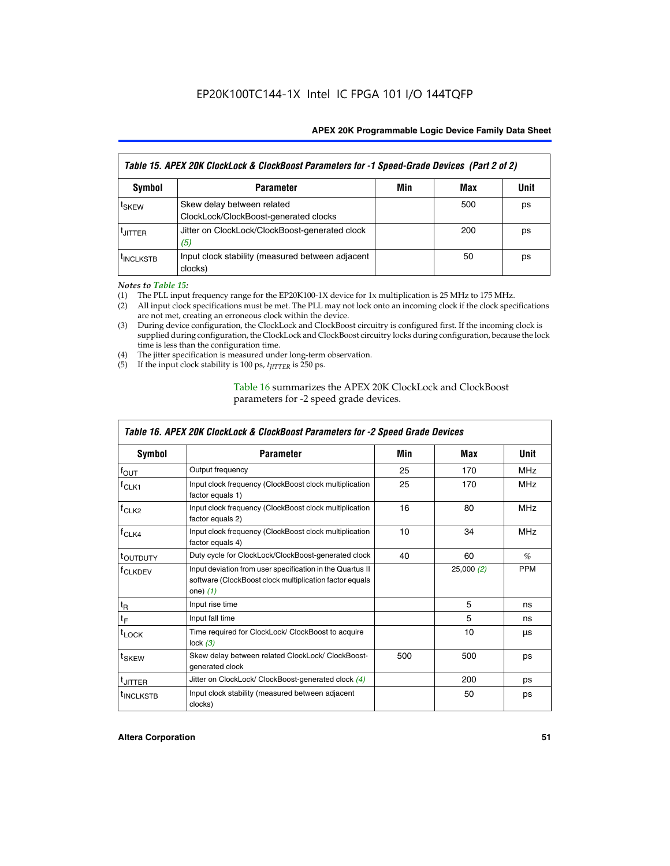| Table 15. APEX 20K ClockLock & ClockBoost Parameters for -1 Speed-Grade Devices (Part 2 of 2) |                                                                     |     |     |      |
|-----------------------------------------------------------------------------------------------|---------------------------------------------------------------------|-----|-----|------|
| <b>Symbol</b>                                                                                 | <b>Parameter</b>                                                    | Min | Max | Unit |
| t <sub>SKEW</sub>                                                                             | Skew delay between related<br>ClockLock/ClockBoost-generated clocks |     | 500 | ps   |
| <b>UITTER</b>                                                                                 | Jitter on ClockLock/ClockBoost-generated clock<br>(5)               |     | 200 | ps   |
| <b>INCLKSTB</b>                                                                               | Input clock stability (measured between adjacent<br>clocks)         |     | 50  | ps   |

*Notes to Table 15:*

- (1) The PLL input frequency range for the EP20K100-1X device for 1x multiplication is 25 MHz to 175 MHz.
- (2) All input clock specifications must be met. The PLL may not lock onto an incoming clock if the clock specifications are not met, creating an erroneous clock within the device.
- (3) During device configuration, the ClockLock and ClockBoost circuitry is configured first. If the incoming clock is supplied during configuration, the ClockLock and ClockBoost circuitry locks during configuration, because the lock time is less than the configuration time.
- (4) The jitter specification is measured under long-term observation.
- (5) If the input clock stability is 100 ps,  $t_{\text{JITTER}}$  is 250 ps.

# Table 16 summarizes the APEX 20K ClockLock and ClockBoost parameters for -2 speed grade devices.

| Symbol                                                                                   | <b>Parameter</b>                                                                                                                   | Min | Max       | <b>Unit</b> |
|------------------------------------------------------------------------------------------|------------------------------------------------------------------------------------------------------------------------------------|-----|-----------|-------------|
| $f_{\text{OUT}}$                                                                         | Output frequency                                                                                                                   | 25  | 170       | <b>MHz</b>  |
| <sup>†</sup> CLK1                                                                        | Input clock frequency (ClockBoost clock multiplication<br>factor equals 1)                                                         | 25  | 170       | <b>MHz</b>  |
| $f_{CLK2}$                                                                               | Input clock frequency (ClockBoost clock multiplication<br>factor equals 2)                                                         |     | 80        | <b>MHz</b>  |
| $f_{CLK4}$<br>Input clock frequency (ClockBoost clock multiplication<br>factor equals 4) |                                                                                                                                    | 10  | 34        | <b>MHz</b>  |
| <sup>τ</sup> ουτρυτγ                                                                     | Duty cycle for ClockLock/ClockBoost-generated clock                                                                                | 40  | 60        | $\%$        |
| <sup>T</sup> CLKDEV                                                                      | Input deviation from user specification in the Quartus II<br>software (ClockBoost clock multiplication factor equals<br>one) $(1)$ |     | 25,000(2) | <b>PPM</b>  |
| $t_{\mathsf{R}}$                                                                         | Input rise time                                                                                                                    |     | 5         | ns          |
| $t_F$                                                                                    | Input fall time                                                                                                                    |     | 5         | ns          |
| $t_{\text{LOCK}}$                                                                        | Time required for ClockLock/ ClockBoost to acquire<br>lock $(3)$                                                                   |     | 10        | μs          |
| <sup>t</sup> SKEW                                                                        | Skew delay between related ClockLock/ ClockBoost-<br>generated clock                                                               | 500 | 500       | ps          |
| t <sub>JITTER</sub>                                                                      | Jitter on ClockLock/ ClockBoost-generated clock (4)                                                                                |     | 200       | ps          |
| <sup>I</sup> INCLKSTB                                                                    | Input clock stability (measured between adjacent<br>clocks)                                                                        |     | 50        | ps          |

# *Table 16. APEX 20K ClockLock & ClockBoost Parameters for -2 Speed Grade Devices*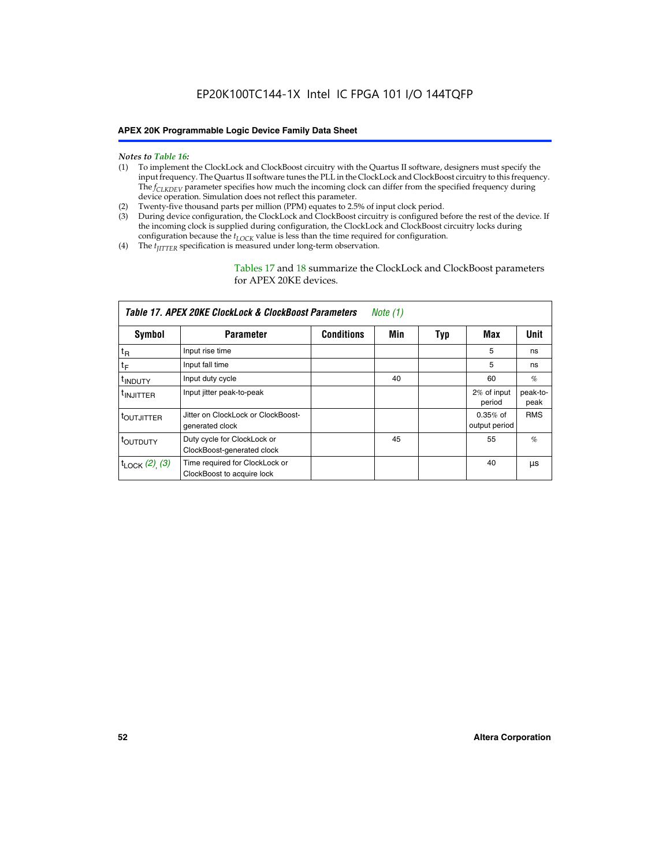#### *Notes to Table 16:*

- (1) To implement the ClockLock and ClockBoost circuitry with the Quartus II software, designers must specify the input frequency. The Quartus II software tunes the PLL in the ClockLock and ClockBoost circuitry to this frequency. The *f<sub>CLKDEV</sub>* parameter specifies how much the incoming clock can differ from the specified frequency during device operation. Simulation does not reflect this parameter.
- (2) Twenty-five thousand parts per million (PPM) equates to 2.5% of input clock period.
- (3) During device configuration, the ClockLock and ClockBoost circuitry is configured before the rest of the device. If the incoming clock is supplied during configuration, the ClockLock and ClockBoost circuitry locks during configuration because the  $t_{LOCK}$  value is less than the time required for configuration.
- (4) The  $t_{\text{ITTTER}}$  specification is measured under long-term observation.

Tables 17 and 18 summarize the ClockLock and ClockBoost parameters for APEX 20KE devices.

|                            | Table 17. APEX 20KE ClockLock & ClockBoost Parameters<br>Note (1) |                   |     |     |                             |                  |
|----------------------------|-------------------------------------------------------------------|-------------------|-----|-----|-----------------------------|------------------|
| Symbol                     | <b>Parameter</b>                                                  | <b>Conditions</b> | Min | Typ | Max                         | <b>Unit</b>      |
| $t_{R}$                    | Input rise time                                                   |                   |     |     | 5                           | ns               |
| tF                         | Input fall time                                                   |                   |     |     | 5                           | ns               |
| <sup>t</sup> INDUTY        | Input duty cycle                                                  |                   | 40  |     | 60                          | %                |
| <sup>t</sup> INJITTER      | Input jitter peak-to-peak                                         |                   |     |     | 2% of input<br>period       | peak-to-<br>peak |
| <sup>t</sup> OUTJITTER     | Jitter on ClockLock or ClockBoost-<br>generated clock             |                   |     |     | $0.35%$ of<br>output period | <b>RMS</b>       |
| t <sub>outputy</sub>       | Duty cycle for ClockLock or<br>ClockBoost-generated clock         |                   | 45  |     | 55                          | $\%$             |
| $t_{\text{LOCK}}$ (2), (3) | Time required for ClockLock or<br>ClockBoost to acquire lock      |                   |     |     | 40                          | μs               |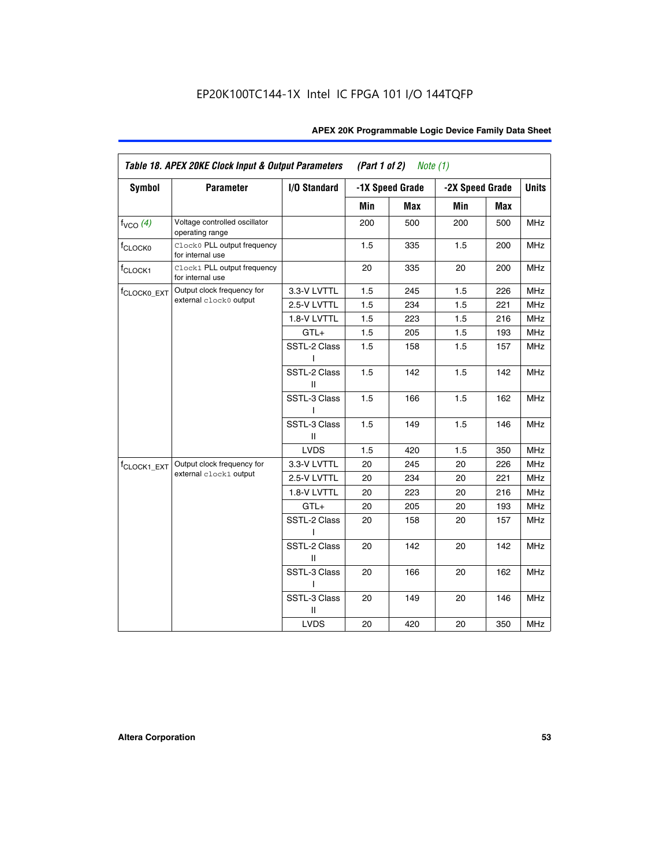| Symbol                  | <b>Parameter</b>                                 | I/O Standard      |     | -1X Speed Grade | -2X Speed Grade |     | <b>Units</b> |
|-------------------------|--------------------------------------------------|-------------------|-----|-----------------|-----------------|-----|--------------|
|                         |                                                  |                   | Min | <b>Max</b>      | Min             | Max |              |
| $f_{VCO}$ (4)           | Voltage controlled oscillator<br>operating range |                   | 200 | 500             | 200             | 500 | <b>MHz</b>   |
| f <sub>CLOCK0</sub>     | Clock0 PLL output frequency<br>for internal use  |                   | 1.5 | 335             | 1.5             | 200 | MHz          |
| f <sub>CLOCK1</sub>     | Clock1 PLL output frequency<br>for internal use  |                   | 20  | 335             | 20              | 200 | MHz          |
| f <sub>CLOCK0_EXT</sub> | Output clock frequency for                       | 3.3-V LVTTL       | 1.5 | 245             | 1.5             | 226 | <b>MHz</b>   |
|                         | external clock0 output                           | 2.5-V LVTTL       | 1.5 | 234             | 1.5             | 221 | MHz          |
|                         |                                                  | 1.8-V LVTTL       | 1.5 | 223             | 1.5             | 216 | <b>MHz</b>   |
|                         |                                                  | $GTL+$            | 1.5 | 205             | 1.5             | 193 | MHz          |
|                         |                                                  | SSTL-2 Class<br>I | 1.5 | 158             | 1.5             | 157 | <b>MHz</b>   |
|                         |                                                  | SSTL-2 Class<br>Ш | 1.5 | 142             | 1.5             | 142 | <b>MHz</b>   |
|                         |                                                  | SSTL-3 Class<br>L | 1.5 | 166             | 1.5             | 162 | <b>MHz</b>   |
|                         |                                                  | SSTL-3 Class<br>Ш | 1.5 | 149             | 1.5             | 146 | <b>MHz</b>   |
|                         |                                                  | <b>LVDS</b>       | 1.5 | 420             | 1.5             | 350 | <b>MHz</b>   |
| f <sub>CLOCK1_EXT</sub> | Output clock frequency for                       | 3.3-V LVTTL       | 20  | 245             | 20              | 226 | <b>MHz</b>   |
|                         | external clock1 output                           | 2.5-V LVTTL       | 20  | 234             | 20              | 221 | <b>MHz</b>   |
|                         |                                                  | 1.8-V LVTTL       | 20  | 223             | 20              | 216 | MHz          |
|                         |                                                  | $GTL+$            | 20  | 205             | 20              | 193 | <b>MHz</b>   |
|                         |                                                  | SSTL-2 Class<br>L | 20  | 158             | 20              | 157 | <b>MHz</b>   |
|                         |                                                  | SSTL-2 Class<br>Ш | 20  | 142             | 20              | 142 | <b>MHz</b>   |
|                         |                                                  | SSTL-3 Class      | 20  | 166             | 20              | 162 | MHz          |
|                         |                                                  | SSTL-3 Class<br>Ш | 20  | 149             | 20              | 146 | <b>MHz</b>   |
|                         |                                                  | <b>LVDS</b>       | 20  | 420             | 20              | 350 | MHz          |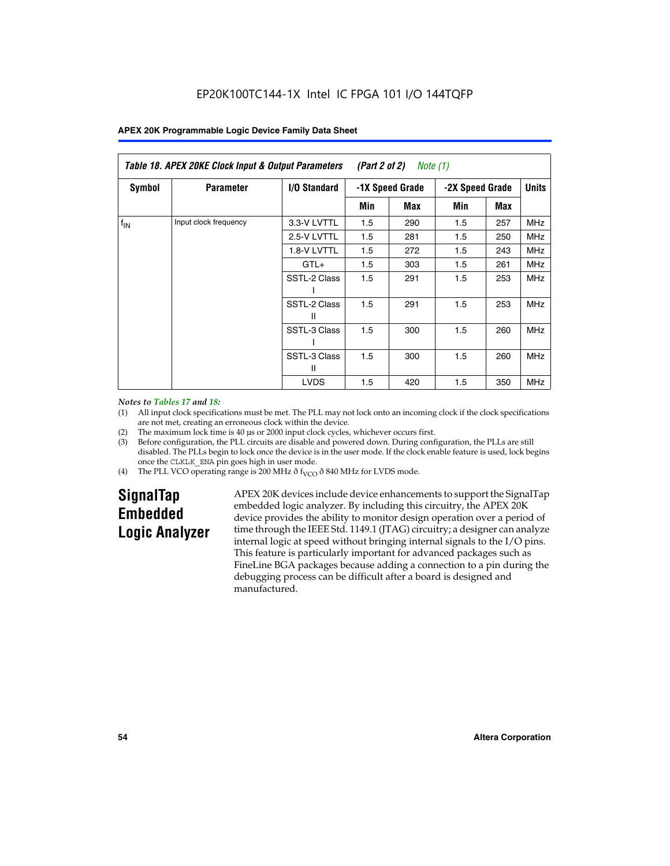| Table 18. APEX 20KE Clock Input & Output Parameters<br>(Part 2 of 2)<br>Note $(1)$ |                       |                   |     |                 |     |     |            |
|------------------------------------------------------------------------------------|-----------------------|-------------------|-----|-----------------|-----|-----|------------|
| <b>Symbol</b><br><b>Parameter</b><br><b>I/O Standard</b>                           |                       | -1X Speed Grade   |     | -2X Speed Grade |     |     |            |
|                                                                                    |                       |                   | Min | Max             | Min | Max |            |
| $f_{IN}$                                                                           | Input clock frequency | 3.3-V LVTTL       | 1.5 | 290             | 1.5 | 257 | <b>MHz</b> |
|                                                                                    |                       | 2.5-V LVTTL       | 1.5 | 281             | 1.5 | 250 | <b>MHz</b> |
|                                                                                    |                       | 1.8-V LVTTL       | 1.5 | 272             | 1.5 | 243 | MHz        |
|                                                                                    |                       | $GTL+$            | 1.5 | 303             | 1.5 | 261 | <b>MHz</b> |
|                                                                                    |                       | SSTL-2 Class      | 1.5 | 291             | 1.5 | 253 | <b>MHz</b> |
|                                                                                    |                       | SSTL-2 Class<br>Ш | 1.5 | 291             | 1.5 | 253 | <b>MHz</b> |
|                                                                                    |                       | SSTL-3 Class      | 1.5 | 300             | 1.5 | 260 | <b>MHz</b> |
|                                                                                    |                       | SSTL-3 Class<br>Ш | 1.5 | 300             | 1.5 | 260 | <b>MHz</b> |
|                                                                                    |                       | <b>LVDS</b>       | 1.5 | 420             | 1.5 | 350 | <b>MHz</b> |

#### *Notes to Tables 17 and 18:*

(1) All input clock specifications must be met. The PLL may not lock onto an incoming clock if the clock specifications are not met, creating an erroneous clock within the device.

- (2) The maximum lock time is 40 µs or 2000 input clock cycles, whichever occurs first.
- (3) Before configuration, the PLL circuits are disable and powered down. During configuration, the PLLs are still disabled. The PLLs begin to lock once the device is in the user mode. If the clock enable feature is used, lock begins once the CLKLK\_ENA pin goes high in user mode.
- (4) The PLL VCO operating range is 200 MHz  $\eth$  f<sub>VCO</sub>  $\eth$  840 MHz for LVDS mode.

# **SignalTap Embedded Logic Analyzer**

APEX 20K devices include device enhancements to support the SignalTap embedded logic analyzer. By including this circuitry, the APEX 20K device provides the ability to monitor design operation over a period of time through the IEEE Std. 1149.1 (JTAG) circuitry; a designer can analyze internal logic at speed without bringing internal signals to the I/O pins. This feature is particularly important for advanced packages such as FineLine BGA packages because adding a connection to a pin during the debugging process can be difficult after a board is designed and manufactured.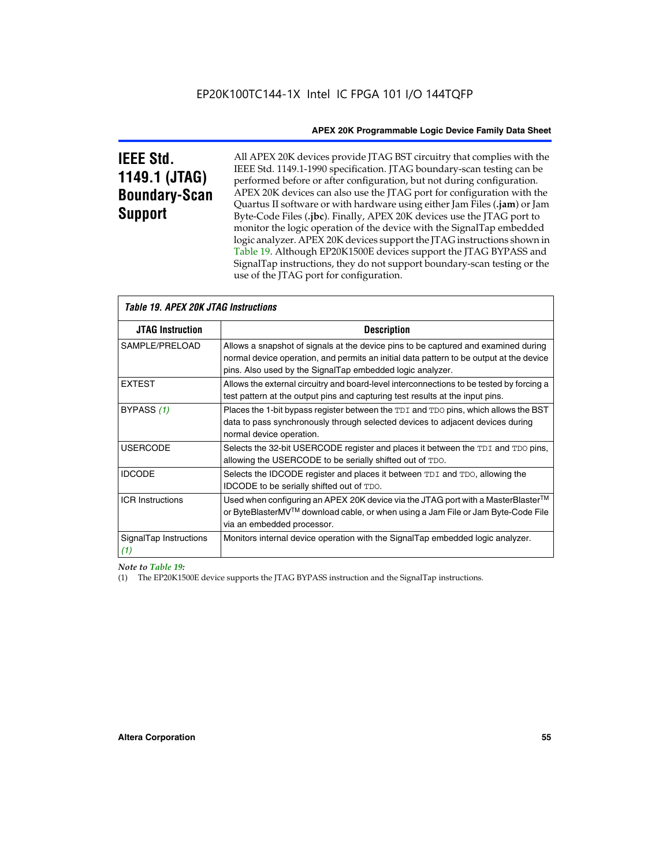# **IEEE Std. 1149.1 (JTAG) Boundary-Scan Support**

All APEX 20K devices provide JTAG BST circuitry that complies with the IEEE Std. 1149.1-1990 specification. JTAG boundary-scan testing can be performed before or after configuration, but not during configuration. APEX 20K devices can also use the JTAG port for configuration with the Quartus II software or with hardware using either Jam Files (**.jam**) or Jam Byte-Code Files (**.jbc**). Finally, APEX 20K devices use the JTAG port to monitor the logic operation of the device with the SignalTap embedded logic analyzer. APEX 20K devices support the JTAG instructions shown in Table 19. Although EP20K1500E devices support the JTAG BYPASS and SignalTap instructions, they do not support boundary-scan testing or the use of the JTAG port for configuration.

| <i><b>Table 19. APEX 20K JTAG Instructions</b></i> |                                                                                                                                                                                                                                            |  |  |
|----------------------------------------------------|--------------------------------------------------------------------------------------------------------------------------------------------------------------------------------------------------------------------------------------------|--|--|
| <b>JTAG Instruction</b>                            | <b>Description</b>                                                                                                                                                                                                                         |  |  |
| SAMPLE/PRELOAD                                     | Allows a snapshot of signals at the device pins to be captured and examined during<br>normal device operation, and permits an initial data pattern to be output at the device<br>pins. Also used by the SignalTap embedded logic analyzer. |  |  |
| <b>EXTEST</b>                                      | Allows the external circuitry and board-level interconnections to be tested by forcing a<br>test pattern at the output pins and capturing test results at the input pins.                                                                  |  |  |
| BYPASS (1)                                         | Places the 1-bit bypass register between the TDI and TDO pins, which allows the BST<br>data to pass synchronously through selected devices to adjacent devices during<br>normal device operation.                                          |  |  |
| <b>USERCODE</b>                                    | Selects the 32-bit USERCODE register and places it between the TDI and TDO pins,<br>allowing the USERCODE to be serially shifted out of TDO.                                                                                               |  |  |
| <b>IDCODE</b>                                      | Selects the IDCODE register and places it between TDI and TDO, allowing the<br><b>IDCODE</b> to be serially shifted out of TDO.                                                                                                            |  |  |
| <b>ICR Instructions</b>                            | Used when configuring an APEX 20K device via the JTAG port with a MasterBlaster™<br>or ByteBlasterMV™ download cable, or when using a Jam File or Jam Byte-Code File<br>via an embedded processor.                                         |  |  |
| SignalTap Instructions<br>(1)                      | Monitors internal device operation with the SignalTap embedded logic analyzer.                                                                                                                                                             |  |  |

 $\overline{\phantom{a}}$ 

*Note to Table 19:*

(1) The EP20K1500E device supports the JTAG BYPASS instruction and the SignalTap instructions.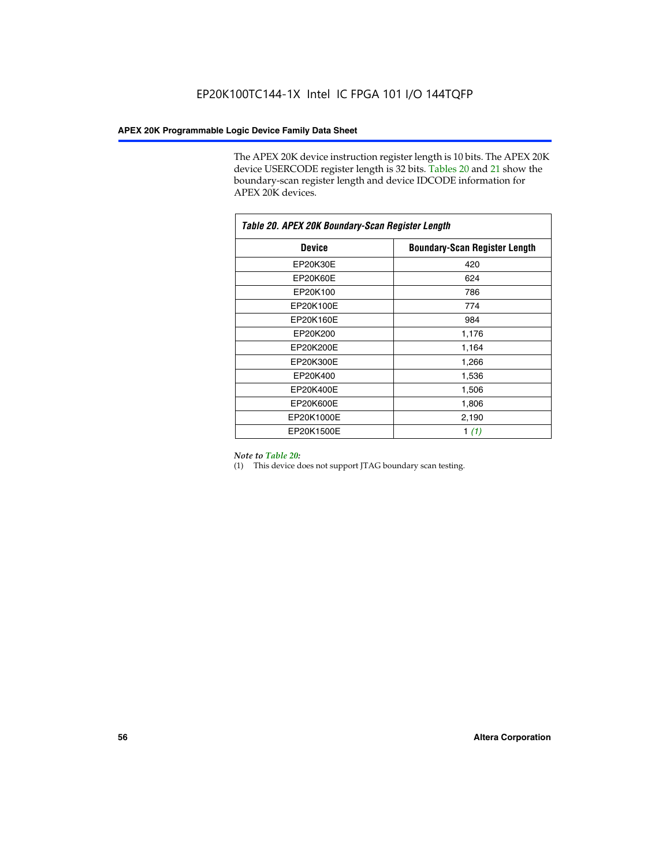The APEX 20K device instruction register length is 10 bits. The APEX 20K device USERCODE register length is 32 bits. Tables 20 and 21 show the boundary-scan register length and device IDCODE information for APEX 20K devices.

| Table 20. APEX 20K Boundary-Scan Register Length |                                      |  |  |  |
|--------------------------------------------------|--------------------------------------|--|--|--|
| <b>Device</b>                                    | <b>Boundary-Scan Register Length</b> |  |  |  |
| EP20K30E                                         | 420                                  |  |  |  |
| EP20K60E                                         | 624                                  |  |  |  |
| EP20K100                                         | 786                                  |  |  |  |
| EP20K100E                                        | 774                                  |  |  |  |
| EP20K160E                                        | 984                                  |  |  |  |
| EP20K200                                         | 1,176                                |  |  |  |
| EP20K200E                                        | 1,164                                |  |  |  |
| EP20K300E                                        | 1,266                                |  |  |  |
| EP20K400                                         | 1,536                                |  |  |  |
| EP20K400E                                        | 1,506                                |  |  |  |
| EP20K600E                                        | 1,806                                |  |  |  |
| EP20K1000E                                       | 2,190                                |  |  |  |
| EP20K1500E                                       | 1 $(1)$                              |  |  |  |

#### *Note to Table 20:*

(1) This device does not support JTAG boundary scan testing.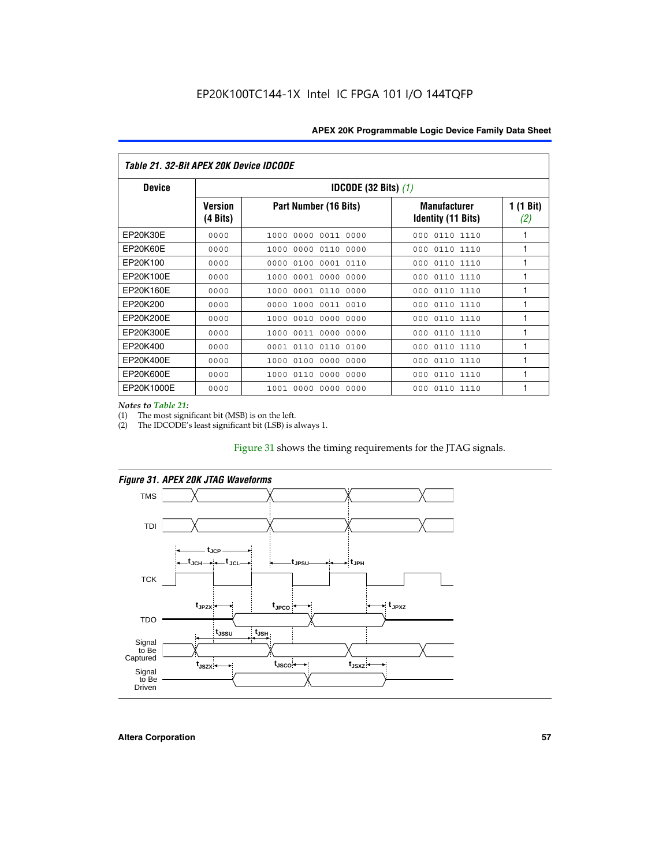| Table 21, 32-Bit APEX 20K Device IDCODE |                            |                                          |                                                  |                           |  |  |
|-----------------------------------------|----------------------------|------------------------------------------|--------------------------------------------------|---------------------------|--|--|
| <b>Device</b>                           |                            | <b>IDCODE (32 Bits) <math>(1)</math></b> |                                                  |                           |  |  |
|                                         | <b>Version</b><br>(4 Bits) | Part Number (16 Bits)                    | <b>Manufacturer</b><br><b>Identity (11 Bits)</b> | $1(1 \text{ Bit})$<br>(2) |  |  |
| EP20K30E                                | 0000                       | 0000<br>0011 0000<br>1000                | 0110 1110<br>000                                 | 1                         |  |  |
| EP20K60E                                | 0000                       | 0000 0110<br>1000<br>0000                | 0110 1110<br>000                                 | 1                         |  |  |
| EP20K100                                | 0000                       | 0000<br>0100<br>0001 0110                | 000<br>0110 1110                                 | 1                         |  |  |
| EP20K100E                               | 0000                       | 0001 0000<br>0000<br>1000                | 0110 1110<br>000                                 | 1                         |  |  |
| EP20K160E                               | 0000                       | 0001 0110<br>0000<br>1000                | 0110 1110<br>000                                 | 1                         |  |  |
| EP20K200                                | 0000                       | 1000<br>0011 0010<br>0000                | 0110 1110<br>000                                 | 1                         |  |  |
| EP20K200E                               | 0000                       | 0010 0000 0000<br>1000                   | 000<br>0110 1110                                 | 1                         |  |  |
| EP20K300E                               | 0000                       | 0011 0000<br>1000<br>0000                | 0110 1110<br>000                                 | 1                         |  |  |
| EP20K400                                | 0000                       | 0001<br>0110<br>0110<br>0100             | 0110 1110<br>000                                 | 1                         |  |  |
| EP20K400E                               | 0000                       | 0000<br>0000<br>1000<br>0100             | 0110 1110<br>000                                 | 1                         |  |  |
| EP20K600E                               | 0000                       | 0110<br>0000<br>0000<br>1000             | 0110 1110<br>000                                 | 1                         |  |  |
| EP20K1000E                              | 0000                       | 0000<br>0000<br>0000<br>1001             | 000<br>0110 1110                                 | 1                         |  |  |

*Notes to Table 21:*

The most significant bit (MSB) is on the left.

(2) The IDCODE's least significant bit (LSB) is always 1.

# Figure 31 shows the timing requirements for the JTAG signals.



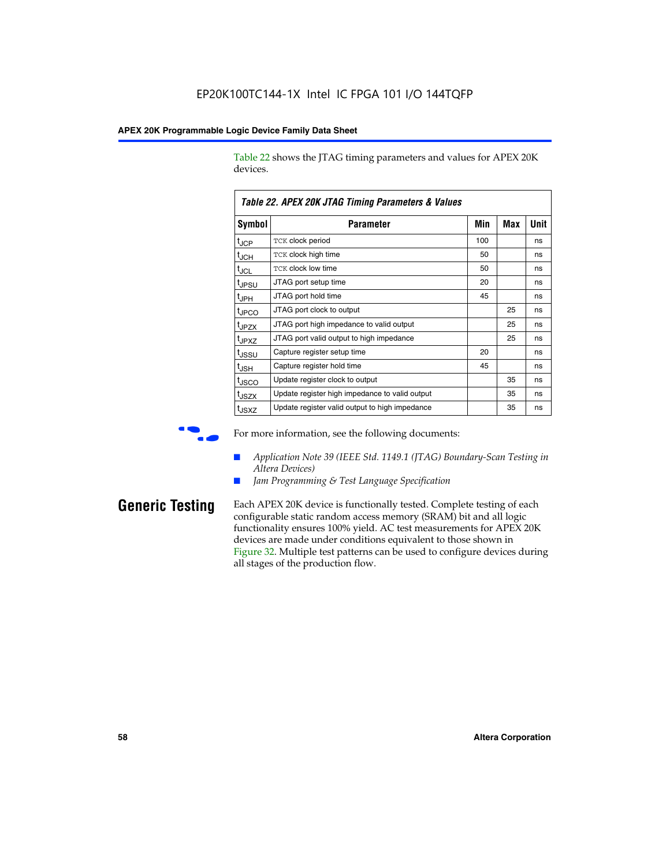Table 22 shows the JTAG timing parameters and values for APEX 20K devices.

|                   | TADIE ZZ. AFEA ZUN JTAU TIIIIIIU FAIAIIIEIEIS & VAIUES |     |            |      |  |  |  |
|-------------------|--------------------------------------------------------|-----|------------|------|--|--|--|
| Symbol            | Parameter                                              | Min | <b>Max</b> | Unit |  |  |  |
| $t_{JCP}$         | TCK clock period                                       | 100 |            | ns   |  |  |  |
| $t_{JCH}$         | TCK clock high time                                    | 50  |            | ns   |  |  |  |
| tjcl              | TCK clock low time                                     | 50  |            | ns   |  |  |  |
| t <sub>JPSU</sub> | JTAG port setup time                                   | 20  |            | ns   |  |  |  |
| t <sub>JPH</sub>  | JTAG port hold time                                    | 45  |            | ns   |  |  |  |
| <sup>t</sup> JPCO | JTAG port clock to output                              |     | 25         | ns   |  |  |  |
| t <sub>JPZX</sub> | JTAG port high impedance to valid output               |     | 25         | ns   |  |  |  |
| t <sub>JPXZ</sub> | JTAG port valid output to high impedance               |     | 25         | ns   |  |  |  |
| tussu             | Capture register setup time                            | 20  |            | ns   |  |  |  |
| $t_{\sf JSH}$     | Capture register hold time                             | 45  |            | ns   |  |  |  |
| t <sub>JSCO</sub> | Update register clock to output                        |     | 35         | ns   |  |  |  |
| t <sub>JSZX</sub> | Update register high impedance to valid output         |     | 35         | ns   |  |  |  |
| t <sub>JSXZ</sub> | Update register valid output to high impedance         |     | 35         | ns   |  |  |  |

*Table 22. APEX 20K JTAG Timing Parameters & Values*

For more information, see the following documents:

- *Application Note 39 (IEEE Std. 1149.1 (JTAG) Boundary-Scan Testing in Altera Devices)*
- Jam Programming & Test Language Specification

**Generic Testing** Each APEX 20K device is functionally tested. Complete testing of each configurable static random access memory (SRAM) bit and all logic functionality ensures 100% yield. AC test measurements for APEX 20K devices are made under conditions equivalent to those shown in Figure 32. Multiple test patterns can be used to configure devices during all stages of the production flow.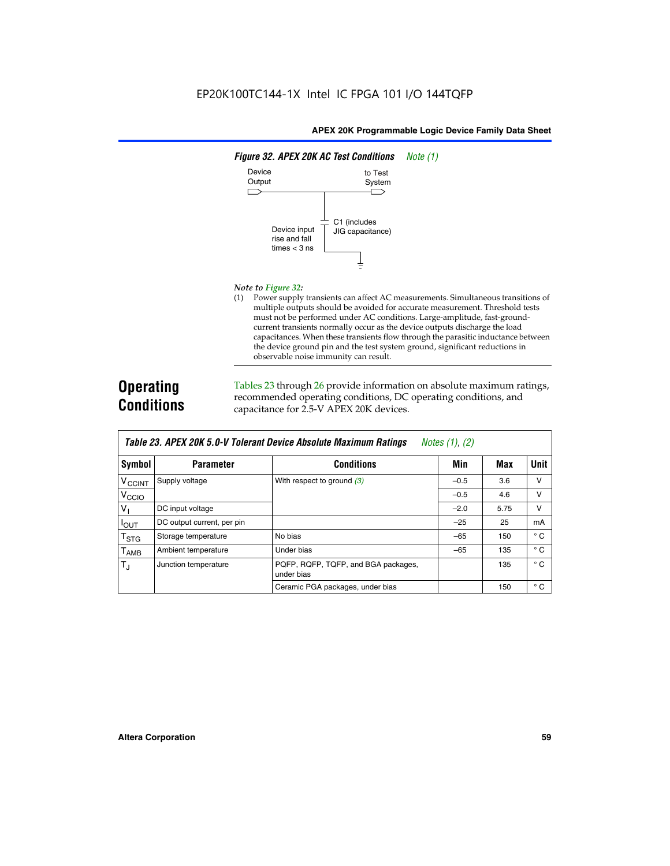

#### *Note to Figure 32:*

(1) Power supply transients can affect AC measurements. Simultaneous transitions of multiple outputs should be avoided for accurate measurement. Threshold tests must not be performed under AC conditions. Large-amplitude, fast-groundcurrent transients normally occur as the device outputs discharge the load capacitances. When these transients flow through the parasitic inductance between the device ground pin and the test system ground, significant reductions in observable noise immunity can result.

# **Operating Conditions**

Tables 23 through 26 provide information on absolute maximum ratings, recommended operating conditions, DC operating conditions, and capacitance for 2.5-V APEX 20K devices.

| TADIG LU. MI LA LUN U.U-V TUIGIAIN DGVIUG MUSUNUG MAANNUNI NAMNUS<br>$100103$ $11, 121$ |                            |                                                   |        |      |              |
|-----------------------------------------------------------------------------------------|----------------------------|---------------------------------------------------|--------|------|--------------|
| Symbol                                                                                  | <b>Parameter</b>           | <b>Conditions</b>                                 | Min    | Max  | Unit         |
| V <sub>CCINT</sub>                                                                      | Supply voltage             | With respect to ground $(3)$                      | $-0.5$ | 3.6  | v            |
| V <sub>CCIO</sub>                                                                       |                            |                                                   | $-0.5$ | 4.6  | v            |
| V                                                                                       | DC input voltage           |                                                   | $-2.0$ | 5.75 | v            |
| $I_{OUT}$                                                                               | DC output current, per pin |                                                   | $-25$  | 25   | mA           |
| $T_{\text{STG}}$                                                                        | Storage temperature        | No bias                                           | $-65$  | 150  | $^{\circ}$ C |
| $T_{\sf AMB}$                                                                           | Ambient temperature        | Under bias                                        | $-65$  | 135  | $^{\circ}$ C |
| $T_J$                                                                                   | Junction temperature       | PQFP, RQFP, TQFP, and BGA packages,<br>under bias |        | 135  | $^{\circ}$ C |
|                                                                                         |                            | Ceramic PGA packages, under bias                  |        | 150  | $^{\circ}$ C |

| Table 23. APEX 20K 5.0-V Tolerant Device Absolute Maximum Ratings | Notes (1), (2) |  |
|-------------------------------------------------------------------|----------------|--|
|-------------------------------------------------------------------|----------------|--|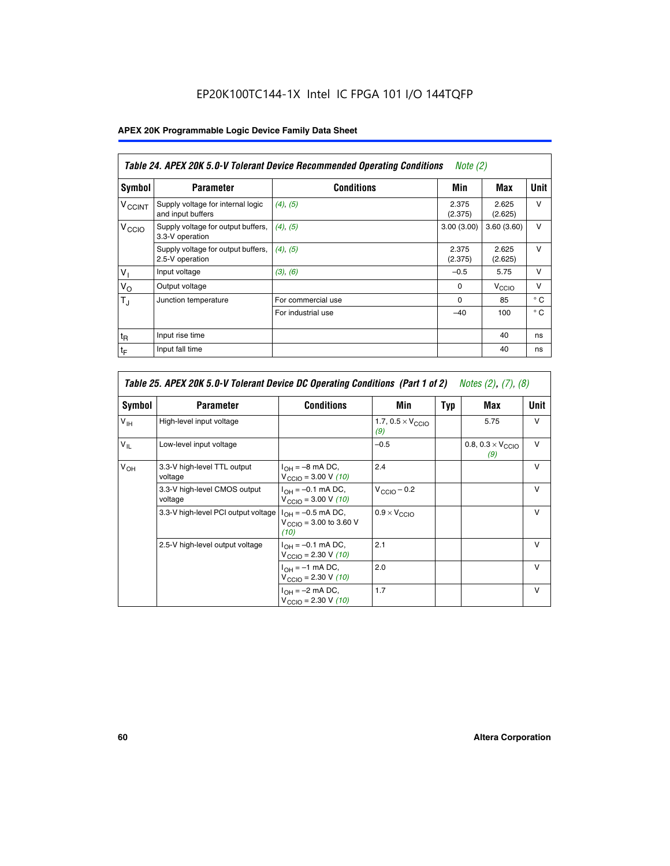# EP20K100TC144-1X Intel IC FPGA 101 I/O 144TQFP

# **APEX 20K Programmable Logic Device Family Data Sheet**

|                          | Table 24. APEX 20K 5.0-V Tolerant Device Recommended Operating Conditions<br>Note $(2)$ |                    |                  |                   |              |  |
|--------------------------|-----------------------------------------------------------------------------------------|--------------------|------------------|-------------------|--------------|--|
| Symbol                   | <b>Parameter</b>                                                                        | <b>Conditions</b>  | Min              | Max               | <b>Unit</b>  |  |
| <b>V<sub>CCINT</sub></b> | Supply voltage for internal logic<br>and input buffers                                  | $(4)$ , $(5)$      | 2.375<br>(2.375) | 2.625<br>(2.625)  | $\vee$       |  |
| V <sub>CCIO</sub>        | Supply voltage for output buffers,<br>3.3-V operation                                   | (4), (5)           | 3.00(3.00)       | 3.60(3.60)        | $\vee$       |  |
|                          | Supply voltage for output buffers,<br>2.5-V operation                                   | (4), (5)           | 2.375<br>(2.375) | 2.625<br>(2.625)  | $\vee$       |  |
| $V_1$                    | Input voltage                                                                           | (3), (6)           | $-0.5$           | 5.75              | $\vee$       |  |
| $V_{\rm O}$              | Output voltage                                                                          |                    | $\Omega$         | V <sub>CCIO</sub> | $\vee$       |  |
| $T_{\rm J}$              | Junction temperature                                                                    | For commercial use | $\Omega$         | 85                | $^{\circ}$ C |  |
|                          |                                                                                         | For industrial use | $-40$            | 100               | $^{\circ}$ C |  |
| $t_{R}$                  | Input rise time                                                                         |                    |                  | 40                | ns           |  |
| $t_{\mathsf{F}}$         | Input fall time                                                                         |                    |                  | 40                | ns           |  |

| Table 25. APEX 20K 5.0-V Tolerant Device DC Operating Conditions (Part 1 of 2) Notes (2), (7), (8) |                                         |                                                                                       |                                          |     |                                          |              |  |
|----------------------------------------------------------------------------------------------------|-----------------------------------------|---------------------------------------------------------------------------------------|------------------------------------------|-----|------------------------------------------|--------------|--|
| Symbol                                                                                             | <b>Parameter</b>                        | <b>Conditions</b>                                                                     | Min                                      | Typ | Max                                      | Unit         |  |
| $V_{\text{IH}}$                                                                                    | High-level input voltage                |                                                                                       | 1.7, $0.5 \times V_{\text{CCIO}}$<br>(9) |     | 5.75                                     | v            |  |
| $V_{IL}$                                                                                           | Low-level input voltage                 |                                                                                       | $-0.5$                                   |     | 0.8, $0.3 \times V_{\text{CCIO}}$<br>(9) | $\vee$       |  |
| $V_{OH}$                                                                                           | 3.3-V high-level TTL output<br>voltage  | $I_{OH} = -8$ mA DC,<br>$V_{\text{CCIO}} = 3.00 \text{ V} (10)$                       | 2.4                                      |     |                                          | $\vee$       |  |
|                                                                                                    | 3.3-V high-level CMOS output<br>voltage | $I_{\text{OH}} = -0.1 \text{ mA DC},$<br>$V_{\text{CCIO}} = 3.00 \text{ V} (10)$      | $V_{CClO}$ – 0.2                         |     |                                          | $\vee$       |  |
|                                                                                                    | 3.3-V high-level PCI output voltage     | $I_{OH} = -0.5$ mA DC,<br>$V_{\text{CCIO}} = 3.00 \text{ to } 3.60 \text{ V}$<br>(10) | $0.9 \times V_{\text{CCIO}}$             |     |                                          | $\mathsf{V}$ |  |
|                                                                                                    | 2.5-V high-level output voltage         | $I_{OH} = -0.1$ mA DC,<br>$V_{\text{CCIO}} = 2.30 \text{ V} (10)$                     | 2.1                                      |     |                                          | $\mathsf{V}$ |  |
|                                                                                                    |                                         | $I_{\text{OH}} = -1 \text{ mA DC},$<br>$V_{\text{CCIO}} = 2.30 V (10)$                | 2.0                                      |     |                                          | $\vee$       |  |
|                                                                                                    |                                         | $I_{OH} = -2$ mA DC,<br>$V_{\text{CCIO}} = 2.30 V (10)$                               | 1.7                                      |     |                                          | v            |  |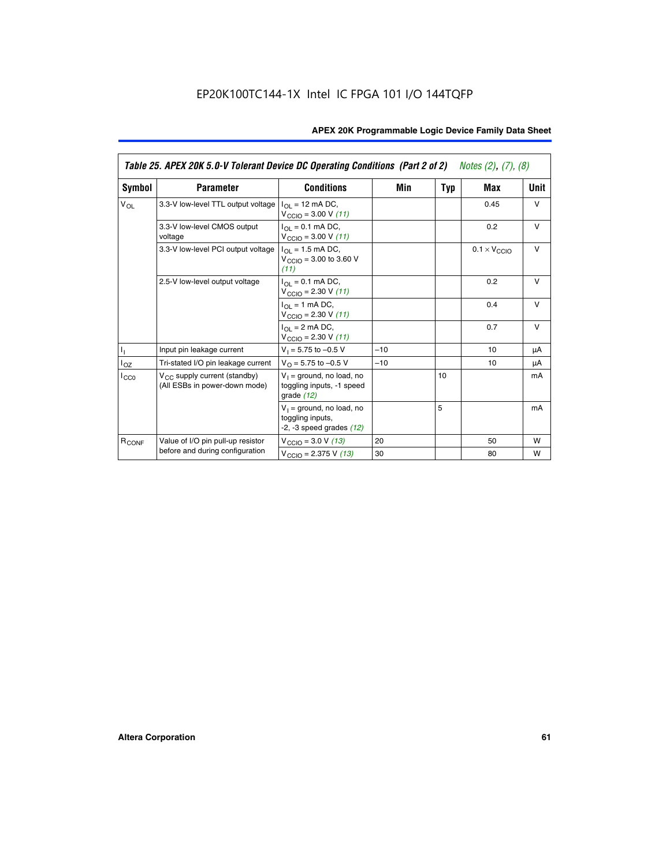|                   | Table 25. APEX 20K 5.0-V Tolerant Device DC Operating Conditions (Part 2 of 2) Notes (2), (7), (8) |                                                                                    |       |     |                              |        |  |
|-------------------|----------------------------------------------------------------------------------------------------|------------------------------------------------------------------------------------|-------|-----|------------------------------|--------|--|
| Symbol            | <b>Parameter</b>                                                                                   | <b>Conditions</b>                                                                  | Min   | Typ | Max                          | Unit   |  |
| $V_{OL}$          | 3.3-V low-level TTL output voltage                                                                 | $I_{\Omega}$ = 12 mA DC,<br>$V_{\text{CCIO}} = 3.00 V (11)$                        |       |     | 0.45                         | $\vee$ |  |
|                   | 3.3-V low-level CMOS output<br>voltage                                                             | $I_{\Omega I} = 0.1$ mA DC,<br>$V_{\text{CCIO}} = 3.00 V (11)$                     |       |     | 0.2                          | $\vee$ |  |
|                   | 3.3-V low-level PCI output voltage                                                                 | $I_{\Omega}$ = 1.5 mA DC,<br>$V_{CClO}$ = 3.00 to 3.60 V<br>(11)                   |       |     | $0.1 \times V_{\text{CCLO}}$ | $\vee$ |  |
|                   | 2.5-V low-level output voltage                                                                     | $I_{\Omega I} = 0.1$ mA DC,<br>$V_{\text{CCIO}} = 2.30 V (11)$                     |       |     | 0.2                          | $\vee$ |  |
|                   |                                                                                                    | $I_{\Omega}$ = 1 mA DC,<br>$V_{\text{CCIO}} = 2.30 V (11)$                         |       |     | 0.4                          | $\vee$ |  |
|                   |                                                                                                    | $I_{\Omega}$ = 2 mA DC,<br>$V_{\text{CCIO}} = 2.30 V (11)$                         |       |     | 0.7                          | $\vee$ |  |
| Τ,                | Input pin leakage current                                                                          | $V_1 = 5.75$ to $-0.5$ V                                                           | $-10$ |     | 10                           | μA     |  |
| $I_{OZ}$          | Tri-stated I/O pin leakage current                                                                 | $V_{\Omega}$ = 5.75 to -0.5 V                                                      | $-10$ |     | 10                           | μA     |  |
| $I_{CC0}$         | $V_{CC}$ supply current (standby)<br>(All ESBs in power-down mode)                                 | $V_1$ = ground, no load, no<br>toggling inputs, -1 speed<br>grade $(12)$           |       | 10  |                              | mA     |  |
|                   |                                                                                                    | $V_1$ = ground, no load, no<br>toggling inputs,<br>$-2$ , $-3$ speed grades $(12)$ |       | 5   |                              | mA     |  |
| R <sub>CONF</sub> | Value of I/O pin pull-up resistor                                                                  | $V_{\text{CCIO}} = 3.0 V (13)$                                                     | 20    |     | 50                           | W      |  |
|                   | before and during configuration                                                                    | $V_{\text{CCIO}} = 2.375 \text{ V} (13)$                                           | 30    |     | 80                           | W      |  |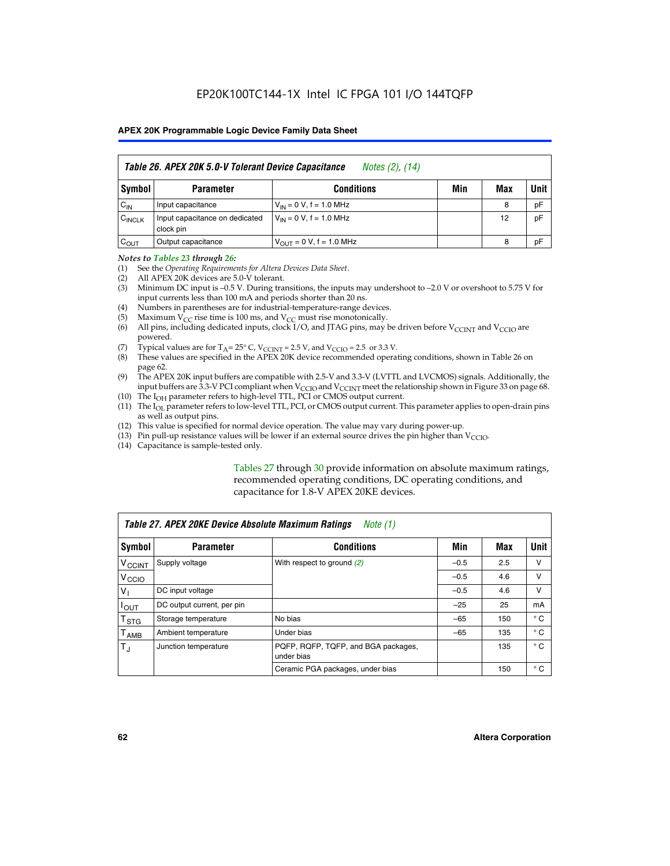|                    | Table 26. APEX 20K 5.0-V Tolerant Device Capacitance<br>Notes (2), (14) |                                      |     |     |      |  |
|--------------------|-------------------------------------------------------------------------|--------------------------------------|-----|-----|------|--|
| Symbol             | <b>Parameter</b>                                                        | <b>Conditions</b>                    | Min | Max | Unit |  |
| $C_{IN}$           | Input capacitance                                                       | $V_{IN} = 0 V$ , f = 1.0 MHz         |     | 8   | pF   |  |
| $C_{\text{INCLK}}$ | Input capacitance on dedicated<br>clock pin                             | $V_{IN} = 0 V$ , f = 1.0 MHz         |     | 12  | pF   |  |
| $C_{OUT}$          | Output capacitance                                                      | $V_{\text{OUT}} = 0 V$ , f = 1.0 MHz |     | 8   | рF   |  |

#### *Notes to Tables 23 through 26:*

- (1) See the *Operating Requirements for Altera Devices Data Sheet*.
- (2) All APEX 20K devices are 5.0-V tolerant.
- (3) Minimum DC input is –0.5 V. During transitions, the inputs may undershoot to –2.0 V or overshoot to 5.75 V for input currents less than 100 mA and periods shorter than 20 ns.
- (4) Numbers in parentheses are for industrial-temperature-range devices.
- (5) Maximum  $V_{CC}$  rise time is 100 ms, and  $V_{CC}$  must rise monotonically.<br>(6) All pins, including dedicated inputs, clock I/O, and JTAG pins, may b
- All pins, including dedicated inputs, clock I/O, and JTAG pins, may be driven before  $V_{\text{CCINT}}$  and  $V_{\text{CCIO}}$  are powered.
- (7) Typical values are for  $T_A = 25^\circ$  C, V<sub>CCINT</sub> = 2.5 V, and V<sub>CCIO</sub> = 2.5 or 3.3 V.<br>(8) These values are specified in the APEX 20K device recommended operat
- These values are specified in the APEX 20K device recommended operating conditions, shown in Table 26 on page 62.
- (9) The APEX 20K input buffers are compatible with 2.5-V and 3.3-V (LVTTL and LVCMOS) signals. Additionally, the input buffers are 3.3-V PCI compliant when  $V_{\text{CCIO}}$  and  $V_{\text{CCINI}}$  meet the relationship shown in Figure 33 on page 68.
- (10) The  $I<sub>OH</sub>$  parameter refers to high-level TTL, PCI or CMOS output current.
- (11) The I<sub>OL</sub> parameter refers to low-level TTL, PCI, or CMOS output current. This parameter applies to open-drain pins as well as output pins.
- (12) This value is specified for normal device operation. The value may vary during power-up.
- (13) Pin pull-up resistance values will be lower if an external source drives the pin higher than  $V_{\text{CCIO}}$ .
- (14) Capacitance is sample-tested only.

Tables 27 through 30 provide information on absolute maximum ratings, recommended operating conditions, DC operating conditions, and capacitance for 1.8-V APEX 20KE devices.

|                           | Table 27. APEX 20KE Device Absolute Maximum Ratings<br>Note (1) |                                                   |        |     |              |  |  |
|---------------------------|-----------------------------------------------------------------|---------------------------------------------------|--------|-----|--------------|--|--|
| Symbol                    | <b>Parameter</b>                                                | <b>Conditions</b>                                 | Min    | Max | Unit I       |  |  |
| $V_{\text{CCINT}}$        | Supply voltage                                                  | With respect to ground $(2)$                      | $-0.5$ | 2.5 | v            |  |  |
| V <sub>CCIO</sub>         |                                                                 |                                                   | $-0.5$ | 4.6 | v            |  |  |
| $V_{1}$                   | DC input voltage                                                |                                                   | $-0.5$ | 4.6 | v            |  |  |
| $I_{\text{OUT}}$          | DC output current, per pin                                      |                                                   | $-25$  | 25  | mA           |  |  |
| $\mathsf{T}_{\text{STG}}$ | Storage temperature                                             | No bias                                           | $-65$  | 150 | $^{\circ}$ C |  |  |
| Т <sub>АМВ</sub>          | Ambient temperature                                             | Under bias                                        | $-65$  | 135 | $^{\circ}$ C |  |  |
| $\mathsf{T}_{\text{d}}$   | Junction temperature                                            | PQFP, RQFP, TQFP, and BGA packages,<br>under bias |        | 135 | $^{\circ}$ C |  |  |
|                           |                                                                 | Ceramic PGA packages, under bias                  |        | 150 | $^{\circ}$ C |  |  |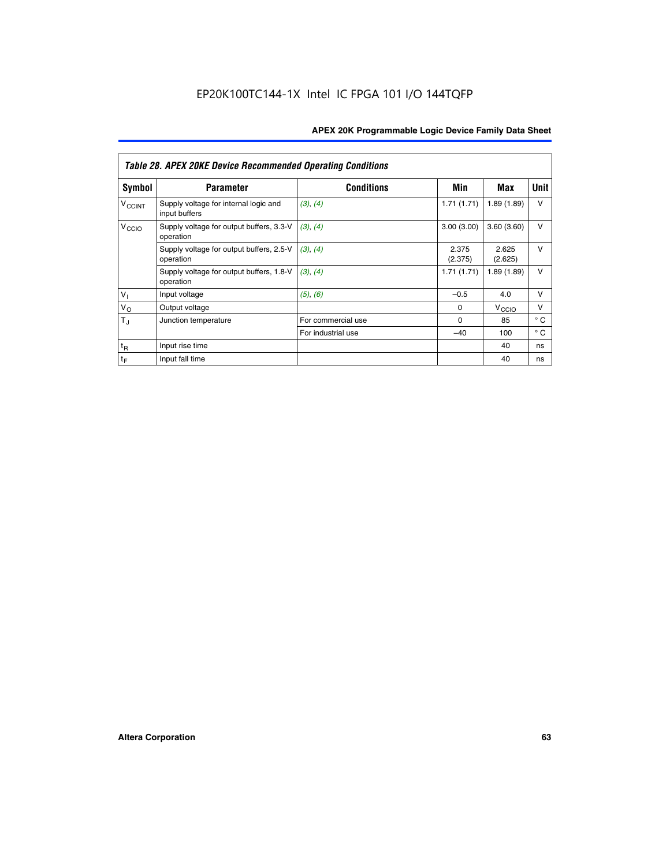|                             | <b>Table 28. APEX 20KE Device Recommended Operating Conditions</b> |                    |                  |                   |              |  |  |  |
|-----------------------------|--------------------------------------------------------------------|--------------------|------------------|-------------------|--------------|--|--|--|
| <b>Symbol</b>               | <b>Parameter</b>                                                   | <b>Conditions</b>  | Min              | Max               | <b>Unit</b>  |  |  |  |
| <b>V<sub>CCINT</sub></b>    | Supply voltage for internal logic and<br>input buffers             | (3), (4)           | 1.71(1.71)       | 1.89(1.89)        | $\vee$       |  |  |  |
| V <sub>CCIO</sub>           | Supply voltage for output buffers, 3.3-V<br>operation              | (3), (4)           | 3.00(3.00)       | 3.60(3.60)        | $\vee$       |  |  |  |
|                             | Supply voltage for output buffers, 2.5-V<br>operation              | (3), (4)           | 2.375<br>(2.375) | 2.625<br>(2.625)  | $\vee$       |  |  |  |
|                             | Supply voltage for output buffers, 1.8-V<br>operation              | (3), (4)           | 1.71(1.71)       | 1.89(1.89)        | $\vee$       |  |  |  |
| $V_1$                       | Input voltage                                                      | (5), (6)           | $-0.5$           | 4.0               | $\vee$       |  |  |  |
| $V_{\rm O}$                 | Output voltage                                                     |                    | $\Omega$         | V <sub>CCIO</sub> | v            |  |  |  |
| $T_{\rm J}$                 | Junction temperature                                               | For commercial use | $\Omega$         | 85                | $^{\circ}$ C |  |  |  |
|                             |                                                                    | For industrial use | $-40$            | 100               | $^{\circ}$ C |  |  |  |
| $t_{R}$                     | Input rise time                                                    |                    |                  | 40                | ns           |  |  |  |
| $\mathfrak{t}_{\mathsf{F}}$ | Input fall time                                                    |                    |                  | 40                | ns           |  |  |  |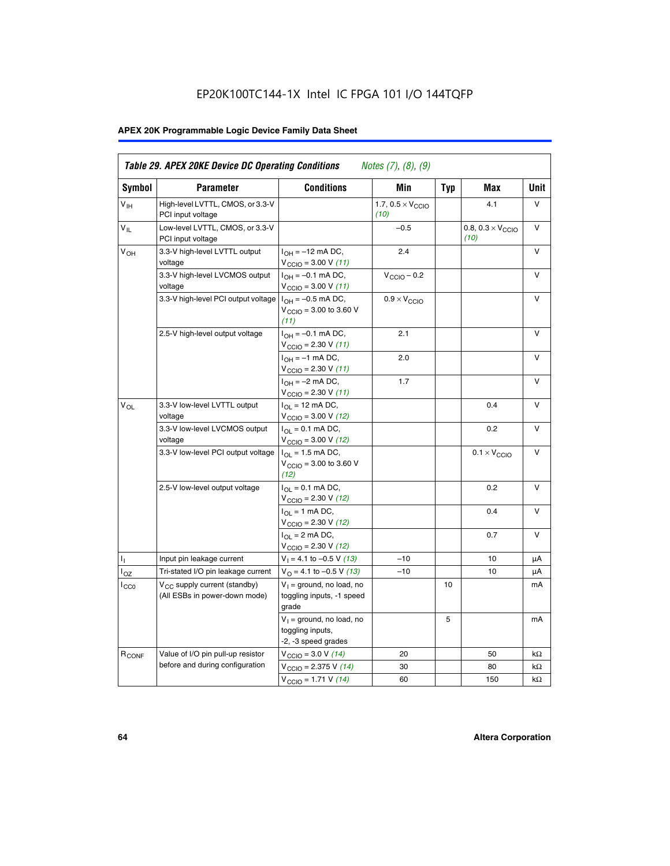# EP20K100TC144-1X Intel IC FPGA 101 I/O 144TQFP

# **APEX 20K Programmable Logic Device Family Data Sheet**

| <b>Symbol</b>              | <b>Parameter</b>                                                   | <b>Conditions</b>                                                                        | Min                                       | <b>Typ</b> | Max                                       | Unit      |
|----------------------------|--------------------------------------------------------------------|------------------------------------------------------------------------------------------|-------------------------------------------|------------|-------------------------------------------|-----------|
| $V_{\text{IH}}$            | High-level LVTTL, CMOS, or 3.3-V<br>PCI input voltage              |                                                                                          | 1.7, $0.5 \times V_{\text{CCIO}}$<br>(10) |            | 4.1                                       | V         |
| $\mathsf{V}_{\mathsf{IL}}$ | Low-level LVTTL, CMOS, or 3.3-V<br>PCI input voltage               |                                                                                          | $-0.5$                                    |            | 0.8, $0.3 \times V_{\text{CCIO}}$<br>(10) | $\vee$    |
| $V_{OH}$                   | 3.3-V high-level LVTTL output<br>voltage                           | $I_{OH} = -12$ mA DC,<br>$V_{\text{CCIO}} = 3.00 V (11)$                                 | 2.4                                       |            |                                           | v         |
|                            | 3.3-V high-level LVCMOS output<br>voltage                          | $I_{OH} = -0.1$ mA DC,<br>$V_{\text{CCIO}} = 3.00 V (11)$                                | $V_{\text{CGIO}} - 0.2$                   |            |                                           | v         |
|                            | 3.3-V high-level PCI output voltage $ I_{OH} = -0.5$ mA DC,        | $V_{\text{CGIO}} = 3.00$ to 3.60 V<br>(11)                                               | $0.9 \times V_{\text{CCIO}}$              |            |                                           | V         |
|                            | 2.5-V high-level output voltage                                    | $I_{OH} = -0.1$ mA DC,<br>$V_{\text{CCIO}} = 2.30 V (11)$                                | 2.1                                       |            |                                           | v         |
|                            |                                                                    | $I_{OH} = -1$ mA DC,<br>$V_{\text{CCIO}} = 2.30 V (11)$                                  | 2.0                                       |            |                                           | v         |
|                            |                                                                    | $I_{OH} = -2$ mA DC,<br>$V_{\text{CCIO}}$ = 2.30 V (11)                                  | 1.7                                       |            |                                           | V         |
| $V_{OL}$                   | 3.3-V low-level LVTTL output<br>voltage                            | $I_{\Omega}$ = 12 mA DC,<br>$V_{\text{CCIO}} = 3.00 V (12)$                              |                                           |            | 0.4                                       | v         |
|                            | 3.3-V low-level LVCMOS output<br>voltage                           | $I_{\Omega} = 0.1$ mA DC,<br>$V_{\text{CCIO}} = 3.00 V (12)$                             |                                           |            | 0.2                                       | $\vee$    |
|                            | 3.3-V low-level PCI output voltage                                 | $I_{\Omega}$ = 1.5 mA DC,<br>$V_{\text{CCIO}} = 3.00 \text{ to } 3.60 \text{ V}$<br>(12) |                                           |            | $0.1 \times V_{\text{CCIO}}$              | v         |
|                            | 2.5-V low-level output voltage                                     | $I_{\Omega} = 0.1$ mA DC,<br>$V_{\text{CCIO}}$ = 2.30 V (12)                             |                                           |            | 0.2                                       | V         |
|                            |                                                                    | $I_{\Omega} = 1$ mA DC,<br>$V_{\text{CCIO}}$ = 2.30 V (12)                               |                                           |            | 0.4                                       | v         |
|                            |                                                                    | $I_{OL}$ = 2 mA DC,<br>$V_{\text{CCIO}} = 2.30 V (12)$                                   |                                           |            | 0.7                                       | v         |
| ъ,                         | Input pin leakage current                                          | $V_1 = 4.1$ to -0.5 V (13)                                                               | $-10$                                     |            | 10                                        | μA        |
| $I_{OZ}$                   | Tri-stated I/O pin leakage current                                 | $V_O$ = 4.1 to -0.5 V (13)                                                               | $-10$                                     |            | 10                                        | μA        |
| $I_{CC0}$                  | $V_{CC}$ supply current (standby)<br>(All ESBs in power-down mode) | $V_1$ = ground, no load, no<br>toggling inputs, -1 speed<br>grade                        |                                           | 10         |                                           | mA        |
|                            |                                                                    | $V_1$ = ground, no load, no<br>toggling inputs,<br>-2, -3 speed grades                   |                                           | 5          |                                           | mA        |
| R <sub>CONF</sub>          | Value of I/O pin pull-up resistor                                  | $V_{\text{CCIO}} = 3.0 V (14)$                                                           | 20                                        |            | 50                                        | $k\Omega$ |
|                            | before and during configuration                                    | $V_{\text{CGIO}} = 2.375 V (14)$                                                         | 30                                        |            | 80                                        | kΩ        |
|                            |                                                                    | $V_{\text{CCIO}} = 1.71 V (14)$                                                          | 60                                        |            | 150                                       | $k\Omega$ |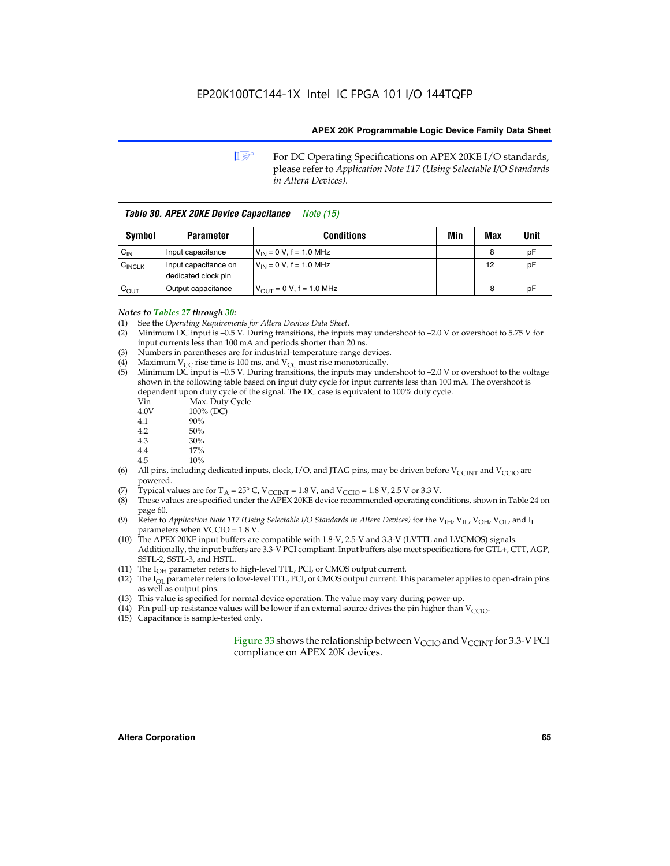**1 For DC Operating Specifications on APEX 20KE I/O standards,** please refer to *Application Note 117 (Using Selectable I/O Standards in Altera Devices).*

| Table 30. APEX 20KE Device Capacitance<br><i>Note</i> (15) |                                             |                                |     |     |      |
|------------------------------------------------------------|---------------------------------------------|--------------------------------|-----|-----|------|
| Symbol                                                     | <b>Parameter</b>                            | <b>Conditions</b>              | Min | Max | Unit |
| $C_{\text{IN}}$                                            | Input capacitance                           | $V_{IN} = 0 V$ , f = 1.0 MHz   |     | 8   | pF   |
| $C_{\text{INCLK}}$                                         | Input capacitance on<br>dedicated clock pin | $V_{IN} = 0 V$ , f = 1.0 MHz   |     | 12  | pF   |
| $C_{OUT}$                                                  | Output capacitance                          | $V_{OUIT} = 0 V$ , f = 1.0 MHz |     | 8   | рF   |

- *Notes to Tables 27 through 30:* (1) See the *Operating Requirements for Altera Devices Data Sheet*.
- (2) Minimum DC input is –0.5 V. During transitions, the inputs may undershoot to –2.0 V or overshoot to 5.75 V for input currents less than 100 mA and periods shorter than 20 ns.
- (3) Numbers in parentheses are for industrial-temperature-range devices.
- (4) Maximum  $V_{CC}$  rise time is 100 ms, and  $V_{CC}$  must rise monotonically.<br>(5) Minimum DC input is -0.5 V. During transitions, the inputs may und
- Minimum DC input is  $-0.5$  V. During transitions, the inputs may undershoot to  $-2.0$  V or overshoot to the voltage shown in the following table based on input duty cycle for input currents less than 100 mA. The overshoot is dependent upon duty cycle of the signal. The DC case is equivalent to 100% duty cycle.

| Vin  | Max. Duty Cycle |
|------|-----------------|
| 4.0V | 100% (DC)       |
| 4.1  | 90%             |
| 4.2  | 50%             |
| 4.3  | 30%             |
|      |                 |

- 4.4  $17\%$ <br>4.5  $10\%$
- 10%
- (6) All pins, including dedicated inputs, clock, I/O, and JTAG pins, may be driven before  $V_{\text{CCINT}}$  and  $V_{\text{CCIO}}$  are powered.
- (7) Typical values are for  $T_A = 25^\circ$  C, V<sub>CCINT</sub> = 1.8 V, and V<sub>CCIO</sub> = 1.8 V, 2.5 V or 3.3 V.
- (8) These values are specified under the APEX 20KE device recommended operating conditions, shown in Table 24 on page 60.
- (9) Refer to *Application Note 117 (Using Selectable I/O Standards in Altera Devices)* for the V<sub>IH</sub>, V<sub>IL</sub>, V<sub>OH</sub>, V<sub>OL</sub>, and I<sub>I</sub> parameters when VCCIO = 1.8 V.
- (10) The APEX 20KE input buffers are compatible with 1.8-V, 2.5-V and 3.3-V (LVTTL and LVCMOS) signals. Additionally, the input buffers are 3.3-V PCI compliant. Input buffers also meet specifications for GTL+, CTT, AGP, SSTL-2, SSTL-3, and HSTL.
- (11) The  $I_{OH}$  parameter refers to high-level TTL, PCI, or CMOS output current.
- (12) The I<sub>OL</sub> parameter refers to low-level TTL, PCI, or CMOS output current. This parameter applies to open-drain pins as well as output pins.
- (13) This value is specified for normal device operation. The value may vary during power-up.
- (14) Pin pull-up resistance values will be lower if an external source drives the pin higher than  $V_{CCIO}$ .
- (15) Capacitance is sample-tested only.

Figure 33 shows the relationship between  $V_{\text{CCIO}}$  and  $V_{\text{CCINT}}$  for 3.3-V PCI compliance on APEX 20K devices.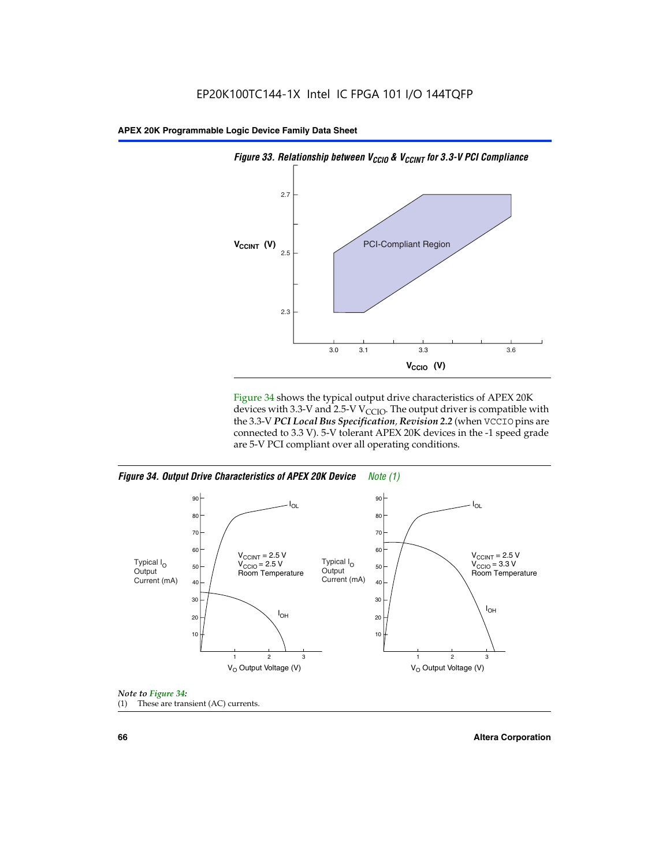

Figure 34 shows the typical output drive characteristics of APEX 20K devices with 3.3-V and 2.5-V V<sub>CCIO</sub>. The output driver is compatible with the 3.3-V *PCI Local Bus Specification, Revision 2.2* (when VCCIO pins are connected to 3.3 V). 5-V tolerant APEX 20K devices in the -1 speed grade are 5-V PCI compliant over all operating conditions.







**66 Altera Corporation**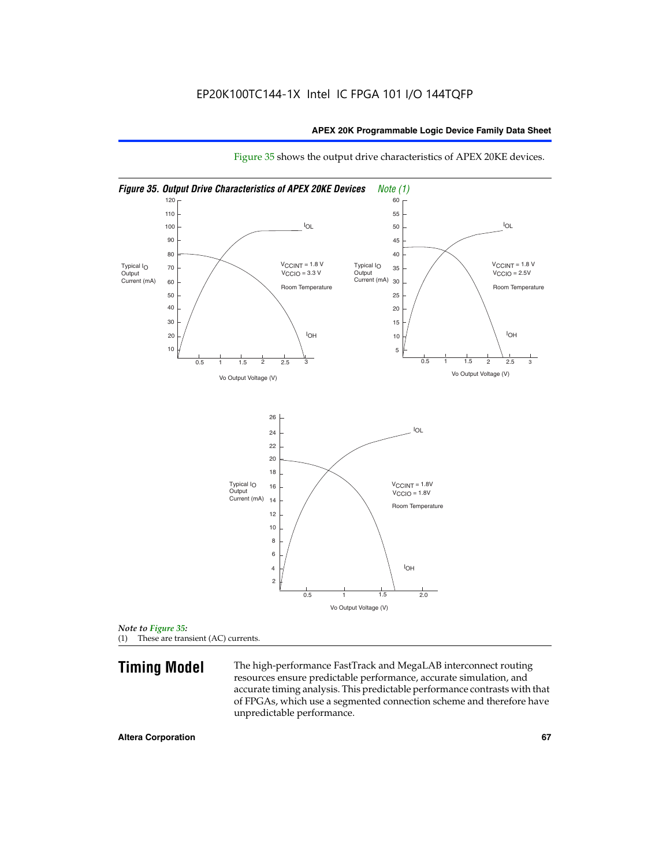

Figure 35 shows the output drive characteristics of APEX 20KE devices.

*Note to Figure 35:* (1) These are transient (AC) currents.

**Timing Model** The high-performance FastTrack and MegaLAB interconnect routing resources ensure predictable performance, accurate simulation, and accurate timing analysis. This predictable performance contrasts with that of FPGAs, which use a segmented connection scheme and therefore have unpredictable performance.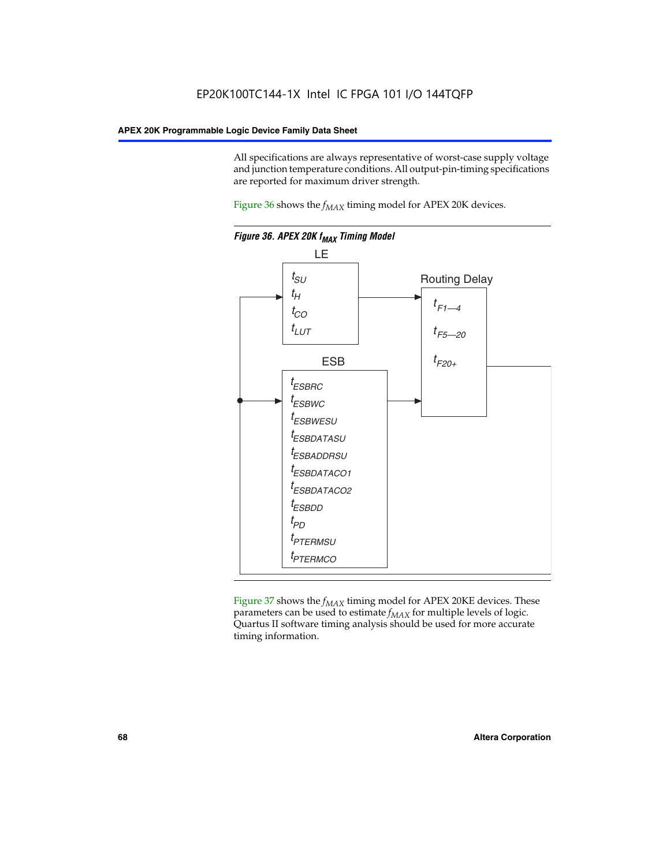All specifications are always representative of worst-case supply voltage and junction temperature conditions. All output-pin-timing specifications are reported for maximum driver strength.

Figure  $36$  shows the  $f_{MAX}$  timing model for APEX 20K devices.



Figure 37 shows the  $f_{MAX}$  timing model for APEX 20KE devices. These parameters can be used to estimate  $f_{MAX}$  for multiple levels of logic. Quartus II software timing analysis should be used for more accurate timing information.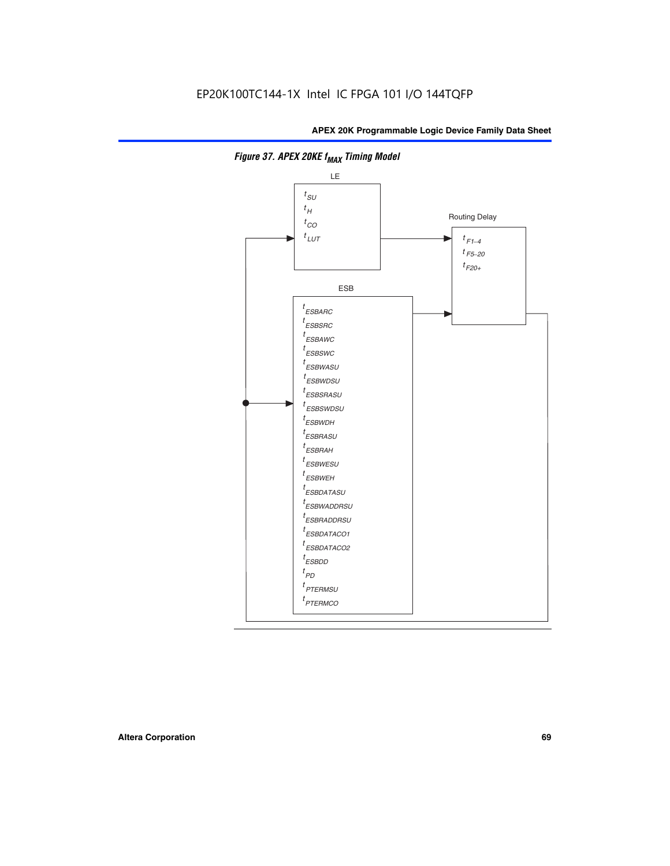

**Figure 37. APEX 20KE f<sub>MAX</sub> Timing Model**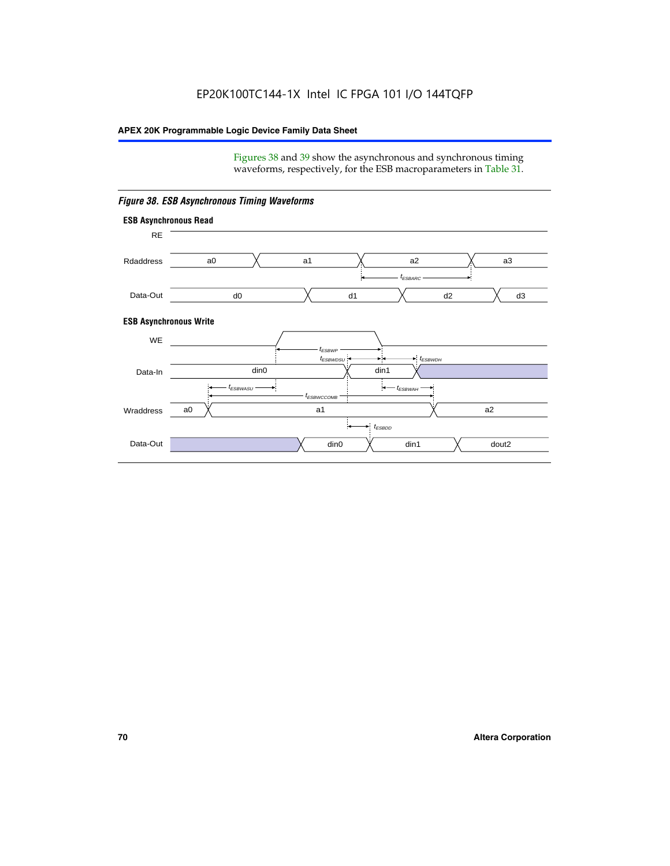Figures 38 and 39 show the asynchronous and synchronous timing waveforms, respectively, for the ESB macroparameters in Table 31.



*Figure 38. ESB Asynchronous Timing Waveforms*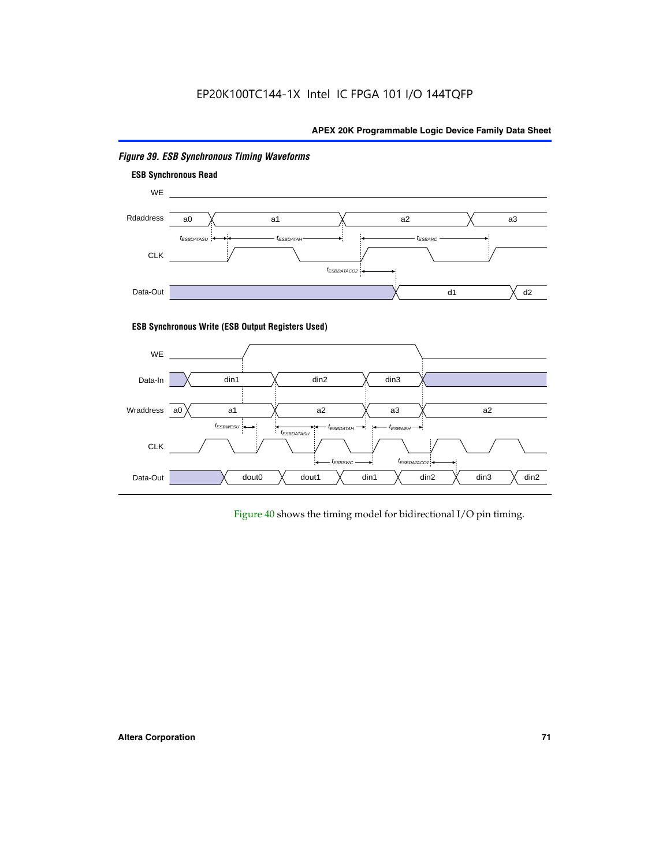

# *Figure 39. ESB Synchronous Timing Waveforms*

# **ESB Synchronous Write (ESB Output Registers Used)**



Figure 40 shows the timing model for bidirectional I/O pin timing.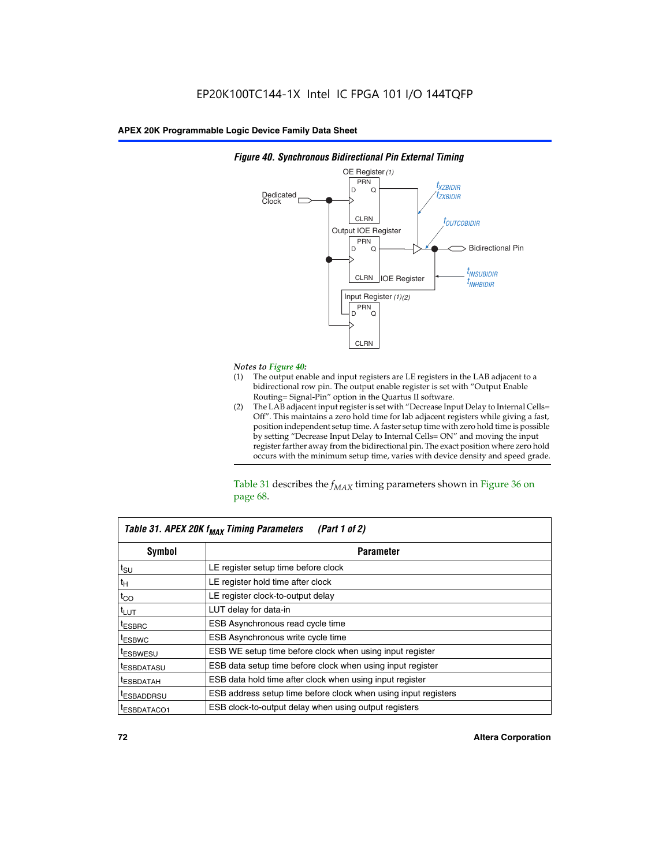

### *Figure 40. Synchronous Bidirectional Pin External Timing*

# *Notes to Figure 40:*

- The output enable and input registers are LE registers in the LAB adjacent to a bidirectional row pin. The output enable register is set with "Output Enable Routing= Signal-Pin" option in the Quartus II software.
- (2) The LAB adjacent input register is set with "Decrease Input Delay to Internal Cells= Off". This maintains a zero hold time for lab adjacent registers while giving a fast, position independent setup time. A faster setup time with zero hold time is possible by setting "Decrease Input Delay to Internal Cells= ON" and moving the input register farther away from the bidirectional pin. The exact position where zero hold occurs with the minimum setup time, varies with device density and speed grade.

Table 31 describes the  $f_{MAX}$  timing parameters shown in Figure 36 on page 68.

| Table 31. APEX 20K f <sub>MAX</sub> Timing Parameters<br>(Part 1 of 2) |                                                                |  |  |  |  |
|------------------------------------------------------------------------|----------------------------------------------------------------|--|--|--|--|
| Symbol                                                                 | <b>Parameter</b>                                               |  |  |  |  |
| $t_{\text{SU}}$                                                        | LE register setup time before clock                            |  |  |  |  |
| $t_H$                                                                  | LE register hold time after clock                              |  |  |  |  |
| $t_{CO}$                                                               | LE register clock-to-output delay                              |  |  |  |  |
| t <sub>LUT</sub>                                                       | LUT delay for data-in                                          |  |  |  |  |
| <sup>t</sup> ESBRC                                                     | ESB Asynchronous read cycle time                               |  |  |  |  |
| <sup>t</sup> ESBWC                                                     | ESB Asynchronous write cycle time                              |  |  |  |  |
| <sup>t</sup> ESBWESU                                                   | ESB WE setup time before clock when using input register       |  |  |  |  |
| <sup>t</sup> ESBDATASU                                                 | ESB data setup time before clock when using input register     |  |  |  |  |
| <sup>t</sup> ESBDATAH                                                  | ESB data hold time after clock when using input register       |  |  |  |  |
| <sup>t</sup> ESBADDRSU                                                 | ESB address setup time before clock when using input registers |  |  |  |  |
| ESBDATACO1                                                             | ESB clock-to-output delay when using output registers          |  |  |  |  |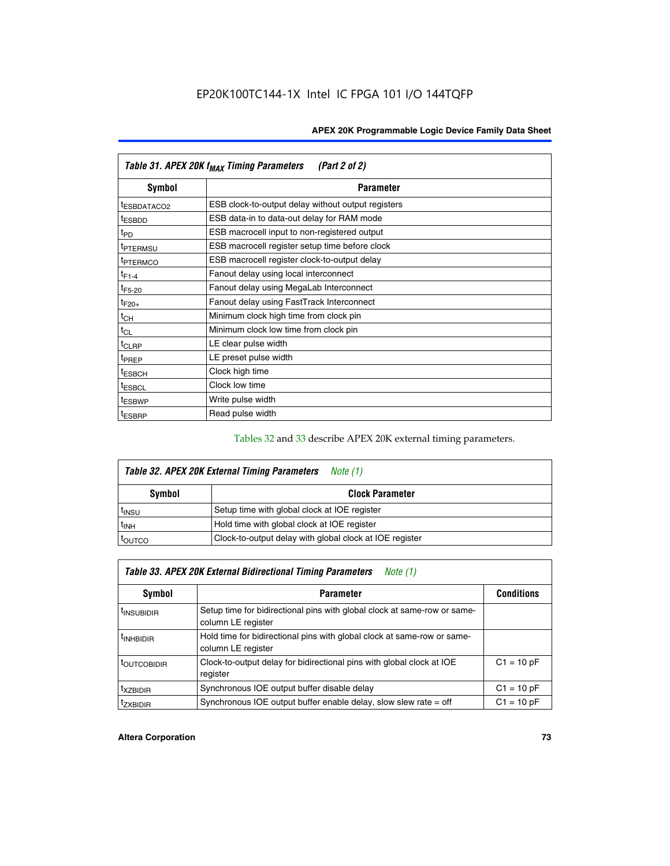| Table 31. APEX 20K f <sub>MAX</sub> Timing Parameters<br>(Part 2 of 2) |                                                    |  |  |  |  |
|------------------------------------------------------------------------|----------------------------------------------------|--|--|--|--|
| Symbol                                                                 | <b>Parameter</b>                                   |  |  |  |  |
| t <sub>ESBDATACO2</sub>                                                | ESB clock-to-output delay without output registers |  |  |  |  |
| <sup>t</sup> ESBDD                                                     | ESB data-in to data-out delay for RAM mode         |  |  |  |  |
| t <sub>PD</sub>                                                        | ESB macrocell input to non-registered output       |  |  |  |  |
| <sup>t</sup> PTERMSU                                                   | ESB macrocell register setup time before clock     |  |  |  |  |
| <sup>t</sup> PTERMCO                                                   | ESB macrocell register clock-to-output delay       |  |  |  |  |
| $t_{F1-4}$                                                             | Fanout delay using local interconnect              |  |  |  |  |
| $t_{F5-20}$                                                            | Fanout delay using MegaLab Interconnect            |  |  |  |  |
| $t_{F20+}$                                                             | Fanout delay using FastTrack Interconnect          |  |  |  |  |
| $t_{CH}$                                                               | Minimum clock high time from clock pin             |  |  |  |  |
| $t_{CL}$                                                               | Minimum clock low time from clock pin              |  |  |  |  |
| t <sub>CLRP</sub>                                                      | LE clear pulse width                               |  |  |  |  |
| t <sub>PREP</sub>                                                      | LE preset pulse width                              |  |  |  |  |
| <sup>t</sup> ESBCH                                                     | Clock high time                                    |  |  |  |  |
| <sup>t</sup> ESBCL                                                     | Clock low time                                     |  |  |  |  |
| <sup>t</sup> ESBWP                                                     | Write pulse width                                  |  |  |  |  |
| <sup>t</sup> ESBRP                                                     | Read pulse width                                   |  |  |  |  |

## Tables 32 and 33 describe APEX 20K external timing parameters.

| Table 32. APEX 20K External Timing Parameters<br>Note (1) |                                                         |  |  |  |  |
|-----------------------------------------------------------|---------------------------------------------------------|--|--|--|--|
| Symbol                                                    | <b>Clock Parameter</b>                                  |  |  |  |  |
| <sup>t</sup> insu                                         | Setup time with global clock at IOE register            |  |  |  |  |
| $t_{\mathsf{INH}}$                                        | Hold time with global clock at IOE register             |  |  |  |  |
| toutco                                                    | Clock-to-output delay with global clock at IOE register |  |  |  |  |

| Table 33. APEX 20K External Bidirectional Timing Parameters<br>Note (1) |                                                                                                |              |  |  |  |  |
|-------------------------------------------------------------------------|------------------------------------------------------------------------------------------------|--------------|--|--|--|--|
| Symbol                                                                  | <b>Parameter</b>                                                                               |              |  |  |  |  |
| <sup>I</sup> INSUBIDIR                                                  | Setup time for bidirectional pins with global clock at same-row or same-<br>column LE register |              |  |  |  |  |
| <sup>t</sup> INHBIDIR                                                   | Hold time for bidirectional pins with global clock at same-row or same-<br>column LE register  |              |  |  |  |  |
| <sup>t</sup> OUTCOBIDIR                                                 | Clock-to-output delay for bidirectional pins with global clock at IOE<br>register              | $C1 = 10 pF$ |  |  |  |  |
| <sup>T</sup> XZBIDIR                                                    | Synchronous IOE output buffer disable delay                                                    | $C1 = 10 pF$ |  |  |  |  |
| <sup>I</sup> ZXBIDIR                                                    | Synchronous IOE output buffer enable delay, slow slew rate $=$ off                             | $C1 = 10 pF$ |  |  |  |  |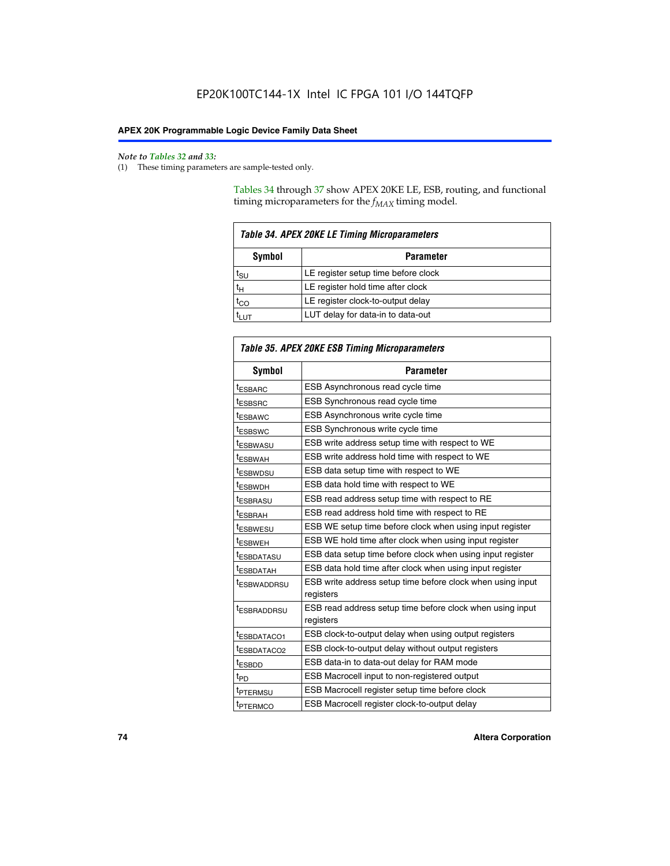$\mathbf{r}$ 

#### *Note to Tables 32 and 33:*

(1) These timing parameters are sample-tested only.

Tables 34 through 37 show APEX 20KE LE, ESB, routing, and functional timing microparameters for the  $f_{MAX}$  timing model.

| <b>Table 34. APEX 20KE LE Timing Microparameters</b> |                                     |  |  |  |  |
|------------------------------------------------------|-------------------------------------|--|--|--|--|
| Symbol<br><b>Parameter</b>                           |                                     |  |  |  |  |
| t <sub>SU</sub>                                      | LE register setup time before clock |  |  |  |  |
| $t_H$                                                | LE register hold time after clock   |  |  |  |  |
| $t_{CO}$                                             | LE register clock-to-output delay   |  |  |  |  |
| <b>LUT</b>                                           | LUT delay for data-in to data-out   |  |  |  |  |

| <b>Table 35. APEX 20KE ESB Timing Microparameters</b> |                                                            |  |  |  |
|-------------------------------------------------------|------------------------------------------------------------|--|--|--|
| Symbol                                                | <b>Parameter</b>                                           |  |  |  |
| <sup>t</sup> ESBARC                                   | ESB Asynchronous read cycle time                           |  |  |  |
| <sup>t</sup> ESBSRC                                   | ESB Synchronous read cycle time                            |  |  |  |
| <b><i>ESBAWC</i></b>                                  | ESB Asynchronous write cycle time                          |  |  |  |
| t <sub>ESBSWC</sub>                                   | ESB Synchronous write cycle time                           |  |  |  |
| t <sub>ESBWASU</sub>                                  | ESB write address setup time with respect to WE            |  |  |  |
| <sup>t</sup> ESBWAH                                   | ESB write address hold time with respect to WE             |  |  |  |
| t <sub>ESBWDSU</sub>                                  | ESB data setup time with respect to WE                     |  |  |  |
| <sup>t</sup> ESBWDH                                   | ESB data hold time with respect to WE                      |  |  |  |
| tESBRASU                                              | ESB read address setup time with respect to RE             |  |  |  |
| <sup>t</sup> ESBRAH                                   | ESB read address hold time with respect to RE              |  |  |  |
| <i><b>ESBWESU</b></i>                                 | ESB WE setup time before clock when using input register   |  |  |  |
| t <sub>ESBWEH</sub>                                   | ESB WE hold time after clock when using input register     |  |  |  |
| <b><i>t</i>ESBDATASU</b>                              | ESB data setup time before clock when using input register |  |  |  |
| t <sub>ESBDATAH</sub>                                 | ESB data hold time after clock when using input register   |  |  |  |
| t <sub>ESBWADDRSU</sub>                               | ESB write address setup time before clock when using input |  |  |  |
|                                                       | registers                                                  |  |  |  |
| <i><b>LESBRADDRSU</b></i>                             | ESB read address setup time before clock when using input  |  |  |  |
|                                                       | registers                                                  |  |  |  |
| t <sub>ESBDATACO1</sub>                               | ESB clock-to-output delay when using output registers      |  |  |  |
| t <sub>ESBDATACO2</sub>                               | ESB clock-to-output delay without output registers         |  |  |  |
| $t_{ESBDD}$                                           | ESB data-in to data-out delay for RAM mode                 |  |  |  |
| $t_{\mathsf{PD}}$                                     | ESB Macrocell input to non-registered output               |  |  |  |
| t <sub>PTERMSU</sub>                                  | ESB Macrocell register setup time before clock             |  |  |  |
| t <sub>PTERMCO</sub>                                  | ESB Macrocell register clock-to-output delay               |  |  |  |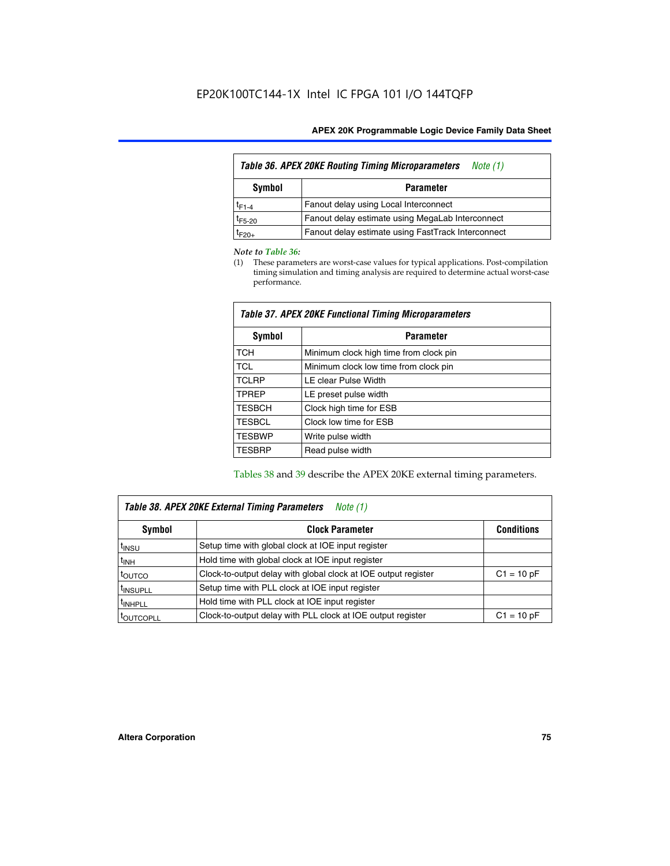| <b>Table 36. APEX 20KE Routing Timing Microparameters</b><br>Note (1) |                                                    |  |  |  |  |
|-----------------------------------------------------------------------|----------------------------------------------------|--|--|--|--|
| Symbol<br><b>Parameter</b>                                            |                                                    |  |  |  |  |
| $t_{F1-4}$                                                            | Fanout delay using Local Interconnect              |  |  |  |  |
| $t_{F5-20}$                                                           | Fanout delay estimate using MegaLab Interconnect   |  |  |  |  |
| $t_{F20+}$                                                            | Fanout delay estimate using FastTrack Interconnect |  |  |  |  |

#### *Note to Table 36:*

(1) These parameters are worst-case values for typical applications. Post-compilation timing simulation and timing analysis are required to determine actual worst-case performance.

| Symbol        | <b>Parameter</b>                       |  |  |  |  |  |
|---------------|----------------------------------------|--|--|--|--|--|
| <b>TCH</b>    | Minimum clock high time from clock pin |  |  |  |  |  |
| <b>TCL</b>    | Minimum clock low time from clock pin  |  |  |  |  |  |
| <b>TCLRP</b>  | LE clear Pulse Width                   |  |  |  |  |  |
| <b>TPREP</b>  | LE preset pulse width                  |  |  |  |  |  |
| <b>TESBCH</b> | Clock high time for ESB                |  |  |  |  |  |
| <b>TESBCL</b> | Clock low time for ESB                 |  |  |  |  |  |
| <b>TESBWP</b> | Write pulse width                      |  |  |  |  |  |
| <b>TESBRP</b> | Read pulse width                       |  |  |  |  |  |

### *Table 37. APEX 20KE Functional Timing Microparameters*

Tables 38 and 39 describe the APEX 20KE external timing parameters.

| Table 38. APEX 20KE External Timing Parameters<br>Note (1) |                                                                |              |  |  |  |  |
|------------------------------------------------------------|----------------------------------------------------------------|--------------|--|--|--|--|
| <b>Clock Parameter</b><br><b>Conditions</b><br>Symbol      |                                                                |              |  |  |  |  |
| <sup>t</sup> insu                                          | Setup time with global clock at IOE input register             |              |  |  |  |  |
| $t_{\text{INH}}$                                           | Hold time with global clock at IOE input register              |              |  |  |  |  |
| t <sub>outco</sub>                                         | Clock-to-output delay with global clock at IOE output register | $C1 = 10 pF$ |  |  |  |  |
| <sup>t</sup> INSUPLL                                       | Setup time with PLL clock at IOE input register                |              |  |  |  |  |
| <sup>t</sup> INHPLL                                        | Hold time with PLL clock at IOE input register                 |              |  |  |  |  |
| <b><i>LOUTCOPLL</i></b>                                    | Clock-to-output delay with PLL clock at IOE output register    | $C1 = 10 pF$ |  |  |  |  |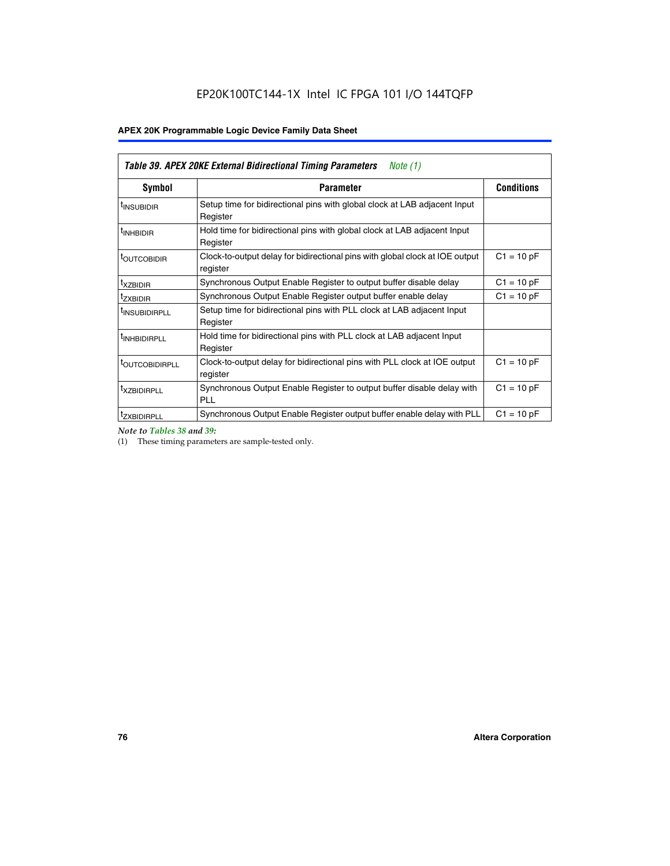| Table 39. APEX 20KE External Bidirectional Timing Parameters<br>Note $(1)$ |                                                                                                          |              |  |  |  |  |  |  |
|----------------------------------------------------------------------------|----------------------------------------------------------------------------------------------------------|--------------|--|--|--|--|--|--|
| <b>Symbol</b>                                                              | <b>Conditions</b><br><b>Parameter</b>                                                                    |              |  |  |  |  |  |  |
| <sup>t</sup> INSUBIDIR                                                     | Setup time for bidirectional pins with global clock at LAB adjacent Input<br>Register                    |              |  |  |  |  |  |  |
| <sup>t</sup> INHBIDIR                                                      | Hold time for bidirectional pins with global clock at LAB adjacent Input<br>Register                     |              |  |  |  |  |  |  |
| <b><i>LOUTCOBIDIR</i></b>                                                  | $C1 = 10 pF$<br>Clock-to-output delay for bidirectional pins with global clock at IOE output<br>register |              |  |  |  |  |  |  |
| t <sub>XZBIDIR</sub>                                                       | $C1 = 10 pF$<br>Synchronous Output Enable Register to output buffer disable delay                        |              |  |  |  |  |  |  |
| <sup>t</sup> zxbidir                                                       | Synchronous Output Enable Register output buffer enable delay                                            | $C1 = 10 pF$ |  |  |  |  |  |  |
| <sup>I</sup> INSUBIDIRPLL                                                  | Setup time for bidirectional pins with PLL clock at LAB adjacent Input<br>Register                       |              |  |  |  |  |  |  |
| <sup>t</sup> INHBIDIRPLL                                                   | Hold time for bidirectional pins with PLL clock at LAB adjacent Input<br>Register                        |              |  |  |  |  |  |  |
| <b><i>LOUTCOBIDIRPLL</i></b>                                               | Clock-to-output delay for bidirectional pins with PLL clock at IOE output<br>register                    | $C1 = 10 pF$ |  |  |  |  |  |  |
| <sup>t</sup> XZBIDIRPLL                                                    | Synchronous Output Enable Register to output buffer disable delay with<br><b>PLL</b>                     | $C1 = 10 pF$ |  |  |  |  |  |  |
| <sup>I</sup> ZXBIDIRPLL                                                    | Synchronous Output Enable Register output buffer enable delay with PLL                                   | $C1 = 10 pF$ |  |  |  |  |  |  |

*Note to Tables 38 and 39:*

(1) These timing parameters are sample-tested only.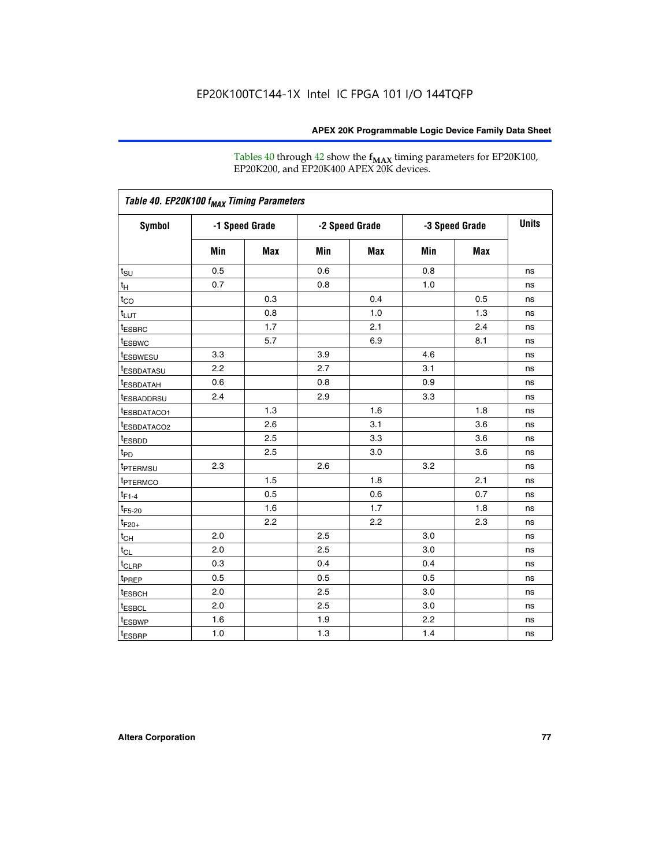Tables 40 through 42 show the **f<sub>MAX</sub>** timing parameters for EP20K100, EP20K200, and EP20K400 APEX 20K devices.

| Table 40. EP20K100 f <sub>MAX</sub> Timing Parameters |                |     |                |     |                |            |              |
|-------------------------------------------------------|----------------|-----|----------------|-----|----------------|------------|--------------|
| <b>Symbol</b>                                         | -1 Speed Grade |     | -2 Speed Grade |     | -3 Speed Grade |            | <b>Units</b> |
|                                                       | Min            | Max | Min            | Max | Min            | <b>Max</b> |              |
| t <sub>su</sub>                                       | 0.5            |     | 0.6            |     | 0.8            |            | ns           |
| $t_H$                                                 | 0.7            |     | 0.8            |     | 1.0            |            | ns           |
| $t_{CO}$                                              |                | 0.3 |                | 0.4 |                | 0.5        | ns           |
| $t_{LUT}$                                             |                | 0.8 |                | 1.0 |                | 1.3        | ns           |
| <sup>t</sup> ESBRC                                    |                | 1.7 |                | 2.1 |                | 2.4        | ns           |
| t <sub>ESBWC</sub>                                    |                | 5.7 |                | 6.9 |                | 8.1        | ns           |
| t <sub>ESBWESU</sub>                                  | 3.3            |     | 3.9            |     | 4.6            |            | ns           |
| <sup>t</sup> ESBDATASU                                | 2.2            |     | 2.7            |     | 3.1            |            | ns           |
| <sup>t</sup> ESBDATAH                                 | 0.6            |     | 0.8            |     | 0.9            |            | ns           |
| <sup>t</sup> ESBADDRSU                                | 2.4            |     | 2.9            |     | 3.3            |            | ns           |
| <sup>t</sup> ESBDATACO1                               |                | 1.3 |                | 1.6 |                | 1.8        | ns           |
| <sup>t</sup> ESBDATACO2                               |                | 2.6 |                | 3.1 |                | 3.6        | ns           |
| t <sub>ESBDD</sub>                                    |                | 2.5 |                | 3.3 |                | 3.6        | ns           |
| $t_{PD}$                                              |                | 2.5 |                | 3.0 |                | 3.6        | ns           |
| <b>TPTERMSU</b>                                       | 2.3            |     | 2.6            |     | 3.2            |            | ns           |
| t <sub>PTERMCO</sub>                                  |                | 1.5 |                | 1.8 |                | 2.1        | ns           |
| $t_{F1-4}$                                            |                | 0.5 |                | 0.6 |                | 0.7        | ns           |
| $t_{F5-20}$                                           |                | 1.6 |                | 1.7 |                | 1.8        | ns           |
| $t_{F20+}$                                            |                | 2.2 |                | 2.2 |                | 2.3        | ns           |
| $t_{\mathsf{CH}}$                                     | 2.0            |     | 2.5            |     | 3.0            |            | ns           |
| $t_{CL}$                                              | 2.0            |     | 2.5            |     | 3.0            |            | ns           |
| t <sub>CLRP</sub>                                     | 0.3            |     | 0.4            |     | 0.4            |            | ns           |
| t <sub>PREP</sub>                                     | 0.5            |     | 0.5            |     | 0.5            |            | ns           |
| <sup>t</sup> ESBCH                                    | 2.0            |     | 2.5            |     | 3.0            |            | ns           |
| <b><i>LESBCL</i></b>                                  | 2.0            |     | 2.5            |     | 3.0            |            | ns           |
| t <sub>ESBWP</sub>                                    | 1.6            |     | 1.9            |     | 2.2            |            | ns           |
| $t_{ESBRP}$                                           | 1.0            |     | 1.3            |     | 1.4            |            | ns           |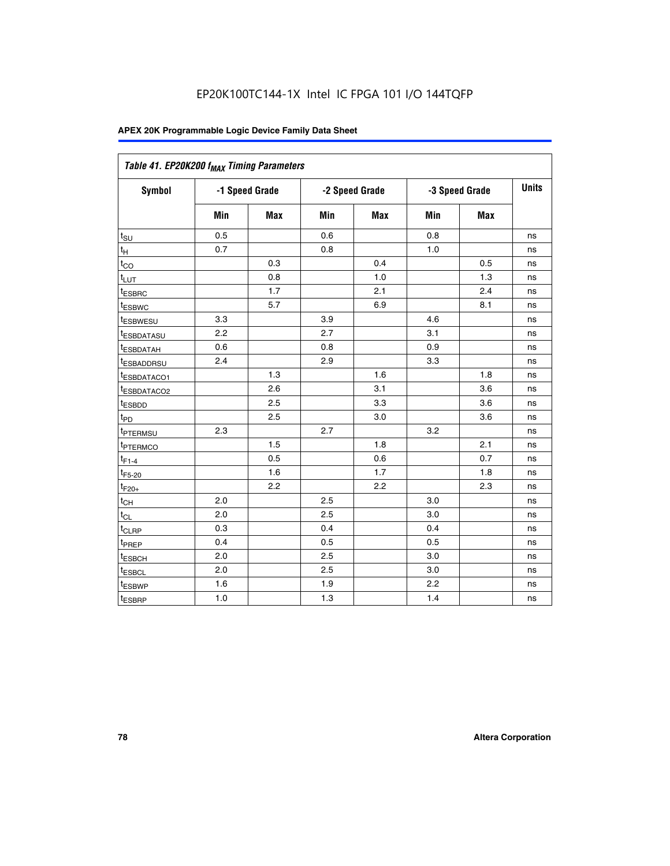| Table 41. EP20K200 f <sub>MAX</sub> Timing Parameters |                |     |     |                |     |                |    |
|-------------------------------------------------------|----------------|-----|-----|----------------|-----|----------------|----|
| Symbol                                                | -1 Speed Grade |     |     | -2 Speed Grade |     | -3 Speed Grade |    |
|                                                       | Min            | Max | Min | <b>Max</b>     | Min | Max            |    |
| $t_{\text{SU}}$                                       | 0.5            |     | 0.6 |                | 0.8 |                | ns |
| $t_H$                                                 | 0.7            |     | 0.8 |                | 1.0 |                | ns |
| $t_{CO}$                                              |                | 0.3 |     | 0.4            |     | 0.5            | ns |
| $t_{LUT}$                                             |                | 0.8 |     | 1.0            |     | 1.3            | ns |
| t <sub>ESBRC</sub>                                    |                | 1.7 |     | 2.1            |     | 2.4            | ns |
| t <sub>ESBWC</sub>                                    |                | 5.7 |     | 6.9            |     | 8.1            | ns |
| t <sub>ESBWESU</sub>                                  | 3.3            |     | 3.9 |                | 4.6 |                | ns |
| <sup>t</sup> ESBDATASU                                | 2.2            |     | 2.7 |                | 3.1 |                | ns |
| t <sub>ESBDATAH</sub>                                 | 0.6            |     | 0.8 |                | 0.9 |                | ns |
| t <sub>ESBADDRSU</sub>                                | 2.4            |     | 2.9 |                | 3.3 |                | ns |
| <u>t<sub>ESBDATACO1</sub></u>                         |                | 1.3 |     | 1.6            |     | 1.8            | ns |
| <sup>t</sup> ESBDATACO2                               |                | 2.6 |     | 3.1            |     | 3.6            | ns |
| t <sub>ESBDD</sub>                                    |                | 2.5 |     | 3.3            |     | 3.6            | ns |
| t <sub>PD</sub>                                       |                | 2.5 |     | 3.0            |     | 3.6            | ns |
| t <sub>PTERMSU</sub>                                  | 2.3            |     | 2.7 |                | 3.2 |                | ns |
| t <sub>PTERMCO</sub>                                  |                | 1.5 |     | 1.8            |     | 2.1            | ns |
| $t_{F1-4}$                                            |                | 0.5 |     | 0.6            |     | 0.7            | ns |
| $t_{F5-20}$                                           |                | 1.6 |     | 1.7            |     | 1.8            | ns |
| $t_{F20+}$                                            |                | 2.2 |     | 2.2            |     | 2.3            | ns |
| $\textnormal{t}_{\textnormal{CH}}$                    | 2.0            |     | 2.5 |                | 3.0 |                | ns |
| $t_{CL}$                                              | 2.0            |     | 2.5 |                | 3.0 |                | ns |
| t <sub>CLRP</sub>                                     | 0.3            |     | 0.4 |                | 0.4 |                | ns |
| t <sub>PREP</sub>                                     | 0.4            |     | 0.5 |                | 0.5 |                | ns |
| t <sub>ESBCH</sub>                                    | 2.0            |     | 2.5 |                | 3.0 |                | ns |
| t <sub>ESBCL</sub>                                    | 2.0            |     | 2.5 |                | 3.0 |                | ns |
| t <sub>ESBWP</sub>                                    | 1.6            |     | 1.9 |                | 2.2 |                | ns |
| t <sub>ESBRP</sub>                                    | 1.0            |     | 1.3 |                | 1.4 |                | ns |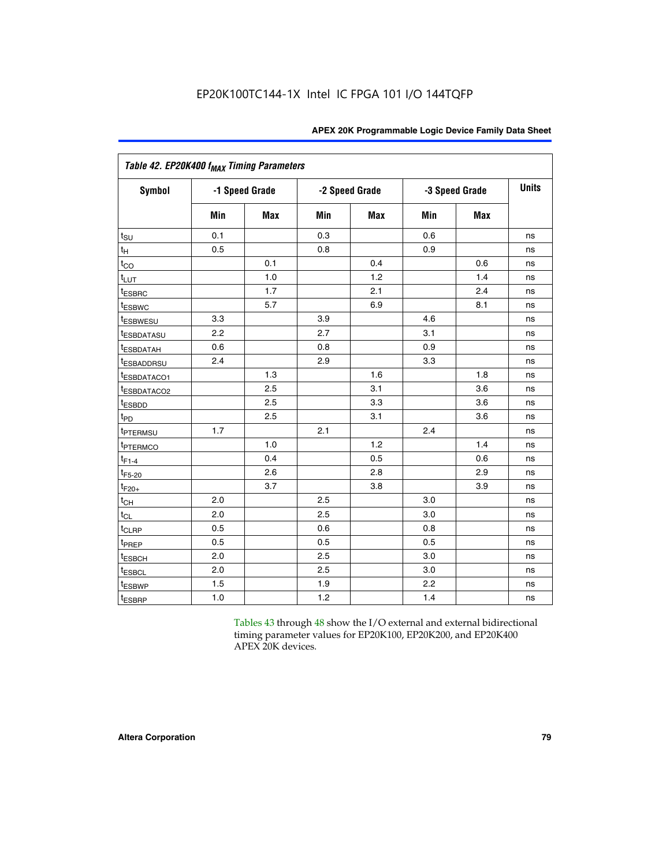| Table 42. EP20K400 f <sub>MAX</sub> Timing Parameters |     |                |     |                |     |                |              |  |  |  |
|-------------------------------------------------------|-----|----------------|-----|----------------|-----|----------------|--------------|--|--|--|
| <b>Symbol</b>                                         |     | -1 Speed Grade |     | -2 Speed Grade |     | -3 Speed Grade | <b>Units</b> |  |  |  |
|                                                       | Min | Max            | Min | <b>Max</b>     | Min | <b>Max</b>     |              |  |  |  |
| $t_{\text{SU}}$                                       | 0.1 |                | 0.3 |                | 0.6 |                | ns           |  |  |  |
| $t_{\mathsf{H}}$                                      | 0.5 |                | 0.8 |                | 0.9 |                | ns           |  |  |  |
| $t_{CO}$                                              |     | 0.1            |     | 0.4            |     | 0.6            | ns           |  |  |  |
| t <sub>LUT</sub>                                      |     | 1.0            |     | 1.2            |     | 1.4            | ns           |  |  |  |
| t <sub>ESBRC</sub>                                    |     | 1.7            |     | 2.1            |     | 2.4            | ns           |  |  |  |
| <sup>t</sup> ESBWC                                    |     | 5.7            |     | 6.9            |     | 8.1            | ns           |  |  |  |
| <i>t</i> ESBWESU                                      | 3.3 |                | 3.9 |                | 4.6 |                | ns           |  |  |  |
| <sup>t</sup> ESBDATASU                                | 2.2 |                | 2.7 |                | 3.1 |                | ns           |  |  |  |
| <sup>t</sup> ESBDATAH                                 | 0.6 |                | 0.8 |                | 0.9 |                | ns           |  |  |  |
| <sup>t</sup> ESBADDRSU                                | 2.4 |                | 2.9 |                | 3.3 |                | ns           |  |  |  |
| t <sub>ESBDATACO1</sub>                               |     | 1.3            |     | 1.6            |     | 1.8            | ns           |  |  |  |
| <sup>t</sup> ESBDATACO2                               |     | 2.5            |     | 3.1            |     | 3.6            | ns           |  |  |  |
| t <sub>ESBDD</sub>                                    |     | 2.5            |     | 3.3            |     | 3.6            | ns           |  |  |  |
| $t_{PD}$                                              |     | 2.5            |     | 3.1            |     | 3.6            | ns           |  |  |  |
| t <sub>PTERMSU</sub>                                  | 1.7 |                | 2.1 |                | 2.4 |                | ns           |  |  |  |
| t <sub>PTERMCO</sub>                                  |     | 1.0            |     | 1.2            |     | 1.4            | ns           |  |  |  |
| $t_{F1-4}$                                            |     | 0.4            |     | 0.5            |     | 0.6            | ns           |  |  |  |
| $t_{F5-20}$                                           |     | 2.6            |     | 2.8            |     | 2.9            | ns           |  |  |  |
| $t_{F20+}$                                            |     | 3.7            |     | 3.8            |     | 3.9            | ns           |  |  |  |
| $t_{CH}$                                              | 2.0 |                | 2.5 |                | 3.0 |                | ns           |  |  |  |
| $t_{CL}$                                              | 2.0 |                | 2.5 |                | 3.0 |                | ns           |  |  |  |
| t <sub>CLRP</sub>                                     | 0.5 |                | 0.6 |                | 0.8 |                | ns           |  |  |  |
| t <sub>PREP</sub>                                     | 0.5 |                | 0.5 |                | 0.5 |                | ns           |  |  |  |
| t <sub>ESBCH</sub>                                    | 2.0 |                | 2.5 |                | 3.0 |                | ns           |  |  |  |
| <b><i>LESBCL</i></b>                                  | 2.0 |                | 2.5 |                | 3.0 |                | ns           |  |  |  |
| t <sub>ESBWP</sub>                                    | 1.5 |                | 1.9 |                | 2.2 |                | ns           |  |  |  |
| t <sub>ESBRP</sub>                                    | 1.0 |                | 1.2 |                | 1.4 |                | ns           |  |  |  |

Tables 43 through 48 show the I/O external and external bidirectional timing parameter values for EP20K100, EP20K200, and EP20K400 APEX 20K devices.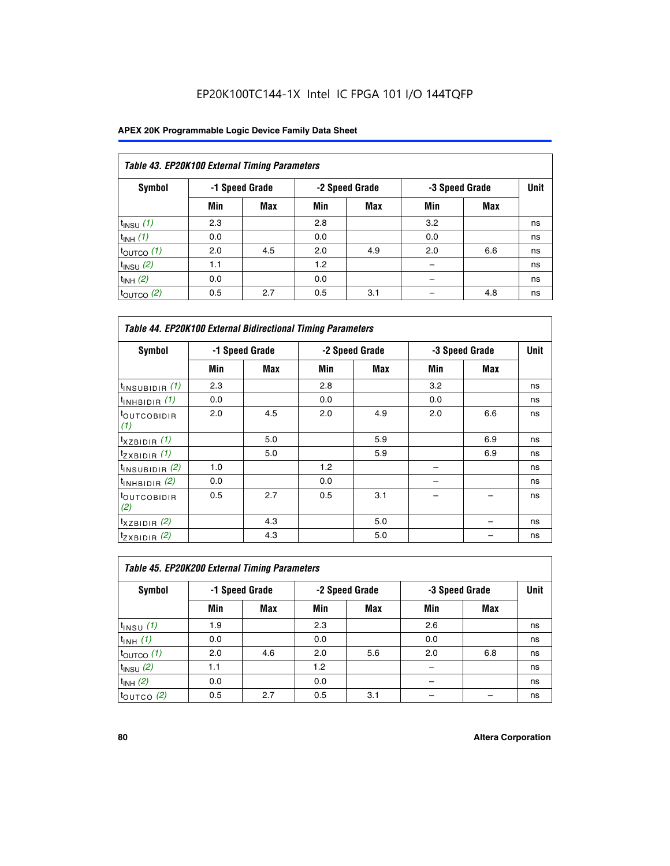| Table 43. EP20K100 External Timing Parameters |     |                |     |                |     |                |    |  |  |  |  |
|-----------------------------------------------|-----|----------------|-----|----------------|-----|----------------|----|--|--|--|--|
| Symbol                                        |     | -1 Speed Grade |     | -2 Speed Grade |     | -3 Speed Grade |    |  |  |  |  |
|                                               | Min | <b>Max</b>     | Min | <b>Max</b>     | Min | <b>Max</b>     |    |  |  |  |  |
| $t_{INSU}$ (1)                                | 2.3 |                | 2.8 |                | 3.2 |                | ns |  |  |  |  |
| $t_{INH}$ (1)                                 | 0.0 |                | 0.0 |                | 0.0 |                | ns |  |  |  |  |
| $t_{\text{OUTCO}}(1)$                         | 2.0 | 4.5            | 2.0 | 4.9            | 2.0 | 6.6            | ns |  |  |  |  |
| $t_{INSU}$ (2)                                | 1.1 |                | 1.2 |                |     |                | ns |  |  |  |  |
| $t_{INH}$ (2)                                 | 0.0 |                | 0.0 |                |     |                | ns |  |  |  |  |
| $t_{\text{OUTCO}}$ (2)                        | 0.5 | 2.7            | 0.5 | 3.1            |     | 4.8            | ns |  |  |  |  |

|                                | <b>Table 44. EP20K100 External Bidirectional Timing Parameters</b> |                |     |                |     |                |    |  |  |  |  |
|--------------------------------|--------------------------------------------------------------------|----------------|-----|----------------|-----|----------------|----|--|--|--|--|
| Symbol                         |                                                                    | -1 Speed Grade |     | -2 Speed Grade |     | -3 Speed Grade |    |  |  |  |  |
|                                | Min                                                                | Max            | Min | Max            | Min | Max            |    |  |  |  |  |
| $t_{\text{INSUBIDIR}}(1)$      | 2.3                                                                |                | 2.8 |                | 3.2 |                | ns |  |  |  |  |
| $t_{INHBIDIR}$ (1)             | 0.0                                                                |                | 0.0 |                | 0.0 |                | ns |  |  |  |  |
| <sup>t</sup> OUTCOBIDIR<br>(1) | 2.0                                                                | 4.5            | 2.0 | 4.9            | 2.0 | 6.6            | ns |  |  |  |  |
| $t_{XZBIDIR}$ (1)              |                                                                    | 5.0            |     | 5.9            |     | 6.9            | ns |  |  |  |  |
| $t_{ZXBIDIR}$ (1)              |                                                                    | 5.0            |     | 5.9            |     | 6.9            | ns |  |  |  |  |
| $t_{INSUBIDIR}$ (2)            | 1.0                                                                |                | 1.2 |                |     |                | ns |  |  |  |  |
| $t_{INHBIDIR}$ (2)             | 0.0                                                                |                | 0.0 |                |     |                | ns |  |  |  |  |
| <sup>t</sup> OUTCOBIDIR<br>(2) | 0.5                                                                | 2.7            | 0.5 | 3.1            |     |                | ns |  |  |  |  |
| $t_{XZBIDIR}$ (2)              |                                                                    | 4.3            |     | 5.0            |     |                | ns |  |  |  |  |
| $t_{ZXBIDIR}$ (2)              |                                                                    | 4.3            |     | 5.0            |     |                | ns |  |  |  |  |

| Table 45. EP20K200 External Timing Parameters |     |                |     |                |     |                |             |  |  |  |  |
|-----------------------------------------------|-----|----------------|-----|----------------|-----|----------------|-------------|--|--|--|--|
| Symbol                                        |     | -1 Speed Grade |     | -2 Speed Grade |     | -3 Speed Grade | <b>Unit</b> |  |  |  |  |
|                                               | Min | Max            | Min | <b>Max</b>     | Min | <b>Max</b>     |             |  |  |  |  |
| $t$ <sub>INSU</sub> $(1)$                     | 1.9 |                | 2.3 |                | 2.6 |                | ns          |  |  |  |  |
| $t_{INH}$ (1)                                 | 0.0 |                | 0.0 |                | 0.0 |                | ns          |  |  |  |  |
| $t_{\text{OUTCO}}(1)$                         | 2.0 | 4.6            | 2.0 | 5.6            | 2.0 | 6.8            | ns          |  |  |  |  |
| $t_{INSU}$ (2)                                | 1.1 |                | 1.2 |                |     |                | ns          |  |  |  |  |
| $t_{INH}$ (2)                                 | 0.0 |                | 0.0 |                |     |                | ns          |  |  |  |  |
| $t_{OUTCO}$ (2)                               | 0.5 | 2.7            | 0.5 | 3.1            |     |                | ns          |  |  |  |  |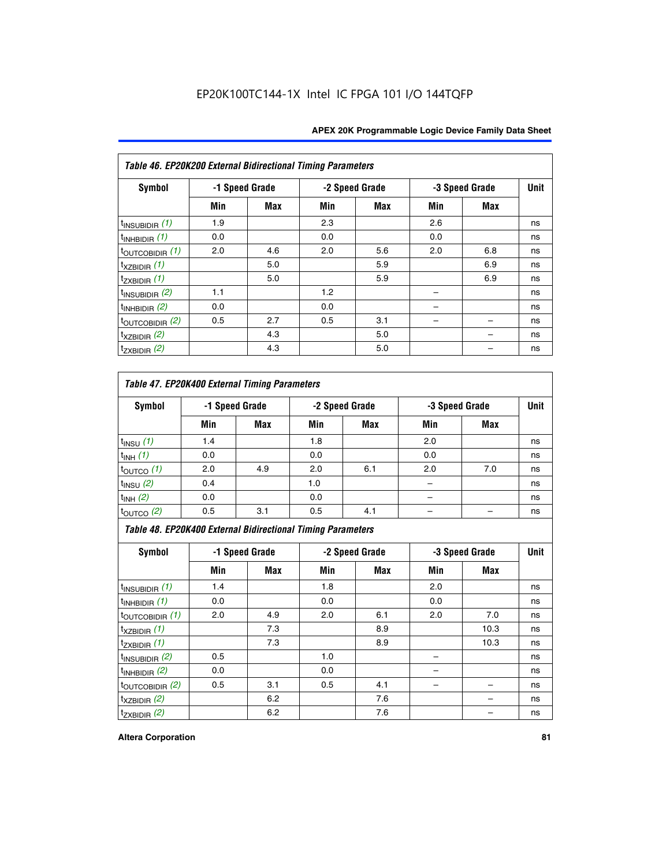| Table 46. EP20K200 External Bidirectional Timing Parameters |     |                |     |                |     |                |             |
|-------------------------------------------------------------|-----|----------------|-----|----------------|-----|----------------|-------------|
| Symbol                                                      |     | -1 Speed Grade |     | -2 Speed Grade |     | -3 Speed Grade | <b>Unit</b> |
|                                                             | Min | Max            | Min | Max            | Min | Max            |             |
| $t_{\text{INSUBIDIR}}(1)$                                   | 1.9 |                | 2.3 |                | 2.6 |                | ns          |
| $t_{INHBIDIR}$ (1)                                          | 0.0 |                | 0.0 |                | 0.0 |                | ns          |
| $t_{\text{OUTCOBIDIR}}(1)$                                  | 2.0 | 4.6            | 2.0 | 5.6            | 2.0 | 6.8            | ns          |
| $t_{XZBIDIR}$ (1)                                           |     | 5.0            |     | 5.9            |     | 6.9            | ns          |
| $t_{ZXBIDIR}$ (1)                                           |     | 5.0            |     | 5.9            |     | 6.9            | ns          |
| $t_{INSUBIDIR}$ (2)                                         | 1.1 |                | 1.2 |                |     |                | ns          |
| $t_{INHBIDIR}$ (2)                                          | 0.0 |                | 0.0 |                |     |                | ns          |
| $t_{\text{OUTCOBIDIR}}$ (2)                                 | 0.5 | 2.7            | 0.5 | 3.1            |     |                | ns          |
| $t_{XZBIDIR}$ (2)                                           |     | 4.3            |     | 5.0            |     |                | ns          |
| $t_{ZXBIDIR}$ (2)                                           |     | 4.3            |     | 5.0            |     |                | ns          |

## *Table 47. EP20K400 External Timing Parameters*

| Symbol                 |     | -1 Speed Grade |     | -2 Speed Grade |     | -3 Speed Grade |    |  |
|------------------------|-----|----------------|-----|----------------|-----|----------------|----|--|
|                        | Min | <b>Max</b>     | Min | <b>Max</b>     | Min | <b>Max</b>     |    |  |
| $t_{INSU}$ (1)         | 1.4 |                | 1.8 |                | 2.0 |                | ns |  |
| $t_{INH}$ (1)          | 0.0 |                | 0.0 |                | 0.0 |                | ns |  |
| $t_{\text{OUTCO}}(1)$  | 2.0 | 4.9            | 2.0 | 6.1            | 2.0 | 7.0            | ns |  |
| $t_{INSU}$ (2)         | 0.4 |                | 1.0 |                |     |                | ns |  |
| $t_{INH}$ (2)          | 0.0 |                | 0.0 |                |     |                | ns |  |
| $t_{\text{OUTCO}}$ (2) | 0.5 | 3.1            | 0.5 | 4.1            |     |                | ns |  |

*Table 48. EP20K400 External Bidirectional Timing Parameters*

| Symbol                      | -1 Speed Grade |     | -2 Speed Grade |     |     | -3 Speed Grade | <b>Unit</b> |
|-----------------------------|----------------|-----|----------------|-----|-----|----------------|-------------|
|                             | Min            | Max | Min            | Max | Min | Max            |             |
| $t_{\text{INSUBIDIR}}(1)$   | 1.4            |     | 1.8            |     | 2.0 |                | ns          |
| $t_{INHBIDIR}$ (1)          | 0.0            |     | 0.0            |     | 0.0 |                | ns          |
| $t_{\text{OUTCOBIDIR}}(1)$  | 2.0            | 4.9 | 2.0            | 6.1 | 2.0 | 7.0            | ns          |
| $t_{XZBIDIR}$ (1)           |                | 7.3 |                | 8.9 |     | 10.3           | ns          |
| $t_{ZXBIDIR}$ (1)           |                | 7.3 |                | 8.9 |     | 10.3           | ns          |
| $t_{\text{INSUBIDIR}}(2)$   | 0.5            |     | 1.0            |     |     |                | ns          |
| $t_{INHBIDIR}$ (2)          | 0.0            |     | 0.0            |     |     |                | ns          |
| $t_{\text{OUTCOBIDIR}}$ (2) | 0.5            | 3.1 | 0.5            | 4.1 |     |                | ns          |
| $t_{XZBIDIR}$ (2)           |                | 6.2 |                | 7.6 |     |                | ns          |
| $t_{ZXBIDIR}$ $(2)$         |                | 6.2 |                | 7.6 |     |                | ns          |

#### **Altera Corporation 81**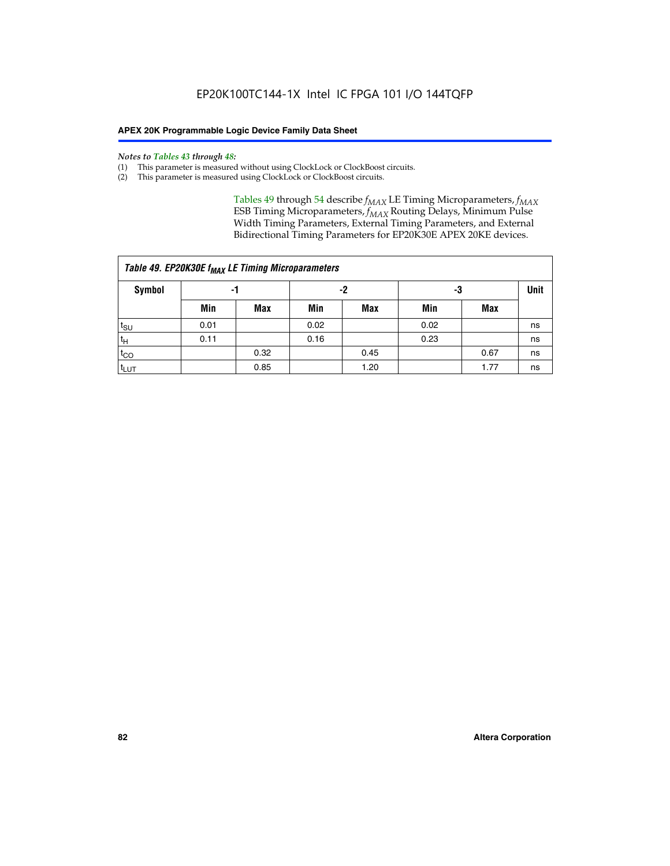#### *Notes to Tables 43 through 48:*

- (1) This parameter is measured without using ClockLock or ClockBoost circuits.
- (2) This parameter is measured using ClockLock or ClockBoost circuits.

Tables 49 through 54 describe  $f_{MAX}$  LE Timing Microparameters,  $f_{MAX}$ ESB Timing Microparameters, *f<sub>MAX</sub>* Routing Delays, Minimum Pulse Width Timing Parameters, External Timing Parameters, and External Bidirectional Timing Parameters for EP20K30E APEX 20KE devices.

|                  | Table 49. EP20K30E f <sub>MAX</sub> LE Timing Microparameters |      |      |            |      |      |    |  |  |  |  |  |
|------------------|---------------------------------------------------------------|------|------|------------|------|------|----|--|--|--|--|--|
| <b>Symbol</b>    |                                                               | -1   |      | -2         |      | -3   |    |  |  |  |  |  |
|                  | Min                                                           | Max  | Min  | <b>Max</b> | Min  | Max  |    |  |  |  |  |  |
| t <sub>SU</sub>  | 0.01                                                          |      | 0.02 |            | 0.02 |      | ns |  |  |  |  |  |
| 't <sub>Η</sub>  | 0.11                                                          |      | 0.16 |            | 0.23 |      | ns |  |  |  |  |  |
| $t_{CO}$         |                                                               | 0.32 |      | 0.45       |      | 0.67 | ns |  |  |  |  |  |
| t <sub>LUT</sub> |                                                               | 0.85 |      | 1.20       |      | 1.77 | ns |  |  |  |  |  |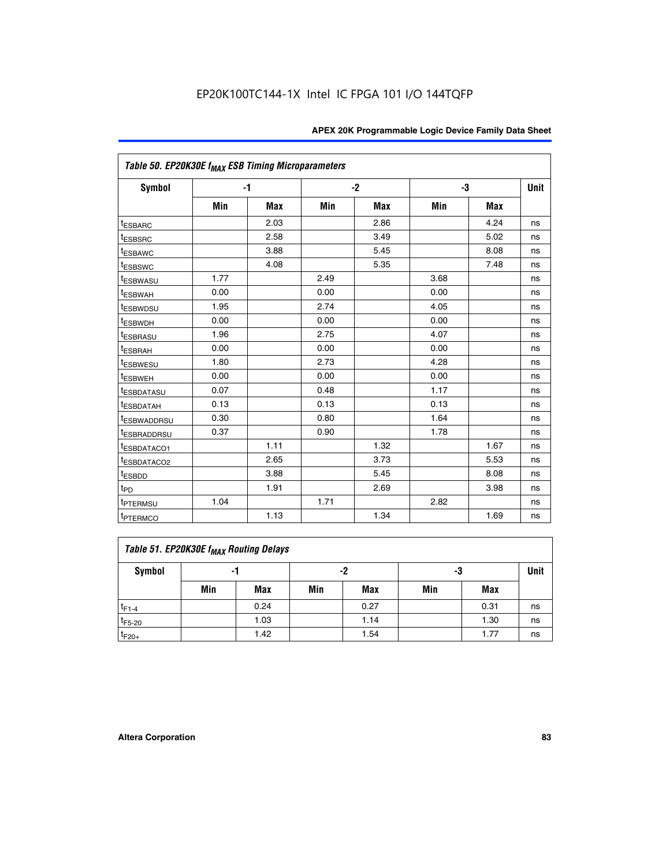| Table 50. EP20K30E f <sub>MAX</sub> ESB Timing Microparameters |      |            |      |            |      |            |             |
|----------------------------------------------------------------|------|------------|------|------------|------|------------|-------------|
| Symbol                                                         |      | $-1$       |      | $-2$       |      | -3         | <b>Unit</b> |
|                                                                | Min  | <b>Max</b> | Min  | <b>Max</b> | Min  | <b>Max</b> |             |
| <sup>t</sup> ESBARC                                            |      | 2.03       |      | 2.86       |      | 4.24       | ns          |
| <sup>t</sup> ESBSRC                                            |      | 2.58       |      | 3.49       |      | 5.02       | ns          |
| <sup>t</sup> ESBAWC                                            |      | 3.88       |      | 5.45       |      | 8.08       | ns          |
| t <sub>ESBSWC</sub>                                            |      | 4.08       |      | 5.35       |      | 7.48       | ns          |
| <sup>t</sup> ESBWASU                                           | 1.77 |            | 2.49 |            | 3.68 |            | ns          |
| <sup>t</sup> ESBWAH                                            | 0.00 |            | 0.00 |            | 0.00 |            | ns          |
| <sup>t</sup> ESBWDSU                                           | 1.95 |            | 2.74 |            | 4.05 |            | ns          |
| <sup>t</sup> ESBWDH                                            | 0.00 |            | 0.00 |            | 0.00 |            | ns          |
| <sup>t</sup> ESBRASU                                           | 1.96 |            | 2.75 |            | 4.07 |            | ns          |
| <sup>t</sup> ESBRAH                                            | 0.00 |            | 0.00 |            | 0.00 |            | ns          |
| <i>t</i> <sub>ESBWESU</sub>                                    | 1.80 |            | 2.73 |            | 4.28 |            | ns          |
| <sup>I</sup> ESBWEH                                            | 0.00 |            | 0.00 |            | 0.00 |            | ns          |
| t <sub>ESBDATASU</sub>                                         | 0.07 |            | 0.48 |            | 1.17 |            | ns          |
| <sup>t</sup> ESBDATAH                                          | 0.13 |            | 0.13 |            | 0.13 |            | ns          |
| <sup>t</sup> ESBWADDRSU                                        | 0.30 |            | 0.80 |            | 1.64 |            | ns          |
| <sup>I</sup> ESBRADDRSU                                        | 0.37 |            | 0.90 |            | 1.78 |            | ns          |
| ESBDATACO1                                                     |      | 1.11       |      | 1.32       |      | 1.67       | ns          |
| <sup>t</sup> ESBDATACO2                                        |      | 2.65       |      | 3.73       |      | 5.53       | ns          |
| <sup>t</sup> ESBDD                                             |      | 3.88       |      | 5.45       |      | 8.08       | ns          |
| t <sub>PD</sub>                                                |      | 1.91       |      | 2.69       |      | 3.98       | ns          |
| <sup>t</sup> PTERMSU                                           | 1.04 |            | 1.71 |            | 2.82 |            | ns          |
| t <sub>PTERMCO</sub>                                           |      | 1.13       |      | 1.34       |      | 1.69       | ns          |

## **Table 51. EP20K30E f<sub>MAX</sub> Routing Delays**

| Symbol      | - 1 |            | -2  |            | -3  |            | Unit |
|-------------|-----|------------|-----|------------|-----|------------|------|
|             | Min | <b>Max</b> | Min | <b>Max</b> | Min | <b>Max</b> |      |
| $t_{F1-4}$  |     | 0.24       |     | 0.27       |     | 0.31       | ns   |
| $t_{F5-20}$ |     | 1.03       |     | 1.14       |     | 1.30       | ns   |
| $t_{F20+}$  |     | 1.42       |     | 1.54       |     | 1.77       | ns   |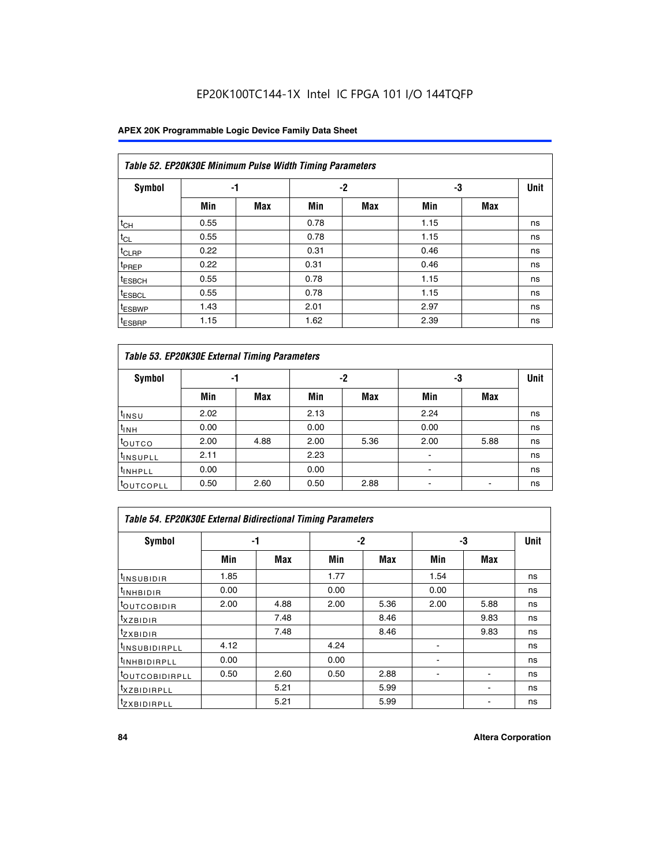### **APEX 20K Programmable Logic Device Family Data Sheet**

|                    | Table 52. EP20K30E Minimum Pulse Width Timing Parameters |            |      |            |      |            |             |  |  |  |  |  |
|--------------------|----------------------------------------------------------|------------|------|------------|------|------------|-------------|--|--|--|--|--|
| <b>Symbol</b>      | -1                                                       |            |      | $-2$       | -3   |            | <b>Unit</b> |  |  |  |  |  |
|                    | Min                                                      | <b>Max</b> | Min  | <b>Max</b> | Min  | <b>Max</b> |             |  |  |  |  |  |
| $t_{CH}$           | 0.55                                                     |            | 0.78 |            | 1.15 |            | ns          |  |  |  |  |  |
| $t_{CL}$           | 0.55                                                     |            | 0.78 |            | 1.15 |            | ns          |  |  |  |  |  |
| $t_{CLRP}$         | 0.22                                                     |            | 0.31 |            | 0.46 |            | ns          |  |  |  |  |  |
| <sup>t</sup> PREP  | 0.22                                                     |            | 0.31 |            | 0.46 |            | ns          |  |  |  |  |  |
| <sup>t</sup> ESBCH | 0.55                                                     |            | 0.78 |            | 1.15 |            | ns          |  |  |  |  |  |
| <sup>t</sup> ESBCL | 0.55                                                     |            | 0.78 |            | 1.15 |            | ns          |  |  |  |  |  |
| <sup>t</sup> ESBWP | 1.43                                                     |            | 2.01 |            | 2.97 |            | ns          |  |  |  |  |  |
| <sup>t</sup> ESBRP | 1.15                                                     |            | 1.62 |            | 2.39 |            | ns          |  |  |  |  |  |

| Table 53. EP20K30E External Timing Parameters |      |            |      |            |                |            |             |  |  |  |  |
|-----------------------------------------------|------|------------|------|------------|----------------|------------|-------------|--|--|--|--|
| <b>Symbol</b>                                 | -1   |            |      | -2         |                | -3         | <b>Unit</b> |  |  |  |  |
|                                               | Min  | <b>Max</b> | Min  | <b>Max</b> | Min            | <b>Max</b> |             |  |  |  |  |
| $t_{INSU}$                                    | 2.02 |            | 2.13 |            | 2.24           |            | ns          |  |  |  |  |
| $t_{\rm INH}$                                 | 0.00 |            | 0.00 |            | 0.00           |            | ns          |  |  |  |  |
| <b>t</b> outco                                | 2.00 | 4.88       | 2.00 | 5.36       | 2.00           | 5.88       | ns          |  |  |  |  |
| <sup>t</sup> INSUPLL                          | 2.11 |            | 2.23 |            |                |            | ns          |  |  |  |  |
| <sup>t</sup> INHPLL                           | 0.00 |            | 0.00 |            | $\blacksquare$ |            | ns          |  |  |  |  |
| <b>LOUTCOPLL</b>                              | 0.50 | 2.60       | 0.50 | 2.88       | -              |            | ns          |  |  |  |  |

| Table 54. EP20K30E External Bidirectional Timing Parameters |      |      |      |      |                          |      |             |  |  |  |  |
|-------------------------------------------------------------|------|------|------|------|--------------------------|------|-------------|--|--|--|--|
| Symbol                                                      |      | -1   |      | $-2$ |                          | -3   | <b>Unit</b> |  |  |  |  |
|                                                             | Min  | Max  | Min  | Max  | Min                      | Max  |             |  |  |  |  |
| <sup>t</sup> INSUBIDIR                                      | 1.85 |      | 1.77 |      | 1.54                     |      | ns          |  |  |  |  |
| <b>INHBIDIR</b>                                             | 0.00 |      | 0.00 |      | 0.00                     |      | ns          |  |  |  |  |
| <b>LOUTCOBIDIR</b>                                          | 2.00 | 4.88 | 2.00 | 5.36 | 2.00                     | 5.88 | ns          |  |  |  |  |
| <sup>T</sup> XZBIDIR                                        |      | 7.48 |      | 8.46 |                          | 9.83 | ns          |  |  |  |  |
| <sup>t</sup> zxbidir                                        |      | 7.48 |      | 8.46 |                          | 9.83 | ns          |  |  |  |  |
| <sup>I</sup> INSUBIDIRPLL                                   | 4.12 |      | 4.24 |      | $\overline{\phantom{0}}$ |      | ns          |  |  |  |  |
| <b>INHBIDIRPLL</b>                                          | 0.00 |      | 0.00 |      |                          |      | ns          |  |  |  |  |
| <b><i>COUTCOBIDIRPLL</i></b>                                | 0.50 | 2.60 | 0.50 | 2.88 |                          |      | ns          |  |  |  |  |
| <sup>I</sup> XZBIDIRPLL                                     |      | 5.21 |      | 5.99 |                          |      | ns          |  |  |  |  |
| <sup>I</sup> ZXBIDIRPLL                                     |      | 5.21 |      | 5.99 |                          |      | ns          |  |  |  |  |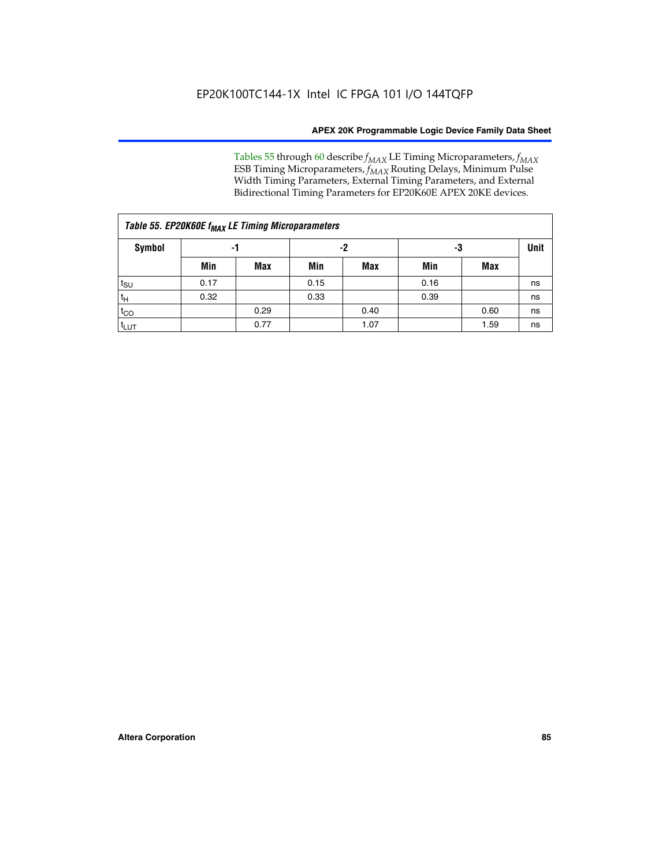Tables 55 through 60 describe *f<sub>MAX</sub>* LE Timing Microparameters, *f<sub>MAX</sub>* ESB Timing Microparameters, *f<sub>MAX</sub>* Routing Delays, Minimum Pulse Width Timing Parameters, External Timing Parameters, and External Bidirectional Timing Parameters for EP20K60E APEX 20KE devices.

| Table 55. EP20K60E f <sub>MAX</sub> LE Timing Microparameters |          |      |      |      |      |      |             |  |  |  |  |
|---------------------------------------------------------------|----------|------|------|------|------|------|-------------|--|--|--|--|
| <b>Symbol</b>                                                 | -2<br>-1 |      |      |      |      | -3   | <b>Unit</b> |  |  |  |  |
|                                                               | Min      | Max  | Min  | Max  | Min  | Max  |             |  |  |  |  |
| $t_{\text{SU}}$                                               | 0.17     |      | 0.15 |      | 0.16 |      | ns          |  |  |  |  |
| $t_H$                                                         | 0.32     |      | 0.33 |      | 0.39 |      | ns          |  |  |  |  |
| $t_{CO}$                                                      |          | 0.29 |      | 0.40 |      | 0.60 | ns          |  |  |  |  |
| t <sub>lut</sub>                                              |          | 0.77 |      | 1.07 |      | 1.59 | ns          |  |  |  |  |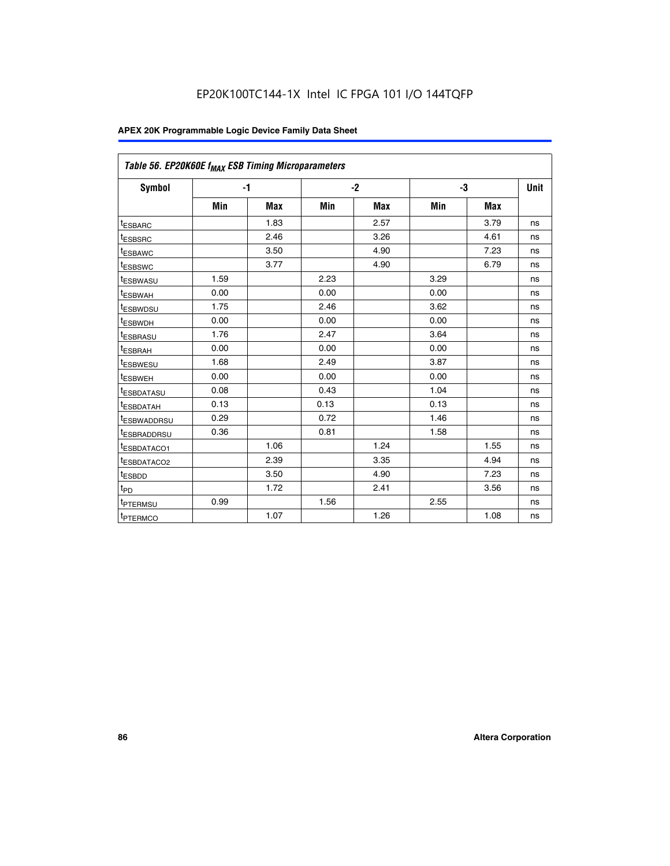| Table 56. EP20K60E f <sub>MAX</sub> ESB Timing Microparameters |      |            |      |            |      |            |             |
|----------------------------------------------------------------|------|------------|------|------------|------|------------|-------------|
| <b>Symbol</b>                                                  |      | $-1$       |      | $-2$       |      | -3         | <b>Unit</b> |
|                                                                | Min  | <b>Max</b> | Min  | <b>Max</b> | Min  | <b>Max</b> |             |
| <sup>t</sup> ESBARC                                            |      | 1.83       |      | 2.57       |      | 3.79       | ns          |
| t <sub>ESBSRC</sub>                                            |      | 2.46       |      | 3.26       |      | 4.61       | ns          |
| <sup>t</sup> ESBAWC                                            |      | 3.50       |      | 4.90       |      | 7.23       | ns          |
| <sup>t</sup> ESBSWC                                            |      | 3.77       |      | 4.90       |      | 6.79       | ns          |
| <sup>t</sup> ESBWASU                                           | 1.59 |            | 2.23 |            | 3.29 |            | ns          |
| <sup>t</sup> ESBWAH                                            | 0.00 |            | 0.00 |            | 0.00 |            | ns          |
| t <sub>ESBWDSU</sub>                                           | 1.75 |            | 2.46 |            | 3.62 |            | ns          |
| t <sub>ESBWDH</sub>                                            | 0.00 |            | 0.00 |            | 0.00 |            | ns          |
| t <sub>ESBRASU</sub>                                           | 1.76 |            | 2.47 |            | 3.64 |            | ns          |
| <sup>t</sup> ESBRAH                                            | 0.00 |            | 0.00 |            | 0.00 |            | ns          |
| t <sub>ESBWESU</sub>                                           | 1.68 |            | 2.49 |            | 3.87 |            | ns          |
| t <sub>ESBWEH</sub>                                            | 0.00 |            | 0.00 |            | 0.00 |            | ns          |
| <sup>t</sup> ESBDATASU                                         | 0.08 |            | 0.43 |            | 1.04 |            | ns          |
| t <sub>ESBDATAH</sub>                                          | 0.13 |            | 0.13 |            | 0.13 |            | ns          |
| <sup>t</sup> ESBWADDRSU                                        | 0.29 |            | 0.72 |            | 1.46 |            | ns          |
| <sup>t</sup> ESBRADDRSU                                        | 0.36 |            | 0.81 |            | 1.58 |            | ns          |
| <sup>t</sup> ESBDATACO1                                        |      | 1.06       |      | 1.24       |      | 1.55       | ns          |
| <sup>t</sup> ESBDATACO2                                        |      | 2.39       |      | 3.35       |      | 4.94       | ns          |
| <sup>t</sup> ESBDD                                             |      | 3.50       |      | 4.90       |      | 7.23       | ns          |
| t <sub>PD</sub>                                                |      | 1.72       |      | 2.41       |      | 3.56       | ns          |
| t <sub>PTERMSU</sub>                                           | 0.99 |            | 1.56 |            | 2.55 |            | ns          |
| t <sub>PTERMCO</sub>                                           |      | 1.07       |      | 1.26       |      | 1.08       | ns          |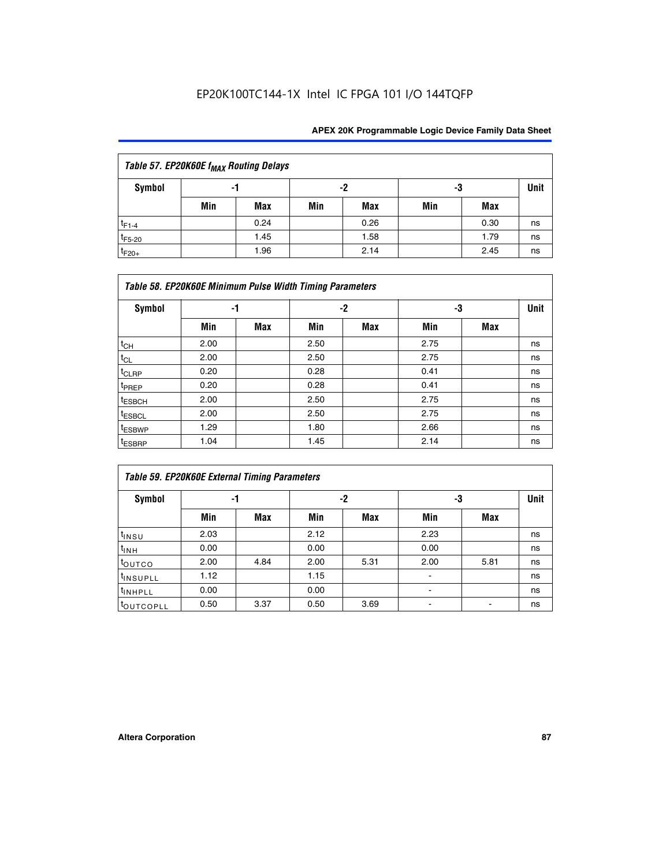| Table 57. EP20K60E f <sub>MAX</sub> Routing Delays |     |      |     |      |     |      |             |  |  |  |  |
|----------------------------------------------------|-----|------|-----|------|-----|------|-------------|--|--|--|--|
| Symbol                                             |     | -1   |     | -2   |     | -3   | <b>Unit</b> |  |  |  |  |
|                                                    | Min | Max  | Min | Max  | Min | Max  |             |  |  |  |  |
| $t_{F1-4}$                                         |     | 0.24 |     | 0.26 |     | 0.30 | ns          |  |  |  |  |
| $t_{F5-20}$                                        |     | 1.45 |     | 1.58 |     | 1.79 | ns          |  |  |  |  |
| $t_{F20+}$                                         |     | 1.96 |     | 2.14 |     | 2.45 | ns          |  |  |  |  |

|                    | Table 58. EP20K60E Minimum Pulse Width Timing Parameters |            |      |     |      |     |             |
|--------------------|----------------------------------------------------------|------------|------|-----|------|-----|-------------|
| Symbol             |                                                          | -1         |      | -2  |      | -3  | <b>Unit</b> |
|                    | Min                                                      | <b>Max</b> | Min  | Max | Min  | Max |             |
| $t_{CH}$           | 2.00                                                     |            | 2.50 |     | 2.75 |     | ns          |
| $t_{CL}$           | 2.00                                                     |            | 2.50 |     | 2.75 |     | ns          |
| $t_{CLRP}$         | 0.20                                                     |            | 0.28 |     | 0.41 |     | ns          |
| t <sub>PREP</sub>  | 0.20                                                     |            | 0.28 |     | 0.41 |     | ns          |
| <sup>t</sup> ESBCH | 2.00                                                     |            | 2.50 |     | 2.75 |     | ns          |
| <sup>t</sup> ESBCL | 2.00                                                     |            | 2.50 |     | 2.75 |     | ns          |
| <sup>t</sup> ESBWP | 1.29                                                     |            | 1.80 |     | 2.66 |     | ns          |
| <sup>t</sup> ESBRP | 1.04                                                     |            | 1.45 |     | 2.14 |     | ns          |

| Table 59. EP20K60E External Timing Parameters |      |      |      |          |      |      |    |  |  |  |  |  |
|-----------------------------------------------|------|------|------|----------|------|------|----|--|--|--|--|--|
| Symbol                                        | -1   |      |      | -2<br>-3 |      | Unit |    |  |  |  |  |  |
|                                               | Min  | Max  | Min  | Max      | Min  | Max  |    |  |  |  |  |  |
| $t_{INSU}$                                    | 2.03 |      | 2.12 |          | 2.23 |      | ns |  |  |  |  |  |
| t <sub>INH</sub>                              | 0.00 |      | 0.00 |          | 0.00 |      | ns |  |  |  |  |  |
| toutco                                        | 2.00 | 4.84 | 2.00 | 5.31     | 2.00 | 5.81 | ns |  |  |  |  |  |
| <sup>t</sup> INSUPLL                          | 1.12 |      | 1.15 |          |      |      | ns |  |  |  |  |  |
| <sup>t</sup> INHPLL                           | 0.00 |      | 0.00 |          | ۰    |      | ns |  |  |  |  |  |
| toutcopll                                     | 0.50 | 3.37 | 0.50 | 3.69     |      |      | ns |  |  |  |  |  |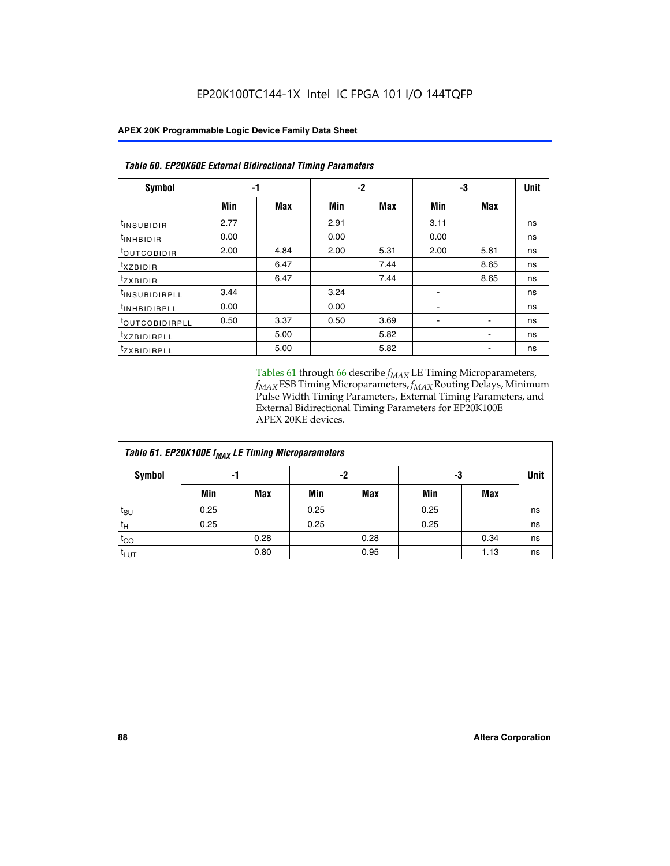|                            | <b>Table 60. EP20K60E External Bidirectional Timing Parameters</b> |      |      |          |      |      |      |  |  |  |  |  |
|----------------------------|--------------------------------------------------------------------|------|------|----------|------|------|------|--|--|--|--|--|
| Symbol                     |                                                                    | -1   |      | -3<br>-2 |      |      | Unit |  |  |  |  |  |
|                            | Min                                                                | Max  | Min  | Max      | Min  | Max  |      |  |  |  |  |  |
| tINSUBIDIR                 | 2.77                                                               |      | 2.91 |          | 3.11 |      | ns   |  |  |  |  |  |
| $t_{\rm INHBIDIR}$         | 0.00                                                               |      | 0.00 |          | 0.00 |      | ns   |  |  |  |  |  |
| <sup>t</sup> OUTCOBIDIR    | 2.00                                                               | 4.84 | 2.00 | 5.31     | 2.00 | 5.81 | ns   |  |  |  |  |  |
| $t_{XZBIDIR}$              |                                                                    | 6.47 |      | 7.44     |      | 8.65 | ns   |  |  |  |  |  |
| <sup>t</sup> zxbidir       |                                                                    | 6.47 |      | 7.44     |      | 8.65 | ns   |  |  |  |  |  |
| <sup>t</sup> INSUBIDIRPLL  | 3.44                                                               |      | 3.24 |          |      |      | ns   |  |  |  |  |  |
| t <sub>INHBIDIRPLL</sub>   | 0.00                                                               |      | 0.00 |          |      |      | ns   |  |  |  |  |  |
| <sup>t</sup> OUTCOBIDIRPLL | 0.50                                                               | 3.37 | 0.50 | 3.69     |      |      | ns   |  |  |  |  |  |
| <i>txzBIDIRPLL</i>         |                                                                    | 5.00 |      | 5.82     |      |      | ns   |  |  |  |  |  |
| <sup>t</sup> ZXBIDIRPLL    |                                                                    | 5.00 |      | 5.82     |      |      | ns   |  |  |  |  |  |

Tables 61 through 66 describe  $f_{MAX}$  LE Timing Microparameters, *fMAX* ESB Timing Microparameters, *fMAX* Routing Delays, Minimum Pulse Width Timing Parameters, External Timing Parameters, and External Bidirectional Timing Parameters for EP20K100E APEX 20KE devices.

| Table 61. EP20K100E f <sub>MAX</sub> LE Timing Microparameters |      |      |      |            |      |            |             |  |  |  |  |
|----------------------------------------------------------------|------|------|------|------------|------|------------|-------------|--|--|--|--|
| <b>Symbol</b>                                                  |      | -1   |      | -2         |      | -3         | <b>Unit</b> |  |  |  |  |
|                                                                | Min  | Max  | Min  | <b>Max</b> | Min  | <b>Max</b> |             |  |  |  |  |
| $t_{\text{SU}}$                                                | 0.25 |      | 0.25 |            | 0.25 |            | ns          |  |  |  |  |
| tμ                                                             | 0.25 |      | 0.25 |            | 0.25 |            | ns          |  |  |  |  |
| $t_{CO}$                                                       |      | 0.28 |      | 0.28       |      | 0.34       | ns          |  |  |  |  |
| t <sub>LUT</sub>                                               |      | 0.80 |      | 0.95       |      | 1.13       | ns          |  |  |  |  |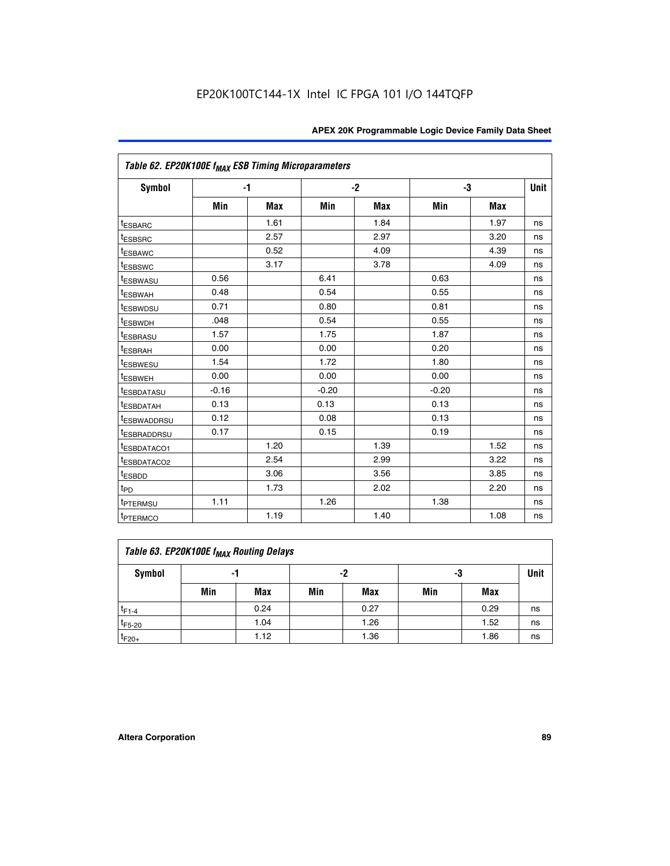| Table 62. EP20K100E f <sub>MAX</sub> ESB Timing Microparameters |         |      |         |            |         |            |             |
|-----------------------------------------------------------------|---------|------|---------|------------|---------|------------|-------------|
| <b>Symbol</b>                                                   |         | $-1$ |         | $-2$       |         | -3         | <b>Unit</b> |
|                                                                 | Min     | Max  | Min     | <b>Max</b> | Min     | <b>Max</b> |             |
| <sup>t</sup> ESBARC                                             |         | 1.61 |         | 1.84       |         | 1.97       | ns          |
| <sup>t</sup> ESBSRC                                             |         | 2.57 |         | 2.97       |         | 3.20       | ns          |
| <sup>t</sup> ESBAWC                                             |         | 0.52 |         | 4.09       |         | 4.39       | ns          |
| <sup>t</sup> ESBSWC                                             |         | 3.17 |         | 3.78       |         | 4.09       | ns          |
| <sup>t</sup> ESBWASU                                            | 0.56    |      | 6.41    |            | 0.63    |            | ns          |
| <sup>t</sup> ESBWAH                                             | 0.48    |      | 0.54    |            | 0.55    |            | ns          |
| <sup>t</sup> ESBWDSU                                            | 0.71    |      | 0.80    |            | 0.81    |            | ns          |
| <sup>t</sup> ESBWDH                                             | .048    |      | 0.54    |            | 0.55    |            | ns          |
| <sup>t</sup> ESBRASU                                            | 1.57    |      | 1.75    |            | 1.87    |            | ns          |
| <sup>t</sup> ESBRAH                                             | 0.00    |      | 0.00    |            | 0.20    |            | ns          |
| <sup>t</sup> ESBWESU                                            | 1.54    |      | 1.72    |            | 1.80    |            | ns          |
| <sup>t</sup> ESBWEH                                             | 0.00    |      | 0.00    |            | 0.00    |            | ns          |
| <sup>t</sup> ESBDATASU                                          | $-0.16$ |      | $-0.20$ |            | $-0.20$ |            | ns          |
| <sup>t</sup> ESBDATAH                                           | 0.13    |      | 0.13    |            | 0.13    |            | ns          |
| <sup>t</sup> ESBWADDRSU                                         | 0.12    |      | 0.08    |            | 0.13    |            | ns          |
| <sup>I</sup> ESBRADDRSU                                         | 0.17    |      | 0.15    |            | 0.19    |            | ns          |
| ESBDATACO1                                                      |         | 1.20 |         | 1.39       |         | 1.52       | ns          |
| ESBDATACO <sub>2</sub>                                          |         | 2.54 |         | 2.99       |         | 3.22       | ns          |
| <sup>t</sup> ESBDD                                              |         | 3.06 |         | 3.56       |         | 3.85       | ns          |
| $t_{PD}$                                                        |         | 1.73 |         | 2.02       |         | 2.20       | ns          |
| t <sub>PTERMSU</sub>                                            | 1.11    |      | 1.26    |            | 1.38    |            | ns          |
| <sup>t</sup> PTERMCO                                            |         | 1.19 |         | 1.40       |         | 1.08       | ns          |

| Table 63. EP20K100E f <sub>MAX</sub> Routing Delays |     |      |     |            |     |      |    |  |  |  |
|-----------------------------------------------------|-----|------|-----|------------|-----|------|----|--|--|--|
| Symbol                                              |     | -1   |     | -2         |     | -3   |    |  |  |  |
|                                                     | Min | Max  | Min | <b>Max</b> | Min | Max  |    |  |  |  |
| $t_{F1-4}$                                          |     | 0.24 |     | 0.27       |     | 0.29 | ns |  |  |  |
| $t_{F5-20}$                                         |     | 1.04 |     | 1.26       |     | 1.52 | ns |  |  |  |
| $t_{F20+}$                                          |     | 1.12 |     | 1.36       |     | 1.86 | ns |  |  |  |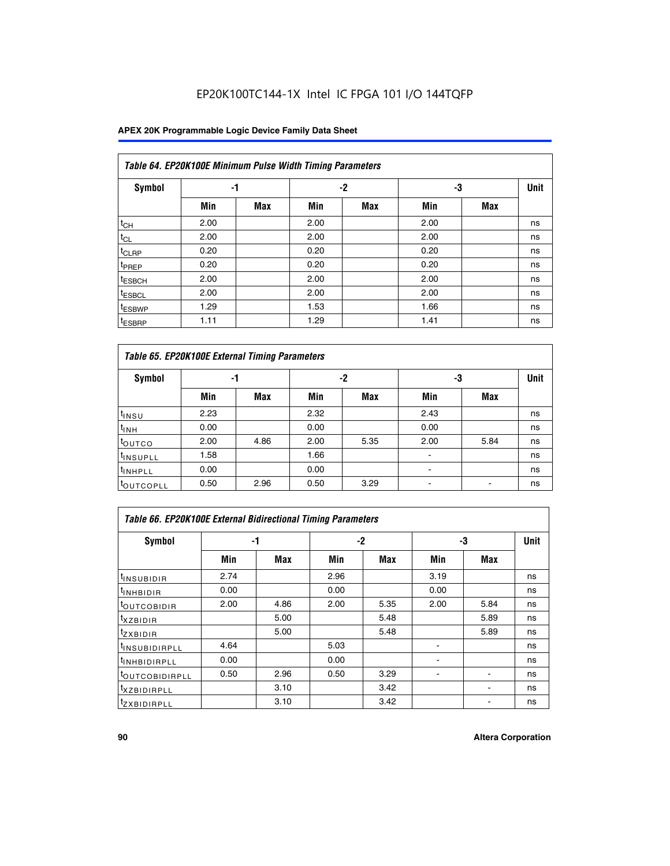### **APEX 20K Programmable Logic Device Family Data Sheet**

| Table 64. EP20K100E Minimum Pulse Width Timing Parameters |      |            |      |            |      |            |    |  |  |  |  |
|-----------------------------------------------------------|------|------------|------|------------|------|------------|----|--|--|--|--|
| <b>Symbol</b>                                             | -1   |            |      | $-2$       | -3   |            |    |  |  |  |  |
|                                                           | Min  | <b>Max</b> | Min  | <b>Max</b> | Min  | <b>Max</b> |    |  |  |  |  |
| $t_{CH}$                                                  | 2.00 |            | 2.00 |            | 2.00 |            | ns |  |  |  |  |
| $t_{CL}$                                                  | 2.00 |            | 2.00 |            | 2.00 |            | ns |  |  |  |  |
| t <sub>CLRP</sub>                                         | 0.20 |            | 0.20 |            | 0.20 |            | ns |  |  |  |  |
| <sup>t</sup> PREP                                         | 0.20 |            | 0.20 |            | 0.20 |            | ns |  |  |  |  |
| <sup>t</sup> ESBCH                                        | 2.00 |            | 2.00 |            | 2.00 |            | ns |  |  |  |  |
| <sup>t</sup> ESBCL                                        | 2.00 |            | 2.00 |            | 2.00 |            | ns |  |  |  |  |
| <sup>t</sup> ESBWP                                        | 1.29 |            | 1.53 |            | 1.66 |            | ns |  |  |  |  |
| <sup>t</sup> ESBRP                                        | 1.11 |            | 1.29 |            | 1.41 |            | ns |  |  |  |  |

|                      | Table 65. EP20K100E External Timing Parameters |            |      |            |                          |            |             |  |  |  |  |  |  |
|----------------------|------------------------------------------------|------------|------|------------|--------------------------|------------|-------------|--|--|--|--|--|--|
| <b>Symbol</b>        | -1                                             |            |      | -2         | -3                       |            | <b>Unit</b> |  |  |  |  |  |  |
|                      | Min                                            | <b>Max</b> | Min  | <b>Max</b> | Min                      | <b>Max</b> |             |  |  |  |  |  |  |
| t <sub>INSU</sub>    | 2.23                                           |            | 2.32 |            | 2.43                     |            | ns          |  |  |  |  |  |  |
| $t_{\rm INH}$        | 0.00                                           |            | 0.00 |            | 0.00                     |            | ns          |  |  |  |  |  |  |
| toutco               | 2.00                                           | 4.86       | 2.00 | 5.35       | 2.00                     | 5.84       | ns          |  |  |  |  |  |  |
| <sup>t</sup> INSUPLL | 1.58                                           |            | 1.66 |            |                          |            | ns          |  |  |  |  |  |  |
| <sup>t</sup> INHPLL  | 0.00                                           |            | 0.00 |            | $\overline{\phantom{a}}$ |            | ns          |  |  |  |  |  |  |
| <b>LOUTCOPLL</b>     | 0.50                                           | 2.96       | 0.50 | 3.29       | -                        |            | ns          |  |  |  |  |  |  |

| Table 66. EP20K100E External Bidirectional Timing Parameters |      |      |      |      |      |            |      |  |  |  |
|--------------------------------------------------------------|------|------|------|------|------|------------|------|--|--|--|
| Symbol                                                       |      | -1   |      | $-2$ |      | -3         | Unit |  |  |  |
|                                                              | Min  | Max  | Min  | Max  | Min  | <b>Max</b> |      |  |  |  |
| <sup>t</sup> INSUBIDIR                                       | 2.74 |      | 2.96 |      | 3.19 |            | ns   |  |  |  |
| <b>TINHBIDIR</b>                                             | 0.00 |      | 0.00 |      | 0.00 |            | ns   |  |  |  |
| <b>LOUTCOBIDIR</b>                                           | 2.00 | 4.86 | 2.00 | 5.35 | 2.00 | 5.84       | ns   |  |  |  |
| <sup>T</sup> XZBIDIR                                         |      | 5.00 |      | 5.48 |      | 5.89       | ns   |  |  |  |
| $I_{Z}$ XBIDIR                                               |      | 5.00 |      | 5.48 |      | 5.89       | ns   |  |  |  |
| <sup>t</sup> INSUBIDIRPLL                                    | 4.64 |      | 5.03 |      |      |            | ns   |  |  |  |
| <sup>I</sup> INHBIDIRPLL                                     | 0.00 |      | 0.00 |      |      |            | ns   |  |  |  |
| <b><i>COUTCOBIDIRPLL</i></b>                                 | 0.50 | 2.96 | 0.50 | 3.29 |      |            | ns   |  |  |  |
| <sup>I</sup> XZBIDIRPLL                                      |      | 3.10 |      | 3.42 |      |            | ns   |  |  |  |
| <sup>I</sup> ZXBIDIRPLL                                      |      | 3.10 |      | 3.42 |      |            | ns   |  |  |  |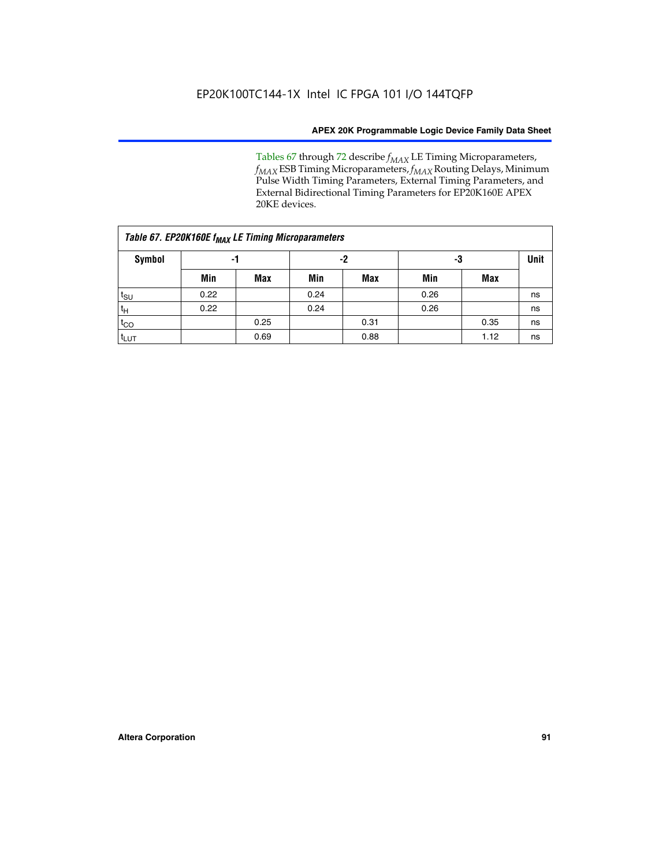Tables 67 through 72 describe *f<sub>MAX</sub>* LE Timing Microparameters, *f<sub>MAX</sub>* ESB Timing Microparameters, *f<sub>MAX</sub>* Routing Delays, Minimum Pulse Width Timing Parameters, External Timing Parameters, and External Bidirectional Timing Parameters for EP20K160E APEX 20KE devices.

|                  | Table 67. EP20K160E f <sub>MAX</sub> LE Timing Microparameters |            |      |            |      |      |    |  |  |  |  |  |
|------------------|----------------------------------------------------------------|------------|------|------------|------|------|----|--|--|--|--|--|
| Symbol           | -1                                                             |            |      | -2         |      | -3   |    |  |  |  |  |  |
|                  | Min                                                            | <b>Max</b> | Min  | <b>Max</b> | Min  | Max  |    |  |  |  |  |  |
| $t_{\text{SU}}$  | 0.22                                                           |            | 0.24 |            | 0.26 |      | ns |  |  |  |  |  |
| $t_H$            | 0.22                                                           |            | 0.24 |            | 0.26 |      | ns |  |  |  |  |  |
| $t_{CO}$         |                                                                | 0.25       |      | 0.31       |      | 0.35 | ns |  |  |  |  |  |
| t <sub>lut</sub> |                                                                | 0.69       |      | 0.88       |      | 1.12 | ns |  |  |  |  |  |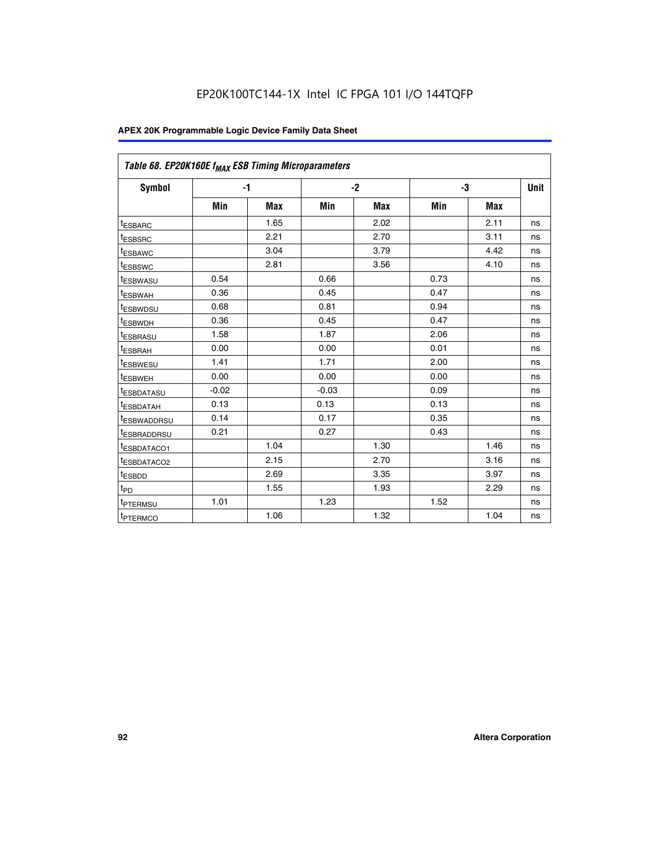| Table 68. EP20K160E f <sub>MAX</sub> ESB Timing Microparameters |         |            |         |            |      |      |      |
|-----------------------------------------------------------------|---------|------------|---------|------------|------|------|------|
| <b>Symbol</b>                                                   |         | $-1$       |         | $-2$       |      | -3   | Unit |
|                                                                 | Min     | <b>Max</b> | Min     | <b>Max</b> | Min  | Max  |      |
| <sup>t</sup> ESBARC                                             |         | 1.65       |         | 2.02       |      | 2.11 | ns   |
| t <sub>ESBSRC</sub>                                             |         | 2.21       |         | 2.70       |      | 3.11 | ns   |
| <sup>t</sup> ESBAWC                                             |         | 3.04       |         | 3.79       |      | 4.42 | ns   |
| t <sub>ESBSWC</sub>                                             |         | 2.81       |         | 3.56       |      | 4.10 | ns   |
| <sup>t</sup> ESBWASU                                            | 0.54    |            | 0.66    |            | 0.73 |      | ns   |
| <sup>t</sup> ESBWAH                                             | 0.36    |            | 0.45    |            | 0.47 |      | ns   |
| t <sub>ESBWDSU</sub>                                            | 0.68    |            | 0.81    |            | 0.94 |      | ns   |
| <sup>t</sup> ESBWDH                                             | 0.36    |            | 0.45    |            | 0.47 |      | ns   |
| t <sub>ESBRASU</sub>                                            | 1.58    |            | 1.87    |            | 2.06 |      | ns   |
| <sup>t</sup> ESBRAH                                             | 0.00    |            | 0.00    |            | 0.01 |      | ns   |
| <sup>t</sup> ESBWESU                                            | 1.41    |            | 1.71    |            | 2.00 |      | ns   |
| t <sub>ESBWEH</sub>                                             | 0.00    |            | 0.00    |            | 0.00 |      | ns   |
| t <sub>ESBDATASU</sub>                                          | $-0.02$ |            | $-0.03$ |            | 0.09 |      | ns   |
| t <sub>ESBDATAH</sub>                                           | 0.13    |            | 0.13    |            | 0.13 |      | ns   |
| t <sub>ESBWADDRSU</sub>                                         | 0.14    |            | 0.17    |            | 0.35 |      | ns   |
| <sup>t</sup> ESBRADDRSU                                         | 0.21    |            | 0.27    |            | 0.43 |      | ns   |
| <sup>I</sup> ESBDATACO1                                         |         | 1.04       |         | 1.30       |      | 1.46 | ns   |
| t <sub>ESBDATACO2</sub>                                         |         | 2.15       |         | 2.70       |      | 3.16 | ns   |
| <sup>t</sup> ESBDD                                              |         | 2.69       |         | 3.35       |      | 3.97 | ns   |
| $t_{\mathsf{PD}}$                                               |         | 1.55       |         | 1.93       |      | 2.29 | ns   |
| t <sub>PTERMSU</sub>                                            | 1.01    |            | 1.23    |            | 1.52 |      | ns   |
| t <sub>PTERMCO</sub>                                            |         | 1.06       |         | 1.32       |      | 1.04 | ns   |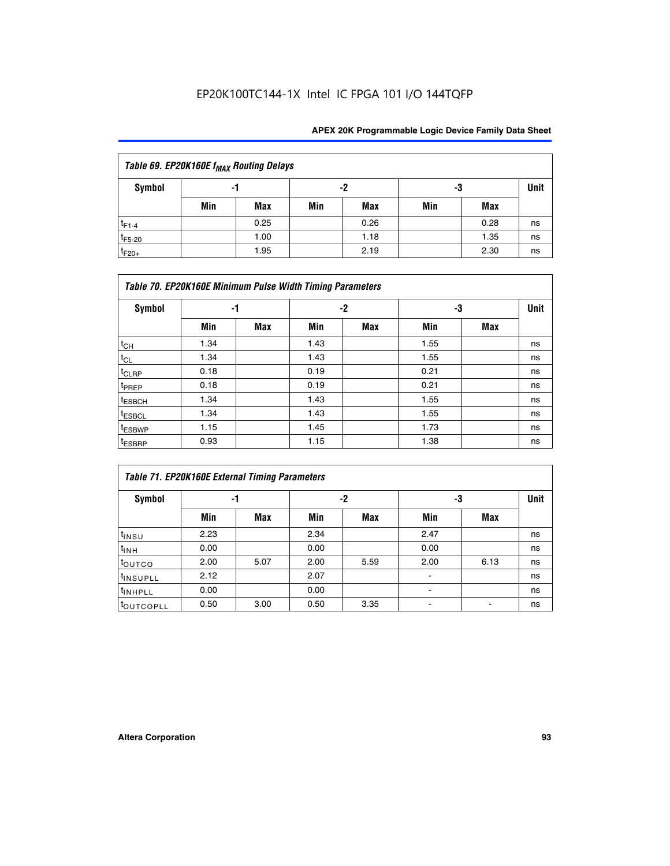| Table 69. EP20K160E f <sub>MAX</sub> Routing Delays |     |                |     |      |     |             |    |  |  |  |  |
|-----------------------------------------------------|-----|----------------|-----|------|-----|-------------|----|--|--|--|--|
| Symbol                                              |     | -2<br>-3<br>-1 |     |      |     | <b>Unit</b> |    |  |  |  |  |
|                                                     | Min | Max            | Min | Max  | Min | Max         |    |  |  |  |  |
| $t_{F1-4}$                                          |     | 0.25           |     | 0.26 |     | 0.28        | ns |  |  |  |  |
| $t_{F5-20}$                                         |     | 1.00           |     | 1.18 |     | 1.35        | ns |  |  |  |  |
| $t_{F20+}$                                          |     | 1.95           |     | 2.19 |     | 2.30        | ns |  |  |  |  |

|                    | Table 70. EP20K160E Minimum Pulse Width Timing Parameters |            |      |            |      |     |             |  |  |  |  |  |
|--------------------|-----------------------------------------------------------|------------|------|------------|------|-----|-------------|--|--|--|--|--|
| <b>Symbol</b>      |                                                           | -1         |      | $-2$       |      | -3  | <b>Unit</b> |  |  |  |  |  |
|                    | Min                                                       | <b>Max</b> | Min  | <b>Max</b> | Min  | Max |             |  |  |  |  |  |
| $t_{CH}$           | 1.34                                                      |            | 1.43 |            | 1.55 |     | ns          |  |  |  |  |  |
| $t_{CL}$           | 1.34                                                      |            | 1.43 |            | 1.55 |     | ns          |  |  |  |  |  |
| $t_{CLRP}$         | 0.18                                                      |            | 0.19 |            | 0.21 |     | ns          |  |  |  |  |  |
| t <sub>PREP</sub>  | 0.18                                                      |            | 0.19 |            | 0.21 |     | ns          |  |  |  |  |  |
| <sup>t</sup> ESBCH | 1.34                                                      |            | 1.43 |            | 1.55 |     | ns          |  |  |  |  |  |
| <sup>t</sup> ESBCL | 1.34                                                      |            | 1.43 |            | 1.55 |     | ns          |  |  |  |  |  |
| t <sub>ESBWP</sub> | 1.15                                                      |            | 1.45 |            | 1.73 |     | ns          |  |  |  |  |  |
| t <sub>ESBRP</sub> | 0.93                                                      |            | 1.15 |            | 1.38 |     | ns          |  |  |  |  |  |

|                      | Table 71. EP20K160E External Timing Parameters |      |      |      |                |      |    |  |  |  |  |  |
|----------------------|------------------------------------------------|------|------|------|----------------|------|----|--|--|--|--|--|
| Symbol               | -1                                             |      |      | -2   | -3             | Unit |    |  |  |  |  |  |
|                      | Min                                            | Max  | Min  | Max  | Min            | Max  |    |  |  |  |  |  |
| $t_{INSU}$           | 2.23                                           |      | 2.34 |      | 2.47           |      | ns |  |  |  |  |  |
| $t_{INH}$            | 0.00                                           |      | 0.00 |      | 0.00           |      | ns |  |  |  |  |  |
| toutco               | 2.00                                           | 5.07 | 2.00 | 5.59 | 2.00           | 6.13 | ns |  |  |  |  |  |
| <sup>t</sup> INSUPLL | 2.12                                           |      | 2.07 |      | $\blacksquare$ |      | ns |  |  |  |  |  |
| <sup>t</sup> INHPLL  | 0.00                                           |      | 0.00 |      | ۰              |      | ns |  |  |  |  |  |
| toutcopll            | 0.50                                           | 3.00 | 0.50 | 3.35 |                |      | ns |  |  |  |  |  |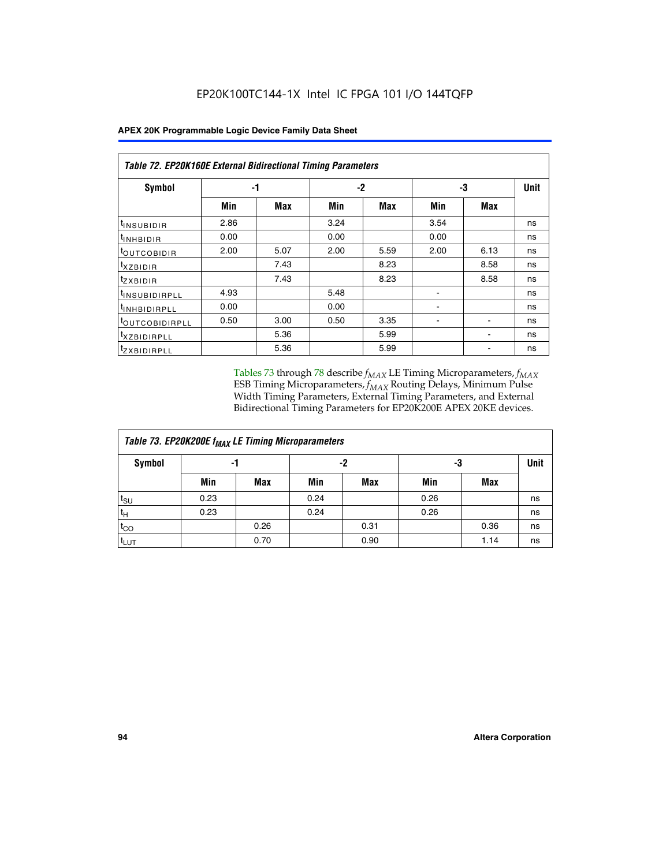|                              | Table 72. EP20K160E External Bidirectional Timing Parameters |      |      |      |                          |                          |    |  |  |  |  |
|------------------------------|--------------------------------------------------------------|------|------|------|--------------------------|--------------------------|----|--|--|--|--|
| Symbol                       | -1                                                           |      |      | $-2$ | -3                       | <b>Unit</b>              |    |  |  |  |  |
|                              | Min                                                          | Max  | Min  | Max  | Min                      | Max                      |    |  |  |  |  |
| t <sub>insubidir</sub>       | 2.86                                                         |      | 3.24 |      | 3.54                     |                          | ns |  |  |  |  |
| <b>UNHBIDIR</b>              | 0.00                                                         |      | 0.00 |      | 0.00                     |                          | ns |  |  |  |  |
| <b>LOUTCOBIDIR</b>           | 2.00                                                         | 5.07 | 2.00 | 5.59 | 2.00                     | 6.13                     | ns |  |  |  |  |
| KZBIDIR                      |                                                              | 7.43 |      | 8.23 |                          | 8.58                     | ns |  |  |  |  |
| <sup>t</sup> zxbidir         |                                                              | 7.43 |      | 8.23 |                          | 8.58                     | ns |  |  |  |  |
| <sup>t</sup> INSUBIDIRPLL    | 4.93                                                         |      | 5.48 |      |                          |                          | ns |  |  |  |  |
| <sup>t</sup> INHBIDIRPLL     | 0.00                                                         |      | 0.00 |      | ۰                        |                          | ns |  |  |  |  |
| <b><i>LOUTCOBIDIRPLL</i></b> | 0.50                                                         | 3.00 | 0.50 | 3.35 | $\overline{\phantom{0}}$ | $\overline{\phantom{0}}$ | ns |  |  |  |  |
| <sup>T</sup> XZBIDIRPLL      |                                                              | 5.36 |      | 5.99 |                          |                          | ns |  |  |  |  |
| <sup>I</sup> ZXBIDIRPLL      |                                                              | 5.36 |      | 5.99 |                          |                          | ns |  |  |  |  |

Tables 73 through 78 describe  $f_{MAX}$  LE Timing Microparameters,  $f_{MAX}$ ESB Timing Microparameters, *f<sub>MAX</sub>* Routing Delays, Minimum Pulse Width Timing Parameters, External Timing Parameters, and External Bidirectional Timing Parameters for EP20K200E APEX 20KE devices.

| Table 73. EP20K200E f <sub>MAX</sub> LE Timing Microparameters |      |      |      |      |      |      |    |  |  |  |  |
|----------------------------------------------------------------|------|------|------|------|------|------|----|--|--|--|--|
| <b>Symbol</b>                                                  | -1   |      | -2   |      | -3   | Unit |    |  |  |  |  |
|                                                                | Min  | Max  | Min  | Max  | Min  | Max  |    |  |  |  |  |
| $t_{\text{SU}}$                                                | 0.23 |      | 0.24 |      | 0.26 |      | ns |  |  |  |  |
| $t_H$                                                          | 0.23 |      | 0.24 |      | 0.26 |      | ns |  |  |  |  |
| $t_{CO}$                                                       |      | 0.26 |      | 0.31 |      | 0.36 | ns |  |  |  |  |
| t <sub>LUT</sub>                                               |      | 0.70 |      | 0.90 |      | 1.14 | ns |  |  |  |  |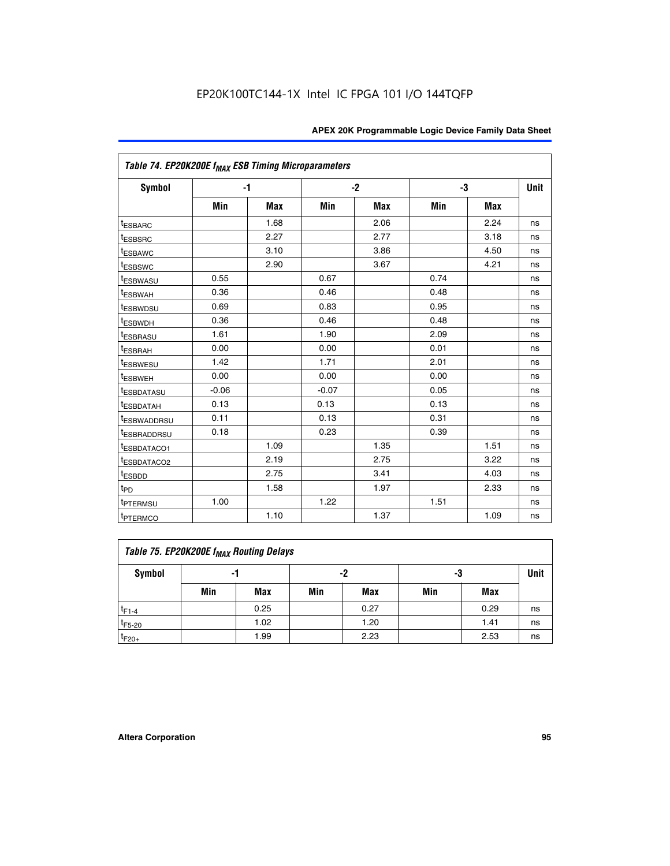| Table 74. EP20K200E f <sub>MAX</sub> ESB Timing Microparameters |         |            |         |            |      |      |      |
|-----------------------------------------------------------------|---------|------------|---------|------------|------|------|------|
| <b>Symbol</b>                                                   |         | $-1$       |         | $-2$       | -3   |      | Unit |
|                                                                 | Min     | <b>Max</b> | Min     | <b>Max</b> | Min  | Max  |      |
| <sup>t</sup> ESBARC                                             |         | 1.68       |         | 2.06       |      | 2.24 | ns   |
| <sup>t</sup> ESBSRC                                             |         | 2.27       |         | 2.77       |      | 3.18 | ns   |
| t <sub>ESBAWC</sub>                                             |         | 3.10       |         | 3.86       |      | 4.50 | ns   |
| <sup>t</sup> ESBSWC                                             |         | 2.90       |         | 3.67       |      | 4.21 | ns   |
| t <sub>ESBWASU</sub>                                            | 0.55    |            | 0.67    |            | 0.74 |      | ns   |
| <sup>t</sup> ESBWAH                                             | 0.36    |            | 0.46    |            | 0.48 |      | ns   |
| <sup>t</sup> ESBWDSU                                            | 0.69    |            | 0.83    |            | 0.95 |      | ns   |
| t <sub>ESBWDH</sub>                                             | 0.36    |            | 0.46    |            | 0.48 |      | ns   |
| <sup>t</sup> ESBRASU                                            | 1.61    |            | 1.90    |            | 2.09 |      | ns   |
| <sup>t</sup> ESBRAH                                             | 0.00    |            | 0.00    |            | 0.01 |      | ns   |
| <sup>t</sup> ESBWESU                                            | 1.42    |            | 1.71    |            | 2.01 |      | ns   |
| <sup>I</sup> ESBWEH                                             | 0.00    |            | 0.00    |            | 0.00 |      | ns   |
| t <sub>ESBDATASU</sub>                                          | $-0.06$ |            | $-0.07$ |            | 0.05 |      | ns   |
| <sup>t</sup> ESBDATAH                                           | 0.13    |            | 0.13    |            | 0.13 |      | ns   |
| <sup>t</sup> ESBWADDRSU                                         | 0.11    |            | 0.13    |            | 0.31 |      | ns   |
| <sup>I</sup> ESBRADDRSU                                         | 0.18    |            | 0.23    |            | 0.39 |      | ns   |
| <sup>I</sup> ESBDATACO1                                         |         | 1.09       |         | 1.35       |      | 1.51 | ns   |
| <sup>t</sup> ESBDATACO2                                         |         | 2.19       |         | 2.75       |      | 3.22 | ns   |
| <sup>t</sup> ESBDD                                              |         | 2.75       |         | 3.41       |      | 4.03 | ns   |
| t <sub>PD</sub>                                                 |         | 1.58       |         | 1.97       |      | 2.33 | ns   |
| t <sub>PTERMSU</sub>                                            | 1.00    |            | 1.22    |            | 1.51 |      | ns   |
| t <sub>PTERMCO</sub>                                            |         | 1.10       |         | 1.37       |      | 1.09 | ns   |

| Table 75. EP20K200E f <sub>MAX</sub> Routing Delays |     |      |     |      |     |      |    |  |  |  |  |
|-----------------------------------------------------|-----|------|-----|------|-----|------|----|--|--|--|--|
| Symbol                                              | -1  |      |     | -2   |     | -3   |    |  |  |  |  |
|                                                     | Min | Max  | Min | Max  | Min | Max  |    |  |  |  |  |
| $t_{F1-4}$                                          |     | 0.25 |     | 0.27 |     | 0.29 | ns |  |  |  |  |
| $t_{F5-20}$                                         |     | 1.02 |     | 1.20 |     | 1.41 | ns |  |  |  |  |
| $t_{F20+}$                                          |     | 1.99 |     | 2.23 |     | 2.53 | ns |  |  |  |  |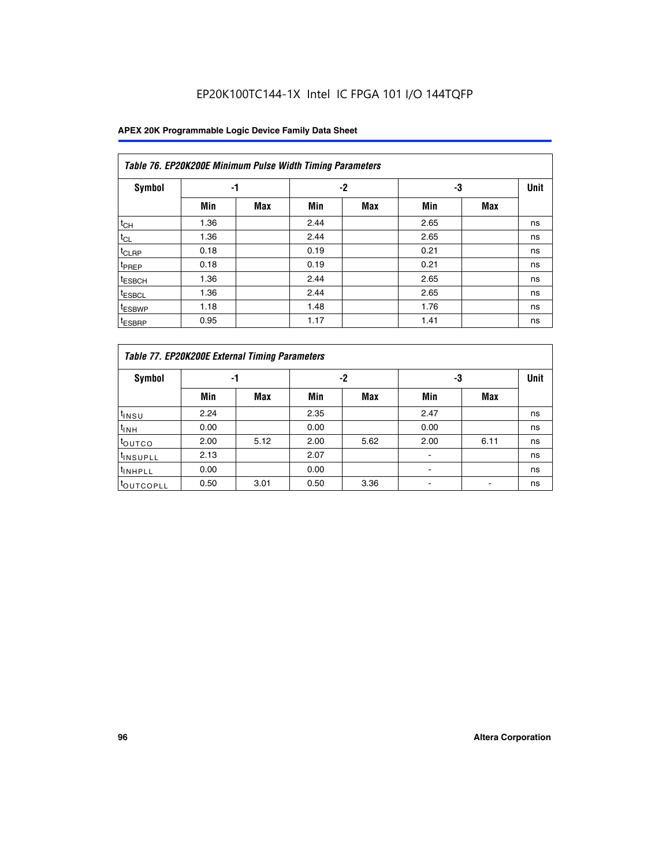|                    | Table 76. EP20K200E Minimum Pulse Width Timing Parameters |            |      |      |      |            |             |  |  |  |  |  |
|--------------------|-----------------------------------------------------------|------------|------|------|------|------------|-------------|--|--|--|--|--|
| Symbol             | -1                                                        |            |      | $-2$ | -3   |            | <b>Unit</b> |  |  |  |  |  |
|                    | Min                                                       | <b>Max</b> | Min  | Max  | Min  | <b>Max</b> |             |  |  |  |  |  |
| $t_{CH}$           | 1.36                                                      |            | 2.44 |      | 2.65 |            | ns          |  |  |  |  |  |
| $t_{CL}$           | 1.36                                                      |            | 2.44 |      | 2.65 |            | ns          |  |  |  |  |  |
| $t_{CLRP}$         | 0.18                                                      |            | 0.19 |      | 0.21 |            | ns          |  |  |  |  |  |
| <sup>t</sup> PREP  | 0.18                                                      |            | 0.19 |      | 0.21 |            | ns          |  |  |  |  |  |
| <sup>t</sup> ESBCH | 1.36                                                      |            | 2.44 |      | 2.65 |            | ns          |  |  |  |  |  |
| <sup>t</sup> ESBCL | 1.36                                                      |            | 2.44 |      | 2.65 |            | ns          |  |  |  |  |  |
| <sup>t</sup> ESBWP | 1.18                                                      |            | 1.48 |      | 1.76 |            | ns          |  |  |  |  |  |
| <sup>t</sup> ESBRP | 0.95                                                      |            | 1.17 |      | 1.41 |            | ns          |  |  |  |  |  |

|                       | Table 77. EP20K200E External Timing Parameters |            |      |            |      |      |    |  |  |  |  |  |
|-----------------------|------------------------------------------------|------------|------|------------|------|------|----|--|--|--|--|--|
| <b>Symbol</b>         |                                                | -1         |      | -2         |      | -3   |    |  |  |  |  |  |
|                       | Min                                            | <b>Max</b> | Min  | <b>Max</b> | Min  | Max  |    |  |  |  |  |  |
| t <sub>INSU</sub>     | 2.24                                           |            | 2.35 |            | 2.47 |      | ns |  |  |  |  |  |
| $t_{\text{INH}}$      | 0.00                                           |            | 0.00 |            | 0.00 |      | ns |  |  |  |  |  |
| toutco                | 2.00                                           | 5.12       | 2.00 | 5.62       | 2.00 | 6.11 | ns |  |  |  |  |  |
| <sup>t</sup> INSUPLL  | 2.13                                           |            | 2.07 |            |      |      | ns |  |  |  |  |  |
| <sup>t</sup> INHPLL   | 0.00                                           |            | 0.00 |            | -    |      | ns |  |  |  |  |  |
| <sup>I</sup> OUTCOPLL | 0.50                                           | 3.01       | 0.50 | 3.36       |      |      | ns |  |  |  |  |  |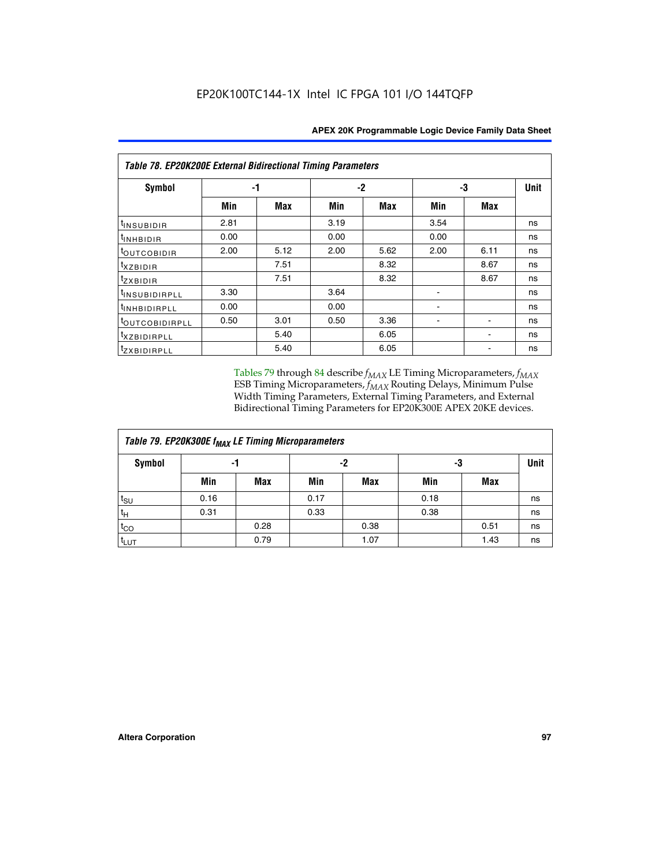| Table 78. EP20K200E External Bidirectional Timing Parameters |      |      |      |      |      |             |    |  |  |  |  |
|--------------------------------------------------------------|------|------|------|------|------|-------------|----|--|--|--|--|
| Symbol                                                       |      | -1   |      | -2   | -3   | <b>Unit</b> |    |  |  |  |  |
|                                                              | Min  | Max  | Min  | Max  | Min  | <b>Max</b>  |    |  |  |  |  |
| $t_{INSUBIDIR}$                                              | 2.81 |      | 3.19 |      | 3.54 |             | ns |  |  |  |  |
| $t_{INHBIDIR}$                                               | 0.00 |      | 0.00 |      | 0.00 |             | ns |  |  |  |  |
| t <sub>outcobidir</sub>                                      | 2.00 | 5.12 | 2.00 | 5.62 | 2.00 | 6.11        | ns |  |  |  |  |
| <i>txzbidir</i>                                              |      | 7.51 |      | 8.32 |      | 8.67        | ns |  |  |  |  |
| tzxbidir                                                     |      | 7.51 |      | 8.32 |      | 8.67        | ns |  |  |  |  |
| t <sub>INSUBIDIRPLL</sub>                                    | 3.30 |      | 3.64 |      |      |             | ns |  |  |  |  |
| <b>tINHBIDIRPLL</b>                                          | 0.00 |      | 0.00 |      |      |             | ns |  |  |  |  |
| <sup>t</sup> OUTCOBIDIRPLL                                   | 0.50 | 3.01 | 0.50 | 3.36 |      |             | ns |  |  |  |  |
| <i>txzbidirpll</i>                                           |      | 5.40 |      | 6.05 |      |             | ns |  |  |  |  |
| <i>tzxBIDIRPLL</i>                                           |      | 5.40 |      | 6.05 |      |             | ns |  |  |  |  |

Tables 79 through 84 describe  $f_{MAX}$  LE Timing Microparameters,  $f_{MAX}$ ESB Timing Microparameters, *f<sub>MAX</sub>* Routing Delays, Minimum Pulse Width Timing Parameters, External Timing Parameters, and External Bidirectional Timing Parameters for EP20K300E APEX 20KE devices.

| Table 79. EP20K300E f <sub>MAX</sub> LE Timing Microparameters |      |      |      |      |      |            |    |  |  |  |  |
|----------------------------------------------------------------|------|------|------|------|------|------------|----|--|--|--|--|
| <b>Symbol</b>                                                  |      | -1   |      | -2   |      | -3         |    |  |  |  |  |
|                                                                | Min  | Max  | Min  | Max  | Min  | <b>Max</b> |    |  |  |  |  |
| $t_{\text{SU}}$                                                | 0.16 |      | 0.17 |      | 0.18 |            | ns |  |  |  |  |
| $t_H$                                                          | 0.31 |      | 0.33 |      | 0.38 |            | ns |  |  |  |  |
| $t_{CO}$                                                       |      | 0.28 |      | 0.38 |      | 0.51       | ns |  |  |  |  |
| $t_{LUT}$                                                      |      | 0.79 |      | 1.07 |      | 1.43       | ns |  |  |  |  |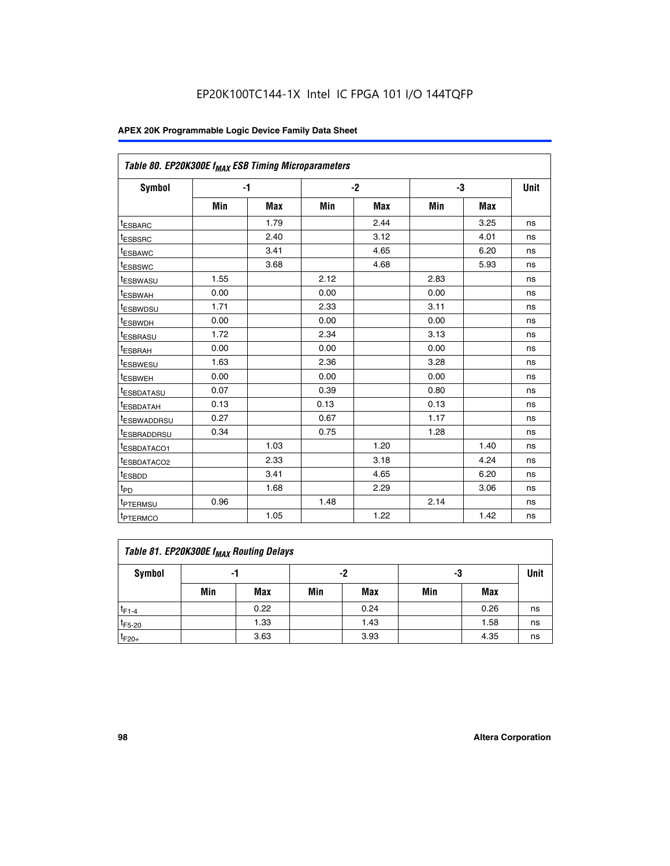| Table 80. EP20K300E f <sub>MAX</sub> ESB Timing Microparameters |      |      |      |      |      |      |      |
|-----------------------------------------------------------------|------|------|------|------|------|------|------|
| <b>Symbol</b>                                                   |      | $-1$ |      | $-2$ |      | -3   | Unit |
|                                                                 | Min  | Max  | Min  | Max  | Min  | Max  |      |
| <sup>t</sup> ESBARC                                             |      | 1.79 |      | 2.44 |      | 3.25 | ns   |
| t <sub>ESBSRC</sub>                                             |      | 2.40 |      | 3.12 |      | 4.01 | ns   |
| t <sub>ESBAWC</sub>                                             |      | 3.41 |      | 4.65 |      | 6.20 | ns   |
| <sup>t</sup> ESBSWC                                             |      | 3.68 |      | 4.68 |      | 5.93 | ns   |
| t <sub>ESBWASU</sub>                                            | 1.55 |      | 2.12 |      | 2.83 |      | ns   |
| t <sub>ESBWAH</sub>                                             | 0.00 |      | 0.00 |      | 0.00 |      | ns   |
| <sup>t</sup> ESBWDSU                                            | 1.71 |      | 2.33 |      | 3.11 |      | ns   |
| <sup>t</sup> ESBWDH                                             | 0.00 |      | 0.00 |      | 0.00 |      | ns   |
| t <sub>ESBRASU</sub>                                            | 1.72 |      | 2.34 |      | 3.13 |      | ns   |
| <sup>t</sup> ESBRAH                                             | 0.00 |      | 0.00 |      | 0.00 |      | ns   |
| t <sub>ESBWESU</sub>                                            | 1.63 |      | 2.36 |      | 3.28 |      | ns   |
| <sup>t</sup> ESBWEH                                             | 0.00 |      | 0.00 |      | 0.00 |      | ns   |
| <sup>t</sup> ESBDATASU                                          | 0.07 |      | 0.39 |      | 0.80 |      | ns   |
| <sup>t</sup> ESBDATAH                                           | 0.13 |      | 0.13 |      | 0.13 |      | ns   |
| <sup>t</sup> ESBWADDRSU                                         | 0.27 |      | 0.67 |      | 1.17 |      | ns   |
| tESBRADDRSU                                                     | 0.34 |      | 0.75 |      | 1.28 |      | ns   |
| <sup>I</sup> ESBDATACO1                                         |      | 1.03 |      | 1.20 |      | 1.40 | ns   |
| <sup>t</sup> ESBDATACO2                                         |      | 2.33 |      | 3.18 |      | 4.24 | ns   |
| <sup>t</sup> ESBDD                                              |      | 3.41 |      | 4.65 |      | 6.20 | ns   |
| t <sub>PD</sub>                                                 |      | 1.68 |      | 2.29 |      | 3.06 | ns   |
| t <sub>PTERMSU</sub>                                            | 0.96 |      | 1.48 |      | 2.14 |      | ns   |
| t <sub>PTERMCO</sub>                                            |      | 1.05 |      | 1.22 |      | 1.42 | ns   |

| Table 81. EP20K300E f <sub>MAX</sub> Routing Delays |     |      |     |            |     |      |      |  |  |  |
|-----------------------------------------------------|-----|------|-----|------------|-----|------|------|--|--|--|
| Symbol                                              |     | -1   | -2  |            | -3  |      | Unit |  |  |  |
|                                                     | Min | Max  | Min | <b>Max</b> | Min | Max  |      |  |  |  |
| $t_{F1-4}$                                          |     | 0.22 |     | 0.24       |     | 0.26 | ns   |  |  |  |
| $t_{F5-20}$                                         |     | 1.33 |     | 1.43       |     | 1.58 | ns   |  |  |  |
| $t_{F20+}$                                          |     | 3.63 |     | 3.93       |     | 4.35 | ns   |  |  |  |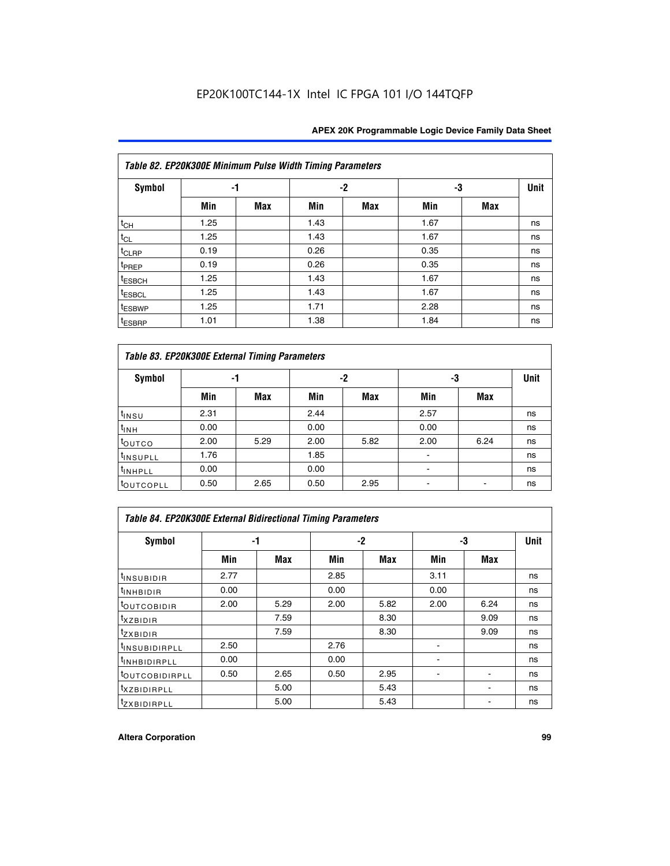|                    | Table 82. EP20K300E Minimum Pulse Width Timing Parameters |            |      |            |      |            |             |  |  |  |  |  |
|--------------------|-----------------------------------------------------------|------------|------|------------|------|------------|-------------|--|--|--|--|--|
| <b>Symbol</b>      |                                                           | -1         |      | $-2$       |      |            | <b>Unit</b> |  |  |  |  |  |
|                    | Min                                                       | <b>Max</b> | Min  | <b>Max</b> | Min  | <b>Max</b> |             |  |  |  |  |  |
| $t_{CH}$           | 1.25                                                      |            | 1.43 |            | 1.67 |            | ns          |  |  |  |  |  |
| $t_{CL}$           | 1.25                                                      |            | 1.43 |            | 1.67 |            | ns          |  |  |  |  |  |
| $t_{CLRP}$         | 0.19                                                      |            | 0.26 |            | 0.35 |            | ns          |  |  |  |  |  |
| t <sub>PREP</sub>  | 0.19                                                      |            | 0.26 |            | 0.35 |            | ns          |  |  |  |  |  |
| <sup>t</sup> ESBCH | 1.25                                                      |            | 1.43 |            | 1.67 |            | ns          |  |  |  |  |  |
| <sup>t</sup> ESBCL | 1.25                                                      |            | 1.43 |            | 1.67 |            | ns          |  |  |  |  |  |
| t <sub>ESBWP</sub> | 1.25                                                      |            | 1.71 |            | 2.28 |            | ns          |  |  |  |  |  |
| <sup>t</sup> ESBRP | 1.01                                                      |            | 1.38 |            | 1.84 |            | ns          |  |  |  |  |  |

|                       | Table 83. EP20K300E External Timing Parameters |      |      |      |      |            |    |  |  |  |  |  |  |
|-----------------------|------------------------------------------------|------|------|------|------|------------|----|--|--|--|--|--|--|
| Symbol                |                                                | -1   |      | -2   |      | -3         |    |  |  |  |  |  |  |
|                       | Min                                            | Max  | Min  | Max  | Min  | <b>Max</b> |    |  |  |  |  |  |  |
| t <sub>INSU</sub>     | 2.31                                           |      | 2.44 |      | 2.57 |            | ns |  |  |  |  |  |  |
| $t_{\rm INH}$         | 0.00                                           |      | 0.00 |      | 0.00 |            | ns |  |  |  |  |  |  |
| toutco                | 2.00                                           | 5.29 | 2.00 | 5.82 | 2.00 | 6.24       | ns |  |  |  |  |  |  |
| <sup>t</sup> INSUPLL  | 1.76                                           |      | 1.85 |      |      |            | ns |  |  |  |  |  |  |
| <sup>t</sup> INHPLL   | 0.00                                           |      | 0.00 |      | -    |            | ns |  |  |  |  |  |  |
| <sup>t</sup> OUTCOPLL | 0.50                                           | 2.65 | 0.50 | 2.95 |      |            | ns |  |  |  |  |  |  |

| Table 84. EP20K300E External Bidirectional Timing Parameters |      |      |      |      |      |             |    |  |  |  |  |
|--------------------------------------------------------------|------|------|------|------|------|-------------|----|--|--|--|--|
| Symbol                                                       |      | -1   | $-2$ |      | -3   | <b>Unit</b> |    |  |  |  |  |
|                                                              | Min  | Max  | Min  | Max  | Min  | <b>Max</b>  |    |  |  |  |  |
| <sup>t</sup> INSUBIDIR                                       | 2.77 |      | 2.85 |      | 3.11 |             | ns |  |  |  |  |
| <b>TINHBIDIR</b>                                             | 0.00 |      | 0.00 |      | 0.00 |             | ns |  |  |  |  |
| <sup>t</sup> OUTCOBIDIR                                      | 2.00 | 5.29 | 2.00 | 5.82 | 2.00 | 6.24        | ns |  |  |  |  |
| KZBIDIR                                                      |      | 7.59 |      | 8.30 |      | 9.09        | ns |  |  |  |  |
| $t_{Z}$ <i>x</i> BIDIR                                       |      | 7.59 |      | 8.30 |      | 9.09        | ns |  |  |  |  |
| <b>INSUBIDIRPLL</b>                                          | 2.50 |      | 2.76 |      |      |             | ns |  |  |  |  |
| <sup>t</sup> INHBIDIRPLL                                     | 0.00 |      | 0.00 |      |      |             | ns |  |  |  |  |
| <sup>t</sup> OUTCOBIDIRPLL                                   | 0.50 | 2.65 | 0.50 | 2.95 |      |             | ns |  |  |  |  |
| <sup>t</sup> XZBIDIRPLL                                      |      | 5.00 |      | 5.43 |      |             | ns |  |  |  |  |
| <sup>t</sup> ZXBIDIRPLL                                      |      | 5.00 |      | 5.43 |      |             | ns |  |  |  |  |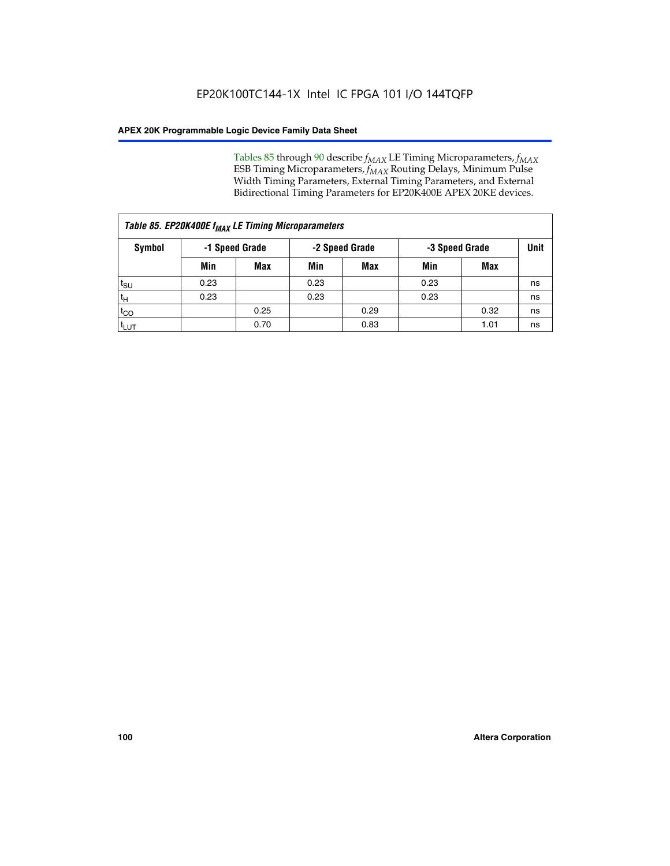Tables 85 through 90 describe  $f_{MAX}$  LE Timing Microparameters,  $f_{MAX}$ ESB Timing Microparameters, *f<sub>MAX</sub>* Routing Delays, Minimum Pulse Width Timing Parameters, External Timing Parameters, and External Bidirectional Timing Parameters for EP20K400E APEX 20KE devices.

| Table 85. EP20K400E f <sub>MAX</sub> LE Timing Microparameters |                |            |                |            |                |      |      |  |  |  |  |
|----------------------------------------------------------------|----------------|------------|----------------|------------|----------------|------|------|--|--|--|--|
| Symbol                                                         | -1 Speed Grade |            | -2 Speed Grade |            | -3 Speed Grade |      | Unit |  |  |  |  |
|                                                                | Min            | <b>Max</b> | Min            | <b>Max</b> | Min            | Max  |      |  |  |  |  |
| $t_{\text{SU}}$                                                | 0.23           |            | 0.23           |            | 0.23           |      | ns   |  |  |  |  |
| $t_H$                                                          | 0.23           |            | 0.23           |            | 0.23           |      | ns   |  |  |  |  |
| $t_{CO}$                                                       |                | 0.25       |                | 0.29       |                | 0.32 | ns   |  |  |  |  |
| ι <sup>t</sup> ιυτ                                             |                | 0.70       |                | 0.83       |                | 1.01 | ns   |  |  |  |  |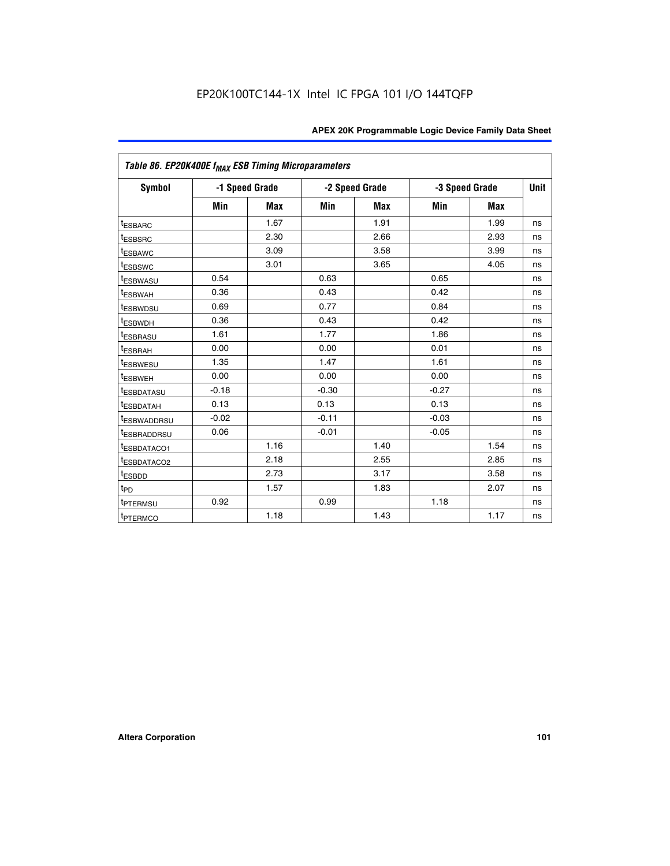| Table 86. EP20K400E f <sub>MAX</sub> ESB Timing Microparameters |         |                |         |                |                |            |             |
|-----------------------------------------------------------------|---------|----------------|---------|----------------|----------------|------------|-------------|
| Symbol                                                          |         | -1 Speed Grade |         | -2 Speed Grade | -3 Speed Grade |            | <b>Unit</b> |
|                                                                 | Min     | <b>Max</b>     | Min     | Max            | Min            | <b>Max</b> |             |
| <sup>t</sup> ESBARC                                             |         | 1.67           |         | 1.91           |                | 1.99       | ns          |
| <sup>t</sup> ESBSRC                                             |         | 2.30           |         | 2.66           |                | 2.93       | ns          |
| <sup>t</sup> ESBAWC                                             |         | 3.09           |         | 3.58           |                | 3.99       | ns          |
| <sup>t</sup> ESBSWC                                             |         | 3.01           |         | 3.65           |                | 4.05       | ns          |
| <sup>t</sup> ESBWASU                                            | 0.54    |                | 0.63    |                | 0.65           |            | ns          |
| t <sub>ESBWAH</sub>                                             | 0.36    |                | 0.43    |                | 0.42           |            | ns          |
| <sup>t</sup> ESBWDSU                                            | 0.69    |                | 0.77    |                | 0.84           |            | ns          |
| <sup>I</sup> ESBWDH                                             | 0.36    |                | 0.43    |                | 0.42           |            | ns          |
| t <sub>ESBRASU</sub>                                            | 1.61    |                | 1.77    |                | 1.86           |            | ns          |
| t <sub>ESBRAH</sub>                                             | 0.00    |                | 0.00    |                | 0.01           |            | ns          |
| <sup>t</sup> ESBWESU                                            | 1.35    |                | 1.47    |                | 1.61           |            | ns          |
| t <sub>ESBWEH</sub>                                             | 0.00    |                | 0.00    |                | 0.00           |            | ns          |
| <sup>I</sup> ESBDATASU                                          | $-0.18$ |                | $-0.30$ |                | $-0.27$        |            | ns          |
| <b>ESBDATAH</b>                                                 | 0.13    |                | 0.13    |                | 0.13           |            | ns          |
| <sup>T</sup> ESBWADDRSU                                         | $-0.02$ |                | $-0.11$ |                | $-0.03$        |            | ns          |
| <sup>T</sup> ESBRADDRSU                                         | 0.06    |                | $-0.01$ |                | $-0.05$        |            | ns          |
| <sup>t</sup> ESBDATACO1                                         |         | 1.16           |         | 1.40           |                | 1.54       | ns          |
| <sup>t</sup> ESBDATACO2                                         |         | 2.18           |         | 2.55           |                | 2.85       | ns          |
| <sup>t</sup> ESBDD                                              |         | 2.73           |         | 3.17           |                | 3.58       | ns          |
| $t_{P\underline{D}}$                                            |         | 1.57           |         | 1.83           |                | 2.07       | ns          |
| t <sub>PTERMSU</sub>                                            | 0.92    |                | 0.99    |                | 1.18           |            | ns          |
| <sup>t</sup> PTERMCO                                            |         | 1.18           |         | 1.43           |                | 1.17       | ns          |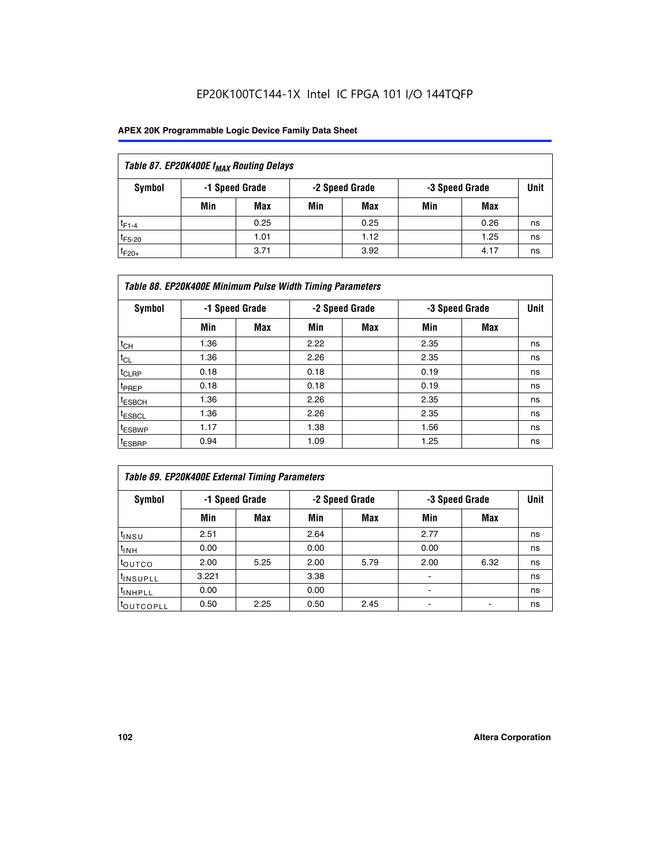| Table 87. EP20K400E f <sub>MAX</sub> Routing Delays |     |                |     |                |     |                |      |  |  |  |  |
|-----------------------------------------------------|-----|----------------|-----|----------------|-----|----------------|------|--|--|--|--|
| Symbol                                              |     | -1 Speed Grade |     | -2 Speed Grade |     | -3 Speed Grade | Unit |  |  |  |  |
|                                                     | Min | <b>Max</b>     | Min | Max            | Min | Max            |      |  |  |  |  |
| $t_{F1-4}$                                          |     | 0.25           |     | 0.25           |     | 0.26           | ns   |  |  |  |  |
| $t_{F5-20}$                                         |     | 1.01           |     | 1.12           |     | 1.25           | ns   |  |  |  |  |
| $t_{F20+}$                                          |     | 3.71           |     | 3.92           |     | 4.17           | ns   |  |  |  |  |

|                    | Table 88. EP20K400E Minimum Pulse Width Timing Parameters |                |      |                |      |                |             |  |  |  |  |
|--------------------|-----------------------------------------------------------|----------------|------|----------------|------|----------------|-------------|--|--|--|--|
| Symbol             |                                                           | -1 Speed Grade |      | -2 Speed Grade |      | -3 Speed Grade | <b>Unit</b> |  |  |  |  |
|                    | Min                                                       | <b>Max</b>     | Min  | <b>Max</b>     | Min  | Max            |             |  |  |  |  |
| $t_{CH}$           | 1.36                                                      |                | 2.22 |                | 2.35 |                | ns          |  |  |  |  |
| $t_{CL}$           | 1.36                                                      |                | 2.26 |                | 2.35 |                | ns          |  |  |  |  |
| $t_{CLRP}$         | 0.18                                                      |                | 0.18 |                | 0.19 |                | ns          |  |  |  |  |
| t <sub>PREP</sub>  | 0.18                                                      |                | 0.18 |                | 0.19 |                | ns          |  |  |  |  |
| t <sub>ESBCH</sub> | 1.36                                                      |                | 2.26 |                | 2.35 |                | ns          |  |  |  |  |
| <sup>t</sup> ESBCL | 1.36                                                      |                | 2.26 |                | 2.35 |                | ns          |  |  |  |  |
| <sup>t</sup> ESBWP | 1.17                                                      |                | 1.38 |                | 1.56 |                | ns          |  |  |  |  |
| <sup>t</sup> ESBRP | 0.94                                                      |                | 1.09 |                | 1.25 |                | ns          |  |  |  |  |

| Table 89. EP20K400E External Timing Parameters |                |      |      |                |                          |                |    |  |  |
|------------------------------------------------|----------------|------|------|----------------|--------------------------|----------------|----|--|--|
| Symbol                                         | -1 Speed Grade |      |      | -2 Speed Grade |                          | -3 Speed Grade |    |  |  |
|                                                | Min            | Max  | Min  | <b>Max</b>     | Min                      | Max            |    |  |  |
| t <sub>INSU</sub>                              | 2.51           |      | 2.64 |                | 2.77                     |                | ns |  |  |
| $t_{INH}$                                      | 0.00           |      | 0.00 |                | 0.00                     |                | ns |  |  |
| toutco                                         | 2.00           | 5.25 | 2.00 | 5.79           | 2.00                     | 6.32           | ns |  |  |
| <sup>t</sup> INSUPLL                           | 3.221          |      | 3.38 |                | ۰                        |                | ns |  |  |
| I <sup>t</sup> INHPLL                          | 0.00           |      | 0.00 |                | $\overline{\phantom{a}}$ |                | ns |  |  |
| t <sub>OUTCOPLL</sub>                          | 0.50           | 2.25 | 0.50 | 2.45           | ۰                        |                | ns |  |  |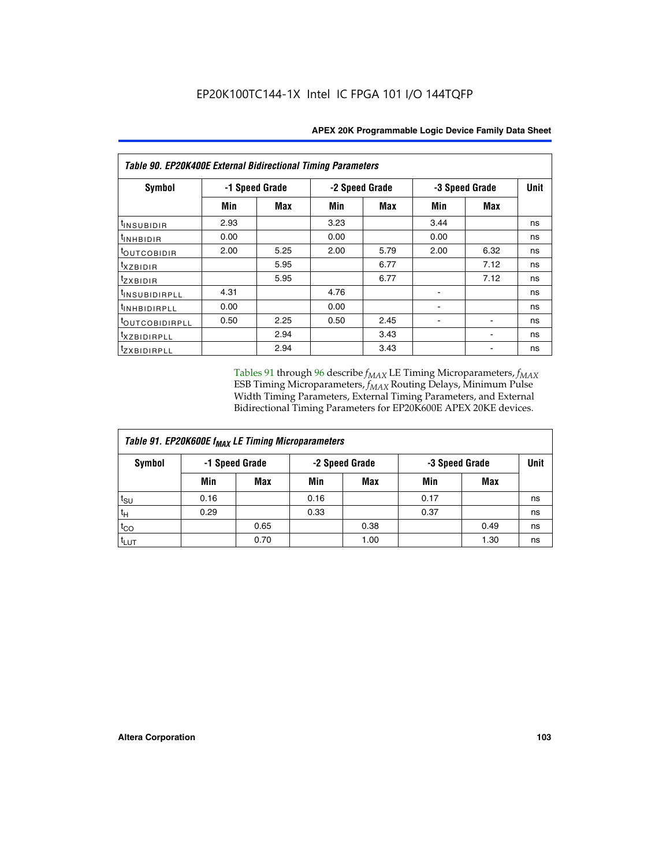| <b>Table 90. EP20K400E External Bidirectional Timing Parameters</b> |      |                |      |                |      |                |      |  |  |  |
|---------------------------------------------------------------------|------|----------------|------|----------------|------|----------------|------|--|--|--|
| Symbol                                                              |      | -1 Speed Grade |      | -2 Speed Grade |      | -3 Speed Grade | Unit |  |  |  |
|                                                                     | Min  | Max            | Min  | <b>Max</b>     | Min  | Max            |      |  |  |  |
| t <sub>INSUBIDIR</sub>                                              | 2.93 |                | 3.23 |                | 3.44 |                | ns   |  |  |  |
| tINHBIDIR                                                           | 0.00 |                | 0.00 |                | 0.00 |                | ns   |  |  |  |
| t <sub>outcobidir</sub>                                             | 2.00 | 5.25           | 2.00 | 5.79           | 2.00 | 6.32           | ns   |  |  |  |
| <i>txzbidir</i>                                                     |      | 5.95           |      | 6.77           |      | 7.12           | ns   |  |  |  |
| tzxbidir                                                            |      | 5.95           |      | 6.77           |      | 7.12           | ns   |  |  |  |
| t <sub>INSUBIDIRPLL</sub>                                           | 4.31 |                | 4.76 |                |      |                | ns   |  |  |  |
| <sup>t</sup> INHBIDIRPLL                                            | 0.00 |                | 0.00 |                |      |                | ns   |  |  |  |
| tout COBIDIRPLL                                                     | 0.50 | 2.25           | 0.50 | 2.45           |      |                | ns   |  |  |  |
| <i>txzBIDIRPLL</i>                                                  |      | 2.94           |      | 3.43           |      |                | ns   |  |  |  |
| tzxBIDIRPLL                                                         |      | 2.94           |      | 3.43           |      |                | ns   |  |  |  |

Tables 91 through 96 describe  $f_{MAX}$  LE Timing Microparameters,  $f_{MAX}$ ESB Timing Microparameters, *f<sub>MAX</sub>* Routing Delays, Minimum Pulse Width Timing Parameters, External Timing Parameters, and External Bidirectional Timing Parameters for EP20K600E APEX 20KE devices.

| Table 91. EP20K600E f <sub>MAX</sub> LE Timing Microparameters |      |                |      |                |                |      |             |  |  |
|----------------------------------------------------------------|------|----------------|------|----------------|----------------|------|-------------|--|--|
| Symbol                                                         |      | -1 Speed Grade |      | -2 Speed Grade | -3 Speed Grade |      | <b>Unit</b> |  |  |
|                                                                | Min  | <b>Max</b>     | Min  | <b>Max</b>     | Min            | Max  |             |  |  |
| t <sub>SU</sub>                                                | 0.16 |                | 0.16 |                | 0.17           |      | ns          |  |  |
| $t_H$                                                          | 0.29 |                | 0.33 |                | 0.37           |      | ns          |  |  |
| $t_{CO}$                                                       |      | 0.65           |      | 0.38           |                | 0.49 | ns          |  |  |
| t <sub>LUT</sub>                                               |      | 0.70           |      | 1.00           |                | 1.30 | ns          |  |  |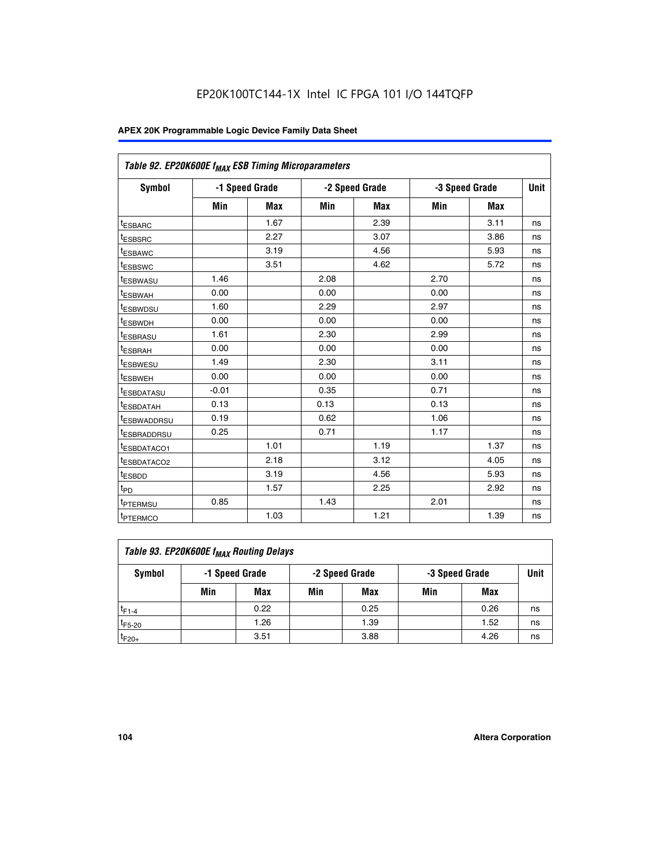| Table 92. EP20K600E f <sub>MAX</sub> ESB Timing Microparameters |         |                |      |                |                |            |      |
|-----------------------------------------------------------------|---------|----------------|------|----------------|----------------|------------|------|
| <b>Symbol</b>                                                   |         | -1 Speed Grade |      | -2 Speed Grade | -3 Speed Grade |            | Unit |
|                                                                 | Min     | <b>Max</b>     | Min  | <b>Max</b>     | Min            | <b>Max</b> |      |
| <sup>t</sup> ESBARC                                             |         | 1.67           |      | 2.39           |                | 3.11       | ns   |
| t <sub>ESBSRC</sub>                                             |         | 2.27           |      | 3.07           |                | 3.86       | ns   |
| t <sub>ESBAWC</sub>                                             |         | 3.19           |      | 4.56           |                | 5.93       | ns   |
| t <sub>ESBSWC</sub>                                             |         | 3.51           |      | 4.62           |                | 5.72       | ns   |
| <sup>t</sup> ESBWASU                                            | 1.46    |                | 2.08 |                | 2.70           |            | ns   |
| <sup>t</sup> ESBWAH                                             | 0.00    |                | 0.00 |                | 0.00           |            | ns   |
| t <sub>ESBWDSU</sub>                                            | 1.60    |                | 2.29 |                | 2.97           |            | ns   |
| <sup>t</sup> ESBWDH                                             | 0.00    |                | 0.00 |                | 0.00           |            | ns   |
| <sup>t</sup> ESBRASU                                            | 1.61    |                | 2.30 |                | 2.99           |            | ns   |
| <sup>t</sup> ESBRAH                                             | 0.00    |                | 0.00 |                | 0.00           |            | ns   |
| <sup>t</sup> ESBWESU                                            | 1.49    |                | 2.30 |                | 3.11           |            | ns   |
| t <sub>ESBWEH</sub>                                             | 0.00    |                | 0.00 |                | 0.00           |            | ns   |
| <sup>t</sup> ESBDATASU                                          | $-0.01$ |                | 0.35 |                | 0.71           |            | ns   |
| <sup>t</sup> ESBDATAH                                           | 0.13    |                | 0.13 |                | 0.13           |            | ns   |
| <sup>t</sup> ESBWADDRSU                                         | 0.19    |                | 0.62 |                | 1.06           |            | ns   |
| tESBRADDRSU                                                     | 0.25    |                | 0.71 |                | 1.17           |            | ns   |
| <sup>I</sup> ESBDATACO1                                         |         | 1.01           |      | 1.19           |                | 1.37       | ns   |
| <sup>t</sup> ESBDATACO2                                         |         | 2.18           |      | 3.12           |                | 4.05       | ns   |
| <sup>t</sup> ESBDD                                              |         | 3.19           |      | 4.56           |                | 5.93       | ns   |
| t <sub>PD</sub>                                                 |         | 1.57           |      | 2.25           |                | 2.92       | ns   |
| <sup>t</sup> PTERMSU                                            | 0.85    |                | 1.43 |                | 2.01           |            | ns   |
| t <sub>PTERMCO</sub>                                            |         | 1.03           |      | 1.21           |                | 1.39       | ns   |

| Table 93. EP20K600E f <sub>MAX</sub> Routing Delays |     |                                                    |     |      |      |      |    |  |  |
|-----------------------------------------------------|-----|----------------------------------------------------|-----|------|------|------|----|--|--|
| Symbol                                              |     | -1 Speed Grade<br>-2 Speed Grade<br>-3 Speed Grade |     |      | Unit |      |    |  |  |
|                                                     | Min | Max                                                | Min | Max  | Min  | Max  |    |  |  |
| $t_{F1-4}$                                          |     | 0.22                                               |     | 0.25 |      | 0.26 | ns |  |  |
| $t_{F5-20}$                                         |     | 1.26                                               |     | 1.39 |      | 1.52 | ns |  |  |
| $t_{F20+}$                                          |     | 3.51                                               |     | 3.88 |      | 4.26 | ns |  |  |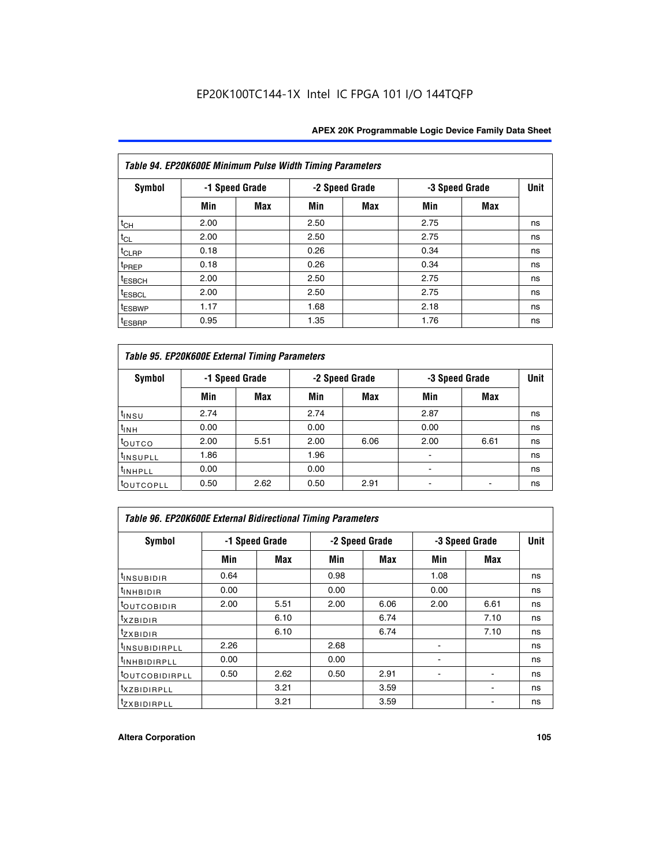| Table 94. EP20K600E Minimum Pulse Width Timing Parameters |      |                |      |                |      |                |    |  |  |
|-----------------------------------------------------------|------|----------------|------|----------------|------|----------------|----|--|--|
| Symbol                                                    |      | -1 Speed Grade |      | -2 Speed Grade |      | -3 Speed Grade |    |  |  |
|                                                           | Min  | Max            | Min  | Max            | Min  | <b>Max</b>     |    |  |  |
| $t_{CH}$                                                  | 2.00 |                | 2.50 |                | 2.75 |                | ns |  |  |
| $t_{CL}$                                                  | 2.00 |                | 2.50 |                | 2.75 |                | ns |  |  |
| t <sub>CLRP</sub>                                         | 0.18 |                | 0.26 |                | 0.34 |                | ns |  |  |
| t <sub>PREP</sub>                                         | 0.18 |                | 0.26 |                | 0.34 |                | ns |  |  |
| <sup>t</sup> ESBCH                                        | 2.00 |                | 2.50 |                | 2.75 |                | ns |  |  |
| <sup>t</sup> ESBCL                                        | 2.00 |                | 2.50 |                | 2.75 |                | ns |  |  |
| <sup>t</sup> ESBWP                                        | 1.17 |                | 1.68 |                | 2.18 |                | ns |  |  |
| <sup>t</sup> ESBRP                                        | 0.95 |                | 1.35 |                | 1.76 |                | ns |  |  |

| Table 95. EP20K600E External Timing Parameters |      |                |      |                |                          |             |    |  |  |
|------------------------------------------------|------|----------------|------|----------------|--------------------------|-------------|----|--|--|
| Symbol                                         |      | -1 Speed Grade |      | -2 Speed Grade | -3 Speed Grade           | <b>Unit</b> |    |  |  |
|                                                | Min  | Max            | Min  | <b>Max</b>     | Min                      | <b>Max</b>  |    |  |  |
| t <sub>insu</sub>                              | 2.74 |                | 2.74 |                | 2.87                     |             | ns |  |  |
| $t_{INH}$                                      | 0.00 |                | 0.00 |                | 0.00                     |             | ns |  |  |
| toutco                                         | 2.00 | 5.51           | 2.00 | 6.06           | 2.00                     | 6.61        | ns |  |  |
| <sup>t</sup> INSUPLL                           | 1.86 |                | 1.96 |                |                          |             | ns |  |  |
| <sup>t</sup> INHPLL                            | 0.00 |                | 0.00 |                | $\overline{\phantom{a}}$ |             | ns |  |  |
| <b>LOUTCOPLL</b>                               | 0.50 | 2.62           | 0.50 | 2.91           |                          |             | ns |  |  |

| <b>Table 96. EP20K600E External Bidirectional Timing Parameters</b> |                |            |      |                |      |                |             |  |  |
|---------------------------------------------------------------------|----------------|------------|------|----------------|------|----------------|-------------|--|--|
| Symbol                                                              | -1 Speed Grade |            |      | -2 Speed Grade |      | -3 Speed Grade | <b>Unit</b> |  |  |
|                                                                     | Min            | <b>Max</b> | Min  | <b>Max</b>     | Min  | <b>Max</b>     |             |  |  |
| t <sub>insubidir</sub>                                              | 0.64           |            | 0.98 |                | 1.08 |                | ns          |  |  |
| $t_{\rm INHBIDIR}$                                                  | 0.00           |            | 0.00 |                | 0.00 |                | ns          |  |  |
| <sup>t</sup> OUTCOBIDIR                                             | 2.00           | 5.51       | 2.00 | 6.06           | 2.00 | 6.61           | ns          |  |  |
| <sup>t</sup> xzbidir                                                |                | 6.10       |      | 6.74           |      | 7.10           | ns          |  |  |
| $t_{Z}$ <i>x</i> BIDIR                                              |                | 6.10       |      | 6.74           |      | 7.10           | ns          |  |  |
| <sup>t</sup> INSUBIDIRPLL                                           | 2.26           |            | 2.68 |                |      |                | ns          |  |  |
| <sup>t</sup> INHBIDIRPLL                                            | 0.00           |            | 0.00 |                |      |                | ns          |  |  |
| <b><i>LOUTCOBIDIRPLL</i></b>                                        | 0.50           | 2.62       | 0.50 | 2.91           |      |                | ns          |  |  |
| <sup>t</sup> xzbidirpll                                             |                | 3.21       |      | 3.59           |      |                | ns          |  |  |
| <i>t</i> zxbidirpll                                                 |                | 3.21       |      | 3.59           |      |                | ns          |  |  |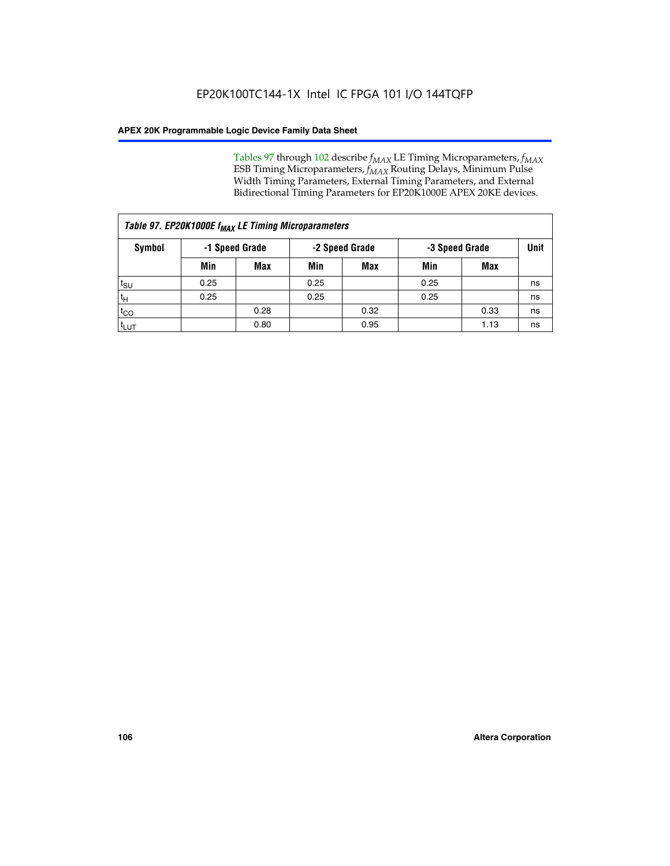Tables 97 through 102 describe  $f_{MAX}$  LE Timing Microparameters,  $f_{MAX}$ ESB Timing Microparameters, *f<sub>MAX</sub>* Routing Delays, Minimum Pulse Width Timing Parameters, External Timing Parameters, and External Bidirectional Timing Parameters for EP20K1000E APEX 20KE devices.

| Table 97. EP20K1000E f <sub>MAX</sub> LE Timing Microparameters |      |                |      |                |                |      |      |  |  |
|-----------------------------------------------------------------|------|----------------|------|----------------|----------------|------|------|--|--|
| Symbol                                                          |      | -1 Speed Grade |      | -2 Speed Grade | -3 Speed Grade |      | Unit |  |  |
|                                                                 | Min  | <b>Max</b>     | Min  | <b>Max</b>     | Min            | Max  |      |  |  |
| $t_{\text{SU}}$                                                 | 0.25 |                | 0.25 |                | 0.25           |      | ns   |  |  |
| $t_H$                                                           | 0.25 |                | 0.25 |                | 0.25           |      | ns   |  |  |
| $t_{CO}$                                                        |      | 0.28           |      | 0.32           |                | 0.33 | ns   |  |  |
| t <sub>LUT</sub>                                                |      | 0.80           |      | 0.95           |                | 1.13 | ns   |  |  |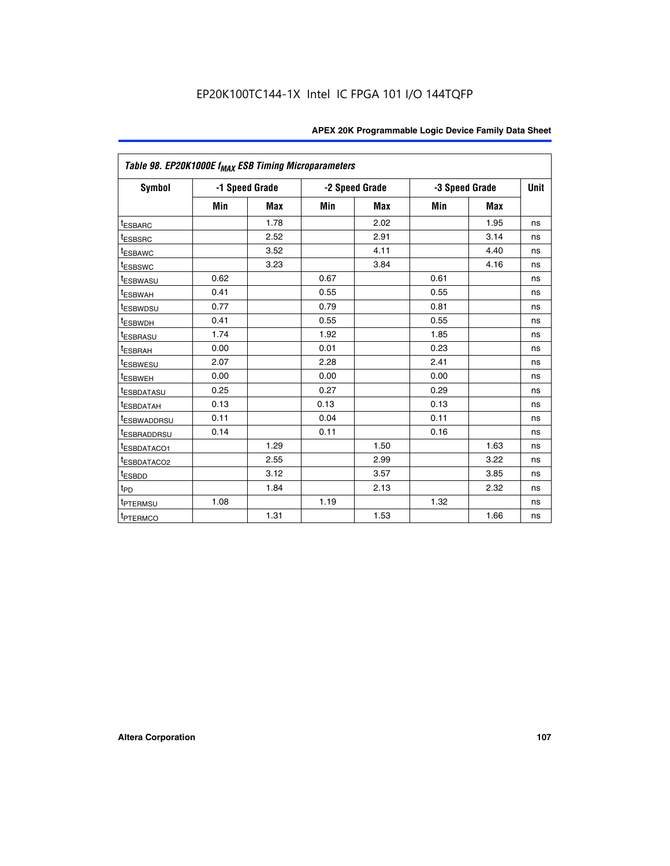| Table 98. EP20K1000E f <sub>MAX</sub> ESB Timing Microparameters |      |                |      |                |                |             |    |
|------------------------------------------------------------------|------|----------------|------|----------------|----------------|-------------|----|
| <b>Symbol</b>                                                    |      | -1 Speed Grade |      | -2 Speed Grade | -3 Speed Grade | <b>Unit</b> |    |
|                                                                  | Min  | <b>Max</b>     | Min  | <b>Max</b>     | Min            | Max         |    |
| <sup>t</sup> ESBARC                                              |      | 1.78           |      | 2.02           |                | 1.95        | ns |
| <sup>t</sup> ESBSRC                                              |      | 2.52           |      | 2.91           |                | 3.14        | ns |
| <sup>t</sup> ESBAWC                                              |      | 3.52           |      | 4.11           |                | 4.40        | ns |
| <sup>t</sup> ESBSWC                                              |      | 3.23           |      | 3.84           |                | 4.16        | ns |
| t <sub>ESBWASU</sub>                                             | 0.62 |                | 0.67 |                | 0.61           |             | ns |
| <sup>t</sup> ESBWAH                                              | 0.41 |                | 0.55 |                | 0.55           |             | ns |
| <sup>t</sup> ESBWDSU                                             | 0.77 |                | 0.79 |                | 0.81           |             | ns |
| <sup>t</sup> ESBWDH                                              | 0.41 |                | 0.55 |                | 0.55           |             | ns |
| <sup>t</sup> ESBRASU                                             | 1.74 |                | 1.92 |                | 1.85           |             | ns |
| t <sub>ESBRAH</sub>                                              | 0.00 |                | 0.01 |                | 0.23           |             | ns |
| <sup>t</sup> ESBWESU                                             | 2.07 |                | 2.28 |                | 2.41           |             | ns |
| t <sub>ESBWEH</sub>                                              | 0.00 |                | 0.00 |                | 0.00           |             | ns |
| <sup>t</sup> ESBDATASU                                           | 0.25 |                | 0.27 |                | 0.29           |             | ns |
| <b>ESBDATAH</b>                                                  | 0.13 |                | 0.13 |                | 0.13           |             | ns |
| <sup>t</sup> ESBWADDRSU                                          | 0.11 |                | 0.04 |                | 0.11           |             | ns |
| <sup>T</sup> ESBRADDRSU                                          | 0.14 |                | 0.11 |                | 0.16           |             | ns |
| <sup>t</sup> ESBDATACO1                                          |      | 1.29           |      | 1.50           |                | 1.63        | ns |
| <sup>I</sup> ESBDATACO2                                          |      | 2.55           |      | 2.99           |                | 3.22        | ns |
| t <sub>ESBDD</sub>                                               |      | 3.12           |      | 3.57           |                | 3.85        | ns |
| $t_{\mathsf{PD}}$                                                |      | 1.84           |      | 2.13           |                | 2.32        | ns |
| t <sub>PTERMSU</sub>                                             | 1.08 |                | 1.19 |                | 1.32           |             | ns |
| <sup>t</sup> PTERMCO                                             |      | 1.31           |      | 1.53           |                | 1.66        | ns |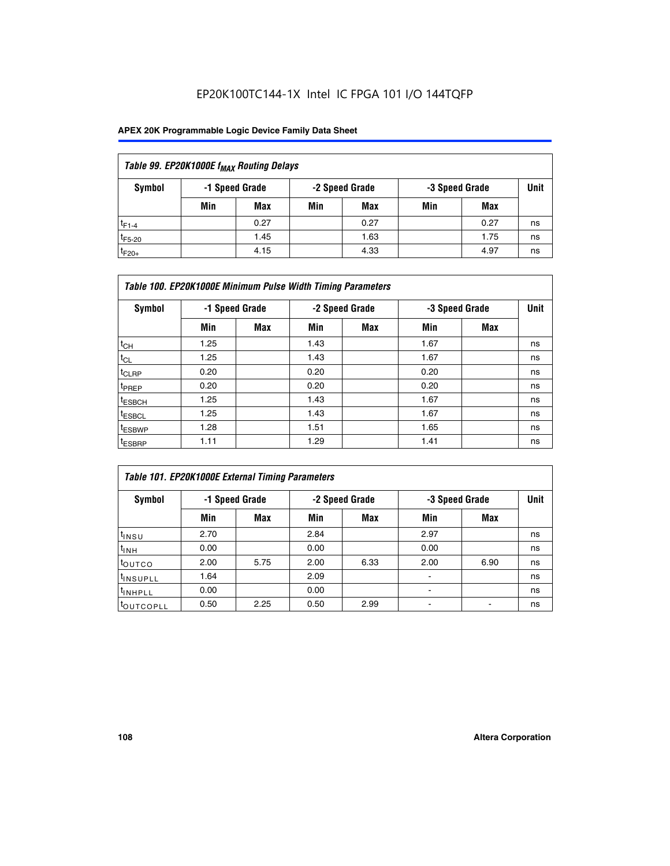# EP20K100TC144-1X Intel IC FPGA 101 I/O 144TQFP

## **APEX 20K Programmable Logic Device Family Data Sheet**

| Table 99. EP20K1000E f <sub>MAX</sub> Routing Delays |     |                |                |      |                |      |      |  |  |  |  |
|------------------------------------------------------|-----|----------------|----------------|------|----------------|------|------|--|--|--|--|
| Symbol                                               |     | -1 Speed Grade | -2 Speed Grade |      | -3 Speed Grade |      | Unit |  |  |  |  |
|                                                      | Min | Max            | Min            | Max  | Min            | Max  |      |  |  |  |  |
| $t_{F1-4}$                                           |     | 0.27           |                | 0.27 |                | 0.27 | ns   |  |  |  |  |
| $t_{F5-20}$                                          |     | 1.45           |                | 1.63 |                | 1.75 | ns   |  |  |  |  |
| $t_{F20+}$                                           |     | 4.15           |                | 4.33 |                | 4.97 | ns   |  |  |  |  |

| Table 100. EP20K1000E Minimum Pulse Width Timing Parameters |                |            |      |                |      |                |    |  |  |  |  |
|-------------------------------------------------------------|----------------|------------|------|----------------|------|----------------|----|--|--|--|--|
| Symbol                                                      | -1 Speed Grade |            |      | -2 Speed Grade |      | -3 Speed Grade |    |  |  |  |  |
|                                                             | Min            | <b>Max</b> | Min  | Max            | Min  | Max            |    |  |  |  |  |
| $t_{CH}$                                                    | 1.25           |            | 1.43 |                | 1.67 |                | ns |  |  |  |  |
| $t_{CL}$                                                    | 1.25           |            | 1.43 |                | 1.67 |                | ns |  |  |  |  |
| t <sub>CLRP</sub>                                           | 0.20           |            | 0.20 |                | 0.20 |                | ns |  |  |  |  |
| <sup>t</sup> PREP                                           | 0.20           |            | 0.20 |                | 0.20 |                | ns |  |  |  |  |
| <sup>t</sup> ESBCH                                          | 1.25           |            | 1.43 |                | 1.67 |                | ns |  |  |  |  |
| <sup>t</sup> ESBCL                                          | 1.25           |            | 1.43 |                | 1.67 |                | ns |  |  |  |  |
| <sup>t</sup> ESBWP                                          | 1.28           |            | 1.51 |                | 1.65 |                | ns |  |  |  |  |
| <sup>t</sup> ESBRP                                          | 1.11           |            | 1.29 |                | 1.41 |                | ns |  |  |  |  |

| Table 101. EP20K1000E External Timing Parameters |      |                |      |                |      |                |    |  |  |  |  |
|--------------------------------------------------|------|----------------|------|----------------|------|----------------|----|--|--|--|--|
| Symbol                                           |      | -1 Speed Grade |      | -2 Speed Grade |      | -3 Speed Grade |    |  |  |  |  |
|                                                  | Min  | <b>Max</b>     | Min  | <b>Max</b>     | Min  | Max            |    |  |  |  |  |
| t <sub>INSU</sub>                                | 2.70 |                | 2.84 |                | 2.97 |                | ns |  |  |  |  |
| $t_{INH}$                                        | 0.00 |                | 0.00 |                | 0.00 |                | ns |  |  |  |  |
| toutco                                           | 2.00 | 5.75           | 2.00 | 6.33           | 2.00 | 6.90           | ns |  |  |  |  |
| tinsupll                                         | 1.64 |                | 2.09 |                |      |                | ns |  |  |  |  |
| <sup>t</sup> INHPLL                              | 0.00 |                | 0.00 |                | -    |                | ns |  |  |  |  |
| toutcopll                                        | 0.50 | 2.25           | 0.50 | 2.99           | -    |                | ns |  |  |  |  |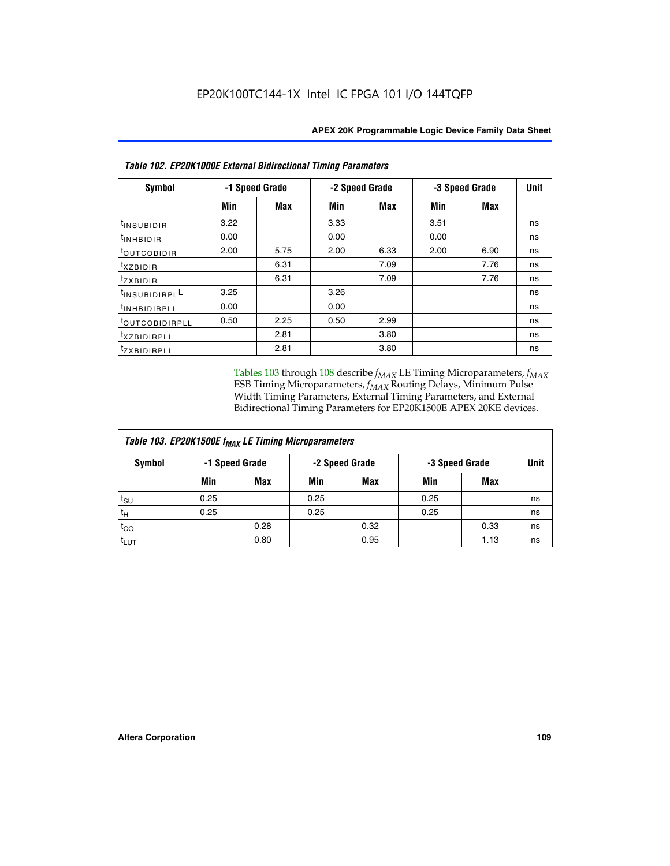| Table 102. EP20K1000E External Bidirectional Timing Parameters |      |                |                |      |                |      |             |  |  |  |
|----------------------------------------------------------------|------|----------------|----------------|------|----------------|------|-------------|--|--|--|
| Symbol                                                         |      | -1 Speed Grade | -2 Speed Grade |      | -3 Speed Grade |      | <b>Unit</b> |  |  |  |
|                                                                | Min  | Max            | Min            | Max  | Min            | Max  |             |  |  |  |
| t <sub>INSUBIDIR</sub>                                         | 3.22 |                | 3.33           |      | 3.51           |      | ns          |  |  |  |
| <sup>t</sup> inhbidir                                          | 0.00 |                | 0.00           |      | 0.00           |      | ns          |  |  |  |
| t <sub>outcobidir</sub>                                        | 2.00 | 5.75           | 2.00           | 6.33 | 2.00           | 6.90 | ns          |  |  |  |
| <i>txzbidir</i>                                                |      | 6.31           |                | 7.09 |                | 7.76 | ns          |  |  |  |
| tzxbidir                                                       |      | 6.31           |                | 7.09 |                | 7.76 | ns          |  |  |  |
| t <sub>INSUBIDIRPL</sub> L                                     | 3.25 |                | 3.26           |      |                |      | ns          |  |  |  |
| tINHBIDIRPLL                                                   | 0.00 |                | 0.00           |      |                |      | ns          |  |  |  |
| <sup>t</sup> OUTCOBIDIRPLL                                     | 0.50 | 2.25           | 0.50           | 2.99 |                |      | ns          |  |  |  |
| <sup>t</sup> xzbidirpll                                        |      | 2.81           |                | 3.80 |                |      | ns          |  |  |  |
| tzxBIDIRPLL                                                    |      | 2.81           |                | 3.80 |                |      | ns          |  |  |  |

Tables 103 through 108 describe  $f_{MAX}$  LE Timing Microparameters,  $f_{MAX}$ ESB Timing Microparameters, *f<sub>MAX</sub>* Routing Delays, Minimum Pulse Width Timing Parameters, External Timing Parameters, and External Bidirectional Timing Parameters for EP20K1500E APEX 20KE devices.

| Table 103. EP20K1500E f <sub>MAX</sub> LE Timing Microparameters |      |                |                |            |                |      |             |  |  |  |  |
|------------------------------------------------------------------|------|----------------|----------------|------------|----------------|------|-------------|--|--|--|--|
| Symbol                                                           |      | -1 Speed Grade | -2 Speed Grade |            | -3 Speed Grade |      | <b>Unit</b> |  |  |  |  |
|                                                                  | Min  | <b>Max</b>     | Min            | <b>Max</b> | Min            | Max  |             |  |  |  |  |
| $t_{\sf SU}$                                                     | 0.25 |                | 0.25           |            | 0.25           |      | ns          |  |  |  |  |
| $t_H$                                                            | 0.25 |                | 0.25           |            | 0.25           |      | ns          |  |  |  |  |
| $t_{CO}$                                                         |      | 0.28           |                | 0.32       |                | 0.33 | ns          |  |  |  |  |
| t <sub>lut</sub>                                                 |      | 0.80           |                | 0.95       |                | 1.13 | ns          |  |  |  |  |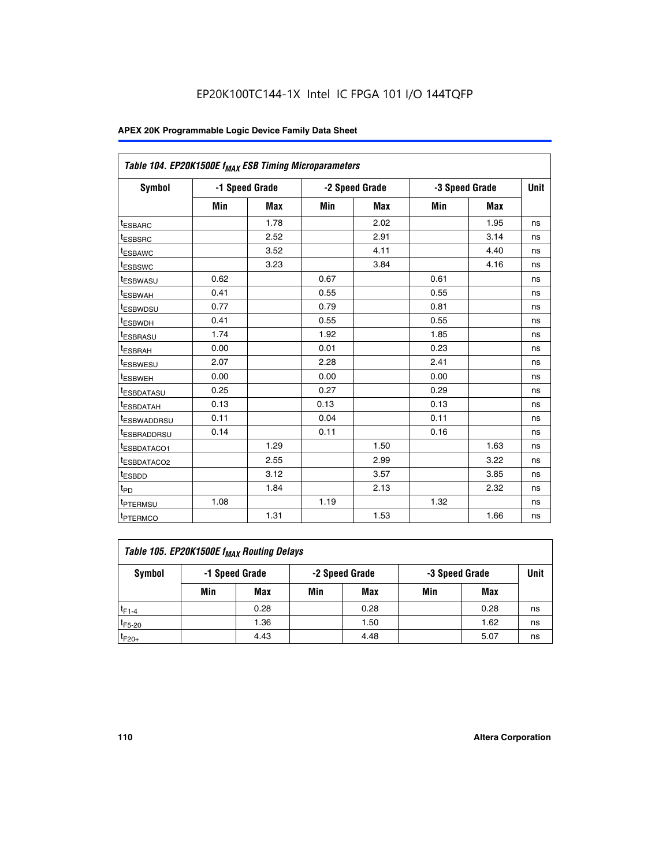| Table 104. EP20K1500E f <sub>MAX</sub> ESB Timing Microparameters |      |                |      |                |      |                |             |  |  |  |
|-------------------------------------------------------------------|------|----------------|------|----------------|------|----------------|-------------|--|--|--|
| <b>Symbol</b>                                                     |      | -1 Speed Grade |      | -2 Speed Grade |      | -3 Speed Grade | <b>Unit</b> |  |  |  |
|                                                                   | Min  | <b>Max</b>     | Min  | <b>Max</b>     | Min  | <b>Max</b>     |             |  |  |  |
| t <sub>ESBARC</sub>                                               |      | 1.78           |      | 2.02           |      | 1.95           | ns          |  |  |  |
| <sup>t</sup> ESBSRC                                               |      | 2.52           |      | 2.91           |      | 3.14           | ns          |  |  |  |
| <sup>t</sup> ESBAWC                                               |      | 3.52           |      | 4.11           |      | 4.40           | ns          |  |  |  |
| <sup>t</sup> ESBSWC                                               |      | 3.23           |      | 3.84           |      | 4.16           | ns          |  |  |  |
| t <sub>ESBWASU</sub>                                              | 0.62 |                | 0.67 |                | 0.61 |                | ns          |  |  |  |
| t <sub>ESBWAH</sub>                                               | 0.41 |                | 0.55 |                | 0.55 |                | ns          |  |  |  |
| <sup>t</sup> ESBWDSU                                              | 0.77 |                | 0.79 |                | 0.81 |                | ns          |  |  |  |
| <sup>t</sup> ESBWDH                                               | 0.41 |                | 0.55 |                | 0.55 |                | ns          |  |  |  |
| t <sub>ESBRASU</sub>                                              | 1.74 |                | 1.92 |                | 1.85 |                | ns          |  |  |  |
| <sup>t</sup> ESBRAH                                               | 0.00 |                | 0.01 |                | 0.23 |                | ns          |  |  |  |
| tESBWESU                                                          | 2.07 |                | 2.28 |                | 2.41 |                | ns          |  |  |  |
| t <sub>ESBWEH</sub>                                               | 0.00 |                | 0.00 |                | 0.00 |                | ns          |  |  |  |
| <sup>t</sup> ESBDATASU                                            | 0.25 |                | 0.27 |                | 0.29 |                | ns          |  |  |  |
| t <sub>ESBDATAH</sub>                                             | 0.13 |                | 0.13 |                | 0.13 |                | ns          |  |  |  |
| <sup>t</sup> ESBWADDRSU                                           | 0.11 |                | 0.04 |                | 0.11 |                | ns          |  |  |  |
| <sup>t</sup> ESBRADDRSU                                           | 0.14 |                | 0.11 |                | 0.16 |                | ns          |  |  |  |
| <u>IESBDATACO1</u>                                                |      | 1.29           |      | 1.50           |      | 1.63           | ns          |  |  |  |
| <sup>t</sup> ESBDATACO2                                           |      | 2.55           |      | 2.99           |      | 3.22           | ns          |  |  |  |
| <sup>t</sup> ESBDD                                                |      | 3.12           |      | 3.57           |      | 3.85           | ns          |  |  |  |
| t <sub>PD</sub>                                                   |      | 1.84           |      | 2.13           |      | 2.32           | ns          |  |  |  |
| <sup>t</sup> PTERMSU                                              | 1.08 |                | 1.19 |                | 1.32 |                | ns          |  |  |  |
| t <sub>PTERMCO</sub>                                              |      | 1.31           |      | 1.53           |      | 1.66           | ns          |  |  |  |

| Table 105. EP20K1500E f <sub>MAX</sub> Routing Delays |     |                |     |                |                |      |      |  |  |  |
|-------------------------------------------------------|-----|----------------|-----|----------------|----------------|------|------|--|--|--|
| Symbol                                                |     | -1 Speed Grade |     | -2 Speed Grade | -3 Speed Grade |      | Unit |  |  |  |
|                                                       | Min | Max            | Min | Max            | Min            | Max  |      |  |  |  |
| $t_{F1-4}$                                            |     | 0.28           |     | 0.28           |                | 0.28 | ns   |  |  |  |
| $t_{F5-20}$                                           |     | 1.36           |     | 1.50           |                | 1.62 | ns   |  |  |  |
| $t_{F20+}$                                            |     | 4.43           |     | 4.48           |                | 5.07 | ns   |  |  |  |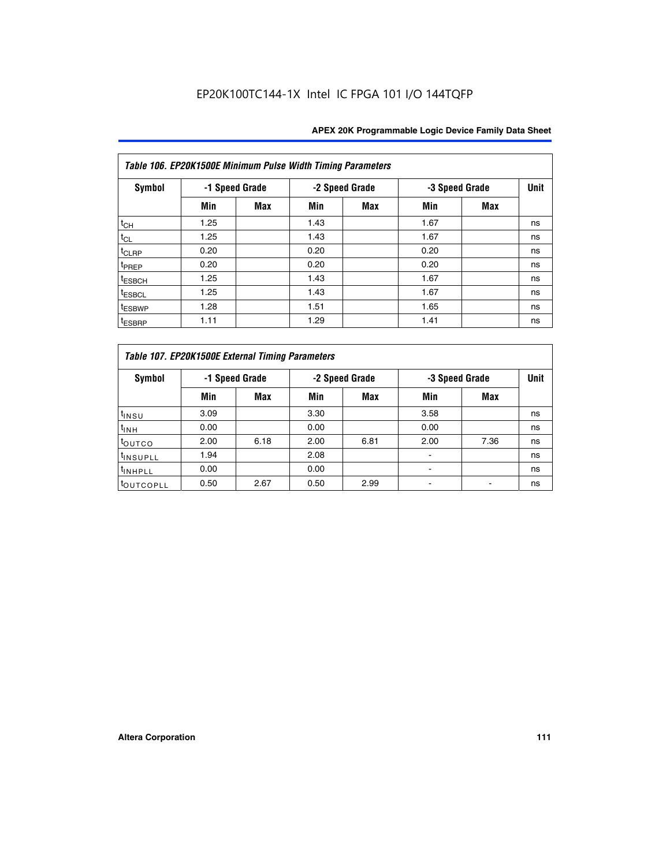| Table 106. EP20K1500E Minimum Pulse Width Timing Parameters |                |            |      |                |      |                |             |  |  |  |  |
|-------------------------------------------------------------|----------------|------------|------|----------------|------|----------------|-------------|--|--|--|--|
| <b>Symbol</b>                                               | -1 Speed Grade |            |      | -2 Speed Grade |      | -3 Speed Grade | <b>Unit</b> |  |  |  |  |
|                                                             | Min            | <b>Max</b> | Min  | Max            | Min  | <b>Max</b>     |             |  |  |  |  |
| $t_{CH}$                                                    | 1.25           |            | 1.43 |                | 1.67 |                | ns          |  |  |  |  |
| $t_{CL}$                                                    | 1.25           |            | 1.43 |                | 1.67 |                | ns          |  |  |  |  |
| $t_{CLRP}$                                                  | 0.20           |            | 0.20 |                | 0.20 |                | ns          |  |  |  |  |
| t <sub>PREP</sub>                                           | 0.20           |            | 0.20 |                | 0.20 |                | ns          |  |  |  |  |
| <sup>t</sup> ESBCH                                          | 1.25           |            | 1.43 |                | 1.67 |                | ns          |  |  |  |  |
| <sup>t</sup> ESBCL                                          | 1.25           |            | 1.43 |                | 1.67 |                | ns          |  |  |  |  |
| <sup>t</sup> ESBWP                                          | 1.28           |            | 1.51 |                | 1.65 |                | ns          |  |  |  |  |
| <sup>t</sup> ESBRP                                          | 1.11           |            | 1.29 |                | 1.41 |                | ns          |  |  |  |  |

| Table 107. EP20K1500E External Timing Parameters |      |                |      |                |                          |                |    |  |  |  |  |
|--------------------------------------------------|------|----------------|------|----------------|--------------------------|----------------|----|--|--|--|--|
| Symbol                                           |      | -1 Speed Grade |      | -2 Speed Grade |                          | -3 Speed Grade |    |  |  |  |  |
|                                                  | Min  | Max            | Min  | <b>Max</b>     | Min                      | Max            |    |  |  |  |  |
| t <sub>insu</sub>                                | 3.09 |                | 3.30 |                | 3.58                     |                | ns |  |  |  |  |
| $t_{INH}$                                        | 0.00 |                | 0.00 |                | 0.00                     |                | ns |  |  |  |  |
| toutco                                           | 2.00 | 6.18           | 2.00 | 6.81           | 2.00                     | 7.36           | ns |  |  |  |  |
| <sup>t</sup> INSUPLL                             | 1.94 |                | 2.08 |                |                          |                | ns |  |  |  |  |
| <sup>t</sup> INHPLL                              | 0.00 |                | 0.00 |                | $\overline{\phantom{0}}$ |                | ns |  |  |  |  |
| <sup>t</sup> OUTCOPLL                            | 0.50 | 2.67           | 0.50 | 2.99           |                          |                | ns |  |  |  |  |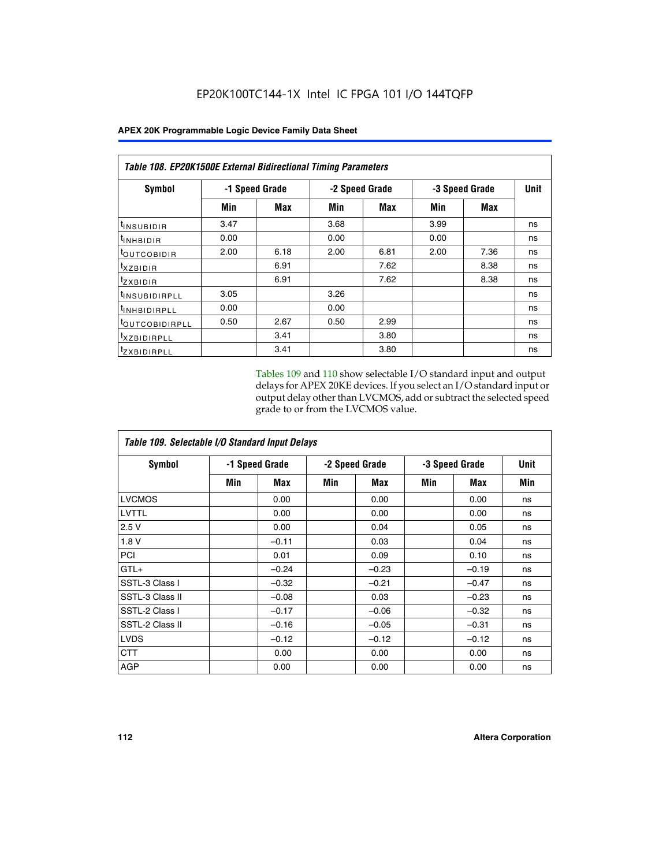| <b>Table 108. EP20K1500E External Bidirectional Timing Parameters</b> |      |                |                |      |                |            |      |  |  |  |
|-----------------------------------------------------------------------|------|----------------|----------------|------|----------------|------------|------|--|--|--|
| Symbol                                                                |      | -1 Speed Grade | -2 Speed Grade |      | -3 Speed Grade |            | Unit |  |  |  |
|                                                                       | Min  | Max            | Min            | Max  | Min            | <b>Max</b> |      |  |  |  |
| <sup>t</sup> INSUBIDIR                                                | 3.47 |                | 3.68           |      | 3.99           |            | ns   |  |  |  |
| <sup>t</sup> INHBIDIR                                                 | 0.00 |                | 0.00           |      | 0.00           |            | ns   |  |  |  |
| <b><i>LOUTCOBIDIR</i></b>                                             | 2.00 | 6.18           | 2.00           | 6.81 | 2.00           | 7.36       | ns   |  |  |  |
| $t_{XZBIDIR}$                                                         |      | 6.91           |                | 7.62 |                | 8.38       | ns   |  |  |  |
| $t_{Z}$ <i>x</i> BIDIR                                                |      | 6.91           |                | 7.62 |                | 8.38       | ns   |  |  |  |
| <sup>t</sup> INSUBIDIRPLL                                             | 3.05 |                | 3.26           |      |                |            | ns   |  |  |  |
| <sup>t</sup> INHBIDIRPLL                                              | 0.00 |                | 0.00           |      |                |            | ns   |  |  |  |
| <sup>t</sup> OUTCOBIDIRPLL                                            | 0.50 | 2.67           | 0.50           | 2.99 |                |            | ns   |  |  |  |
| <sup>t</sup> XZBIDIRPLL                                               |      | 3.41           |                | 3.80 |                |            | ns   |  |  |  |
| <sup>t</sup> zxbidirpll                                               |      | 3.41           |                | 3.80 |                |            | ns   |  |  |  |

Tables 109 and 110 show selectable I/O standard input and output delays for APEX 20KE devices. If you select an I/O standard input or output delay other than LVCMOS, add or subtract the selected speed grade to or from the LVCMOS value.

| Table 109. Selectable I/O Standard Input Delays |     |                |     |                |                |         |             |  |  |  |
|-------------------------------------------------|-----|----------------|-----|----------------|----------------|---------|-------------|--|--|--|
| <b>Symbol</b>                                   |     | -1 Speed Grade |     | -2 Speed Grade | -3 Speed Grade |         | <b>Unit</b> |  |  |  |
|                                                 | Min | Max            | Min | Max            | Min            | Max     | Min         |  |  |  |
| <b>LVCMOS</b>                                   |     | 0.00           |     | 0.00           |                | 0.00    | ns          |  |  |  |
| LVTTL                                           |     | 0.00           |     | 0.00           |                | 0.00    | ns          |  |  |  |
| 2.5V                                            |     | 0.00           |     | 0.04           |                | 0.05    | ns          |  |  |  |
| 1.8V                                            |     | $-0.11$        |     | 0.03           |                | 0.04    | ns          |  |  |  |
| PCI                                             |     | 0.01           |     | 0.09           |                | 0.10    | ns          |  |  |  |
| $GTL+$                                          |     | $-0.24$        |     | $-0.23$        |                | $-0.19$ | ns          |  |  |  |
| SSTL-3 Class I                                  |     | $-0.32$        |     | $-0.21$        |                | $-0.47$ | ns          |  |  |  |
| SSTL-3 Class II                                 |     | $-0.08$        |     | 0.03           |                | $-0.23$ | ns          |  |  |  |
| SSTL-2 Class I                                  |     | $-0.17$        |     | $-0.06$        |                | $-0.32$ | ns          |  |  |  |
| SSTL-2 Class II                                 |     | $-0.16$        |     | $-0.05$        |                | $-0.31$ | ns          |  |  |  |
| <b>LVDS</b>                                     |     | $-0.12$        |     | $-0.12$        |                | $-0.12$ | ns          |  |  |  |
| <b>CTT</b>                                      |     | 0.00           |     | 0.00           |                | 0.00    | ns          |  |  |  |
| <b>AGP</b>                                      |     | 0.00           |     | 0.00           |                | 0.00    | ns          |  |  |  |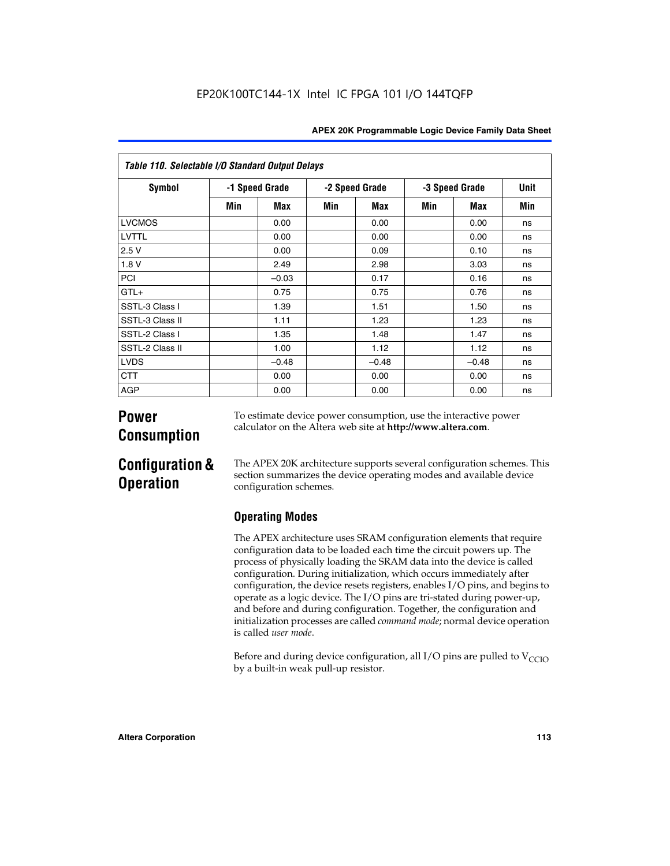|  | <b>APEX 20K Programmable Logic Device Family Data Sheet</b> |  |  |  |
|--|-------------------------------------------------------------|--|--|--|
|--|-------------------------------------------------------------|--|--|--|

| Table 110. Selectable I/O Standard Output Delays |                |         |                |         |                |         |      |  |
|--------------------------------------------------|----------------|---------|----------------|---------|----------------|---------|------|--|
| Symbol                                           | -1 Speed Grade |         | -2 Speed Grade |         | -3 Speed Grade |         | Unit |  |
|                                                  | Min            | Max     | Min            | Max     | Min            | Max     | Min  |  |
| <b>LVCMOS</b>                                    |                | 0.00    |                | 0.00    |                | 0.00    | ns   |  |
| <b>LVTTL</b>                                     |                | 0.00    |                | 0.00    |                | 0.00    | ns   |  |
| 2.5V                                             |                | 0.00    |                | 0.09    |                | 0.10    | ns   |  |
| 1.8V                                             |                | 2.49    |                | 2.98    |                | 3.03    | ns   |  |
| PCI                                              |                | $-0.03$ |                | 0.17    |                | 0.16    | ns   |  |
| $GTL+$                                           |                | 0.75    |                | 0.75    |                | 0.76    | ns   |  |
| SSTL-3 Class I                                   |                | 1.39    |                | 1.51    |                | 1.50    | ns   |  |
| SSTL-3 Class II                                  |                | 1.11    |                | 1.23    |                | 1.23    | ns   |  |
| SSTL-2 Class I                                   |                | 1.35    |                | 1.48    |                | 1.47    | ns   |  |
| SSTL-2 Class II                                  |                | 1.00    |                | 1.12    |                | 1.12    | ns   |  |
| <b>LVDS</b>                                      |                | $-0.48$ |                | $-0.48$ |                | $-0.48$ | ns   |  |
| <b>CTT</b>                                       |                | 0.00    |                | 0.00    |                | 0.00    | ns   |  |
| <b>AGP</b>                                       |                | 0.00    |                | 0.00    |                | 0.00    | ns   |  |

# **Power Consumption**

To estimate device power consumption, use the interactive power calculator on the Altera web site at **http://www.altera.com**.

# **Configuration & Operation**

The APEX 20K architecture supports several configuration schemes. This section summarizes the device operating modes and available device configuration schemes.

# **Operating Modes**

The APEX architecture uses SRAM configuration elements that require configuration data to be loaded each time the circuit powers up. The process of physically loading the SRAM data into the device is called configuration. During initialization, which occurs immediately after configuration, the device resets registers, enables I/O pins, and begins to operate as a logic device. The I/O pins are tri-stated during power-up, and before and during configuration. Together, the configuration and initialization processes are called *command mode*; normal device operation is called *user mode*.

Before and during device configuration, all I/O pins are pulled to  $V_{\text{CCTO}}$ by a built-in weak pull-up resistor.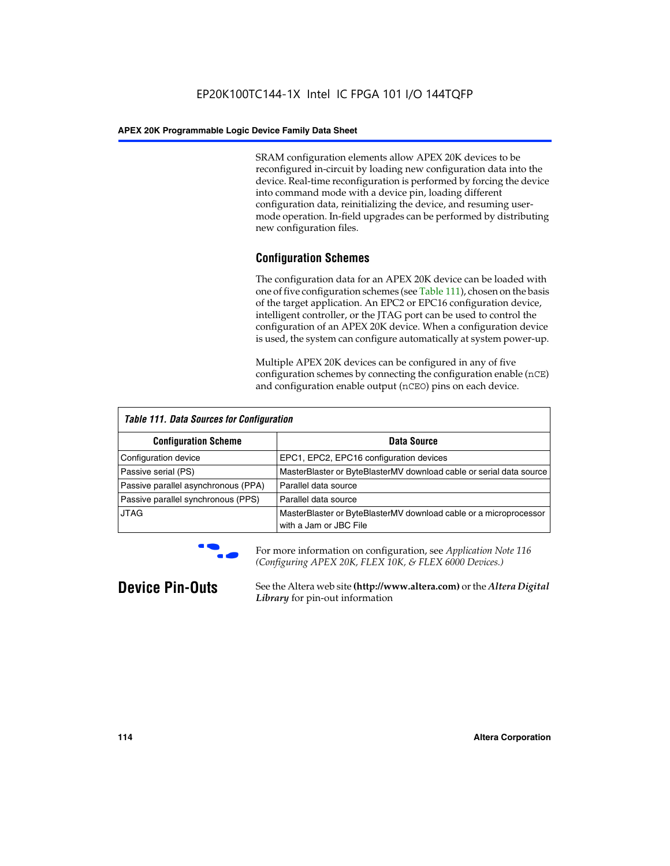SRAM configuration elements allow APEX 20K devices to be reconfigured in-circuit by loading new configuration data into the device. Real-time reconfiguration is performed by forcing the device into command mode with a device pin, loading different configuration data, reinitializing the device, and resuming usermode operation. In-field upgrades can be performed by distributing new configuration files.

# **Configuration Schemes**

The configuration data for an APEX 20K device can be loaded with one of five configuration schemes (see Table 111), chosen on the basis of the target application. An EPC2 or EPC16 configuration device, intelligent controller, or the JTAG port can be used to control the configuration of an APEX 20K device. When a configuration device is used, the system can configure automatically at system power-up.

Multiple APEX 20K devices can be configured in any of five configuration schemes by connecting the configuration enable (nCE) and configuration enable output (nCEO) pins on each device.

| <b>Table 111. Data Sources for Configuration</b> |                                                                                             |  |  |  |  |
|--------------------------------------------------|---------------------------------------------------------------------------------------------|--|--|--|--|
| <b>Configuration Scheme</b>                      | Data Source                                                                                 |  |  |  |  |
| Configuration device                             | EPC1, EPC2, EPC16 configuration devices                                                     |  |  |  |  |
| Passive serial (PS)                              | MasterBlaster or ByteBlasterMV download cable or serial data source                         |  |  |  |  |
| Passive parallel asynchronous (PPA)              | Parallel data source                                                                        |  |  |  |  |
| Passive parallel synchronous (PPS)               | Parallel data source                                                                        |  |  |  |  |
| <b>JTAG</b>                                      | MasterBlaster or ByteBlasterMV download cable or a microprocessor<br>with a Jam or JBC File |  |  |  |  |



**For more information on configuration, see Application Note 116** *(Configuring APEX 20K, FLEX 10K, & FLEX 6000 Devices.)*

**Device Pin-Outs** See the Altera web site **(http://www.altera.com)** or the *Altera Digital Library* for pin-out information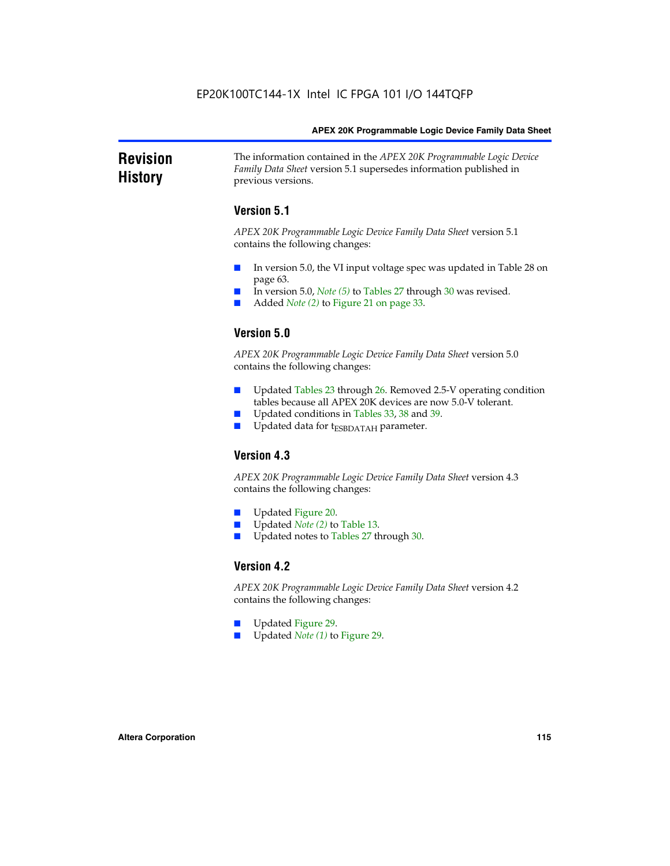#### **Revision History** The information contained in the *APEX 20K Programmable Logic Device Family Data Sheet* version 5.1 supersedes information published in previous versions.

# **Version 5.1**

*APEX 20K Programmable Logic Device Family Data Sheet* version 5.1 contains the following changes:

- In version 5.0, the VI input voltage spec was updated in Table 28 on page 63.
- In version 5.0, *Note* (5) to Tables 27 through 30 was revised.
- Added *Note* (2) to Figure 21 on page 33.

# **Version 5.0**

*APEX 20K Programmable Logic Device Family Data Sheet* version 5.0 contains the following changes:

- Updated Tables 23 through 26. Removed 2.5-V operating condition tables because all APEX 20K devices are now 5.0-V tolerant.
- Updated conditions in Tables 33, 38 and 39.
- Updated data for t<sub>ESBDATAH</sub> parameter.

# **Version 4.3**

*APEX 20K Programmable Logic Device Family Data Sheet* version 4.3 contains the following changes:

- Updated Figure 20.
- Updated *Note (2)* to Table 13.
- Updated notes to Tables 27 through 30.

## **Version 4.2**

*APEX 20K Programmable Logic Device Family Data Sheet* version 4.2 contains the following changes:

- Updated Figure 29.
- Updated *Note (1)* to Figure 29.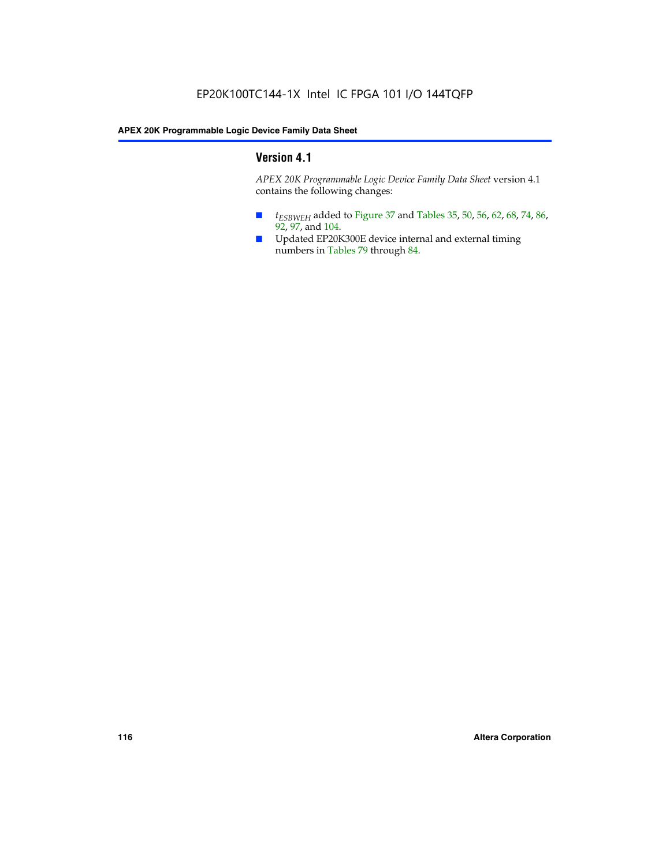# **Version 4.1**

*APEX 20K Programmable Logic Device Family Data Sheet* version 4.1 contains the following changes:

- *t<sub>ESBWEH</sub>* added to Figure 37 and Tables 35, 50, 56, 62, 68, 74, 86, 92, 97, and 104.
- Updated EP20K300E device internal and external timing numbers in Tables 79 through 84.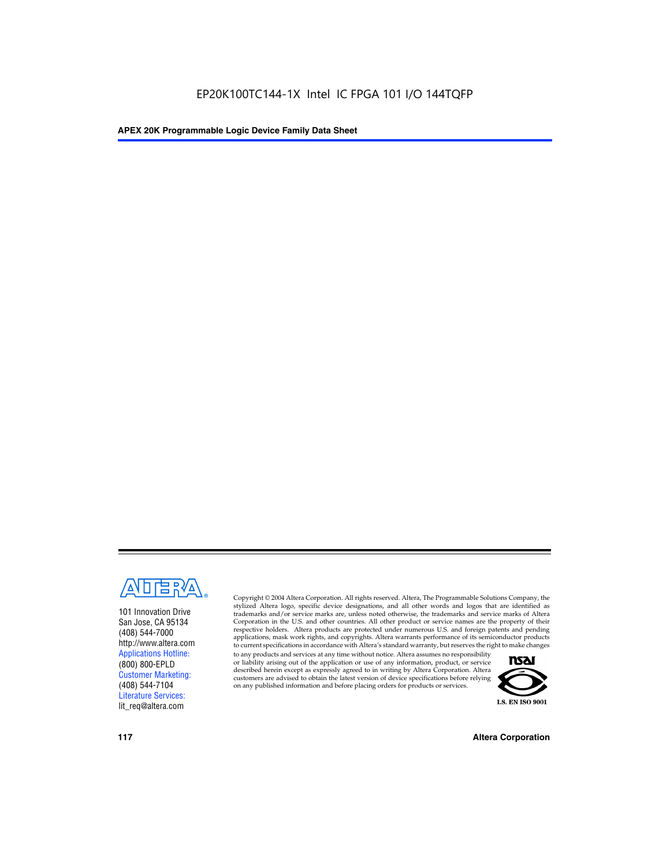

101 Innovation Drive San Jose, CA 95134 (408) 544-7000 http://www.altera.com Applications Hotline: (800) 800-EPLD Customer Marketing: (408) 544-7104 Literature Services: lit\_req@altera.com

Copyright © 2004 Altera Corporation. All rights reserved. Altera, The Programmable Solutions Company, the stylized Altera logo, specific device designations, and all other words and logos that are identified as trademarks and/or service marks are, unless noted otherwise, the trademarks and service marks of Altera Corporation in the U.S. and other countries. All other product or service names are the property of their respective holders. Altera products are protected under numerous U.S. and foreign patents and pending applications, mask work rights, and copyrights. Altera warrants performance of its semiconductor products to current specifications in accordance with Altera's standard warranty, but reserves the right to make changes

to any products and services at any time without notice. Altera assumes no responsibility or liability arising out of the application or use of any information, product, or service described herein except as expressly agreed to in writing by Altera Corporation. Altera customers are advised to obtain the latest version of device specifications before relying on any published information and before placing orders for products or services.



**117 Altera Corporation**